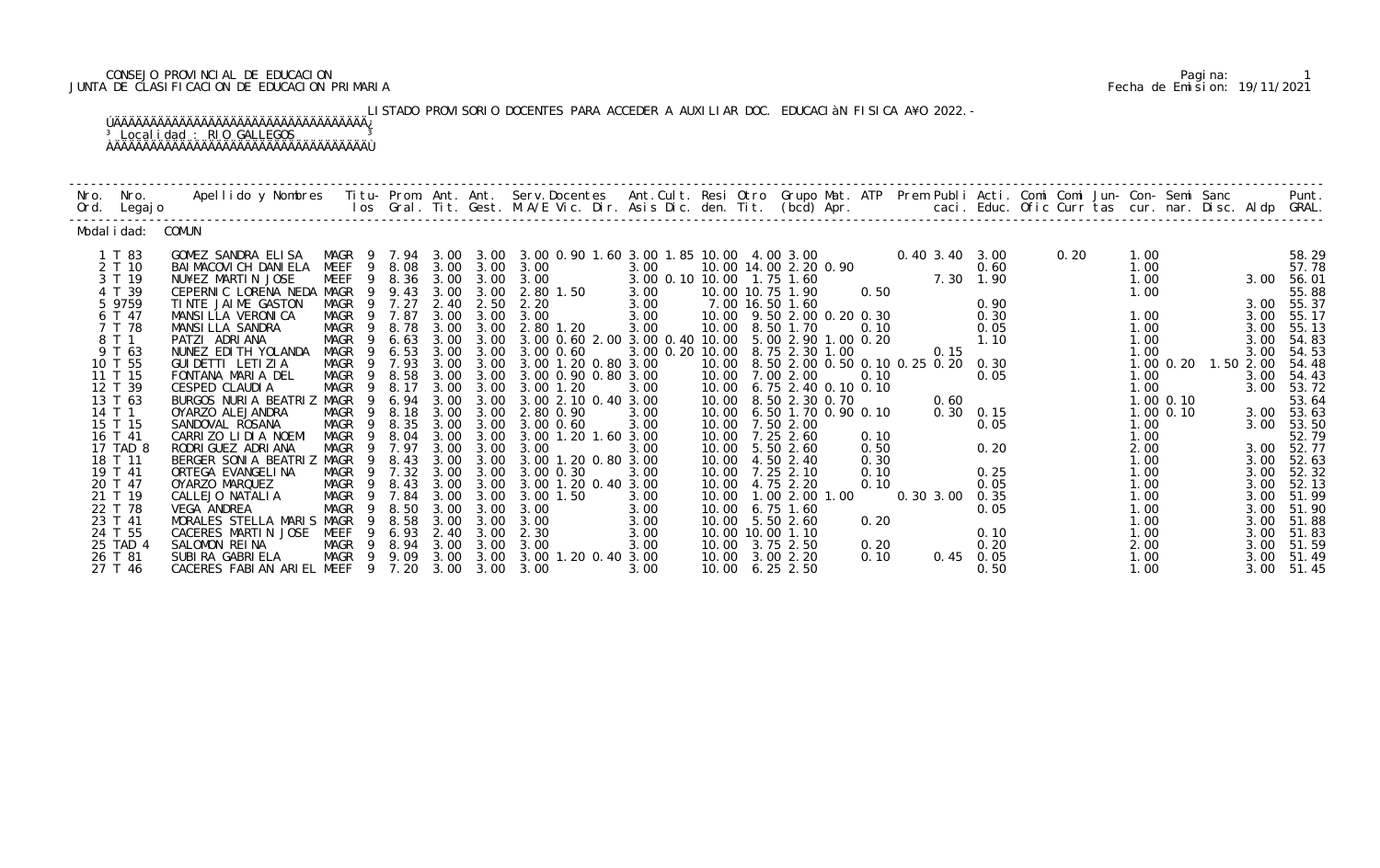# CONSEJO PROVINCIAL DE EDUCACION Pagina: 1 JUNTA DE CLASIFICACION DE EDUCACION PRIMARIA Fecha de Emision: 19/11/2021

LISTADO PROVISORIO DOCENTES PARA ACCEDER A AUXILIAR DOC. EDUCACIÀN FISICA A¥O 2022.-

| Nro. Nro.<br>Ord. Legajo                                                                                                                                                                                       | Apellido y Nombres - Titu- Prom. Ant. Ant. Serv.Docentes - Ant.Cult. Resi Otro Grupo Mat. ATP Prem Publi Acti. Comi Comi Jun- Con- Semi Sanc - - - Punt.<br>Ios Gral. Tit. Gest. M.A/E Vic. Dir. Asis Dic. den. Tit. (bcd) Apr. -                                                                                                                                                                                                                     |                                                                                                                                                                                                                                         |                                                                                                                                                                  |                                                                                                      |                                                                                                           |                                                                                                                                                                                                                                                                                                                                                                                                                                 |                                                                                                                                             |       |                                                                                                                                                                                                                       |                                                                                                                                                                                                                                                              |                                   |                                                                                               |      |                                                                                                                              |                                               |                                                                           |                                                                                                                                                                                                                |
|----------------------------------------------------------------------------------------------------------------------------------------------------------------------------------------------------------------|-------------------------------------------------------------------------------------------------------------------------------------------------------------------------------------------------------------------------------------------------------------------------------------------------------------------------------------------------------------------------------------------------------------------------------------------------------|-----------------------------------------------------------------------------------------------------------------------------------------------------------------------------------------------------------------------------------------|------------------------------------------------------------------------------------------------------------------------------------------------------------------|------------------------------------------------------------------------------------------------------|-----------------------------------------------------------------------------------------------------------|---------------------------------------------------------------------------------------------------------------------------------------------------------------------------------------------------------------------------------------------------------------------------------------------------------------------------------------------------------------------------------------------------------------------------------|---------------------------------------------------------------------------------------------------------------------------------------------|-------|-----------------------------------------------------------------------------------------------------------------------------------------------------------------------------------------------------------------------|--------------------------------------------------------------------------------------------------------------------------------------------------------------------------------------------------------------------------------------------------------------|-----------------------------------|-----------------------------------------------------------------------------------------------|------|------------------------------------------------------------------------------------------------------------------------------|-----------------------------------------------|---------------------------------------------------------------------------|----------------------------------------------------------------------------------------------------------------------------------------------------------------------------------------------------------------|
| Modal i dad: COMUN                                                                                                                                                                                             |                                                                                                                                                                                                                                                                                                                                                                                                                                                       |                                                                                                                                                                                                                                         |                                                                                                                                                                  |                                                                                                      |                                                                                                           |                                                                                                                                                                                                                                                                                                                                                                                                                                 |                                                                                                                                             |       |                                                                                                                                                                                                                       |                                                                                                                                                                                                                                                              |                                   |                                                                                               |      |                                                                                                                              |                                               |                                                                           |                                                                                                                                                                                                                |
| 1 T 83<br>2 T 10<br>3 T 19<br>4 T 39<br>5 9759<br>6 T 47<br>7 T 78<br>8 T 1<br>9 T 63<br>10 T 55<br>11 T 15<br>12 T 39<br>13 T 63<br>14 T 1<br>15 T 15<br>16 T 41<br>17 TAD 8<br>18 T 11<br>19 T 41<br>20 T 47 | GOMEZ SANDRA ELISA<br>BAI MACOVI CH DANI ELA<br>NU¥EZ MARTIN JOSE<br>CEPERNIC LORENA NEDA MAGR<br>TINTE JAIME GASTON<br>MANSILLA VERONICA<br>MANSILLA SANDRA<br>PATZI ADRIANA<br>NUNEZ EDI TH YOLANDA<br>GUI DETTI LETI ZI A<br>FONTANA MARIA DEL<br>CESPED CLAUDIA<br>BURGOS NURIA BEATRIZ<br>OYARZO ALEJANDRA<br>SANDOVAL ROSANA<br>CARRIZO LIDIA NOEMI<br>RODRI GUEZ ADRI ANA<br>BERGER SONIA BEATRIZ MAGR<br>ORTEGA EVANGELI NA<br>OYARZO MARQUEZ | <b>MEEF</b><br>MEEF<br>-9<br>MAGR<br>MAGR 9 7.87<br>MAGR<br>9<br>MAGR<br>-9<br>MAGR<br>9<br>MAGR<br>MAGR<br>- 9<br>MAGR<br>$\overline{9}$<br>MAGR<br>MAGR<br>$\overline{9}$<br>MAGR<br>9<br>MAGR<br>-9<br>MAGR<br>- 9<br>MAGR<br>MAGR 9 | 9 8.08<br>9 8.36<br>9.43<br>9 7.27<br>8.78<br>6.63<br>6.53<br>9 7.93<br>8.58<br>8.17<br>9 6.94 3.00<br>8.18<br>8.35<br>8. 04<br>7.97<br>9 8.43<br>9 7.32<br>8.43 | 3.00<br>2.40<br>3.00<br>3.00<br>3.00<br>3.00<br>3.00<br>3.00<br>3.00<br>3.00<br>3.00<br>3.00<br>3.00 | 3.00<br>2.50<br>3.00 3.00<br>3.00<br>3.00<br>3.00<br>3.00<br>3.00<br>3.00<br>3.00<br>3.00<br>3.00<br>3.00 | MAGR 9 7.94 3.00 3.00 3.00 0.90 1.60 3.00 1.85 10.00 4.00 3.00<br>3.00 3.00 3.00<br>3.00 3.00 3.00<br>2.80 1.50<br>2.20<br>3.00<br>2.80 1.20<br>3.00 0.60 2.00 3.00 0.40 10.00<br>3.00 3.00 3.00 0.60<br>3.00 3.00 1.20 0.80 3.00<br>3.00 0.90 0.80 3.00<br>3.00 1.20<br>3.00 2.10 0.40 3.00<br>3.00 2.80 0.90<br>3.00 0.60<br>3.00 1.20 1.60 3.00<br>3.00<br>3.00 3.00 3.00 1.20 0.80 3.00<br>3.00 0.30<br>3.00 1.20 0.40 3.00 | 3.00<br>3.00 0.10 10.00 1.75 1.60<br>3.00<br>3.00<br>3.00<br>3.00<br>3.00 0.20 10.00 8.75 2.30 1.00<br>3.00<br>3.00<br>3.00<br>3.00<br>3.00 | 10.00 | 10.00 14.00 2.20 0.90<br>10.00 10.75 1.90<br>7.00 16.50 1.60<br>10.00 7.00 2.00<br>10.00 8.50 2.30 0.70<br>10.00 7.50 2.00<br>7.25 2.60<br>10.00 5.50 2.60<br>10.00  4.50  2.40<br>10.00 7.25 2.10<br>10.00 4.75 2.20 | $0.40\,3.40\,3.00$<br>0.50<br>10.00 9.50 2.00 0.20 0.30<br>10.00 8.50 1.70 0.10<br>5.00 2.90 1.00 0.20<br>10.00 8.50 2.00 0.50 0.10 0.25 0.20 0.30<br>0.10<br>10.00 6.75 2.40 0.10 0.10<br>10.00 6.50 1.70 0.90 0.10<br>0.10<br>0.50<br>0.30<br>0.10<br>0.10 | 0.15<br>0.60<br>$0.30 \quad 0.15$ | 0.60<br>$7.30 \t1.90$<br>0.90<br>0.30<br>0.05<br>1.10<br>0.05<br>0.05<br>0.20<br>0.25<br>0.05 | 0.20 | 1.00<br>1.00<br>1.00<br>1.00<br>1.00<br>1.00<br>1.00<br>1.00<br>1.00<br>1.00<br>1.00<br>1.00<br>2.00<br>1.00<br>1.00<br>1.00 | $1.00$ $0.20$<br>$1.00$ $0.10$<br>$1.00$ 0.10 | 3.00<br>3.00<br>3.00<br>3.00<br>1.50 2.00<br>3.00<br>3.00<br>3.00<br>3.00 | 58.29<br>57.78<br>3.00 56.01<br>55.88<br>3.00 55.37<br>55.17<br>55.13<br>54.83<br>54.53<br>54.48<br>54.43<br>3.00 53.72<br>53.64<br>3.00 53.63<br>3.00 53.50<br>52.79<br>3.00 52.77<br>52.63<br>52.32<br>52.13 |
| 21 T 19<br>22 T 78<br>23 T 41<br>24 T 55<br>25 TAD 4<br>26 T 81<br>27 T 46                                                                                                                                     | CALLEJO NATALIA<br>VEGA ANDREA<br>MORALES STELLA MARIS MAGR<br>CACERES MARTIN JOSE<br>SALOMON REINA<br>SUBIRA GABRIELA<br>CACERES FABIAN ARIEL MEEF 9 7.20                                                                                                                                                                                                                                                                                            | MAGR 9 7.84<br>MAGR 9 8.50<br>9<br>MEEF<br>9<br>MAGR 9 8.94 3.00 3.00<br>MAGR 9 9.09                                                                                                                                                    | 8.58<br>6.93                                                                                                                                                     | 3.00<br>3.00<br>3.00<br>2.40                                                                         | 3.00<br>3.00<br>3.00<br>3.00<br>$3.00 \quad 3.00$                                                         | 3.00 1.50<br>3.00<br>3.00<br>2.30<br>3.00<br>3.00 3.00 3.00 1.20 0.40 3.00<br>3.00                                                                                                                                                                                                                                                                                                                                              | 3.00<br>3.00<br>3.00<br>3.00<br>3.00<br>3.00                                                                                                |       | 10.00  1.00  2.00  1.00<br>10.00 6.75 1.60<br>10.00 5.50 2.60<br>10.00 10.00 1.10<br>10.00 3.75 2.50<br>10.00 3.00 2.20<br>10.00 6.25 2.50                                                                            | 0.20<br>0.20<br>0.10                                                                                                                                                                                                                                         | 0.30 3.00 0.35                    | 0.05<br>0.10<br>0.20<br>$0.45$ 0.05<br>0.50                                                   |      | 1.00<br>1.00<br>1.00<br>1.00<br>2.00<br>1.00<br>1.00                                                                         |                                               | 3.00<br>3.00<br>3.00<br>3.00<br>3.00<br>3.00<br>3.00                      | 51.99<br>51.90<br>51.88<br>51.83<br>51.59<br>51.49<br>51.45                                                                                                                                                    |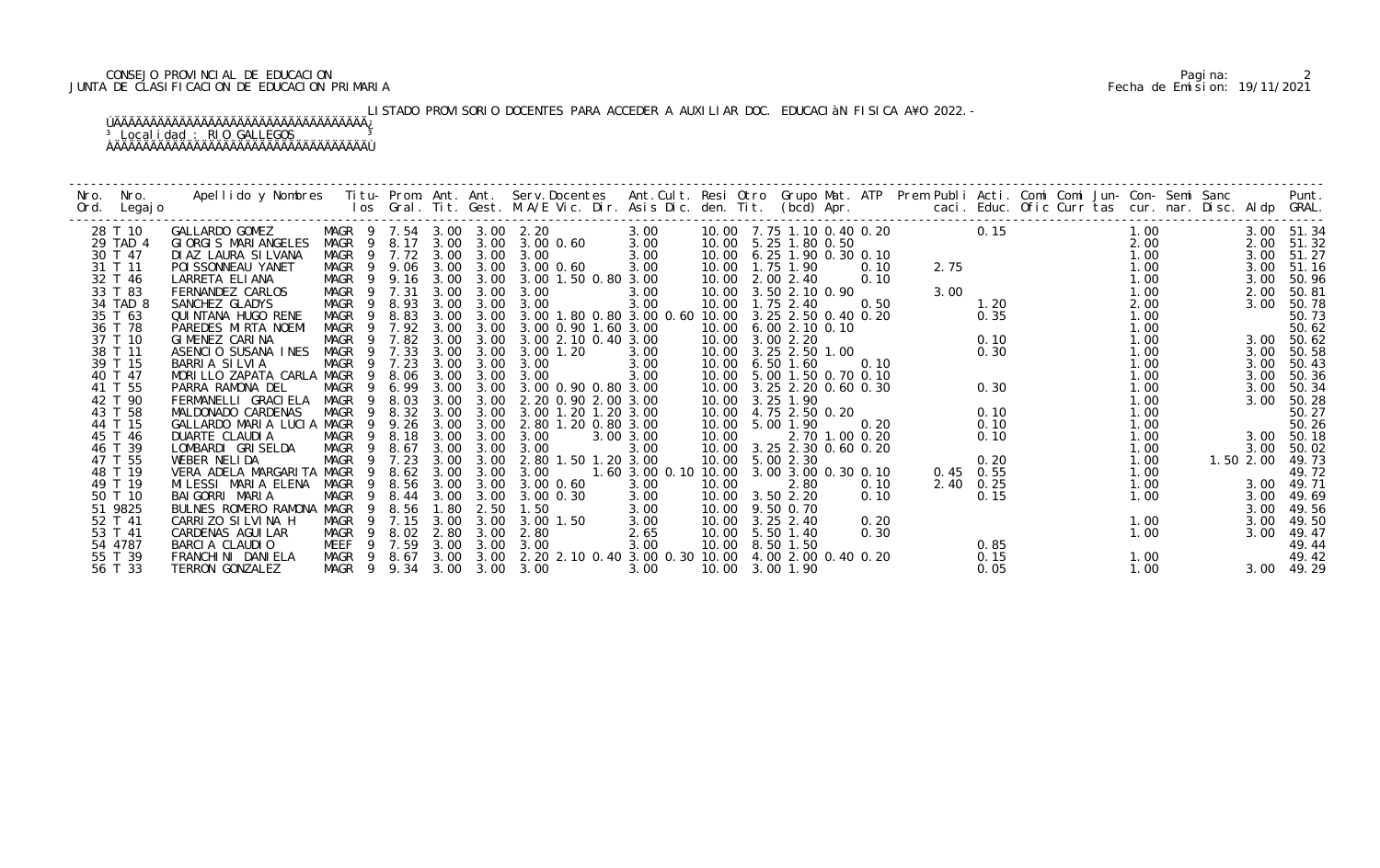# CONSEJO PROVINCIAL DE EDUCACION Pagina: 2 JUNTA DE CLASIFICACION DE EDUCACION PRIMARIA Fecha de Emision: 19/11/2021

# LISTADO PROVISORIO DOCENTES PARA ACCEDER A AUXILIAR DOC. EDUCACIàN FISICA A¥O 2022.-

| Nro. | Nro.<br>Ord. Legajo | Apellido y Nombres Titu- Prom. Ant. Ant. Serv.Docentes Ant.Cult. Resi Otro Grupo Mat. ATP Prem Publi Acti. Comi Comi Jun- Con- Semi Sanc Punt.<br>Ios Gral. Tit. Gest. M.A/E Vic. Dir. Asis Dic. den. Tit. (bcd) Apr. |                            |                       |      |           |                                                                                                                                                                                          |                                          |                               |      |                                                                                                                                                                                                                                                                                                    |             |              |  |                              |  |           |            |
|------|---------------------|-----------------------------------------------------------------------------------------------------------------------------------------------------------------------------------------------------------------------|----------------------------|-----------------------|------|-----------|------------------------------------------------------------------------------------------------------------------------------------------------------------------------------------------|------------------------------------------|-------------------------------|------|----------------------------------------------------------------------------------------------------------------------------------------------------------------------------------------------------------------------------------------------------------------------------------------------------|-------------|--------------|--|------------------------------|--|-----------|------------|
|      | 28 T 10             | GALLARDO GOMEZ                                                                                                                                                                                                        |                            |                       |      |           | MAGR 9 7.54 3.00 3.00 2.20 3.00<br>MAGR 9 8.17 3.00 3.00 3.00 0.60 3.00                                                                                                                  |                                          |                               |      | $\begin{array}{cccccccc} 10.00 & 7.75 & 1.10 & 0.40 & 0.20 & & & & & 1.00 \\ 10.00 & 5.25 & 1.80 & 0.50 & & & & 2.00 \\ 10.00 & 6.25 & 1.90 & 0.30 & 0.10 & & & & 1.00 \\ 10.00 & 1.75 & 1.90 & 0.30 & 0.10 & & & & 1.00 \\ 10.00 & 2.00 & 2.40 & & & 0.10 & & & 1.00 \\ 10.00 & 3.50 & 2.10 & 0.$ |             |              |  |                              |  |           | 3.00 51.34 |
|      | 29 TAD 4            | GIORGIS MARIANGELES                                                                                                                                                                                                   |                            |                       |      |           |                                                                                                                                                                                          |                                          |                               |      |                                                                                                                                                                                                                                                                                                    |             |              |  |                              |  | 2.00      | 51.32      |
|      | 30 T 47             | DI AZ LAURA SI LVANA                                                                                                                                                                                                  | MAGR 9 7.72 3.00 3.00 3.00 |                       |      |           |                                                                                                                                                                                          | 3.00                                     |                               |      |                                                                                                                                                                                                                                                                                                    |             |              |  |                              |  | 3.00      | 51.27      |
|      | 31 T 11             | POI SSONNEAU YANET                                                                                                                                                                                                    |                            |                       |      |           | MAGR 9 9.06 3.00 3.00 3.00 0.60                                                                                                                                                          | 3.00                                     |                               |      |                                                                                                                                                                                                                                                                                                    |             |              |  |                              |  | 3.00      | 51.16      |
|      | 32 T 46             | LARRETA ELIANA                                                                                                                                                                                                        |                            |                       |      |           | MAGR 9 9.16 3.00 3.00 3.00 1.50 0.80 3.00                                                                                                                                                |                                          |                               |      |                                                                                                                                                                                                                                                                                                    |             |              |  |                              |  | 3.00      | 50.96      |
|      | 33 T 83             | FERNANDEZ CARLOS                                                                                                                                                                                                      | MAGR 9 7.31                |                       | 3.00 | 3.00      | 3.00                                                                                                                                                                                     | 3.00                                     |                               |      |                                                                                                                                                                                                                                                                                                    |             |              |  |                              |  | 2.00      | 50.81      |
|      | 34 TAD 8            | SANCHEZ GLADYS                                                                                                                                                                                                        | MAGR 9 8.93 3.00 3.00      |                       |      |           | 3.00                                                                                                                                                                                     | 3.00                                     |                               |      |                                                                                                                                                                                                                                                                                                    |             |              |  | 2.00<br>1.00<br>1.00<br>1.00 |  | 3.00      | 50.78      |
|      | 35 T 63             | QUINTANA HUGO RENE                                                                                                                                                                                                    | MAGR 9 8.83                |                       |      |           | $3.00$ $3.00$ $3.00$ $3.00$ 1.80 0.80 $3.00$ 0.60 $10.00$ $3.25$ 2.50 0.40 0.20<br>3.00 $3.00$ 3.00 0.90 1.60 3.00 10.00 6.00 2.10 0.10<br>3.00 3.00 3.00 2.10 0.40 3.00 10.00 3.00 2.20 |                                          |                               |      |                                                                                                                                                                                                                                                                                                    |             |              |  |                              |  |           | 50.73      |
|      | 36 T 78             | PAREDES MIRTA NOEMI                                                                                                                                                                                                   | MAGR                       |                       |      |           | 9 7.92 3.00 3.00 3.00 0.90 1.60 3.00                                                                                                                                                     |                                          |                               |      |                                                                                                                                                                                                                                                                                                    |             |              |  |                              |  |           | 50.62      |
|      | 37 T 10             | GIMENEZ CARINA                                                                                                                                                                                                        | MAGR<br>$\overline{9}$     | 7.82                  |      |           |                                                                                                                                                                                          |                                          |                               |      | $0.30$<br>$0.30$<br>$0.30$<br>$0.30$<br>$0.10$<br>$0.10$                                                                                                                                                                                                                                           |             | 0.10         |  |                              |  |           | 3.00 50.62 |
|      | 38 T 11             | ASENCIO SUSANA INES                                                                                                                                                                                                   | MAGR 9 7.33                |                       | 3.00 | 3.00      | 3.00 1.20                                                                                                                                                                                | 3.00                                     | 10.00 3.25 2.50 1.00          |      |                                                                                                                                                                                                                                                                                                    |             |              |  | 1.00                         |  | 3.00      | 50.58      |
|      | 39 T 15             | BARRIA SILVIA                                                                                                                                                                                                         | MAGR 9 7.23                |                       |      |           | 3.00 3.00 3.00                                                                                                                                                                           | 3.00                                     | 10.00 6.50 1.60               |      |                                                                                                                                                                                                                                                                                                    |             |              |  | 1.00                         |  | 3.00      | 50.43      |
|      | 40 T 47             | MORILLO ZAPATA CARLA MAGR                                                                                                                                                                                             |                            | 9 8.06 3.00 3.00 3.00 |      |           |                                                                                                                                                                                          | 3.00                                     |                               |      | 10.00 5.00 1.50 0.70 0.10                                                                                                                                                                                                                                                                          |             |              |  | 1.00                         |  | 3.00      | 50.36      |
|      | 41 T 55             | PARRA RAMONA DEL                                                                                                                                                                                                      |                            |                       |      |           | MAGR 9 6.99 3.00 3.00 3.00 0.90 0.80 3.00                                                                                                                                                |                                          |                               |      | 10.00 3.25 2.20 0.60 0.30                                                                                                                                                                                                                                                                          |             |              |  | 1.00                         |  | 3.00      | 50.34      |
|      | 42 T 90             | FERMANELLI GRACIELA                                                                                                                                                                                                   | MAGR 9                     | 8.03                  | 3.00 |           | 3.00 2.20 0.90 2.00 3.00                                                                                                                                                                 |                                          | 10.00 3.25 1.90               |      |                                                                                                                                                                                                                                                                                                    |             |              |  | 1.00                         |  |           | 3.00 50.28 |
|      | 43 T 58             | MALDONADO CARDENAS                                                                                                                                                                                                    | MAGR                       | 9 8.32                |      |           | 3.00 3.00 3.00 1.20 1.20 3.00                                                                                                                                                            |                                          | 10.00 4.75 2.50 0.20          |      |                                                                                                                                                                                                                                                                                                    |             |              |  | 1.00                         |  |           | 50.27      |
|      | 44 T 15             | GALLARDO MARIA LUCIA MAGR 9 9.26 3.00 3.00 2.80 1.20 0.80 3.00                                                                                                                                                        |                            |                       |      |           |                                                                                                                                                                                          |                                          | 10.00 5.00 1.90<br>10.00 2.70 |      | $0.20$<br>1.00 0.20                                                                                                                                                                                                                                                                                |             |              |  | 1.00                         |  |           | 50.26      |
|      | 45 T 46             | DUARTE CLAUDIA                                                                                                                                                                                                        | MAGR <sub>9</sub>          | 8.18                  | 3.00 | 3.00      | 3.00 3.00<br>3.00                                                                                                                                                                        |                                          |                               |      | 2.70 1.00 0.20                                                                                                                                                                                                                                                                                     |             | 0.10         |  | 1.00                         |  |           | 3.00 50.18 |
|      | 46 T 39             | LOMBARDI GRISELDA                                                                                                                                                                                                     | MAGR 9 8.67                |                       |      |           | 3.00 3.00 3.00                                                                                                                                                                           | 3.00                                     |                               |      | 10.00 3.25 2.30 0.60 0.20                                                                                                                                                                                                                                                                          |             |              |  | 1.00                         |  | 3.00      | 50.02      |
|      | 47 T 55             | WEBER NELIDA                                                                                                                                                                                                          | MAGR 9 7.23                |                       |      |           | 3.00 3.00 2.80 1.50 1.20 3.00                                                                                                                                                            |                                          | 10.00 5.00 2.30               |      |                                                                                                                                                                                                                                                                                                    |             | 0.20         |  | 1.00                         |  | 1.50 2.00 | 49.73      |
|      | 48 T 19             | VERA ADELA MARGARITA MAGR 9 8.62 3.00 3.00 3.00                                                                                                                                                                       |                            |                       |      |           |                                                                                                                                                                                          | 1.60 3.00 0.10 10.00 3.00 3.00 0.30 0.10 |                               |      |                                                                                                                                                                                                                                                                                                    | $0.45$ 0.55 |              |  | 1.00                         |  |           | 49.72      |
|      | 49 T 19             | MILESSI MARIA ELENA MAGR 9 8.56 3.00 3.00 3.00 0.60                                                                                                                                                                   |                            |                       |      |           |                                                                                                                                                                                          | 3.00                                     | 10.00                         | 2.80 | 0.10                                                                                                                                                                                                                                                                                               |             | 2.40 0.25    |  | 1.00                         |  | 3.00      | 49.71      |
|      | 50 T 10             | BAI GORRI MARIA                                                                                                                                                                                                       | MAGR 9 8.44 3.00           |                       |      | 3.00      | 3.00 0.30                                                                                                                                                                                | 3.00                                     | 10.00 3.50 2.20               |      | 0.10                                                                                                                                                                                                                                                                                               |             | 0.15         |  | 1.00                         |  | 3.00      | 49.69      |
|      | 51 9825             | BULNES ROMERO RAMONA MAGR                                                                                                                                                                                             |                            | 9 8.56                | 1.80 | 2.50      | 1.50                                                                                                                                                                                     | 3.00                                     | 10.00 9.50 0.70               |      |                                                                                                                                                                                                                                                                                                    |             |              |  |                              |  | 3.00      | 49.56      |
|      | 52 T 41             | CARRIZO SILVINA H                                                                                                                                                                                                     | MAGR 9 7.15                |                       |      |           | 3.00 3.00 3.00 1.50                                                                                                                                                                      | 3.00                                     | 10.00 3.25 2.40               |      | 0.20                                                                                                                                                                                                                                                                                               |             |              |  | 1.00                         |  | 3.00      | 49.50      |
|      | 53 T 41             | CARDENAS AGUI LAR                                                                                                                                                                                                     | MAGR<br>$\overline{9}$     | 8.02                  |      | 2.80 3.00 | 2.80                                                                                                                                                                                     | 2.65                                     | 10.00 5.50 1.40               |      | 0.30                                                                                                                                                                                                                                                                                               |             |              |  | 1.00                         |  | 3.00      | 49.47      |
|      | 54 4787             | BARCIA CLAUDIO                                                                                                                                                                                                        | <b>MEEF</b>                | 9 7.59                | 3.00 | 3.00      | 3.00                                                                                                                                                                                     | 3.00                                     | 10.00 8.50 1.50               |      |                                                                                                                                                                                                                                                                                                    |             | 0.85         |  |                              |  |           | 49.44      |
|      | 55 T 39             | FRANCHINI DANIELA                                                                                                                                                                                                     | MAGR 9 9.34 3.00 3.00 3.00 |                       |      |           | MAGR 9 8.67 3.00 3.00 2.20 2.10 0.40 3.00 0.30 10.00 4.00 2.00 0.40 0.20<br>MAGR 9 9.34 3.00 3.00 3.00   3.00   3.00   10.00  3.00 1.90<br>3.00                                          |                                          |                               |      |                                                                                                                                                                                                                                                                                                    |             | 0.15<br>0.05 |  | 1.00                         |  |           | 49.42      |
|      | 56 T 33             | TERRON GONZALEZ                                                                                                                                                                                                       |                            |                       |      |           |                                                                                                                                                                                          |                                          |                               |      |                                                                                                                                                                                                                                                                                                    |             |              |  | 1.00                         |  |           | 3.00 49.29 |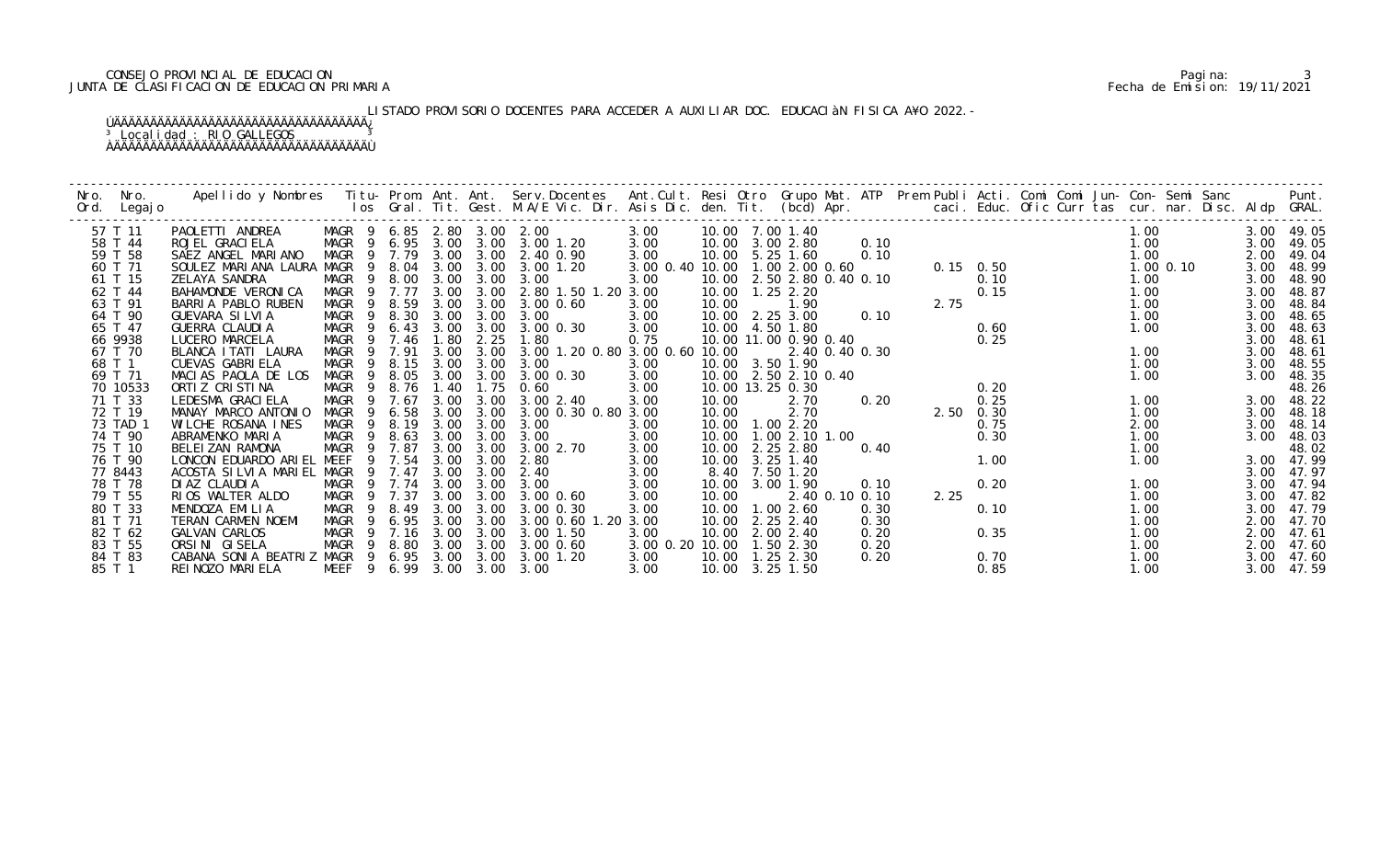# CONSEJO PROVINCIAL DE EDUCACION Pagina: 3 JUNTA DE CLASIFICACION DE EDUCACION PRIMARIA Fecha de Emision: 19/11/2021

# LISTADO PROVISORIO DOCENTES PARA ACCEDER A AUXILIAR DOC. EDUCACIÀN FISICA A¥O 2022.-

| Nro.<br>Ord. | Nro.<br>Legaj o | Apellido y Nombres - Titu- Prom. Ant. Ant. Serv.Docentes - Ant.Cult. Resi Otro Grupo Mat. ATP Prem Publi Acti. Comi Comi Jun- Con- Semi Sanc - - - Punt.<br>Ios Gral. Tit. Gest. M.A/E Vic. Dir. Asis Dic. den. Tit. (bcd) Apr. - |        |                            |      |      |                          |                                |       |                       |                |                           |      |                                                                      |      |  |             |  |      |            |
|--------------|-----------------|-----------------------------------------------------------------------------------------------------------------------------------------------------------------------------------------------------------------------------------|--------|----------------------------|------|------|--------------------------|--------------------------------|-------|-----------------------|----------------|---------------------------|------|----------------------------------------------------------------------|------|--|-------------|--|------|------------|
| 57 T 11      |                 | PAOLETTI ANDREA                                                                                                                                                                                                                   |        | MAGR 9 6.85 2.80 3.00 2.00 |      |      |                          | 3.00                           |       | 10.00 7.00 1.40       |                |                           |      |                                                                      |      |  | 1.00        |  |      | 3.00 49.05 |
| 58 T 44      |                 | ROJEL GRACI ELA                                                                                                                                                                                                                   |        | MAGR 9 6.95 3.00 3.00      |      |      | 3.00 1.20                | 3.00                           |       | 10.00 3.00 2.80       |                | 0.10                      |      |                                                                      |      |  | 1.00        |  | 3.00 | 49.05      |
| 59 T 58      |                 | SAEZ ANGEL MARIANO                                                                                                                                                                                                                |        | MAGR 9 7.79                | 3.00 |      | 3.00 2.40 0.90           | 3.00                           |       | 10.00 5.25 1.60       |                |                           | 0.10 |                                                                      |      |  | 1.00        |  | 2.00 | 49.04      |
| 60 T 71      |                 | SOULEZ MARIANA LAURA MAGR                                                                                                                                                                                                         |        | 8.04<br>- 9                | 3.00 | 3.00 | 3.00 1.20                | 3.00 0.40 10.00 1.00 2.00 0.60 |       |                       |                |                           |      | $0.15$ 0.50<br>$0.10$<br>$0.10$<br>$0.15$<br>$1.2$<br>$1.2$<br>$1.5$ |      |  | $1.00$ 0.10 |  | 3.00 | 48.99      |
| 61 T 15      |                 | ZELAYA SANDRA                                                                                                                                                                                                                     | MAGR   | 9 8.00                     | 3.00 | 3.00 | 3.00                     | 3.00                           |       |                       |                | 10.00 2.50 2.80 0.40 0.10 |      |                                                                      |      |  | 1.00        |  | 3.00 | 48.90      |
| 62 T 44      |                 | BAHAMONDE VERONICA                                                                                                                                                                                                                |        | MAGR 9 7.77                | 3.00 | 3.00 | 2.80 1.50 1.20 3.00      |                                |       | 10.00  1.25  2.20     |                |                           |      |                                                                      |      |  | 1.00        |  | 3.00 | 48.87      |
| 63 T 91      |                 | BARRIA PABLO RUBEN                                                                                                                                                                                                                | MAGR   | 9 8.59                     | 3.00 | 3.00 | 3.00 0.60                | 3.00                           | 10.00 |                       | 1.90           |                           |      |                                                                      |      |  | 1.00        |  | 3.00 | 48.84      |
| 64 T 90      |                 | GUEVARA SILVIA                                                                                                                                                                                                                    | MAGR   | 8.30<br>- 9                | 3.00 | 3.00 | 3.00                     | 3.00                           |       | 10.00 2.25 3.00       |                | 0.10                      |      |                                                                      |      |  | 1.00        |  | 3.00 | 48.65      |
| 65 T 47      |                 | GUERRA CLAUDIA                                                                                                                                                                                                                    | MAGR   | 6.43<br>9                  | 3.00 | 3.00 | 3.00 0.30                | 3.00                           |       | 10.00 4.50 1.80       |                |                           |      |                                                                      | 0.60 |  | 1.00        |  | 3.00 | 48.63      |
| 66 9938      |                 | LUCERO MARCELA                                                                                                                                                                                                                    | MAGR   | 7.46<br>- 9                | 1.80 | 2.25 | 1.80                     | 0.75                           |       | 10.00 11.00 0.90 0.40 |                |                           |      |                                                                      | 0.25 |  |             |  | 3.00 | 48.61      |
| 67 T 70      |                 | BLANCA I TATI LAURA                                                                                                                                                                                                               | MAGR   | 7.91<br>$\overline{9}$     | 3.00 | 3.00 | 3.00 1.20 0.80 3.00 0.60 |                                | 10.00 |                       |                | 2.40 0.40 0.30            |      |                                                                      |      |  | 1.00        |  | 3.00 | 48.61      |
| 68 T 1       |                 | <b>CUEVAS GABRI ELA</b>                                                                                                                                                                                                           | MAGR   | 8.15<br>- 9                | 3.00 | 3.00 | 3.00                     | 3.00                           |       | 10.00 3.50 1.90       |                |                           |      |                                                                      |      |  | 1.00        |  | 3.00 | 48.55      |
| 69 T 71      |                 | MACIAS PAOLA DE LOS                                                                                                                                                                                                               | MAGR 9 | 8.05                       | 3.00 | 3.00 | 3.00 0.30                | 3.00                           |       | 10.00 2.50 2.10 0.40  |                |                           |      |                                                                      |      |  | 1.00        |  | 3.00 | 48.35      |
| 70 10533     |                 | ORTIZ CRISTINA                                                                                                                                                                                                                    | MAGR   | 9 8.76                     | 1.40 | 1.75 | 0.60                     | 3.00                           |       | 10.00 13.25 0.30      |                |                           |      | 0. 20<br>0. 20<br>2. 50<br>0. 30<br>2. 50<br>0. 30                   |      |  |             |  |      | 48.26      |
| 71 T 33      |                 | LEDESMA GRACI ELA                                                                                                                                                                                                                 | MAGR   | 9 7.67                     | 3.00 | 3.00 | 3.00 2.40                | 3.00                           | 10.00 |                       | 2.70           |                           |      |                                                                      |      |  | 1.00        |  | 3.00 | 48.22      |
| 72 T 19      |                 | MANAY MARCO ANTONIO                                                                                                                                                                                                               | MAGR   | 6.58<br>9                  | 3.00 | 3.00 | 3.00 0.30 0.80 3.00      |                                | 10.00 |                       | 2.70           |                           |      |                                                                      |      |  | 1.00        |  | 3.00 | 48.18      |
| 73 TAD 1     |                 | WILCHE ROSANA INES                                                                                                                                                                                                                | MAGR   | 8.19<br>-9                 | 3.00 | 3.00 | 3.00                     | 3.00                           |       | 10.00  1.00  2.20     |                |                           |      |                                                                      | 0.75 |  | 2.00        |  | 3.00 | 48.14      |
| 74 T 90      |                 | ABRAMENKO MARIA                                                                                                                                                                                                                   | MAGR   | 9 8.63                     | 3.00 | 3.00 | 3.00                     | 3.00                           | 10.00 |                       | 1.00 2.10 1.00 |                           |      |                                                                      | 0.30 |  | 1.00        |  | 3.00 | 48.03      |
| 75 T 10      |                 | BELEIZAN RAMONA                                                                                                                                                                                                                   | MAGR   | 9 7.87                     | 3.00 | 3.00 | 3.00 2.70                | 3.00                           |       | 10.00 2.25 2.80       |                |                           | 0.40 |                                                                      |      |  | 1.00        |  |      | 48.02      |
| 76 T 90      |                 | LONCON EDUARDO ARIEL MEEF                                                                                                                                                                                                         |        | 9 7.54                     | 3.00 | 3.00 | 2.80                     | 3.00                           | 10.00 |                       | 3.25 1.40      |                           |      |                                                                      | 1.00 |  | 1.00        |  | 3.00 | 47.99      |
| 77 8443      |                 | ACOSTA SILVIA MARIEL MAGR                                                                                                                                                                                                         |        | 9 7.47                     | 3.00 | 3.00 | 2.40                     | 3.00                           | 8.40  |                       | 7.50 1.20      |                           |      |                                                                      |      |  |             |  | 3.00 | 47.97      |
| 78 T 78      |                 | DI AZ CLAUDI A                                                                                                                                                                                                                    |        | MAGR 9 7.74                | 3.00 | 3.00 | 3.00                     | 3.00                           |       | 10.00 3.00 1.90       |                |                           | 0.10 |                                                                      | 0.20 |  | 1.00        |  | 3.00 | 47.94      |
| 79 T 55      |                 | RIOS WALTER ALDO                                                                                                                                                                                                                  | MAGR   | 9 7.37                     | 3.00 | 3.00 | 3.00 0.60                | 3.00                           | 10.00 |                       |                | 2.40 0.10 0.10            |      | 2.25                                                                 |      |  | 1.00        |  | 3.00 | 47.82      |
| 80 T 33      |                 | MENDOZA EMILIA                                                                                                                                                                                                                    | MAGR   | 8.49<br>-9                 | 3.00 | 3.00 | 3.00 0.30                | 3.00                           | 10.00 |                       | 1.002.60       |                           | 0.30 |                                                                      | 0.10 |  | 1.00        |  | 3.00 | 47.79      |
| 81 T 71      |                 | TERAN CARMEN NOEMI                                                                                                                                                                                                                | MAGR   | 6.95<br>- 9                | 3.00 | 3.00 | 3.00 0.60 1.20 3.00      |                                | 10.00 |                       | 2.25 2.40      |                           | 0.30 |                                                                      |      |  | 1.00        |  | 2.00 | 47.70      |
| 82 T 62      |                 | GALVAN CARLOS                                                                                                                                                                                                                     | MAGR   | 9 7.16                     | 3.00 | 3.00 | 3.00 1.50                | 3.00                           |       | 10.00 2.00 2.40       |                |                           | 0.20 |                                                                      | 0.35 |  | 1.00        |  | 2.00 | 47.61      |
| 83 T 55      |                 | ORSINI GISELA                                                                                                                                                                                                                     | MAGR   | 8.80<br>- 9                | 3.00 | 3.00 | 3.00 0.60                | 3.00 0.20 10.00 1.50 2.30      |       |                       |                |                           | 0.20 |                                                                      |      |  | 1.00        |  | 2.00 | 47.60      |
| 84 T 83      |                 | CABANA SONIA BEATRIZ MAGR 9                                                                                                                                                                                                       |        | 6.95                       | 3.00 | 3.00 | 3.00 1.20                | 3.00                           | 10.00 |                       | $1.25$ 2.30    |                           | 0.20 |                                                                      | 0.70 |  | 1.00        |  | 3.00 | 47.60      |
| 85 T 1       |                 | REI NOZO MARI ELA                                                                                                                                                                                                                 |        | MEEF 9 6.99 3.00 3.00 3.00 |      |      |                          | 3.00                           |       | 10.00 3.25 1.50       |                |                           |      |                                                                      | 0.85 |  | 1.00        |  | 3.00 | 47.59      |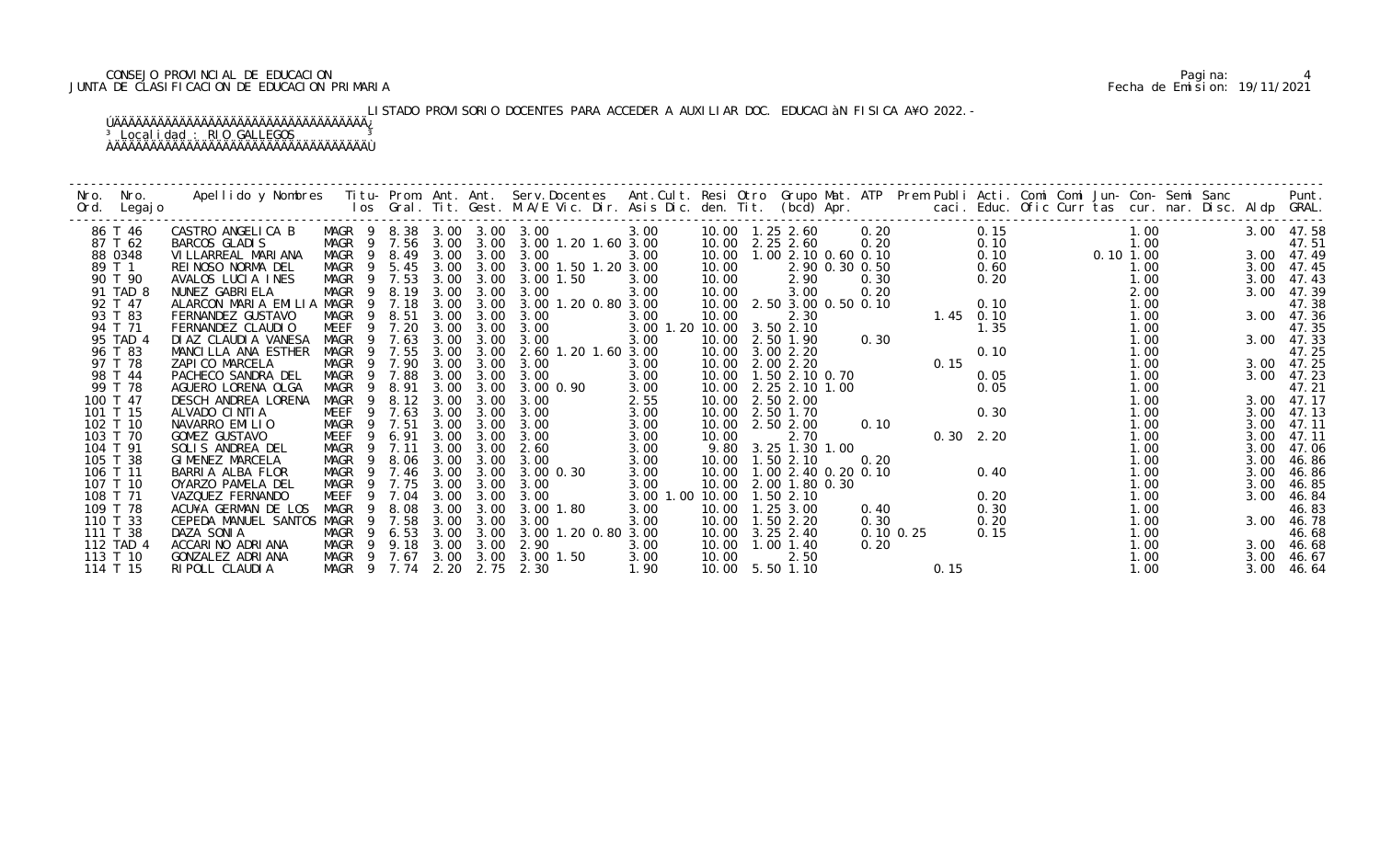# CONSEJO PROVINCIAL DE EDUCACION Pagina: 4 JUNTA DE CLASIFICACION DE EDUCACION PRIMARIA Fecha de Emision: 19/11/2021

# LISTADO PROVISORIO DOCENTES PARA ACCEDER A AUXILIAR DOC. EDUCACIÀN FISICA A¥O 2022.-

| Nro.<br>Nro.<br>Ord.<br>Legaj o | Apellido y Nombres - Titu- Prom. Ant. Ant. Serv.Docentes - Ant.Cult. Resi Otro Grupo Mat. ATP Prem Publi Acti. Comi Comi Jun- Con- Semi Sanc - - - Punt.<br>Ios Gral. Tit. Gest. M.A/E Vic. Dir. Asis Dic. den. Tit. (bcd) Apr. - |                            |        |      |           |                     |                 |       |                               |                |               |               |      |                                        |      |      |            |
|---------------------------------|-----------------------------------------------------------------------------------------------------------------------------------------------------------------------------------------------------------------------------------|----------------------------|--------|------|-----------|---------------------|-----------------|-------|-------------------------------|----------------|---------------|---------------|------|----------------------------------------|------|------|------------|
| 86 T 46                         | CASTRO ANGELICA B                                                                                                                                                                                                                 | MAGR 9 8.38 3.00 3.00 3.00 |        |      |           |                     | 3.00            |       |                               | 0.20           |               |               | 0.15 |                                        | 1.00 |      | 3.00 47.58 |
| 87 T 62                         | BARCOS GLADIS                                                                                                                                                                                                                     | MAGR 9 7.56                |        | 3.00 | 3.00      | 3.00 1.20 1.60 3.00 |                 |       | 10.00 2.25 2.60               |                | 0.20          |               | 0.10 |                                        | 1.00 |      | 47.51      |
| 88 0348                         | VI LLARREAL MARI ANA                                                                                                                                                                                                              | MAGR                       | 9 8.49 | 3.00 | 3.00      | 3.00                | 3.00            |       | 10.00  1.00  2.10  0.60  0.10 |                |               |               |      | 0. 10 1. 00<br>0. 10 1. 00 0. 10 1. 00 |      |      | 3.00 47.49 |
| 89 T 1                          | REINOSO NORMA DEL                                                                                                                                                                                                                 | MAGR 9 5.45                |        | 3.00 | 3.00      | 3.00 1.50 1.20 3.00 |                 | 10.00 |                               | 2.90 0.30 0.50 |               |               | 0.60 |                                        | 1.00 | 3.00 | 47.45      |
| 90 T 90                         | AVALOS LUCIA INES                                                                                                                                                                                                                 | MAGR 9 7.53                |        | 3.00 | 3.00      | 3.00 1.50           | 3.00            | 10.00 | 2.90                          |                | 0.30          |               | 0.20 |                                        | 1.00 | 3.00 | 47.43      |
| 91 TAD 8                        | NUNEZ GABRIELA                                                                                                                                                                                                                    | MAGR 9                     | 8.19   | 3.00 | 3.00      | 3.00                | 3.00            | 10.00 | 3.00                          |                | 0.20          |               |      |                                        | 2.00 | 3.00 | 47.39      |
| 92 T 47                         | ALARCON MARIA EMILIA MAGR 9 7.18                                                                                                                                                                                                  |                            |        | 3.00 | 3.00      | 3.00 1.20 0.80 3.00 |                 |       | 10.00 2.50 3.00 0.50 0.10     |                |               |               | 0.10 |                                        | 1.00 |      | 47.38      |
| 93 T 83                         | FERNANDEZ GUSTAVO                                                                                                                                                                                                                 | MAGR 9 8.51                |        | 3.00 | 3.00      | 3.00                | 3.00            | 10.00 | 2.30                          |                |               | $1.45$ 0.10   |      |                                        | 1.00 |      | 3.00 47.36 |
| 94 T 71                         | FERNANDEZ CLAUDIO                                                                                                                                                                                                                 | MEEF                       | 9 7.20 | 3.00 | 3.00      | 3.00                | 3.00 1.20 10.00 |       | 3.502.10                      | 0.30           |               |               | 1.35 |                                        | 1.00 |      | 47.35      |
| 95 TAD 4                        | DI AZ CLAUDI A VANESA                                                                                                                                                                                                             | MAGR<br>-9                 | 7.63   | 3.00 | 3.00      | 3.00                | 3.00            | 10.00 | 2.50 1.90                     |                |               |               |      |                                        | 1.00 | 3.00 | 47.33      |
| 96 T 83                         | MANCILLA ANA ESTHER                                                                                                                                                                                                               | MAGR                       | 9 7.55 | 3.00 | 3.00      | 2.60 1.20 1.60 3.00 |                 | 10.00 | 3.00 2.20                     |                |               |               | 0.10 |                                        | 1.00 |      | 47.25      |
| 97 T 78                         | ZAPICO MARCELA                                                                                                                                                                                                                    | MAGR 9 7.90                |        | 3.00 | 3.00      | 3.00                | 3.00            |       | 10.00 2.00 2.20               |                |               | 0.15          |      |                                        | 1.00 |      | 3.00 47.25 |
| 98 T 44                         | PACHECO SANDRA DEL                                                                                                                                                                                                                | MAGR                       | 9 7.88 | 3.00 | 3.00      | 3.00                | 3.00            |       | 10.00  1.50  2.10  0.70       |                |               |               | 0.05 |                                        | 1.00 | 3.00 | 47.23      |
| 99 T 78                         | AGUERO LORENA OLGA                                                                                                                                                                                                                | MAGR<br>-9                 | 8.91   | 3.00 | 3.00      | 3.00 0.90           | 3.00            | 10.00 | 2. 25 2. 10 1. 00             |                |               |               | 0.05 |                                        | 1.00 |      | 47.21      |
| 100 T 47                        | DESCH ANDREA LORENA                                                                                                                                                                                                               | MAGR                       | 9 8.12 | 3.00 | 3.00      | 3.00                | 2.55            | 10.00 | 2.50 2.00                     |                |               |               |      |                                        | 1.00 |      | 3.00 47.17 |
| 101 T 15                        | ALVADO CINTIA                                                                                                                                                                                                                     | MEEF                       | 9 7.63 | 3.00 | 3.00      | 3.00                | 3.00            |       | 10.00 2.50 1.70               |                |               |               | 0.30 |                                        | 1.00 | 3.00 | 47.13      |
| 102 T 10                        | NAVARRO EMILIO                                                                                                                                                                                                                    | MAGR<br>9                  | 7.51   | 3.00 | 3.00      | 3.00                | 3.00            | 10.00 | 2.50 2.00                     |                | 0.10          |               |      |                                        | 1.00 | 3.00 | 47.11      |
| 103 T 70                        | GOMEZ GUSTAVO                                                                                                                                                                                                                     | MEEF<br>-9                 | 6.91   | 3.00 | 3.00      | 3.00                | 3.00            | 10.00 | 2.70                          |                |               | $0.30$ $2.20$ |      |                                        | 1.00 | 3.00 | 47.11      |
| 104 T 91                        | SOLIS ANDREA DEL                                                                                                                                                                                                                  | MAGR                       | 7.11   | 3.00 | 3.00      | 2.60                | 3.00            | 9.80  | 3.25 1.30 1.00                |                |               |               |      |                                        | 1.00 | 3.00 | 47.06      |
| 105 T 38                        | GIMENEZ MARCELA                                                                                                                                                                                                                   | MAGR<br>- 9                | 8.06   | 3.00 | 3.00      | 3.00                | 3.00            |       | 10.00  1.50  2.10             |                | 0.20          |               |      |                                        | 1.00 | 3.00 | 46.86      |
| 106 T 11                        | BARRIA ALBA FLOR                                                                                                                                                                                                                  | MAGR<br>$\overline{9}$     | 7.46   | 3.00 | 3.00      | 3.00 0.30           | 3.00            | 10.00 | 1.00 2.40 0.20 0.10           |                |               |               | 0.40 |                                        | 1.00 | 3.00 | 46.86      |
| 107 T 10                        | OYARZO PAMELA DEL                                                                                                                                                                                                                 | MAGR                       | 7.75   | 3.00 | 3.00      | 3.00                | 3.00            | 10.00 | 2.00 1.80 0.30                |                |               |               |      |                                        | 1.00 | 3.00 | 46.85      |
| 108 T 71                        | VAZQUEZ FERNANDO                                                                                                                                                                                                                  | MEEF                       | 9 7.04 | 3.00 | 3.00      | 3.00                | 3.00 1.00 10.00 |       | 1.502.10                      |                |               |               | 0.20 |                                        | 1.00 | 3.00 | 46.84      |
| 109 T 78                        | ACU¥A GERMAN DE LOS                                                                                                                                                                                                               | MAGR<br>9                  | 8.08   | 3.00 | 3.00      | 3.00 1.80           | 3.00            |       | 10.00  1.25  3.00             |                | 0.40          |               | 0.30 |                                        | 1.00 |      | 46.83      |
| 110 T 33                        | CEPEDA MANUEL SANTOS MAGR                                                                                                                                                                                                         | -9                         | 7.58   | 3.00 | 3.00      | 3.00                | 3.00            | 10.00 | 1.50 2.20                     |                | 0.30          |               | 0.20 |                                        | 1.00 | 3.00 | 46.78      |
| 111 T 38                        | DAZA SONIA                                                                                                                                                                                                                        | MAGR<br>$\overline{9}$     | 6.53   | 3.00 | 3.00      | 3.00 1.20 0.80 3.00 |                 | 10.00 | $3.25$ $2.40$                 |                | $0.10$ $0.25$ |               | 0.15 |                                        | 1.00 |      | 46.68      |
| 112 TAD 4                       | ACCARINO ADRIANA                                                                                                                                                                                                                  | MAGR                       | 9 9.18 | 3.00 | 3.00      | 2.90                | 3.00            |       | 10.00  1.00  1.40             |                | 0.20          |               |      |                                        | 1.00 |      | 3.00 46.68 |
| 113 T 10                        | GONZALEZ ADRIANA                                                                                                                                                                                                                  | MAGR 9 7.67                |        |      | 3.00 3.00 | 3.00 1.50           | 3.00            | 10.00 | 2.50                          |                |               |               |      |                                        | 1.00 | 3.00 | 46.67      |
| 114 T 15                        | RIPOLL CLAUDIA                                                                                                                                                                                                                    | MAGR 9 7.74 2.20           |        |      | 2.75      | 2.30                | 1.90            |       | 10.00 5.50 1.10               |                |               | 0.15          |      |                                        | 1.00 | 3.00 | 46.64      |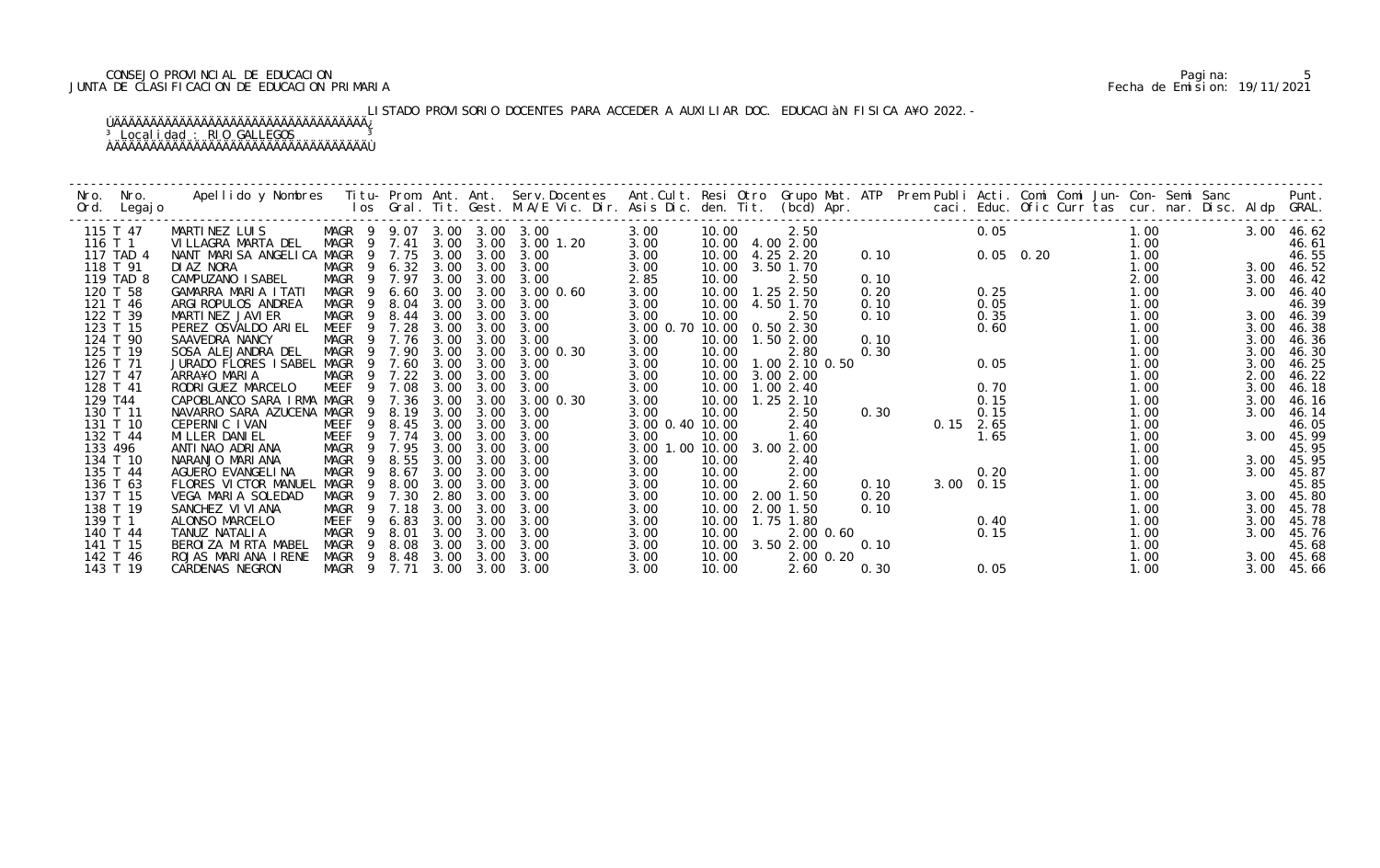# CONSEJO PROVINCIAL DE EDUCACION Pagina: 5 JUNTA DE CLASIFICACION DE EDUCACION PRIMARIA Fecha de Emision: 19/11/2021

# LISTADO PROVISORIO DOCENTES PARA ACCEDER A AUXILIAR DOC. EDUCACIÀN FISICA A¥O 2022.-

| Nro.    | Nro.      | Apellido y Nombres - Titu- Prom. Ant. Ant. Serv.Docentes - Ant.Cult. Resi Otro Grupo Mat. ATP Prem Publi Acti. Comi Comi Jun- Con- Semi Sanc - - - Punt.<br>Ios Gral. Tit. Gest. M.A/E Vic. Dir. Asis Dic. den. Tit. (bcd) Apr. - |                            |        |      |      |               |                           |       |                   |      |      |             |  |      |      |            |
|---------|-----------|-----------------------------------------------------------------------------------------------------------------------------------------------------------------------------------------------------------------------------------|----------------------------|--------|------|------|---------------|---------------------------|-------|-------------------|------|------|-------------|--|------|------|------------|
| Ord.    | Legaj o   |                                                                                                                                                                                                                                   |                            |        |      |      |               |                           |       |                   |      |      |             |  |      |      |            |
|         | 115 T 47  | MARTINEZ LUIS                                                                                                                                                                                                                     | MAGR 9 9.07 3.00 3.00 3.00 |        |      |      |               | 3.00                      | 10.00 | 2.50              |      |      | 0.05        |  | 1.00 |      | 3.00 46.62 |
| 116 T 1 |           | VILLAGRA MARTA DEL                                                                                                                                                                                                                | MAGR                       | 9 7.41 | 3.00 | 3.00 | 3.00 1.20     | 3.00                      |       | 10.00 4.00 2.00   |      |      |             |  | 1.00 |      | 46.61      |
|         | 117 TAD 4 | NANT MARISA ANGELICA MAGR 9 7.75                                                                                                                                                                                                  |                            |        | 3.00 | 3.00 | 3.00          | 3.00                      | 10.00 | 4.25 2.20         | 0.10 |      | $0.05$ 0.20 |  | 1.00 |      | 46.55      |
|         | 118 T 91  | DI AZ NORA                                                                                                                                                                                                                        | MAGR 9 6.32 3.00           |        |      | 3.00 | 3.00          | 3.00                      | 10.00 | 3.50 1.70         |      |      |             |  | 1.00 | 3.00 | 46.52      |
|         | 119 TAD 8 | CAMPUZANO ISABEL                                                                                                                                                                                                                  | MAGR                       | 9 7.97 | 3.00 | 3.00 | 3.00          | 2.85                      | 10.00 | 2.50              | 0.10 |      |             |  | 2.00 | 3.00 | 46.42      |
|         | 120 T 58  | GAMARRA MARIA ITATI                                                                                                                                                                                                               | MAGR 9                     | 6.60   | 3.00 | 3.00 | 3.00 0.60     | 3.00                      | 10.00 | $1.25$ 2.50       | 0.20 |      | 0.25        |  | 1.00 | 3.00 | 46.40      |
|         | 121 T 46  | ARGI ROPULOS ANDREA                                                                                                                                                                                                               | MAGR                       | 9 8.04 | 3.00 | 3.00 | 3.00          | 3.00                      | 10.00 | 4.50 1.70         | 0.10 |      | 0.05        |  | 1.00 |      | 46.39      |
|         | 122 T 39  | MARTINEZ JAVIER                                                                                                                                                                                                                   | MAGR<br>- 9                | 8.44   | 3.00 | 3.00 | 3.00          | 3.00                      | 10.00 | 2.50              | 0.10 |      | 0.35        |  | 1.00 | 3.00 | 46.39      |
|         | 123 T 15  | PEREZ OSVALDO ARIEL                                                                                                                                                                                                               | <b>MEEF</b><br>9           | 7.28   | 3.00 | 3.00 | 3.00          | 3.00 0.70 10.00           |       | 0.502.30          |      |      | 0.60        |  | 1.00 | 3.00 | 46.38      |
|         | 124 T 90  | SAAVEDRA NANCY                                                                                                                                                                                                                    | MAGR                       | 9 7.76 | 3.00 | 3.00 | 3.00          | 3.00                      | 10.00 | 1.50 2.00         | 0.10 |      |             |  | 1.00 | 3.00 | 46.36      |
|         | 125 T 19  | SOSA ALEJANDRA DEL                                                                                                                                                                                                                | MAGR                       | 9 7.90 | 3.00 | 3.00 | 3.00 0.30     | 3.00                      | 10.00 | 2.80              | 0.30 |      |             |  | 1.00 | 3.00 | 46.30      |
|         | 126 T 71  | JURADO FLORES ISABEL MAGR 9 7.60                                                                                                                                                                                                  |                            |        | 3.00 | 3.00 | 3.00          | 3.00                      | 10.00 | 1.00 2.10 0.50    |      |      | 0.05        |  | 1.00 | 3.00 | 46.25      |
|         | 127 T 47  | ARRA¥O MARIA                                                                                                                                                                                                                      | MAGR                       | 9 7.22 | 3.00 | 3.00 | 3.00          | 3.00                      | 10.00 | 3.00 2.00         |      |      |             |  | 1.00 | 2.00 | 46.22      |
|         | 128 T 41  | RODRI GUEZ MARCELO                                                                                                                                                                                                                | MEEF<br>- 9                | 7.08   | 3.00 | 3.00 | 3.00          | 3.00                      | 10.00 | 1.002.40          |      |      | 0.70        |  | 1.00 | 3.00 | 46.18      |
| 129 T44 |           | CAPOBLANCO SARA IRMA MAGR                                                                                                                                                                                                         |                            | 9 7.36 | 3.00 | 3.00 | $3.00$ $0.30$ | 3.00                      |       | 10.00  1.25  2.10 |      |      | 0.15        |  | 1.00 | 3.00 | 46.16      |
|         | 130 T 11  | NAVARRO SARA AZUCENA MAGR                                                                                                                                                                                                         | 9                          | 8.19   | 3.00 | 3.00 | 3.00          | 3.00                      | 10.00 | 2.50              | 0.30 |      | 0.15        |  | 1.00 | 3.00 | 46.14      |
|         | 131 T 10  | CEPERNIC IVAN                                                                                                                                                                                                                     | MEEF<br>9                  | 8.45   | 3.00 | 3.00 | 3.00          | 3.00 0.40                 | 10.00 | 2.40              |      | 0.15 | 2.65        |  | 1.00 |      | 46.05      |
|         | 132 T 44  | MILLER DANIEL                                                                                                                                                                                                                     | MEEF<br>9                  | 7.74   | 3.00 | 3.00 | 3.00          | 3.00                      | 10.00 | 1.60              |      |      | 1.65        |  | 1.00 | 3.00 | 45.99      |
| 133 496 |           | ANTI NAO ADRI ANA                                                                                                                                                                                                                 | MAGR<br>9                  | 7.95   | 3.00 | 3.00 | 3.00          | 3.00 1.00 10.00 3.00 2.00 |       |                   |      |      |             |  | 1.00 |      | 45.95      |
|         | 134 T 10  | NARANJO MARIANA                                                                                                                                                                                                                   | MAGR<br>-9                 | 8.55   | 3.00 | 3.00 | 3.00          | 3.00                      | 10.00 | 2.40              |      |      |             |  | 1.00 | 3.00 | 45.95      |
|         | 135 T 44  | AGUERO EVANGELINA                                                                                                                                                                                                                 | <b>MAGR</b><br>9           | 8.67   | 3.00 | 3.00 | 3.00          | 3.00                      | 10.00 | 2.00              |      |      | 0.20        |  | 1.00 | 3.00 | 45.87      |
|         | 136 T 63  | FLORES VICTOR MANUEL                                                                                                                                                                                                              | MAGR<br>-9                 | 8.00   | 3.00 | 3.00 | 3.00          | 3.00                      | 10.00 | 2.60              | 0.10 |      | 3.00 0.15   |  | 1.00 |      | 45.85      |
|         | 137 T 15  | VEGA MARIA SOLEDAD                                                                                                                                                                                                                | MAGR                       | 9 7.30 | 2.80 | 3.00 | 3.00          | 3.00                      | 10.00 | 2.00 1.50         | 0.20 |      |             |  | 1.00 | 3.00 | 45.80      |
|         | 138 T 19  | SANCHEZ VI VI ANA                                                                                                                                                                                                                 | MAGR<br>9                  | 7.18   | 3.00 | 3.00 | 3.00          | 3.00                      | 10.00 | 2.00 1.50         | 0.10 |      |             |  | 1.00 | 3.00 | 45.78      |
| 139 T 1 |           | ALONSO MARCELO                                                                                                                                                                                                                    | MEEF<br>9                  | 6.83   | 3.00 | 3.00 | 3.00          | 3.00                      | 10.00 | 1.75 1.80         |      |      | 0.40        |  | 1.00 | 3.00 | 45.78      |
|         | 140 T 44  | TANUZ NATALIA                                                                                                                                                                                                                     | MAGR<br>-9                 | 8.01   | 3.00 | 3.00 | 3.00          | 3.00                      | 10.00 | 2.00 0.60         |      |      | 0.15        |  | 1.00 | 3.00 | 45.76      |
|         | 141 T 15  | BEROIZA MIRTA MABEL                                                                                                                                                                                                               | MAGR<br>- 9                | 8.08   | 3.00 | 3.00 | 3.00          | 3.00                      | 10.00 | 3.50 2.00         | 0.10 |      |             |  | 1.00 |      | 45.68      |
|         | 142 T 46  | ROJAS MARIANA IRENE                                                                                                                                                                                                               | MAGR<br>$\overline{9}$     | 8.48   | 3.00 | 3.00 | 3.00          | 3.00                      | 10.00 | 2.00 0.20         |      |      |             |  | 1.00 | 3.00 | 45.68      |
|         | 143 T 19  | CARDENAS NEGRON                                                                                                                                                                                                                   | MAGR 9 7.71                |        | 3.00 | 3.00 | 3.00          | 3.00                      | 10.00 | 2.60              | 0.30 |      | 0.05        |  | 1.00 | 3.00 | 45.66      |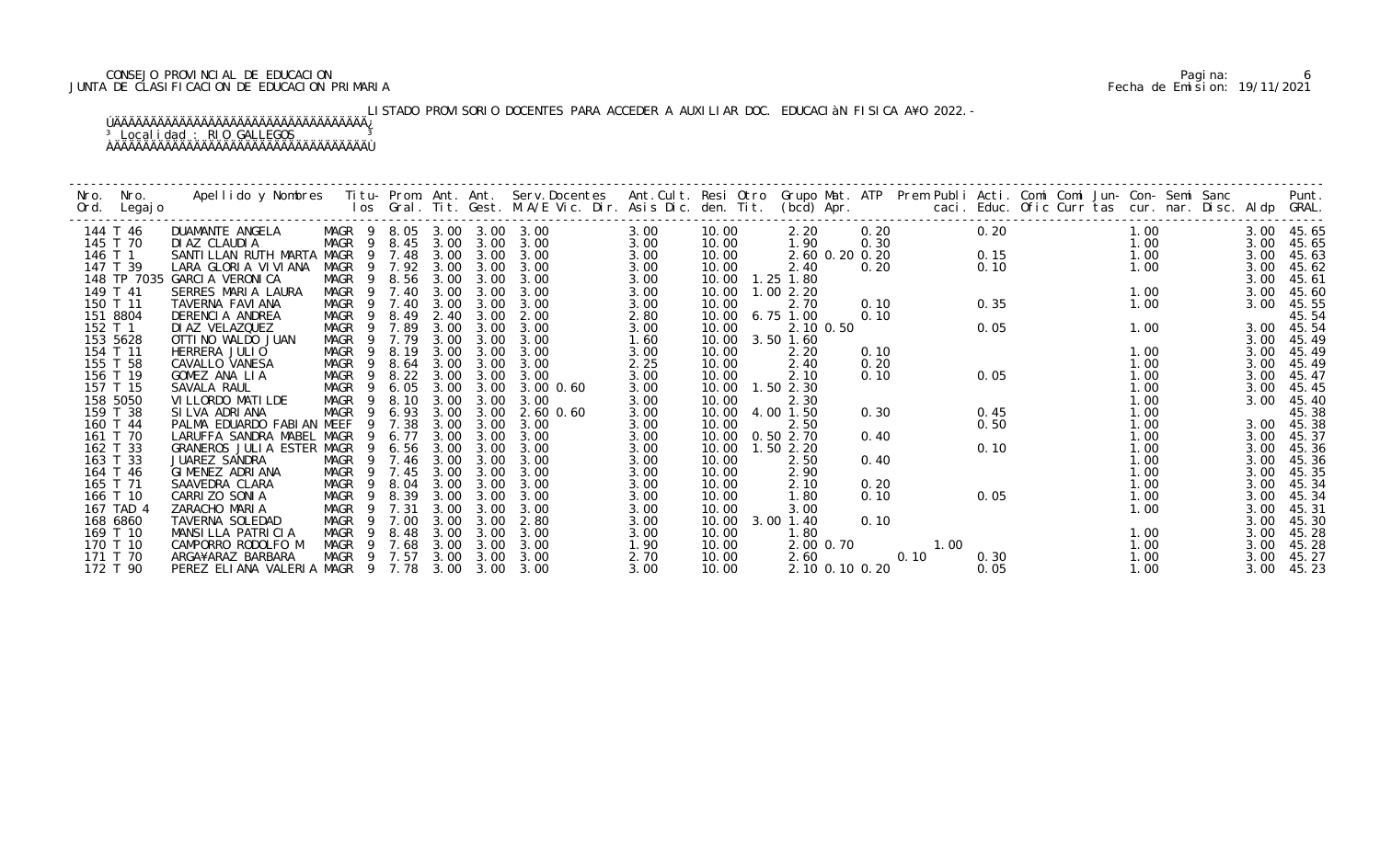# CONSEJO PROVINCIAL DE EDUCACION Pagina: 6 JUNTA DE CLASIFICACION DE EDUCACION PRIMARIA Fecha de Emision: 19/11/2021

# LISTADO PROVISORIO DOCENTES PARA ACCEDER A AUXILIAR DOC. EDUCACIÀN FISICA A¥O 2022.-

| Nro. | Nro.      | Apellido y Nombres - Titu- Prom. Ant. Ant. Serv.Docentes - Ant.Cult. Resi Otro Grupo Mat. ATP - Prem Publi Acti. Comi Comi Jun- Con- Semi Sanc |                            |             |      |      |                                                                     |      |       |                |      |      |      |                                                      |      |      | Punt.      |
|------|-----------|------------------------------------------------------------------------------------------------------------------------------------------------|----------------------------|-------------|------|------|---------------------------------------------------------------------|------|-------|----------------|------|------|------|------------------------------------------------------|------|------|------------|
| Ord. | Legaj o   |                                                                                                                                                |                            |             |      |      | los Gral. Tit. Gest. M.A/E Vic. Dir. Asis Dic. den. Tit. (bcd) Apr. |      |       |                |      |      |      | caci. Educ. Ofic Curr tas cur. nar. Disc. Aldp GRAL. |      |      |            |
|      |           |                                                                                                                                                |                            |             |      |      |                                                                     |      |       |                |      |      |      |                                                      |      |      |            |
|      | 144 T 46  | DUAMANTE ANGELA                                                                                                                                | MAGR 9 8.05 3.00 3.00 3.00 |             |      |      |                                                                     | 3.00 | 10.00 | 2.20           | 0.20 |      | 0.20 |                                                      | 1.00 |      | 3.00 45.65 |
|      | 145 T 70  | DI AZ CLAUDI A                                                                                                                                 | MAGR                       | 9 8.45      | 3.00 | 3.00 | 3.00                                                                | 3.00 | 10.00 | 1.90           | 0.30 |      |      | 0.15                                                 | 1.00 | 3.00 | 45.65      |
|      | 146 T 1   | SANTILLAN RUTH MARTA MAGR                                                                                                                      |                            | 9 7.48      | 3.00 | 3.00 | 3.00                                                                | 3.00 | 10.00 | 2.60 0.20 0.20 |      |      |      |                                                      | 1.00 | 3.00 | 45.63      |
|      | 147 T 39  | LARA GLORIA VIVIANA                                                                                                                            | MAGR                       | 9 7.92      | 3.00 | 3.00 | 3.00                                                                | 3.00 | 10.00 | 2.40           | 0.20 |      | 0.10 |                                                      | 1.00 | 3.00 | 45.62      |
|      |           | 148 TP 7035 GARCIA VERONICA                                                                                                                    | MAGR<br>$\overline{9}$     | 8.56        | 3.00 | 3.00 | 3.00                                                                | 3.00 | 10.00 | $1.25$ $1.80$  |      |      |      |                                                      |      | 3.00 | 45.61      |
|      | 149 T 41  | SERRES MARIA LAURA                                                                                                                             | MAGR 9                     | 7.40        | 3.00 | 3.00 | 3.00                                                                | 3.00 | 10.00 | 1.002.20       |      |      |      |                                                      | 1.00 | 3.00 | 45.60      |
|      | 150 T 11  | TAVERNA FAVI ANA                                                                                                                               | MAGR                       | 9 7.40      | 3.00 | 3.00 | 3.00                                                                | 3.00 | 10.00 | 2.70           | 0.10 |      | 0.35 |                                                      | 1.00 | 3.00 | 45.55      |
|      | 151 8804  | DERENCIA ANDREA                                                                                                                                | MAGR<br>- 9                | 8.49        | 2.40 | 3.00 | 2.00                                                                | 2.80 | 10.00 | 6.75 1.00      | 0.10 |      |      |                                                      |      |      | 45.54      |
|      | 152 T 1   | DI AZ VELAZQUEZ                                                                                                                                | <b>MAGR</b><br>9           | 7.89        | 3.00 | 3.00 | 3.00                                                                | 3.00 | 10.00 | 2.10 0.50      |      |      | 0.05 |                                                      | 1.00 | 3.00 | 45.54      |
|      | 153 5628  | OTTI NO WALDO JUAN                                                                                                                             | MAGR                       | 7.79<br>- 9 | 3.00 | 3.00 | 3.00                                                                | 1.60 | 10.00 | $3.50$ 1.60    |      |      |      |                                                      |      | 3.00 | 45.49      |
|      | 154 T 11  | HERRERA JULIO                                                                                                                                  | MAGR<br>$\overline{9}$     | 8.19        | 3.00 | 3.00 | 3.00                                                                | 3.00 | 10.00 | 2.20           | 0.10 |      |      |                                                      | 1.00 | 3.00 | 45.49      |
|      | 155 T 58  | CAVALLO VANESA                                                                                                                                 | MAGR<br>- 9                | 8.64        | 3.00 | 3.00 | 3.00                                                                | 2.25 | 10.00 | 2.40           | 0.20 |      |      |                                                      | 1.00 | 3.00 | 45.49      |
|      | 156 T 19  | GOMEZ ANA LIA                                                                                                                                  | MAGR<br>9                  | 8.22        | 3.00 | 3.00 | 3.00                                                                | 3.00 | 10.00 | 2.10           | 0.10 |      | 0.05 |                                                      | 1.00 | 3.00 | 45.47      |
|      | 157 T 15  | SAVALA RAUL                                                                                                                                    | MAGR<br>- 9                | 6.05        | 3.00 | 3.00 | $3.00 \, 0.60$                                                      | 3.00 | 10.00 | 1.50 2.30      |      |      |      |                                                      | 1.00 | 3.00 | 45.45      |
|      | 158 5050  | VI LLORDO MATI LDE                                                                                                                             | MAGR<br>- 9                | 8.10        | 3.00 | 3.00 | 3.00                                                                | 3.00 | 10.00 | 2.30           |      |      |      |                                                      | 1.00 | 3.00 | 45.40      |
|      | 159 T 38  | SILVA ADRIANA                                                                                                                                  | MAGR<br>9                  | 6.93        | 3.00 | 3.00 | $2.60$ $0.60$                                                       | 3.00 | 10.00 | 4.00 1.50      | 0.30 |      | 0.45 |                                                      | 1.00 |      | 45.38      |
|      | 160 T 44  | PALMA EDUARDO FABIAN MEEF                                                                                                                      |                            | 7.38<br>9   | 3.00 | 3.00 | 3.00                                                                | 3.00 | 10.00 | 2.50           |      |      | 0.50 |                                                      | 1.00 | 3.00 | 45.38      |
|      | 161 T 70  | LARUFFA SANDRA MABEL MAGR                                                                                                                      |                            | 6.77<br>-9  | 3.00 | 3.00 | 3.00                                                                | 3.00 | 10.00 | 0.50 2.70      | 0.40 |      |      |                                                      | 1.00 | 3.00 | 45.37      |
|      | 162 T 33  | GRANEROS JULIA ESTER MAGR                                                                                                                      |                            | 9 6.56      | 3.00 | 3.00 | 3.00                                                                | 3.00 | 10.00 | 1.502.20       |      |      | 0.10 |                                                      | 1.00 | 3.00 | 45.36      |
|      | 163 T 33  | JUAREZ SANDRA                                                                                                                                  | MAGR                       | 9 7.46      | 3.00 | 3.00 | 3.00                                                                | 3.00 | 10.00 | 2.50           | 0.40 |      |      |                                                      | 1.00 | 3.00 | 45.36      |
|      | 164 T 46  | GIMENEZ ADRIANA                                                                                                                                | MAGR<br>9                  | 7.45        | 3.00 | 3.00 | 3.00                                                                | 3.00 | 10.00 | 2.90           |      |      |      |                                                      | 1.00 | 3.00 | 45.35      |
|      | 165 T 71  | SAAVEDRA CLARA                                                                                                                                 | MAGR                       | 8.04<br>9   | 3.00 | 3.00 | 3.00                                                                | 3.00 | 10.00 | 2.10           | 0.20 |      |      |                                                      | 1.00 | 3.00 | 45.34      |
|      | 166 T 10  | CARRIZO SONIA                                                                                                                                  | MAGR<br>- 9                | 8.39        | 3.00 | 3.00 | 3.00                                                                | 3.00 | 10.00 | 1.80           | 0.10 |      | 0.05 |                                                      | 1.00 | 3.00 | 45.34      |
|      | 167 TAD 4 | ZARACHO MARIA                                                                                                                                  | MAGR<br>-9                 | 7.31        | 3.00 | 3.00 | 3.00                                                                | 3.00 | 10.00 | 3.00           |      |      |      |                                                      | 1.00 | 3.00 | 45.31      |
|      | 168 6860  | TAVERNA SOLEDAD                                                                                                                                | MAGR                       | 7.00        | 3.00 | 3.00 | 2.80                                                                | 3.00 | 10.00 | $3.00$ 1.40    | 0.10 |      |      |                                                      |      | 3.00 | 45.30      |
|      | 169 T 10  | MANSILLA PATRICIA                                                                                                                              | MAGR<br>-9                 | 8.48        | 3.00 | 3.00 | 3.00                                                                | 3.00 | 10.00 | 1.80           |      |      |      |                                                      | 1.00 | 3.00 | 45.28      |
|      | 170 T 10  | CAMPORRO RODOLFO M                                                                                                                             |                            | MAGR 9 7.68 | 3.00 | 3.00 | 3.00                                                                | 1.90 | 10.00 | 2.00 0.70      |      | 1.00 |      |                                                      | 1.00 | 3.00 | 45.28      |
|      | 171 T 70  | ARGA¥ARAZ BARBARA                                                                                                                              |                            | MAGR 9 7.57 | 3.00 | 3.00 | 3.00                                                                | 2.70 | 10.00 | 2.60           |      | 0.10 | 0.30 |                                                      | 1.00 | 3.00 | 45.27      |
|      | 172 T 90  | PEREZ ELIANA VALERIA MAGR 9 7.78 3.00                                                                                                          |                            |             |      | 3.00 | 3.00                                                                | 3.00 | 10.00 | 2.10 0.10 0.20 |      |      | 0.05 |                                                      | 1.00 | 3.00 | 45.23      |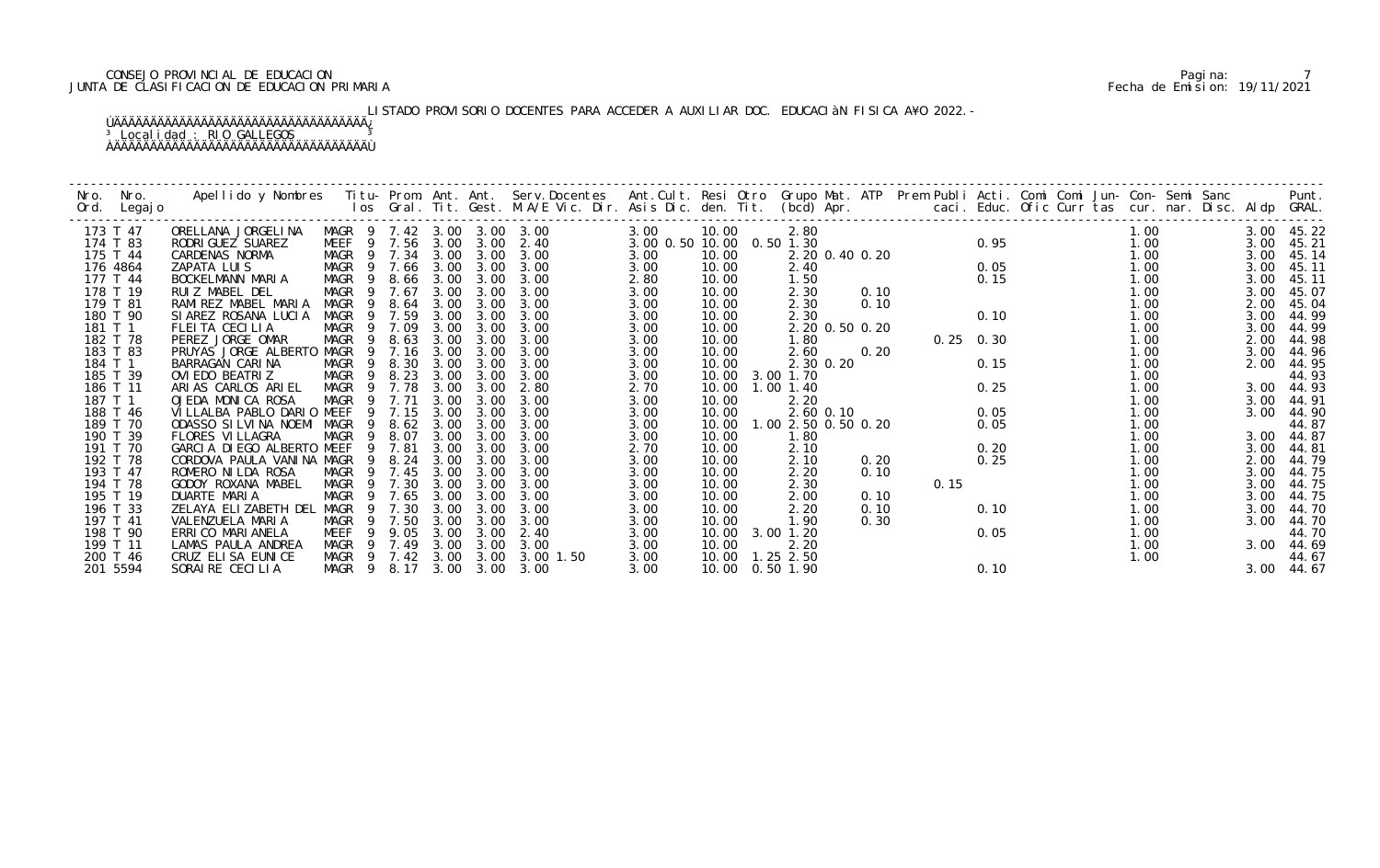# CONSEJO PROVINCIAL DE EDUCACION Pagina: 7 JUNTA DE CLASIFICACION DE EDUCACION PRIMARIA Fecha de Emision: 19/11/2021

# LISTADO PROVISORIO DOCENTES PARA ACCEDER A AUXILIAR DOC. EDUCACIÀN FISICA A¥O 2022.-

| Nro. | Nro.<br>Ord. Legajo  | Apellido y Nombres  Titu- Prom. Ant. Ant. Serv.Docentes  Ant.Cult. Resi Otro  Grupo Mat. ATP  Prem Publi Acti. Comi Comi Jun- Con- Semi Sanc              Punt.<br>Ios Gral. Tit. Gest. M.A/E Vic. Dir. Asis Dic. den. Tit. (bcd) |                                 |                |                  |              |              |                            |                           |                   |                     |           |                |      |             |                        |              |              |                     |
|------|----------------------|-----------------------------------------------------------------------------------------------------------------------------------------------------------------------------------------------------------------------------------|---------------------------------|----------------|------------------|--------------|--------------|----------------------------|---------------------------|-------------------|---------------------|-----------|----------------|------|-------------|------------------------|--------------|--------------|---------------------|
|      | 173 T 47             | ORELLANA JORGELINA                                                                                                                                                                                                                |                                 |                |                  |              |              | MAGR 9 7.42 3.00 3.00 3.00 | 3.00                      | 10.00             | 2.80                |           |                |      |             |                        | 1.00         |              | 3.00 45.22          |
|      | 174 T 83<br>175 T 44 | RODRI GUEZ SUAREZ                                                                                                                                                                                                                 | MEEF 9 7.56 3.00                |                |                  |              | 3.00         | 2.40<br>3.00               | 3.00 0.50 10.00 0.50 1.30 |                   |                     |           | 2.20 0.40 0.20 |      |             | $0.95$<br>0.05<br>0.15 | 1.00<br>1.00 | 3.00         | 45.21               |
|      | 176 4864             | CARDENAS NORMA<br>ZAPATA LUIS                                                                                                                                                                                                     | MAGR 9 7.34 3.00<br>MAGR 9 7.66 |                |                  | 3.00         | 3.00<br>3.00 | 3.00                       | 3.00<br>3.00              | 10.00<br>10.00    | 2.40                |           |                |      |             |                        | 1.00         | 3.00<br>3.00 | 45.14<br>45.11      |
|      | 177 T 44             | BOCKELMANN MARIA                                                                                                                                                                                                                  | MAGR                            | 9              | 8.66             | 3.00         | 3.00         | 3.00                       | 2.80                      | 10.00             | 1.50                |           |                |      |             |                        | 1.00         | 3.00         | 45.11               |
|      | 178 T 19             | RUIZ MABEL DEL                                                                                                                                                                                                                    | MAGR 9                          |                | 7.67             | 3.00         | 3.00         | 3.00                       | 3.00                      | 10.00             | 2.30                |           | 0.10           |      |             |                        | 1.00         | 3.00         | 45.07               |
|      | 179 T 81             | RAMIREZ MABEL MARIA                                                                                                                                                                                                               | MAGR                            | $\overline{9}$ | 8.64             | 3.00         | 3.00         | 3.00                       | 3.00                      | 10.00             | 2.30                |           | 0.10           |      |             |                        | 1.00         | 2.00         | 45.04               |
|      | 180 T 90             | SIAREZ ROSANA LUCIA                                                                                                                                                                                                               | MAGR                            |                | 9 7.59           | 3.00         | 3.00         | 3.00                       | 3.00                      | 10.00             | 2.30                |           |                |      | 0.10        |                        | 1.00         | 3.00         | 44.99               |
|      | 181 T 1              | FLEITA CECILIA                                                                                                                                                                                                                    | MAGR                            | 9              | 7.09             | 3.00         | 3.00         | 3.00                       | 3.00                      | 10.00             |                     |           | 2.20 0.50 0.20 |      |             |                        | 1.00         | 3.00         | 44.99               |
|      | 182 T 78             | PEREZ JORGE OMAR                                                                                                                                                                                                                  | MAGR                            | -9             | 8.63             | 3.00         | 3.00         | 3.00                       | 3.00                      | 10.00             | 1.80                |           |                |      | $0.25$ 0.30 |                        | 1.00         | 2.00         | 44.98               |
|      | 183 T 83             | PRUYAS JORGE ALBERTO                                                                                                                                                                                                              | MAGR                            | - 9            | 7.16             | 3.00         | 3.00         | 3.00                       | 3.00                      | 10.00             | 2.60                |           | 0.20           |      |             |                        | 1.00         | 3.00         | 44.96               |
|      | 184 T 1<br>185 T 39  | BARRAGAN CARINA<br>OVI EDO BEATRIZ                                                                                                                                                                                                | MAGR<br>MAGR                    |                | 9 8.30<br>9 8.23 | 3.00<br>3.00 | 3.00<br>3.00 | 3.00<br>3.00               | 3.00<br>3.00              | 10.00<br>10.00    | 3.00 1.70           | 2.30 0.20 |                |      | 0.15        |                        | 1.00<br>1.00 | 2.00         | 44.95<br>44.93      |
|      | 186 T 11             | ARIAS CARLOS ARIEL                                                                                                                                                                                                                | MAGR 9                          |                | 7.78             | 3.00         | 3.00         | 2.80                       | 2.70                      | 10.00             | $1.00$ $1.40$       |           |                |      | 0.25        |                        | 1.00         |              | 3.00 44.93          |
|      | 187 T 1              | OJEDA MONICA ROSA                                                                                                                                                                                                                 | MAGR 9 7.71                     |                |                  | 3.00         | 3.00         | 3.00                       | 3.00                      | 10.00             | 2.20                |           |                |      |             |                        | 1.00         | 3.00         | 44.91               |
|      | 188 T 46             | VILLALBA PABLO DARIO MEEF                                                                                                                                                                                                         |                                 |                | 9 7.15           | 3.00         | 3.00         | 3.00                       | 3.00                      | 10.00             | 2.60 0.10           |           |                |      | 0.05        |                        | 1.00         | 3.00         | 44.90               |
|      | 189 T 70             | ODASSO SILVINA NOEMI MAGR                                                                                                                                                                                                         |                                 | -9             | 8.62             | 3.00         | 3.00         | 3.00                       | 3.00                      | 10.00             | 1.00 2.50 0.50 0.20 |           |                |      | 0.05        |                        | 1.00         |              | 44.87               |
|      | 190 T 39             | FLORES VI LLAGRA                                                                                                                                                                                                                  | MAGR                            | 9              | 8.07             | 3.00         | 3.00         | 3.00                       | 3.00                      | 10.00             | 1.80                |           |                |      |             |                        | 1.00         | 3.00         | 44.87               |
|      | 191 T 70             | GARCIA DI EGO ALBERTO MEEF                                                                                                                                                                                                        |                                 | -9             | 7.81             | 3.00         | 3.00         | 3.00                       | 2.70                      | 10.00             | 2.10                |           |                |      | 0.20        |                        | 1.00         | 3.00         | 44.81               |
|      | 192 T 78             | CORDOVA PAULA VANINA MAGR                                                                                                                                                                                                         |                                 |                | 9 8.24           | 3.00         | 3.00         | 3.00                       | 3.00                      | 10.00             | 2.10                |           | 0.20           |      | 0.25        |                        | 1.00         | 2.00         | 44.79               |
|      | 193 T 47             | ROMERO NI LDA ROSA                                                                                                                                                                                                                | MAGR 9 7.45                     |                |                  | 3.00         | 3.00         | 3.00                       | 3.00                      | 10.00             | 2.20                |           | 0.10           |      |             |                        | 1.00         | 3.00         | 44.75               |
|      | 194 T 78             | GODOY ROXANA MABEL                                                                                                                                                                                                                | MAGR 9                          |                | 7.30             | 3.00         | 3.00         | 3.00                       | 3.00                      | 10.00             | 2.30                |           |                | 0.15 |             |                        | 1.00         | 3.00         | 44.75               |
|      | 195 T 19<br>196 T 33 | DUARTE MARIA<br>ZELAYA ELIZABETH DEL                                                                                                                                                                                              | MAGR<br>MAGR                    |                | 9 7.65<br>9 7.30 | 3.00<br>3.00 | 3.00<br>3.00 | 3.00<br>3.00               | 3.00                      | 10.00             | 2.00                |           | 0.10           |      | 0.10        |                        | 1.00<br>1.00 | 3.00         | 44.75               |
|      | 197 T 41             | VALENZUELA MARIA                                                                                                                                                                                                                  | MAGR                            |                | 9 7.50           | 3.00         | 3.00         | 3.00                       | 3.00<br>3.00              | 10.00<br>10.00    | 2.20<br>1.90        |           | 0.10<br>0.30   |      |             |                        | 1.00         | 3.00         | 3.00 44.70<br>44.70 |
|      | 198 T 90             | ERRI CO MARI ANELA                                                                                                                                                                                                                | MEEF                            | 9              | 9.05             | 3.00         | 3.00         | 2.40                       | 3.00                      | 10.00             | 3.00 1.20           |           |                |      | 0.05        |                        | 1.00         |              | 44.70               |
|      | 199 T 11             | LAMAS PAULA ANDREA                                                                                                                                                                                                                | MAGR                            | $\overline{9}$ | 7.49             | 3.00         | 3.00         | 3.00                       | 3.00                      | 10.00             | 2.20                |           |                |      |             |                        | 1.00         | 3.00         | 44.69               |
|      | 200 T 46             | CRUZ ELISA EUNICE                                                                                                                                                                                                                 | MAGR 9 7.42                     |                |                  | 3.00         | 3.00         | 3.00 1.50                  | 3.00                      | 10.00  1.25  2.50 |                     |           |                |      |             |                        | 1.00         |              | 44.67               |
|      | 201 5594             | SORAIRE CECILIA                                                                                                                                                                                                                   | MAGR 9 8.17 3.00                |                |                  |              | 3.00         | 3.00                       | 3.00                      | 10.00  0.50  1.90 |                     |           |                |      | 0.10        |                        |              |              | 3.00 44.67          |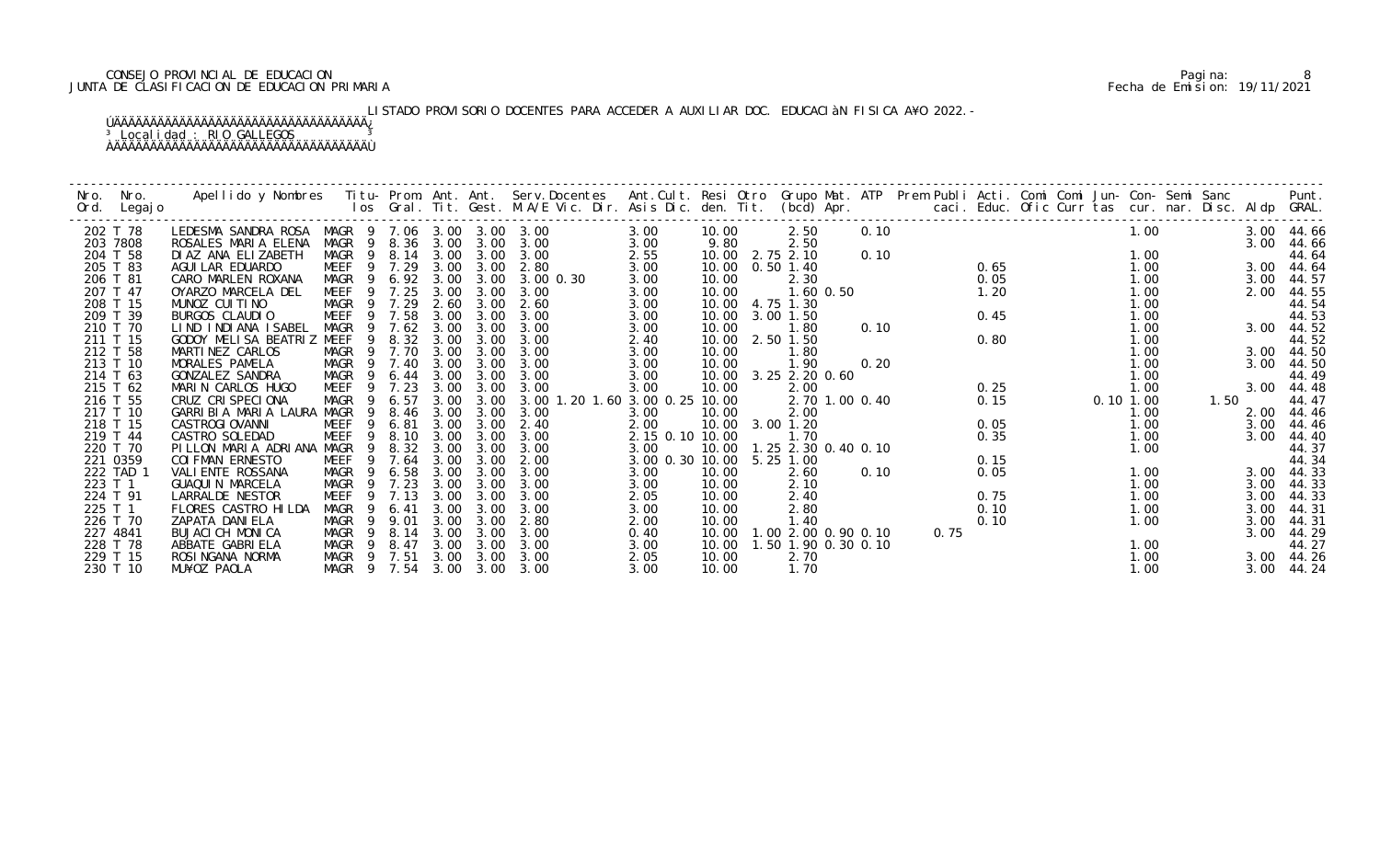# CONSEJO PROVINCIAL DE EDUCACION Pagina: 8 JUNTA DE CLASIFICACION DE EDUCACION PRIMARIA Fecha de Emision: 19/11/2021

# LISTADO PROVISORIO DOCENTES PARA ACCEDER A AUXILIAR DOC. EDUCACIÀN FISICA A¥O 2022.-

| Nro.<br>Ord. | Nro.<br>Legaj o      |                                                |                            |                        |                  |                   |                          |                 |                          |                     |      |      |      |  |               |              |      |                |
|--------------|----------------------|------------------------------------------------|----------------------------|------------------------|------------------|-------------------|--------------------------|-----------------|--------------------------|---------------------|------|------|------|--|---------------|--------------|------|----------------|
|              | 202 T 78             | LEDESMA SANDRA ROSA MAGR 9 7.06 3.00 3.00 3.00 |                            |                        |                  |                   |                          | 3.00            | 10.00                    | 2.50                | 0.10 |      |      |  |               | 1.00         |      | 3.00 44.66     |
|              | 203 7808             | ROSALES MARIA ELENA                            |                            |                        | MAGR 9 8.36 3.00 | 3.00              | 3.00                     | 3.00            | 9.80                     | 2.50                |      |      |      |  |               |              | 3.00 | 44.66          |
|              | 204 T 58             | DI AZ ANA ELIZABETH                            | MAGR                       |                        | 9 8.14 3.00      | 3.00              | 3.00                     | 2.55            | 10.00 2.75 2.10          |                     | 0.10 |      |      |  |               | 1.00         |      | 44.64          |
|              | 205 T 83             | AGUI LAR EDUARDO                               | MEEF                       | 9 7.29                 | 3.00             | 3.00              | 2.80                     | 3.00            | 10.00                    | $0.50$ 1.40         |      |      | 0.65 |  |               | 1.00         | 3.00 | 44.64          |
|              | 206 T 81             | CARO MARLEN ROXANA                             | MAGR                       | 6.92<br>$\overline{9}$ |                  | 3.00 3.00         | 3.00 0.30                | 3.00            | 10.00                    | 2.30                |      |      | 0.05 |  |               | 1.00         | 3.00 | 44.57          |
|              | 207 T 47             | OYARZO MARCELA DEL                             | MEEF                       | 7.25                   | 3.00             | 3.00              | 3.00                     | 3.00            | 10.00                    | $1.60$ $0.50$       |      |      | 1.20 |  |               | 1.00         | 2.00 | 44.55          |
|              | 208 T 15             | MUNOZ CUITINO<br>BURGOS CLAUDIO                | MAGR 9 7.29<br><b>MEEF</b> | 9 7.58                 | 2.60<br>3.00     | 3.00<br>3.00      | 2.60<br>3.00             | 3.00            | 10.00 4.75 1.30          |                     |      |      |      |  |               | 1.00         |      | 44.54          |
|              | 209 T 39<br>210 T 70 | LIND INDIANA ISABEL                            | MAGR                       | 7.62<br>9              | 3.00             | 3.00              | 3.00                     | 3.00            | 10.00 3.00 1.50<br>10.00 | 1.80                | 0.10 |      | 0.45 |  |               | 1.00<br>1.00 | 3.00 | 44.53          |
|              | 211 T 15             | GODOY MELISA BEATRIZ MEEF                      |                            | 8.32<br>9              | 3.00             | 3.00              | 3.00                     | 3.00<br>2.40    | 10.00                    | 2.50 1.50           |      |      | 0.80 |  |               | 1.00         |      | 44.52<br>44.52 |
|              | 212 T 58             | MARTINEZ CARLOS                                | MAGR                       | 7.70<br>- 9            | 3.00             | 3.00              | 3.00                     | 3.00            | 10.00                    | 1.80                |      |      |      |  |               | 1.00         | 3.00 | 44.50          |
|              | 213 T 10             | MORALES PAMELA                                 | MAGR                       | 9 7.40                 | 3.00             | 3.00              | 3.00                     | 3.00            | 10.00                    | 1.90                | 0.20 |      |      |  |               | 1.00         | 3.00 | 44.50          |
|              | 214 T 63             | GONZALEZ SANDRA                                | MAGR                       | - 9<br>6.44            | 3.00             | 3.00              | 3.00                     | 3.00            | 10.00                    | 3.25 2.20 0.60      |      |      |      |  |               | 1.00         |      | 44.49          |
|              | 215 T 62             | MARIN CARLOS HUGO                              | MEEF                       | 7.23                   | 3.00             | 3.00              | 3.00                     | 3.00            | 10.00                    | 2.00                |      |      | 0.25 |  |               | 1.00         | 3.00 | 44.48          |
|              | 216 T 55             | CRUZ CRISPECIONA                               | MAGR                       | 6.57<br>9              | 3.00             | 3.00              | 3.00 1.20 1.60 3.00 0.25 |                 | 10.00                    | 2.70 1.00 0.40      |      |      | 0.15 |  | $0.10$ $1.00$ |              | 1.50 | 44.47          |
|              | 217 T 10             | GARRIBIA MARIA LAURA MAGR                      |                            | 8.46<br>-9             | 3.00             | 3.00              | 3.00                     | 3.00            | 10.00                    | 2.00                |      |      |      |  |               | 1.00         | 2.00 | 44.46          |
|              | 218 T 15             | <b>CASTROGI OVANNI</b>                         | MEEF                       | 6.81<br>9              | 3.00             | 3.00              | 2.40                     | 2.00            | 10.00                    | 3.00 1.20           |      |      | 0.05 |  |               | 1.00         | 3.00 | 44.46          |
|              | 219 T 44             | CASTRO SOLEDAD                                 | <b>MEEF</b>                | 8.10<br>9              | 3.00             | 3.00              | 3.00                     | 2.15 0.10 10.00 |                          | 1.70                |      |      | 0.35 |  |               | 1.00         | 3.00 | 44.40          |
|              | 220 T 70             | PILLON MARIA ADRIANA                           | MAGR                       | 8.32                   | 3.00             | 3.00              | 3.00                     | 3.00            | 10.00                    | 1.25 2.30 0.40 0.10 |      |      |      |  |               | 1.00         |      | 44.37          |
|              | 221 0359             | <b>COI FMAN ERNESTO</b>                        | MEEF                       | 7.64<br>9              | 3.00             | 3.00              | 2.00                     | 3.00 0.30 10.00 |                          | 5.25 1.00           |      |      | 0.15 |  |               |              |      | 44.34          |
|              | 222 TAD 1            | VALI ENTE ROSSANA                              | MAGR                       | 6.58<br>- 9            | 3.00             | 3.00              | 3.00                     | 3.00            | 10.00                    | 2.60                | 0.10 |      | 0.05 |  |               | 1.00         | 3.00 | 44.33          |
| 223 T 1      |                      | <b>GUAQUIN MARCELA</b>                         | MAGR                       | 7.23                   | 3.00             | 3.00              | 3.00                     | 3.00            | 10.00                    | 2.10                |      |      |      |  |               | 1.00         | 3.00 | 44.33          |
|              | 224 T 91             | LARRALDE NESTOR                                | MEEF                       | 7.13<br>9              | 3.00             | 3.00              | 3.00                     | 2.05            | 10.00                    | 2.40                |      |      | 0.75 |  |               | 1.00         | 3.00 | 44.33          |
| 225 T 1      |                      | FLORES CASTRO HILDA                            | MAGR                       | 6.41<br>9              | 3.00             | 3.00              | 3.00                     | 3.00            | 10.00                    | 2.80                |      |      | 0.10 |  |               | 1.00         | 3.00 | 44.31          |
|              | 226 T 70             | ZAPATA DANI ELA                                | MAGR                       | 9.01<br>9              | 3.00             | 3.00              | 2.80                     | 2.00            | 10.00                    | 1.40                |      |      | 0.10 |  |               | 1.00         | 3.00 | 44.31          |
|              | 227 4841             | BUJACI CH MONICA                               | MAGR                       | 8.14<br>9              | 3.00             | 3.00              | 3.00                     | 0.40            | 10.00                    | 1.00 2.00 0.90 0.10 |      | 0.75 |      |  |               |              | 3.00 | 44.29          |
|              | 228 T 78             | ABBATE GABRI ELA                               | MAGR                       | 8.47<br>9              | 3.00             | 3.00              | 3.00                     | 3.00            | 10.00                    | 1.50 1.90 0.30 0.10 |      |      |      |  |               | 1.00         |      | 44.27          |
|              | 229 T 15             | ROSI NGANA NORMA                               | MAGR 9 7.51                |                        |                  | 3.00 3.00         | 3.00                     | 2.05            | 10.00                    | 2.70                |      |      |      |  |               | 1.00         | 3.00 | 44.26          |
|              | 230 T 10             | MU¥OZ PAOLA                                    | MAGR 9 7.54                |                        |                  | $3.00 \quad 3.00$ | 3.00                     | 3.00            | 10.00                    | 1.70                |      |      |      |  |               | 1.00         | 3.00 | 44.24          |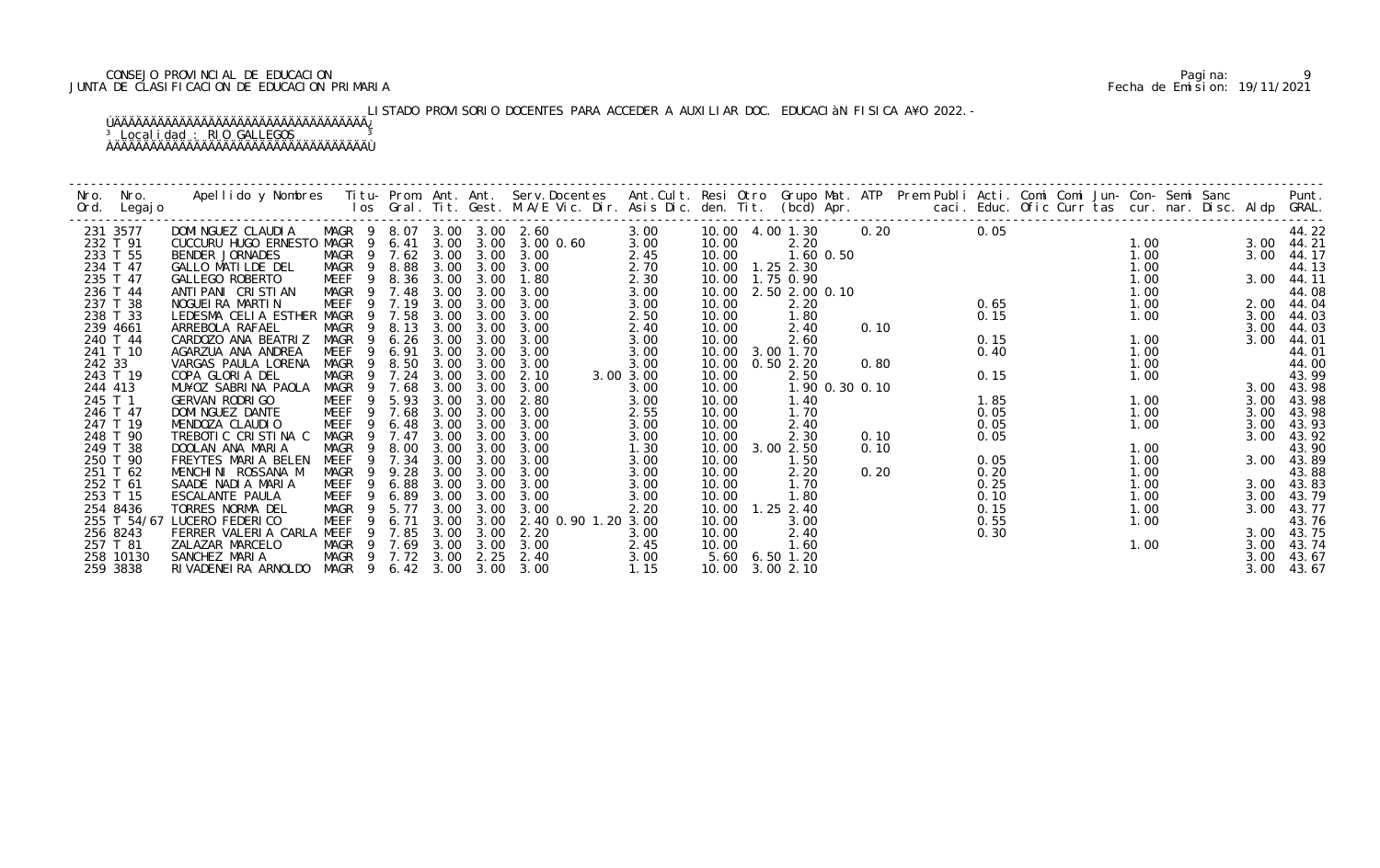# CONSEJO PROVINCIAL DE EDUCACION Pagina: 9 JUNTA DE CLASIFICACION DE EDUCACION PRIMARIA Fecha de Emision: 19/11/2021

# LISTADO PROVISORIO DOCENTES PARA ACCEDER A AUXILIAR DOC. EDUCACIÀN FISICA A¥O 2022.-

| Nro.   | Nro.<br>Ord. Legajo | Apellido y Nombres  Titu- Prom. Ant. Ant. Serv.Docentes  Ant.Cult. Resi Otro Grupo Mat. ATP  Prem Publi Acti. Comi Comi Jun- Con- Semi Sanc        Punt.<br>Ios Gral. Tit. Gest. M.A/E Vic. Dir. Asis Dic. den. Tit. (bcd) Apr. |                            |                            |      |           |                     |           |                   |                      |      |                         |      |  |                         |      |            |
|--------|---------------------|---------------------------------------------------------------------------------------------------------------------------------------------------------------------------------------------------------------------------------|----------------------------|----------------------------|------|-----------|---------------------|-----------|-------------------|----------------------|------|-------------------------|------|--|-------------------------|------|------------|
|        | 231 3577            | DOMINGUEZ CLAUDIA MAGR 9 8.07 3.00 3.00 2.60                                                                                                                                                                                    |                            |                            |      |           |                     | 3.00      |                   |                      |      | 10.00  4.00  1.30  0.20 | 0.05 |  |                         |      | 44.22      |
|        | 232 T 91            | CUCCURU HUGO ERNESTO MAGR 9 6.41                                                                                                                                                                                                |                            |                            |      |           | 3.00 3.00 3.00 0.60 | 3.00      | 10.00             | 2.20                 |      |                         |      |  | 1.00                    |      | 3.00 44.21 |
|        | 233 T 55            | BENDER JORNADES                                                                                                                                                                                                                 |                            | MAGR 9 7.62 3.00 3.00 3.00 |      |           |                     | 2.45      | 10.00             | 1.60 0.50            |      |                         |      |  | 1.00                    |      | 3.00 44.17 |
|        | 234 T 47            | GALLO MATILDE DEL                                                                                                                                                                                                               | MAGR 9 8.88                |                            |      |           | 3.00 3.00 3.00      | 2.70      | 10.00  1.25  2.30 |                      |      | $0.65$<br>0.65          |      |  | 1.00                    |      | 44.13      |
|        | 235 T 47            | GALLEGO ROBERTO                                                                                                                                                                                                                 |                            | MEEF 9 8.36 3.00           |      | 3.00      | 1.80                | 2.30      | 10.00  1.75  0.90 |                      |      |                         |      |  | 1.00                    |      | 3.00 44.11 |
|        | 236 T 44            | ANTI PANI CRISTIAN                                                                                                                                                                                                              | MAGR 9 7.48                |                            | 3.00 | 3.00      | 3.00                | 3.00      |                   | 10.00 2.50 2.00 0.10 |      |                         |      |  | 1.00                    |      | 44.08      |
|        | 237 T 38            | NOGUEIRA MARTIN                                                                                                                                                                                                                 | MEEF 9 7.19                |                            | 3.00 | 3.00      | 3.00                | 3.00      | 10.00             | 2.20                 |      |                         |      |  | 1.00                    |      | 2.00 44.04 |
|        | 238 T 33            | LEDESMA CELIA ESTHER MAGR 9 7.58                                                                                                                                                                                                |                            |                            | 3.00 | 3.00      | 3.00                | 2.50      | 10.00             | 1.80                 |      |                         | 0.15 |  | 1.00                    | 3.00 | 44.03      |
|        | 239 4661            | ARREBOLA RAFAEL                                                                                                                                                                                                                 | MAGR                       | 9 8.13 3.00                |      | 3.00      | 3.00                | 2.40      | 10.00             | 2.40                 | 0.10 |                         |      |  |                         | 3.00 | 44.03      |
|        | 240 T 44            | CARDOZO ANA BEATRIZ                                                                                                                                                                                                             |                            | MAGR 9 6.26                | 3.00 | 3.00      | 3.00                | 3.00      | 10.00             | 2.60                 |      |                         | 0.15 |  | 1.00                    | 3.00 | 44.01      |
|        | 241 T 10            | AGARZUA ANA ANDREA                                                                                                                                                                                                              |                            | MEEF 9 6.91                | 3.00 | 3.00      | 3.00                | 3.00      |                   | 10.00 3.00 1.70      |      |                         | 0.40 |  | 1.00                    |      | 44.01      |
| 242 33 |                     | VARGAS PAULA LORENA                                                                                                                                                                                                             | MAGR 9 8.50 3.00           |                            |      | 3.00      | 3.00                | 3.00      | 10.00             | 0.502.20             | 0.80 |                         |      |  | 1. 00<br>1. 00<br>1. 00 |      | 44.00      |
|        | 243 T 19            | COPA GLORIA DEL                                                                                                                                                                                                                 |                            | MAGR 9 7.24                | 3.00 | 3.00      | 2.10                | 3.00 3.00 | 10.00             | 2.50                 |      |                         | 0.15 |  |                         |      | 43.99      |
|        | 244 413             | MU¥OZ SABRINA PAOLA                                                                                                                                                                                                             | MAGR 9 7.68                |                            | 3.00 | 3.00      | 3.00                | 3.00      | 10.00             | 1.90 0.30 0.10       |      |                         |      |  |                         |      | 3.00 43.98 |
|        | 245 T 1             | GERVAN RODRI GO                                                                                                                                                                                                                 | MEEF 9 5.93                |                            | 3.00 | 3.00      | 2.80                | 3.00      | 10.00             | 1.40                 |      |                         | 1.85 |  | 1.00                    | 3.00 | 43.98      |
|        | 246 T 47            | DOMI NGUEZ DANTE                                                                                                                                                                                                                | MEEF 9 7.68                |                            | 3.00 | 3.00      | 3.00                | 2.55      | 10.00             | 1.70                 |      |                         | 0.05 |  | 1.00                    | 3.00 | 43.98      |
|        | 247 T 19            | MENDOZA CLAUDIO                                                                                                                                                                                                                 | MEEF                       | 9<br>6.48                  | 3.00 | 3.00      | 3.00                | 3.00      | 10.00             | 2.40                 |      |                         | 0.05 |  | 1.00                    | 3.00 | 43.93      |
|        | 248 T 90            | TREBOTIC CRISTINA C                                                                                                                                                                                                             |                            | MAGR 9 7.47                | 3.00 | 3.00      | 3.00                | 3.00      | 10.00             | 2.30                 | 0.10 |                         | 0.05 |  |                         | 3.00 | 43.92      |
|        | 249 T 38            | DOOLAN ANA MARIA                                                                                                                                                                                                                |                            | MAGR 9 8.00                | 3.00 | 3.00      | 3.00                | 1.30      |                   | 10.00 3.00 2.50      | 0.10 |                         |      |  | 1.00                    |      | 43.90      |
|        | 250 T 90            | FREYTES MARIA BELEN                                                                                                                                                                                                             |                            | MEEF 9 7.34 3.00           |      | 3.00      | 3.00                | 3.00      | 10.00             | 1.50                 |      |                         | 0.05 |  | 1.00                    |      | 3.00 43.89 |
|        | 251 T 62            | MENCHINI ROSSANA M                                                                                                                                                                                                              | MAGR                       | 9 9.28                     | 3.00 | 3.00      | 3.00                | 3.00      | 10.00             | 2.20                 | 0.20 |                         | 0.20 |  | 1.00                    |      | 43.88      |
|        | 252 T 61            | SAADE NADIA MARIA                                                                                                                                                                                                               |                            | MEEF 9 6.88 3.00           |      | 3.00      | 3.00                | 3.00      | 10.00             | 1.70                 |      |                         | 0.25 |  | 1.00                    |      | 3.00 43.83 |
|        | 253 T 15            | ESCALANTE PAULA                                                                                                                                                                                                                 | MEEF 9 6.89                |                            | 3.00 | 3.00      | 3.00                | 3.00      | 10.00             | 1.80                 |      |                         | 0.10 |  | 1.00                    |      | 3.00 43.79 |
|        | 254 8436            | TORRES NORMA DEL                                                                                                                                                                                                                | MAGR 9 5.77                |                            | 3.00 | 3.00      | 3.00                | 2.20      |                   | 10.00  1.25  2.40    |      |                         | 0.15 |  | 1.00                    | 3.00 | 43.77      |
|        |                     | 255 T 54/67 LUCERO FEDERICO                                                                                                                                                                                                     | MEEF<br>9                  | 6.71                       | 3.00 | 3.00      | 2.40 0.90 1.20 3.00 |           | 10.00             | 3.00                 |      |                         | 0.55 |  | 1.00                    |      | 43.76      |
|        | 256 8243            | FERRER VALERIA CARLA MEEF 9 7.85                                                                                                                                                                                                |                            |                            |      | 3.00 3.00 | 2.20                | 3.00      | 10.00             | 2.40                 |      |                         | 0.30 |  |                         |      | 3.00 43.75 |
|        | 257 T 81            | ZALAZAR MARCELO                                                                                                                                                                                                                 |                            | MAGR 9 7.69 3.00 3.00      |      |           | 3.00                | 2.45      | 10.00             | 1.60                 |      |                         |      |  | 1.00                    | 3.00 | 43.74      |
|        | 258 10130           | SANCHEZ MARIA                                                                                                                                                                                                                   | MAGR 9 7.72 3.00 2.25 2.40 |                            |      |           |                     | 3.00      |                   | 5.60 6.50 1.20       |      |                         |      |  |                         | 3.00 | 43.67      |
|        | 259 3838            | RIVADENEIRA ARNOLDO MAGR 9 6.42 3.00 3.00 3.00                                                                                                                                                                                  |                            |                            |      |           |                     | 1.15      | 10.00 3.00 2.10   |                      |      |                         |      |  |                         | 3.00 | 43.67      |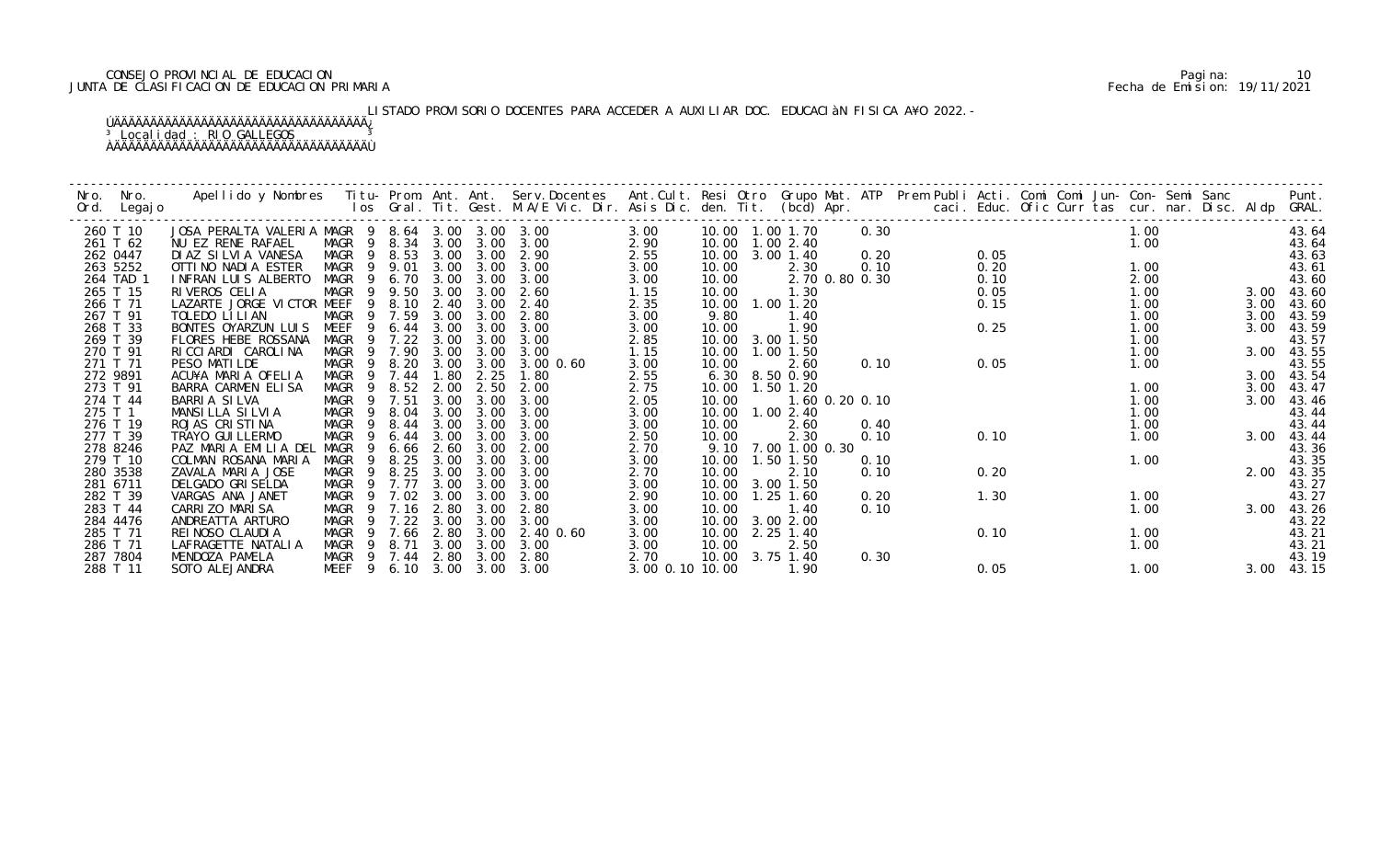# CONSEJO PROVINCIAL DE EDUCACION Pagina: 10 JUNTA DE CLASIFICACION DE EDUCACION PRIMARIA Fecha de Emision: 19/11/2021

# LISTADO PROVISORIO DOCENTES PARA ACCEDER A AUXILIAR DOC. EDUCACIÀN FISICA A¥O 2022.-

| Nro.<br>Ord. | Nro.<br>Legaj o      | Apellido y Nombres - Titu- Prom. Ant. Ant. Serv.Docentes - Ant.Cult. Resi Otro Grupo Mat. ATP - Prem Publi Acti. Comi Comi Jun- Con- Semi Sanc - - - - Punt.<br>Ios Gral. Tit. Gest. M.A/E Vic. Dir. Asis Dic. den. Tit. (bcd) Ap |                                                |              |              |              |                |                 |                |                           |                |  |              |  |              |  |      |                |
|--------------|----------------------|-----------------------------------------------------------------------------------------------------------------------------------------------------------------------------------------------------------------------------------|------------------------------------------------|--------------|--------------|--------------|----------------|-----------------|----------------|---------------------------|----------------|--|--------------|--|--------------|--|------|----------------|
|              | 260 T 10             | JOSA PERALTA VALERIA MAGR 9 8.64 3.00 3.00 3.00                                                                                                                                                                                   |                                                |              |              |              |                | 3.00            |                | 10.00  1.00  1.70         | 0.30           |  |              |  | 1.00         |  |      | 43.64          |
|              | 261 T 62             | NU EZ RENE RAFAEL                                                                                                                                                                                                                 | MAGR 9 8.34 3.00                               |              |              | 3.00         | 3.00           | 2.90            | 10.00          | 1.002.40                  |                |  |              |  | 1.00         |  |      | 43.64          |
|              | 262 0447<br>263 5252 | DIAZ SILVIA VANESA<br>OTTINO NADIA ESTER                                                                                                                                                                                          | MAGR 9 8.53<br>MAGR 9 9.01                     |              | 3.00<br>3.00 | 3.00<br>3.00 | 2.90<br>3.00   | 2.55<br>3.00    | 10.00<br>10.00 | 3.00 1.40<br>2.30         | 0.20<br>0.10   |  | 0.05<br>0.20 |  | 1.00         |  |      | 43.63<br>43.61 |
|              | 264 TAD 1            | INFRAN LUIS ALBERTO                                                                                                                                                                                                               | MAGR                                           | 9 6.70       | 3.00         | 3.00         | 3.00           | 3.00            | 10.00          |                           | 2.70 0.80 0.30 |  | 0.10         |  | 2.00         |  |      | 43.60          |
|              | 265 T 15             | RIVEROS CELIA                                                                                                                                                                                                                     | MAGR 9 9.50                                    |              | 3.00         | 3.00         | 2.60           | 1.15            | 10.00          | 1.30                      |                |  | 0.05         |  | 1.00         |  | 3.00 | 43.60          |
|              | 266 T 71             | LAZARTE JORGE VICTOR MEEF                                                                                                                                                                                                         |                                                | 9 8.10       | 2.40         | 3.00         | 2.40           | 2.35            |                | 10.00  1.00  1.20         |                |  | 0.15         |  | 1.00         |  | 3.00 | 43.60          |
|              | 267 T 91             | TOLEDO LI LI AN                                                                                                                                                                                                                   | MAGR                                           | 9 7.59       | 3.00         | 3.00         | 2.80           | 3.00            | 9.80           | 1.40                      |                |  |              |  | 1.00         |  | 3.00 | 43.59          |
|              | 268 T 33             | BONTES OYARZUN LUIS                                                                                                                                                                                                               | MEEF                                           | 9 6.44       | 3.00         | 3.00         | 3.00           | 3.00            | 10.00          | 1.90                      |                |  | 0.25         |  | 1.00         |  | 3.00 | 43.59          |
|              | 269 T 39             | FLORES HEBE ROSSANA                                                                                                                                                                                                               | MAGR                                           | 7.22         | 3.00         | 3.00         | 3.00           | 2.85            | 10.00          | 3.00 1.50                 |                |  |              |  | 1.00         |  |      | 43.57          |
|              | 270 T 91             | RICCIARDI CAROLINA                                                                                                                                                                                                                | MAGR                                           | 9 7.90       | 3.00         | 3.00         | 3.00           | 1.15            | 10.00          | $1.00$ $1.50$             |                |  |              |  | 1.00         |  | 3.00 | 43.55          |
|              | 271 T 71             | PESO MATILDE                                                                                                                                                                                                                      | MAGR 9 8.20                                    |              | 3.00         | 3.00         | $3.00 \, 0.60$ | 3.00            | 10.00          | 2.60                      | 0.10           |  | 0.05         |  | 1.00         |  |      | 43.55          |
|              | 272 9891             | ACU¥A MARIA OFELIA                                                                                                                                                                                                                | MAGR                                           | 9 7.44       | 1.80         | 2.25         | 1.80           | 2.55            | 6.30           | 8.50 0.90                 |                |  |              |  |              |  |      | 3.00 43.54     |
|              | 273 T 91             | BARRA CARMEN ELISA                                                                                                                                                                                                                | MAGR 9                                         | 8.52         | 2.00         | 2.50         | 2.00           | 2.75            | 10.00          | 1.50 1.20                 |                |  |              |  | 1.00         |  | 3.00 | 43.47          |
|              | 274 T 44             | BARRIA SILVA                                                                                                                                                                                                                      | MAGR                                           | 9 7.51       | 3.00         | 3.00         | 3.00           | 2.05            | 10.00          |                           | 1.60 0.20 0.10 |  |              |  | 1.00         |  | 3.00 | 43.46          |
|              | 275 T 1<br>276 T 19  | MANSILLA SILVIA<br>ROJAS CRISTINA                                                                                                                                                                                                 | MAGR<br>- 9<br>MAGR<br>9                       | 8.04<br>8.44 | 3.00<br>3.00 | 3.00<br>3.00 | 3.00<br>3.00   | 3.00            | 10.00          | 10.00  1.00  2.40<br>2.60 | 0.40           |  |              |  | 1.00<br>1.00 |  |      | 43.44<br>43.44 |
|              | 277 T 39             | TRAYO GUI LLERMO                                                                                                                                                                                                                  | MAGR<br>9                                      | 6.44         | 3.00         | 3.00         | 3.00           | 3.00<br>2.50    | 10.00          | 2.30                      | 0.10           |  | 0.10         |  | 1.00         |  | 3.00 | 43.44          |
|              | 278 8246             | PAZ MARIA EMILIA DEL                                                                                                                                                                                                              | MAGR<br>9                                      | 6.66         | 2.60         | 3.00         | 2.00           | 2.70            | 9.10           | 7.00 1.00 0.30            |                |  |              |  |              |  |      | 43.36          |
|              | 279 T 10             | COLMAN ROSANA MARIA                                                                                                                                                                                                               | MAGR<br>9                                      | 8.25         | 3.00         | 3.00         | 3.00           | 3.00            | 10.00          | 1.50 1.50                 | 0.10           |  |              |  | 1.00         |  |      | 43.35          |
|              | 280 3538             | ZAVALA MARIA JOSE                                                                                                                                                                                                                 | MAGR<br>- 9                                    | 8.25         | 3.00         | 3.00         | 3.00           | 2.70            | 10.00          | 2.10                      | 0.10           |  | 0.20         |  |              |  |      | 2.00 43.35     |
|              | 281 6711             | DELGADO GRI SELDA                                                                                                                                                                                                                 | MAGR 9                                         | 7.77         | 3.00         | 3.00         | 3.00           | 3.00            | 10.00          | 3.00 1.50                 |                |  |              |  |              |  |      | 43.27          |
|              | 282 T 39             | VARGAS ANA JANET                                                                                                                                                                                                                  | MAGR<br>$\overline{9}$                         | 7.02         | 3.00         | 3.00         | 3.00           | 2.90            | 10.00          | $1.25$ $1.60$             | 0.20           |  | 1.30         |  | 1.00         |  |      | 43.27          |
|              | 283 T 44             | CARRIZO MARISA                                                                                                                                                                                                                    | MAGR                                           | 9 7.16       | 2.80         | 3.00         | 2.80           | 3.00            | 10.00          | 1.40                      | 0.10           |  |              |  | 1.00         |  | 3.00 | 43.26          |
|              | 284 4476             | ANDREATTA ARTURO                                                                                                                                                                                                                  | MAGR<br>9                                      | 7.22         | 3.00         | 3.00         | 3.00           | 3.00            | 10.00          | 3.00 2.00                 |                |  |              |  |              |  |      | 43.22          |
|              | 285 T 71             | REI NOSO CLAUDI A                                                                                                                                                                                                                 | MAGR                                           | 7.66         | 2.80         | 3.00         | 2.40 0.60      | 3.00            | 10.00          | 2.25 1.40                 |                |  | 0.10         |  | 1.00         |  |      | 43.21          |
|              | 286 T 71             | LAFRAGETTE NATALIA                                                                                                                                                                                                                | MAGR<br>9                                      | 8.71         | 3.00         | 3.00         | 3.00           | 3.00            | 10.00          | 2.50                      |                |  |              |  | 1.00         |  |      | 43.21          |
|              | 287 7804             | MENDOZA PAMELA                                                                                                                                                                                                                    | MAGR 9 7.44 2.80 3.00<br>MEEF 9 6.10 3.00 3.00 |              |              |              | 2.80<br>3.00   | 2.70            |                | 10.00 3.75 1.40<br>1.90   | 0.30           |  |              |  |              |  |      | 43.19          |
|              | 288 T 11             | SOTO ALEJANDRA                                                                                                                                                                                                                    |                                                |              |              |              |                | 3.00 0.10 10.00 |                |                           |                |  | 0.05         |  | 1.00         |  | 3.00 | 43.15          |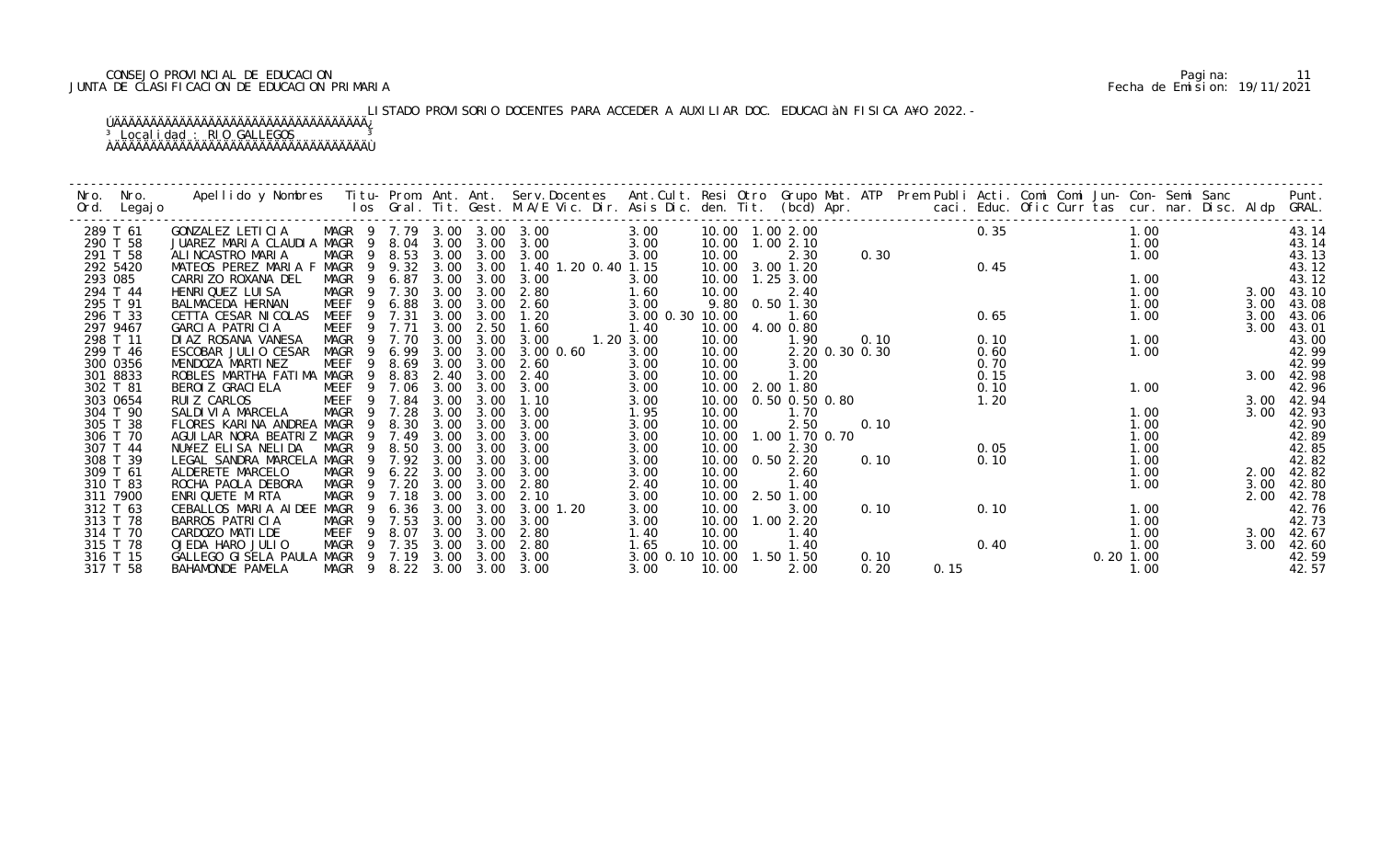# CONSEJO PROVINCIAL DE EDUCACION Pagina: 11 JUNTA DE CLASIFICACION DE EDUCACION PRIMARIA Fecha de Emision: 19/11/2021

# LISTADO PROVISORIO DOCENTES PARA ACCEDER A AUXILIAR DOC. EDUCACIàN FISICA A¥O 2022.-

| Nro. | Nro.                 |                                                                                                                                                                                                                       |                            |              |              |              |                     |                 |                |                   |                |      |      |              |             |      |      | Punt.          |
|------|----------------------|-----------------------------------------------------------------------------------------------------------------------------------------------------------------------------------------------------------------------|----------------------------|--------------|--------------|--------------|---------------------|-----------------|----------------|-------------------|----------------|------|------|--------------|-------------|------|------|----------------|
| Ord. | Legaj o              | Apellido y Nombres  Titu- Prom. Ant. Ant.  Serv.Docentes  Ant.Cult. Resi Otro  Grupo Mat. ATP  Prem Publi Acti. Comi Comi Jun- Con- Semi Sanc<br>Ios Gral. Tit. Gest. M.A/E Vic. Dir. Asis Dic. den. Tit.  (bcd) Apr. |                            |              |              |              |                     |                 |                |                   |                |      |      |              |             |      |      | GRAL.          |
|      | 289 T 61             | GONZALEZ LETICIA                                                                                                                                                                                                      | MAGR 9 7.79 3.00 3.00 3.00 |              |              |              |                     | 3.00            |                | 10.00  1.00  2.00 |                |      |      | 0.35         |             | 1.00 |      | 43.14          |
|      | 290 T 58             | JUAREZ MARIA CLAUDIA MAGR                                                                                                                                                                                             | -9                         | 8.04         | 3.00         | 3.00         | 3.00                | 3.00            | 10.00          | 1.002.10          |                |      |      |              |             | 1.00 |      | 43.14          |
|      | 291 T 58             | ALINCASTRO MARIA                                                                                                                                                                                                      | MAGR<br>-9                 | 8.53         | 3.00         | 3.00         | 3.00                | 3.00            | 10.00          | 2.30              |                | 0.30 |      |              |             | 1.00 |      | 43.13          |
|      | 292 5420             | MATEOS PEREZ MARIA F MAGR                                                                                                                                                                                             | 9                          | 9.32         | 3.00         | 3.00         | 1.40 1.20 0.40 1.15 |                 | 10.00          | 3.00 1.20         |                |      |      | 0.45         |             |      |      | 43.12          |
|      | 293 085              | CARRIZO ROXANA DEL                                                                                                                                                                                                    | MAGR<br>- 9                | 6.87         | 3.00         | 3.00         | 3.00                | 3.00            | 10.00          | $1.25$ $3.00$     |                |      |      |              |             | 1.00 |      | 43.12          |
|      | 294 T 44             | HENRI QUEZ LUI SA                                                                                                                                                                                                     | MAGR 9                     | 7.30         | 3.00         | 3.00         | 2.80                | 1.60            | 10.00          | 2.40              |                |      |      |              |             | 1.00 | 3.00 | 43.10          |
|      | 295 T 91             | BALMACEDA HERNAN                                                                                                                                                                                                      | <b>MEEF</b><br>-9          | 6.88         | 3.00         | 3.00         | 2.60                | 3.00            |                | 9.80 0.50 1.30    |                |      |      |              |             | 1.00 | 3.00 | 43.08          |
|      | 296 T 33             | CETTA CESAR NICOLAS                                                                                                                                                                                                   | MEEF<br>9                  | 7.31         | 3.00         | 3.00         | 1.20                | 3.00 0.30 10.00 |                | 1.60              |                |      |      | 0.65         |             | 1.00 | 3.00 | 43.06          |
|      | 297 9467             | GARCIA PATRICIA                                                                                                                                                                                                       | MEEF<br>9                  | 7.71         | 3.00         | 2.50         | 1.60                | 1.40            | 10.00          | 4.00 0.80         |                |      |      |              |             |      | 3.00 | 43.01          |
|      | 298 T 11             | DI AZ ROSANA VANESA                                                                                                                                                                                                   | MAGR<br>9                  | 7.70         | 3.00         | 3.00         | 3.00                | 1.20 3.00       | 10.00          | 1.90              |                | 0.10 |      | 0.10         |             | 1.00 |      | 43.00          |
|      | 299 T 46             | ESCOBAR JULIO CESAR<br>MENDOZA MARTINEZ                                                                                                                                                                               | <b>MAGR</b><br>9<br>9      | 6.99<br>8.69 | 3.00<br>3.00 | 3.00<br>3.00 | $3.00 \, 0.60$      | 3.00            | 10.00          |                   | 2.20 0.30 0.30 |      |      | 0.60         |             | 1.00 |      | 42.99          |
|      | 300 0356<br>301 8833 | ROBLES MARTHA FATIMA MAGR                                                                                                                                                                                             | MEEF<br>9                  | 8.83         | 2.40         | 3.00         | 2.60<br>2.40        | 3.00<br>3.00    | 10.00<br>10.00 | 3.00<br>1.20      |                |      |      | 0.70<br>0.15 |             |      | 3.00 | 42.99<br>42.98 |
|      | 302 T 81             | BEROI Z GRACI ELA                                                                                                                                                                                                     | MEEF                       | 7.06         | 3.00         | 3.00         | 3.00                | 3.00            |                | 10.00 2.00 1.80   |                |      |      | 0.10         |             | 1.00 |      | 42.96          |
|      | 303 0654             | RUI Z CARLOS                                                                                                                                                                                                          | MEEF<br>- 9                | 7.84         | 3.00         | 3.00         | 1.10                | 3.00            | 10.00          | 0.50 0.50 0.80    |                |      |      | 1.20         |             |      | 3.00 | 42.94          |
|      | 304 T 90             | SALDIVIA MARCELA                                                                                                                                                                                                      | MAGR<br>- 9                | 7.28         | 3.00         | 3.00         | 3.00                | 1.95            | 10.00          | 1.70              |                |      |      |              |             | 1.00 | 3.00 | 42.93          |
|      | 305 T 38             | FLORES KARINA ANDREA MAGR                                                                                                                                                                                             | 9                          | 8.30         | 3.00         | 3.00         | 3.00                | 3.00            | 10.00          | 2.50              |                | 0.10 |      |              |             | 1.00 |      | 42.90          |
|      | 306 T 70             | AGUI LAR NORA BEATRIZ MAGR                                                                                                                                                                                            |                            | 7.49         | 3.00         | 3.00         | 3.00                | 3.00            | 10.00          | 1.00 1.70 0.70    |                |      |      |              |             | 1.00 |      | 42.89          |
|      | 307 T 44             | NU¥EZ ELISA NELIDA                                                                                                                                                                                                    | MAGR<br>-9                 | 8.50         | 3.00         | 3.00         | 3.00                | 3.00            | 10.00          | 2.30              |                |      |      | 0.05         |             | 1.00 |      | 42.85          |
|      | 308 T 39             | LEGAL SANDRA MARCELA MAGR                                                                                                                                                                                             | 9                          | 7.92         | 3.00         | 3.00         | 3.00                | 3.00            | 10.00          | 0.502.20          |                | 0.10 |      | 0.10         |             | 1.00 |      | 42.82          |
|      | 309 T 61             | ALDERETE MARCELO                                                                                                                                                                                                      | <b>MAGR</b><br>-9          | 6.22         | 3.00         | 3.00         | 3.00                | 3.00            | 10.00          | 2.60              |                |      |      |              |             | 1.00 | 2.00 | 42.82          |
|      | 310 T 83             | ROCHA PAOLA DEBORA                                                                                                                                                                                                    | MAGR                       | 7.20         | 3.00         | 3.00         | 2.80                | 2.40            | 10.00          | 1.40              |                |      |      |              |             | 1.00 | 3.00 | 42.80          |
|      | 311 7900             | ENRI QUETE MI RTA                                                                                                                                                                                                     | <b>MAGR</b>                | 7.18         | 3.00         | 3.00         | 2.10                | 3.00            | 10.00          | 2.50 1.00         |                |      |      |              |             |      | 2.00 | 42.78          |
|      | 312 T 63             | CEBALLOS MARIA AIDEE MAGR                                                                                                                                                                                             | 9                          | 6.36         | 3.00         | 3.00         | 3.00 1.20           | 3.00            | 10.00          | 3.00              |                | 0.10 |      | 0.10         |             | 1.00 |      | 42.76          |
|      | 313 T 78             | BARROS PATRICIA                                                                                                                                                                                                       | MAGR                       | 7.53         | 3.00         | 3.00         | 3.00                | 3.00            | 10.00          | 1.002.20          |                |      |      |              |             | 1.00 |      | 42.73          |
|      | 314 T 70             | CARDOZO MATILDE                                                                                                                                                                                                       | MEEF<br>9                  | 8.07         | 3.00         | 3.00         | 2.80                | 1.40            | 10.00          | 1.40              |                |      |      |              |             | 1.00 | 3.00 | 42.67          |
|      | 315 T 78             | OJEDA HARO JULIO                                                                                                                                                                                                      | MAGR<br>9                  | 7.35         | 3.00         | 3.00         | 2.80                | 1.65            | 10.00          | 1.40              |                |      |      | 0.40         |             | 1.00 | 3.00 | 42.60          |
|      | 316 T 15             | GALLEGO GISELA PAULA MAGR                                                                                                                                                                                             |                            | 9 7.19       | 3.00         | 3.00         | 3.00                | 3.00 0.10 10.00 |                | 1.50 1.50         |                | 0.10 |      |              | $0.20$ 1.00 |      |      | 42.59          |
|      | 317 T 58             | BAHAMONDE PAMELA                                                                                                                                                                                                      | MAGR 9 8.22 3.00           |              |              | 3.00         | 3.00                | 3.00            | 10.00          | 2.00              |                | 0.20 | 0.15 |              |             | 1.00 |      | 42.57          |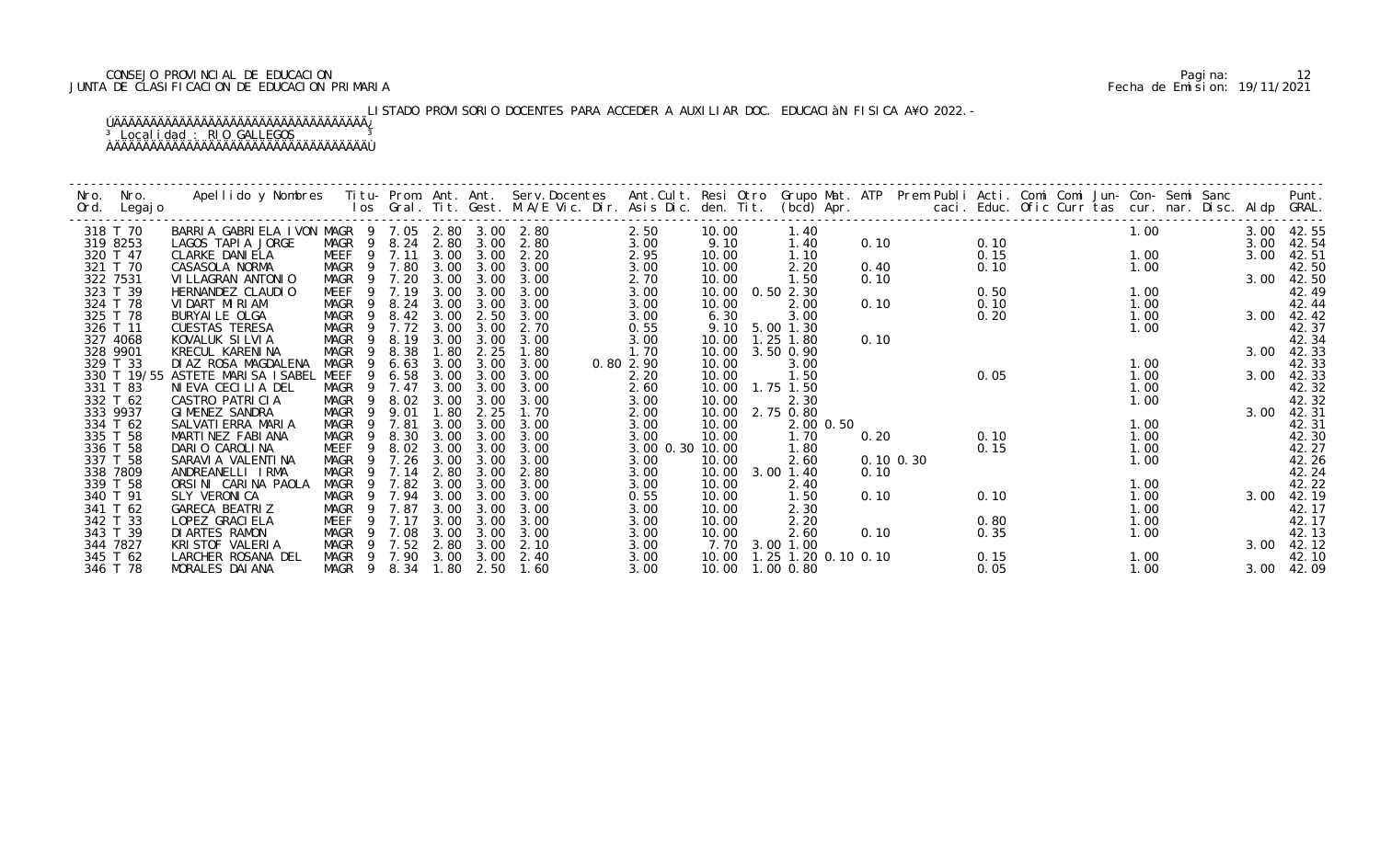# CONSEJO PROVINCIAL DE EDUCACION Pagina: 12 JUNTA DE CLASIFICACION DE EDUCACION PRIMARIA Fecha de Emision: 19/11/2021

# LISTADO PROVISORIO DOCENTES PARA ACCEDER A AUXILIAR DOC. EDUCACIàN FISICA A¥O 2022.-

| Nro.<br>Ord. | Nro.<br>Legaj o | Apellido y Nombres - Titu- Prom. Ant. Ant. Serv.Docentes - Ant.Cult. Resi Otro Grupo Mat. ATP Prem Publi Acti. Comi Comi Jun- Con- Semi Sanc - - - Punt.<br>Ios Gral. Tit. Gest. M.A/E Vic. Dir. Asis Dic. den. Tit. (bcd) Apr. - |             |        |      |      |      |           |       |                                   |      |               |      |  |      |      |            |
|--------------|-----------------|-----------------------------------------------------------------------------------------------------------------------------------------------------------------------------------------------------------------------------------|-------------|--------|------|------|------|-----------|-------|-----------------------------------|------|---------------|------|--|------|------|------------|
|              | 318 T 70        | BARRIA GABRIELA IVON MAGR 9 7.05 2.80 3.00 2.80                                                                                                                                                                                   |             |        |      |      |      | 2.50      | 10.00 | 1.40                              |      |               |      |  | 1.00 |      | 3.00 42.55 |
|              | 319 8253        | LAGOS TAPIA JORGE                                                                                                                                                                                                                 | MAGR 9 8.24 |        | 2.80 | 3.00 | 2.80 | 3.00      | 9.10  | 1.40                              | 0.10 |               | 0.10 |  |      | 3.00 | 42.54      |
|              | 320 T 47        | CLARKE DANI ELA                                                                                                                                                                                                                   | MEEF        | 9 7.11 | 3.00 | 3.00 | 2.20 | 2.95      | 10.00 | 1.10                              |      |               | 0.15 |  | 1.00 | 3.00 | 42.51      |
|              | 321 T 70        | CASASOLA NORMA                                                                                                                                                                                                                    | MAGR        | 9 7.80 | 3.00 | 3.00 | 3.00 | 3.00      | 10.00 | 2.20                              | 0.40 |               | 0.10 |  | 1.00 |      | 42.50      |
|              | 322 7531        | VI LLAGRAN ANTONIO                                                                                                                                                                                                                | MAGR        | 9 7.20 | 3.00 | 3.00 | 3.00 | 2.70      | 10.00 | 1.50                              | 0.10 |               |      |  |      | 3.00 | 42.50      |
|              | 323 T 39        | HERNANDEZ CLAUDIO                                                                                                                                                                                                                 | MEEF        | 7.19   | 3.00 | 3.00 | 3.00 | 3.00      | 10.00 | 0.502.30                          |      |               | 0.50 |  | 1.00 |      | 42.49      |
|              | 324 T 78        | VIDART MIRIAM                                                                                                                                                                                                                     | MAGR<br>- 9 | 8.24   | 3.00 | 3.00 | 3.00 | 3.00      | 10.00 | 2.00                              | 0.10 |               | 0.10 |  | 1.00 |      | 42.44      |
|              | 325 T 78        | BURYAI LE OLGA                                                                                                                                                                                                                    | MAGR<br>- 9 | 8.42   | 3.00 | 2.50 | 3.00 | 3.00      | 6.30  | 3.00                              |      |               | 0.20 |  | 1.00 |      | 3.00 42.42 |
|              | 326 T 11        | <b>CUESTAS TERESA</b>                                                                                                                                                                                                             | MAGR<br>9   | 7.72   | 3.00 | 3.00 | 2.70 | 0.55      | 9.10  | 5.00 1.30                         |      |               |      |  | 1.00 |      | 42.37      |
|              | 327 4068        | KOVALUK SILVIA                                                                                                                                                                                                                    | MAGR<br>9   | 8.19   | 3.00 | 3.00 | 3.00 | 3.00      | 10.00 | 1.25 1.80                         | 0.10 |               |      |  |      |      | 42.34      |
|              | 328 9901        | KRECUL KARENINA                                                                                                                                                                                                                   | MAGR<br>9   | 8.38   | 1.80 | 2.25 | 1.80 | 1.70      | 10.00 | 3.50 0.90                         |      |               |      |  |      | 3.00 | 42.33      |
|              | 329 T 33        | DI AZ ROSA MAGDALENA                                                                                                                                                                                                              | MAGR<br>-9  | 6.63   | 3.00 | 3.00 | 3.00 | 0.80 2.90 | 10.00 | 3.00                              |      |               |      |  | 1.00 |      | 42.33      |
|              |                 | 330 T 19/55 ASTETE MARISA ISABEL                                                                                                                                                                                                  | MEEF<br>9   | 6.58   | 3.00 | 3.00 | 3.00 | 2.20      | 10.00 | 1.50                              |      |               | 0.05 |  | 1.00 | 3.00 | 42.33      |
|              | 331 T 83        | NIEVA CECILIA DEL                                                                                                                                                                                                                 | MAGR        | 7.47   | 3.00 | 3.00 | 3.00 | 2.60      | 10.00 | 1.75 1.50                         |      |               |      |  | 1.00 |      | 42.32      |
|              | 332 T 62        | CASTRO PATRICIA                                                                                                                                                                                                                   | MAGR<br>-9  | 8.02   | 3.00 | 3.00 | 3.00 | 3.00      | 10.00 | 2.30                              |      |               |      |  | 1.00 |      | 42.32      |
|              | 333 9937        | GIMENEZ SANDRA                                                                                                                                                                                                                    | MAGR<br>-9  | 9.01   | 1.80 | 2.25 | 1.70 | 2.00      | 10.00 | 2.75 0.80                         |      |               |      |  |      | 3.00 | 42.31      |
|              | 334 T 62        | SALVATI ERRA MARIA                                                                                                                                                                                                                | MAGR<br>-9  | 7.81   | 3.00 | 3.00 | 3.00 | 3.00      | 10.00 | 2.00 0.50                         |      |               |      |  | 1.00 |      | 42.31      |
|              | 335 T 58        | MARTINEZ FABIANA                                                                                                                                                                                                                  | MAGR<br>-9  | 8.30   | 3.00 | 3.00 | 3.00 | 3.00      | 10.00 | 1.70                              | 0.20 |               | 0.10 |  | 1.00 |      | 42.30      |
|              | 336 T 58        | DARIO CAROLINA                                                                                                                                                                                                                    | MEEF<br>9   | 8.02   | 3.00 | 3.00 | 3.00 | 3.00 0.30 | 10.00 | 1.80                              |      |               | 0.15 |  | 1.00 |      | 42.27      |
|              | 337 T 58        | SARAVI A VALENTI NA                                                                                                                                                                                                               | MAGR<br>-9  | 7.26   | 3.00 | 3.00 | 3.00 | 3.00      | 10.00 | 2.60                              |      | $0.10$ $0.30$ |      |  | 1.00 |      | 42.26      |
|              | 338 7809        | ANDREANELLI IRMA                                                                                                                                                                                                                  | MAGR<br>9   | 7.14   | 2.80 | 3.00 | 2.80 | 3.00      | 10.00 | 3.00 1.40                         | 0.10 |               |      |  |      |      | 42.24      |
|              | 339 T 58        | ORSINI CARINA PAOLA                                                                                                                                                                                                               | MAGR        | 7.82   | 3.00 | 3.00 | 3.00 | 3.00      | 10.00 | 2.40                              |      |               |      |  | 1.00 |      | 42.22      |
|              | 340 T 91        | SLY VERONICA                                                                                                                                                                                                                      | MAGR        | 9 7.94 | 3.00 | 3.00 | 3.00 | 0.55      | 10.00 | 1.50                              | 0.10 |               | 0.10 |  | 1.00 | 3.00 | 42.19      |
|              | 341 T 62        | GARECA BEATRIZ                                                                                                                                                                                                                    | MAGR<br>-9  | 7.87   | 3.00 | 3.00 | 3.00 | 3.00      | 10.00 | 2.30                              |      |               |      |  | 1.00 |      | 42.17      |
|              | 342 T 33        | LOPEZ GRACI ELA                                                                                                                                                                                                                   | MEEF        | 7.17   | 3.00 | 3.00 | 3.00 | 3.00      | 10.00 | 2.20                              |      |               | 0.80 |  | 1.00 |      | 42.17      |
|              | 343 T 39        | DI ARTES RAMON                                                                                                                                                                                                                    | MAGR<br>-9  | 7.08   | 3.00 | 3.00 | 3.00 | 3.00      | 10.00 | 2.60                              | 0.10 |               | 0.35 |  | 1.00 |      | 42.13      |
|              | 344 7827        | KRISTOF VALERIA                                                                                                                                                                                                                   | MAGR<br>-9  | 7.52   | 2.80 | 3.00 | 2.10 | 3.00      |       | 7.70 3.00 1.00                    |      |               |      |  |      | 3.00 | 42.12      |
|              | 345 T 62        | LARCHER ROSANA DEL                                                                                                                                                                                                                | MAGR        | 9 7.90 | 3.00 | 3.00 | 2.40 | 3.00      |       | 10.00   1.25   1.20   0.10   0.10 |      |               | 0.15 |  | 1.00 |      | 42.10      |
|              | 346 T 78        | MORALES DAI ANA                                                                                                                                                                                                                   | MAGR 9 8.34 |        | 1.80 | 2.50 | 1.60 | 3.00      |       | 10.00  1.00  0.80                 |      |               | 0.05 |  | 1.00 |      | 3.00 42.09 |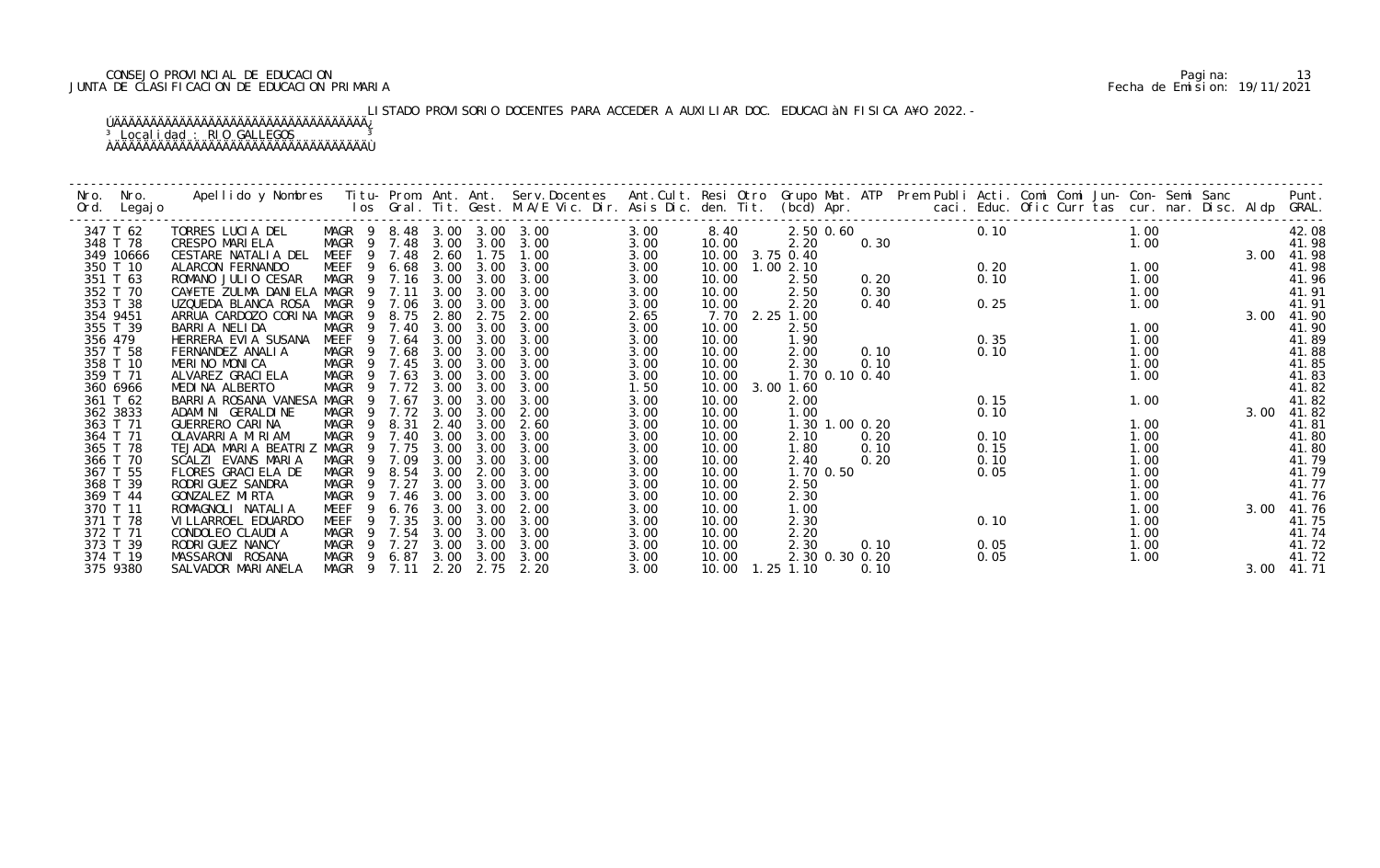# CONSEJO PROVINCIAL DE EDUCACION Pagina: 13 JUNTA DE CLASIFICACION DE EDUCACION PRIMARIA Fecha de Emision: 19/11/2021

# LISTADO PROVISORIO DOCENTES PARA ACCEDER A AUXILIAR DOC. EDUCACIàN FISICA A¥O 2022.-

| Nro.<br>Ord. | Nro.<br>Legaj o | Apellido y Nombres - Titu- Prom. Ant. Ant. Serv.Docentes - Ant.Cult. Resi Otro Grupo Mat. ATP - Prem Publi Acti. Comi Comi Jun- Con- Semi Sanc<br>Ios Gral. Tit. Gest. M.A/E Vic. Dir. Asis Dic. den. Tit. (bcd) Apr. |                            |              |              |              |              |              |                   |              |                |      |              |  |              |      | Punt.<br>GRAL. |
|--------------|-----------------|-----------------------------------------------------------------------------------------------------------------------------------------------------------------------------------------------------------------------|----------------------------|--------------|--------------|--------------|--------------|--------------|-------------------|--------------|----------------|------|--------------|--|--------------|------|----------------|
|              | 347 T 62        | TORRES LUCIA DEL                                                                                                                                                                                                      | MAGR 9 8.48 3.00 3.00 3.00 |              |              |              |              | 3.00         | 8.40              |              | 2.50 0.60      |      | 0.10         |  | 1.00         |      | 42.08          |
|              | 348 T 78        | <b>CRESPO MARIELA</b>                                                                                                                                                                                                 | MAGR 9 7.48                |              |              | 3.00 3.00    | 3.00         | 3.00         | 10.00             | 2.20         |                | 0.30 |              |  | 1.00         |      | 41.98          |
|              | 349 10666       | CESTARE NATALIA DEL                                                                                                                                                                                                   | MEEF                       | 9 7.48       | 2.60         | 1.75         | 1.00         | 3.00         | 10.00 3.75 0.40   |              |                |      |              |  |              | 3.00 | 41.98          |
|              | 350 T 10        | ALARCON FERNANDO                                                                                                                                                                                                      | MEEF<br>9                  | 6.68         | 3.00         | 3.00         | 3.00         | 3.00         | 10.00             | 1.002.10     |                |      | 0.20         |  | 1.00         |      | 41.98          |
|              | 351 T 63        | ROMANO JULIO CESAR                                                                                                                                                                                                    | MAGR 9 7.16                |              | 3.00         | 3.00         | 3.00         | 3.00         | 10.00             | 2.50         |                | 0.20 | 0.10         |  | 1.00         |      | 41.96          |
|              | 352 T 70        | CA¥ETE ZULMA DANIELA MAGR                                                                                                                                                                                             | $\overline{9}$             | 7.11         | 3.00         | 3.00         | 3.00         | 3.00         | 10.00             | 2.50         |                | 0.30 |              |  | 1.00         |      | 41.91          |
|              | 353 T 38        | UZQUEDA BLANCA ROSA                                                                                                                                                                                                   | MAGR                       | 9 7.06       | 3.00         | 3.00         | 3.00         | 3.00         | 10.00             | 2.20         |                | 0.40 | 0.25         |  | 1.00         |      | 41.91          |
|              | 354 9451        | ARRUA CARDOZO CORINA MAGR                                                                                                                                                                                             | 9                          | 8.75         | 2.80         | 2.75<br>3.00 | 2.00         | 2.65         | 7.70 2.25 1.00    |              |                |      |              |  | 1.00         | 3.00 | 41.90          |
|              | 355 T 39        | BARRIA NELIDA                                                                                                                                                                                                         | MAGR<br>-9<br>-9           | 7.40<br>7.64 | 3.00<br>3.00 | 3.00         | 3.00<br>3.00 | 3.00         | 10.00             | 2.50         |                |      |              |  |              |      | 41.90          |
| 356 479      | 357 T 58        | HERRERA EVIA SUSANA<br>FERNANDEZ ANALIA                                                                                                                                                                               | MEEF<br>MAGR<br>9          | 7.68         | 3.00         | 3.00         | 3.00         | 3.00<br>3.00 | 10.00<br>10.00    | 1.90<br>2.00 |                | 0.10 | 0.35<br>0.10 |  | 1.00<br>1.00 |      | 41.89<br>41.88 |
|              | 358 T 10        | MERINO MONICA                                                                                                                                                                                                         | MAGR<br>- 9                | 7.45         | 3.00         | 3.00         | 3.00         | 3.00         | 10.00             | 2.30         |                | 0.10 |              |  | 1.00         |      | 41.85          |
|              | 359 T 71        | ALVAREZ GRACI ELA                                                                                                                                                                                                     | MAGR<br>- 9                | 7.63         | 3.00         | 3.00         | 3.00         | 3.00         | 10.00             |              | 1.70 0.10 0.40 |      |              |  | 1.00         |      | 41.83          |
|              | 360 6966        | MEDINA ALBERTO                                                                                                                                                                                                        | MAGR                       | 7.72         | 3.00         | 3.00         | 3.00         | 1.50         | 10.00             | 3.00 1.60    |                |      |              |  |              |      | 41.82          |
|              | 361 T 62        | BARRIA ROSANA VANESA                                                                                                                                                                                                  | MAGR<br>9                  | 7.67         | 3.00         | 3.00         | 3.00         | 3.00         | 10.00             | 2.00         |                |      | 0.15         |  | 1.00         |      | 41.82          |
|              | 362 3833        | ADAMINI GERALDINE                                                                                                                                                                                                     | MAGR<br>-9                 | 7.72         | 3.00         | 3.00         | 2.00         | 3.00         | 10.00             | 1.00         |                |      | 0.10         |  |              | 3.00 | 41.82          |
|              | 363 T 71        | GUERRERO CARINA                                                                                                                                                                                                       | MAGR<br>9                  | 8.31         | 2.40         | 3.00         | 2.60         | 3.00         | 10.00             |              | 1.30 1.00 0.20 |      |              |  | 1.00         |      | 41.81          |
|              | 364 T 71        | OLAVARRIA MIRIAM                                                                                                                                                                                                      | MAGR<br>-9                 | 7.40         | 3.00         | 3.00         | 3.00         | 3.00         | 10.00             | 2.10         |                | 0.20 | 0.10         |  | 1.00         |      | 41.80          |
|              | 365 T 78        | TEJADA MARIA BEATRIZ                                                                                                                                                                                                  | MAGR<br>-9                 | 7.75         | 3.00         | 3.00         | 3.00         | 3.00         | 10.00             | 1.80         |                | 0.10 | 0.15         |  | 1.00         |      | 41.80          |
|              | 366 T 70        | SCALZI EVANS MARIA                                                                                                                                                                                                    | MAGR<br>-9                 | 7.09         | 3.00         | 3.00         | 3.00         | 3.00         | 10.00             | 2.40         |                | 0.20 | 0.10         |  | 1.00         |      | 41.79          |
|              | 367 T 55        | FLORES GRACIELA DE                                                                                                                                                                                                    | <b>MAGR</b><br>9           | 8.54         | 3.00         | 2.00         | 3.00         | 3.00         | 10.00             |              | 1.70 0.50      |      | 0.05         |  | 1.00         |      | 41.79          |
|              | 368 T 39        | RODRI GUEZ SANDRA                                                                                                                                                                                                     | MAGR                       | 7.27         | 3.00         | 3.00         | 3.00         | 3.00         | 10.00             | 2.50         |                |      |              |  | 1.00         |      | 41.77          |
|              | 369 T 44        | GONZALEZ MIRTA                                                                                                                                                                                                        | MAGR<br>-9                 | 7.46         | 3.00         | 3.00         | 3.00         | 3.00         | 10.00             | 2.30         |                |      |              |  | 1.00         |      | 41.76          |
|              | 370 T 11        | ROMAGNOLI NATALIA                                                                                                                                                                                                     | MEEF<br>9                  | 6.76         | 3.00         | 3.00         | 2.00         | 3.00         | 10.00             | 1.00         |                |      |              |  | 1.00         | 3.00 | 41.76          |
|              | 371 T 78        | VI LLARROEL EDUARDO                                                                                                                                                                                                   | <b>MEEF</b>                | 7.35         | 3.00         | 3.00         | 3.00         | 3.00         | 10.00             | 2.30         |                |      | 0.10         |  | 1.00         |      | 41.75          |
|              | 372 T 71        | CONDOLEO CLAUDIA                                                                                                                                                                                                      | MAGR<br>-9                 | 7.54         | 3.00         | 3.00         | 3.00         | 3.00         | 10.00             | 2.20         |                |      |              |  | 1.00         |      | 41.74          |
|              | 373 T 39        | RODRI GUEZ NANCY                                                                                                                                                                                                      | MAGR<br>$\overline{9}$     | 7.27         | 3.00         | 3.00         | 3.00         | 3.00         | 10.00             | 2.30         |                | 0.10 | 0.05         |  | 1.00         |      | 41.72          |
|              | 374 T 19        | MASSARONI ROSANA                                                                                                                                                                                                      | MAGR<br>- 9                | 6.87         |              | 3.00 3.00    | 3.00         | 3.00         | 10.00             |              | 2.30 0.30 0.20 |      | 0.05         |  | 1.00         |      | 41.72          |
|              | 375 9380        | SALVADOR MARI ANELA                                                                                                                                                                                                   | MAGR 9 7.11                |              | 2.20         | 2.75         | 2.20         | 3.00         | 10.00  1.25  1.10 |              |                | 0.10 |              |  |              | 3.00 | 41. 71         |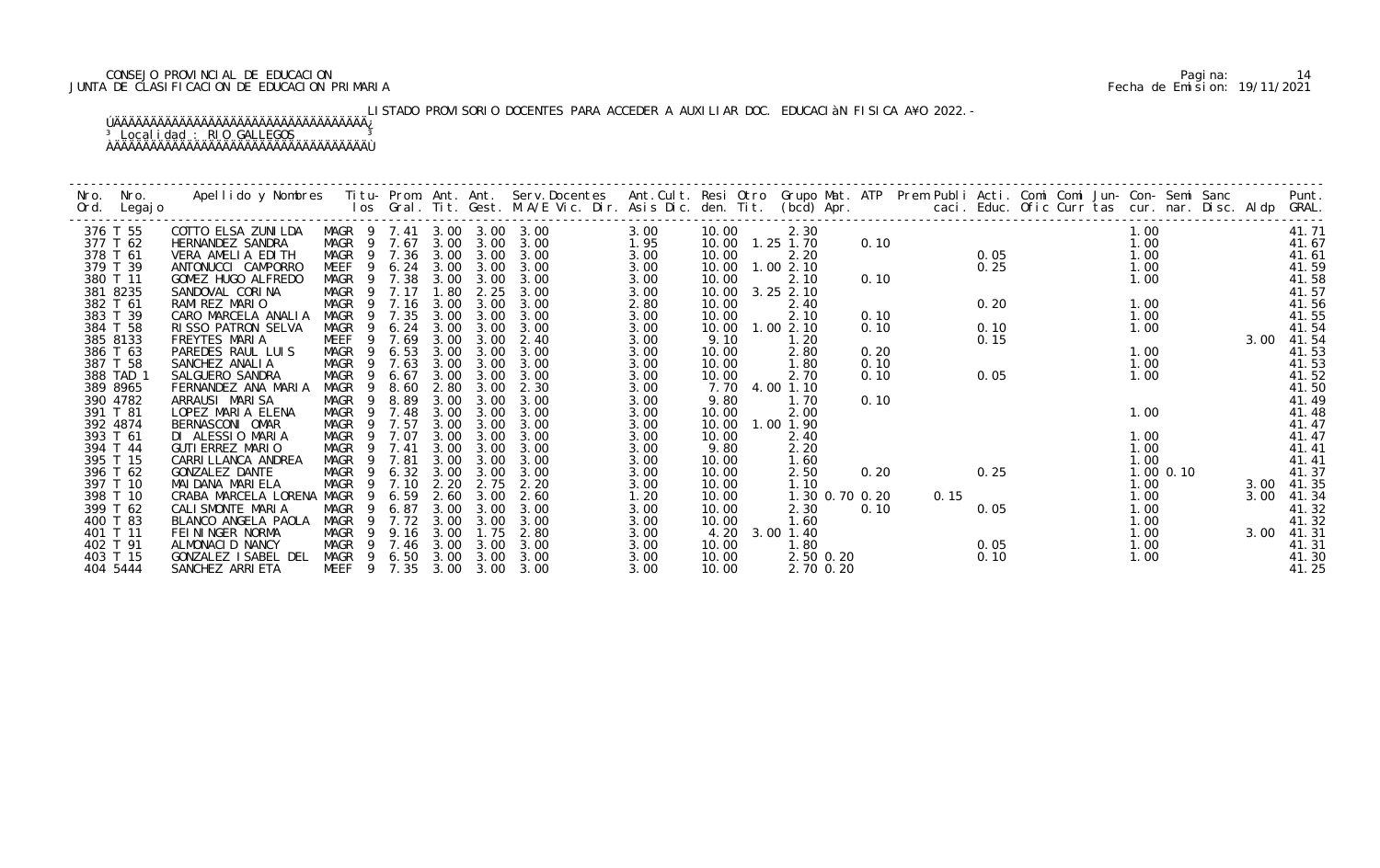# CONSEJO PROVINCIAL DE EDUCACION Pagina: 14 JUNTA DE CLASIFICACION DE EDUCACION PRIMARIA Fecha de Emision: 19/11/2021

# LISTADO PROVISORIO DOCENTES PARA ACCEDER A AUXILIAR DOC. EDUCACIàN FISICA A¥O 2022.-

| Nro.<br>Ord.         | Apellido y Nombres  Titu- Prom. Ant. Ant.  Serv.Docentes  Ant.Cult. Resi Otro  Grupo Mat. ATP  Prem Publi Acti. Comi Comi Jun- Con- Semi Sanc<br>Ios Gral. Tit. Gest. M.A/E Vic. Dir. Asis Dic. den. Tit.  (bcd) Apr.<br>Nro.<br>Legaj o |                            |                |              |              |              |              |                |                   |      |      |      |  |               |      | Punt.<br>GRAL. |
|----------------------|------------------------------------------------------------------------------------------------------------------------------------------------------------------------------------------------------------------------------------------|----------------------------|----------------|--------------|--------------|--------------|--------------|----------------|-------------------|------|------|------|--|---------------|------|----------------|
| 376 T 55             | COTTO ELSA ZUNILDA                                                                                                                                                                                                                       | MAGR 9 7.41 3.00 3.00 3.00 |                |              |              |              | 3.00         | 10.00          | 2.30              |      |      |      |  | 1.00          |      | 41.71          |
| 377 T 62             | HERNANDEZ SANDRA                                                                                                                                                                                                                         | MAGR 9 7.67                |                | 3.00         | 3.00         | 3.00         | 1.95         |                | 10.00  1.25  1.70 | 0.10 |      |      |  | 1.00          |      | 41.67          |
| 378 T 61             | VERA AMELIA EDITH                                                                                                                                                                                                                        | MAGR 9 7.36                |                | 3.00         | 3.00         | 3.00         | 3.00         | 10.00          | 2.20              |      |      | 0.05 |  | 1.00          |      | 41.61          |
| 379 T 39             | ANTONUCCI CAMPORRO                                                                                                                                                                                                                       | <b>MEEF</b>                | 9 6.24         | 3.00         | 3.00         | 3.00         | 3.00         | 10.00          | 1.002.10          |      |      | 0.25 |  | 1.00          |      | 41.59          |
| 380 T 11             | GOMEZ HUGO ALFREDO                                                                                                                                                                                                                       | MAGR <sub>9</sub>          | 7.38           | 3.00         | 3.00         | 3.00         | 3.00         | 10.00          | 2.10              | 0.10 |      |      |  | 1.00          |      | 41.58          |
| 381 8235             | SANDOVAL CORINA                                                                                                                                                                                                                          | MAGR 9 7.17                |                | 1.80         | 2.25         | 3.00         | 3.00         | 10.00          | $3.25$ $2.10$     |      |      |      |  |               |      | 41.57          |
| 382 T 61             | RAMIREZ MARIO                                                                                                                                                                                                                            | MAGR                       | 9 7.16         | 3.00         | 3.00         | 3.00         | 2.80         | 10.00          | 2.40              |      |      | 0.20 |  | 1.00          |      | 41.56          |
| 383 T 39             | CARO MARCELA ANALIA                                                                                                                                                                                                                      | MAGR                       | 9 7.35         | 3.00         | 3.00         | 3.00         | 3.00         | 10.00          | 2.10              | 0.10 |      |      |  | 1.00          |      | 41.55          |
| 384 T 58             | RISSO PATRON SELVA                                                                                                                                                                                                                       | <b>MAGR</b><br>-9          | 6.24           | 3.00         | 3.00         | 3.00         | 3.00         | 10.00          | 1.002.10          | 0.10 |      | 0.10 |  | 1.00          |      | 41.54          |
| 385 8133             | FREYTES MARIA                                                                                                                                                                                                                            | MEEF<br>-9                 | 7.69           | 3.00         | 3.00         | 2.40         | 3.00         | 9.10           | 1.20              |      |      | 0.15 |  |               | 3.00 | 41.54          |
| 386 T 63             | PAREDES RAUL LUIS                                                                                                                                                                                                                        | MAGR<br>-9                 | 6.53           | 3.00         | 3.00         | 3.00         | 3.00         | 10.00          | 2.80              | 0.20 |      |      |  | 1.00          |      | 41.53          |
| 387 T 58             | SANCHEZ ANALIA                                                                                                                                                                                                                           | MAGR<br>9                  | 7.63           | 3.00         | 3.00         | 3.00         | 3.00         | 10.00          | 1.80              | 0.10 |      |      |  | 1.00          |      | 41.53          |
| 388 TAD 1            | SALGUERO SANDRA                                                                                                                                                                                                                          | MAGR                       | 6.67           | 3.00         | 3.00         | 3.00         | 3.00         | 10.00          | 2.70              | 0.10 |      | 0.05 |  | 1.00          |      | 41.52          |
| 389 8965             | FERNANDEZ ANA MARIA                                                                                                                                                                                                                      | MAGR<br>-9                 | 8.60           | 2.80         | 3.00         | 2.30         | 3.00         | 7.70           | 4.00 1.10         |      |      |      |  |               |      | 41.50          |
| 390 4782             | ARRAUSI MARISA                                                                                                                                                                                                                           | MAGR<br>9                  | 8.89           | 3.00         | 3.00         | 3.00         | 3.00         | 9.80           | 1.70              | 0.10 |      |      |  |               |      | 41.49          |
| 391 T 81             | LOPEZ MARIA ELENA                                                                                                                                                                                                                        | MAGR<br>-9<br>-9           | 7.48           | 3.00         | 3.00         | 3.00<br>3.00 | 3.00         | 10.00          | 2.00<br>1.00 1.90 |      |      |      |  | 1.00          |      | 41.48          |
| 392 4874<br>393 T 61 | BERNASCONI OMAR<br>DI ALESSIO MARIA                                                                                                                                                                                                      | MAGR<br>MAGR               | 7.57<br>9 7.07 | 3.00<br>3.00 | 3.00<br>3.00 | 3.00         | 3.00<br>3.00 | 10.00<br>10.00 | 2.40              |      |      |      |  | 1.00          |      | 41.47<br>41.47 |
| 394 T 44             | GUTI ERREZ MARIO                                                                                                                                                                                                                         | MAGR<br>$\overline{9}$     | 7.41           | 3.00         | 3.00         | 3.00         | 3.00         | 9.80           | 2.20              |      |      |      |  | 1.00          |      | 41.41          |
| 395 T 15             | CARRI LLANCA ANDREA                                                                                                                                                                                                                      | MAGR<br>$\overline{9}$     | 7.81           | 3.00         | 3.00         | 3.00         | 3.00         | 10.00          | 1.60              |      |      |      |  | 1.00          |      | 41.41          |
| 396 T 62             | GONZALEZ DANTE                                                                                                                                                                                                                           | MAGR<br>- 9                | 6.32           | 3.00         | 3.00         | 3.00         | 3.00         | 10.00          | 2.50              | 0.20 |      | 0.25 |  | $1.00$ $0.10$ |      | 41.37          |
| 397 T 10             | MAI DANA MARI ELA                                                                                                                                                                                                                        | MAGR                       | 9 7.10         | 2.20         | 2.75         | 2.20         | 3.00         | 10.00          | 1.10              |      |      |      |  | 1.00          | 3.00 | 41.35          |
| 398 T 10             | CRABA MARCELA LORENA MAGR                                                                                                                                                                                                                | -9                         | 6.59           | 2.60         | 3.00         | 2.60         | 1.20         | 10.00          | 1.30 0.70 0.20    |      | 0.15 |      |  | 1.00          | 3.00 | 41.34          |
| 399 T 62             | CALI SMONTE MARIA                                                                                                                                                                                                                        | MAGR<br>- 9                | 6.87           | 3.00         | 3.00         | 3.00         | 3.00         | 10.00          | 2.30              | 0.10 |      | 0.05 |  | 1.00          |      | 41.32          |
| 400 T 83             | BLANCO ANGELA PAOLA                                                                                                                                                                                                                      | MAGR<br>-9                 | 7.72           | 3.00         | 3.00         | 3.00         | 3.00         | 10.00          | 1.60              |      |      |      |  | 1.00          |      | 41.32          |
| 401 T 11             | FEI NI NGER NORMA                                                                                                                                                                                                                        | MAGR                       | 9 9.16         | 3.00         | 1.75         | 2.80         | 3.00         | 4.20           | 3.00 1.40         |      |      |      |  | 1.00          | 3.00 | 41.31          |
| 402 T 91             | ALMONACI D NANCY                                                                                                                                                                                                                         | MAGR                       | 9 7.46 3.00    |              | 3.00         | 3.00         | 3.00         | 10.00          | 1.80              |      |      | 0.05 |  | 1.00          |      | 41.31          |
| 403 T 15             | GONZALEZ ISABEL DEL                                                                                                                                                                                                                      | MAGR<br>$\overline{9}$     | 6.50 3.00      |              | 3.00         | 3.00         | 3.00         | 10.00          | 2.50 0.20         |      |      | 0.10 |  | 1.00          |      | 41.30          |
| 404 5444             | SANCHEZ ARRIETA                                                                                                                                                                                                                          | MEEF 9 7.35 3.00 3.00      |                |              |              | 3.00         | 3.00         | 10.00          | 2.70 0.20         |      |      |      |  |               |      | 41.25          |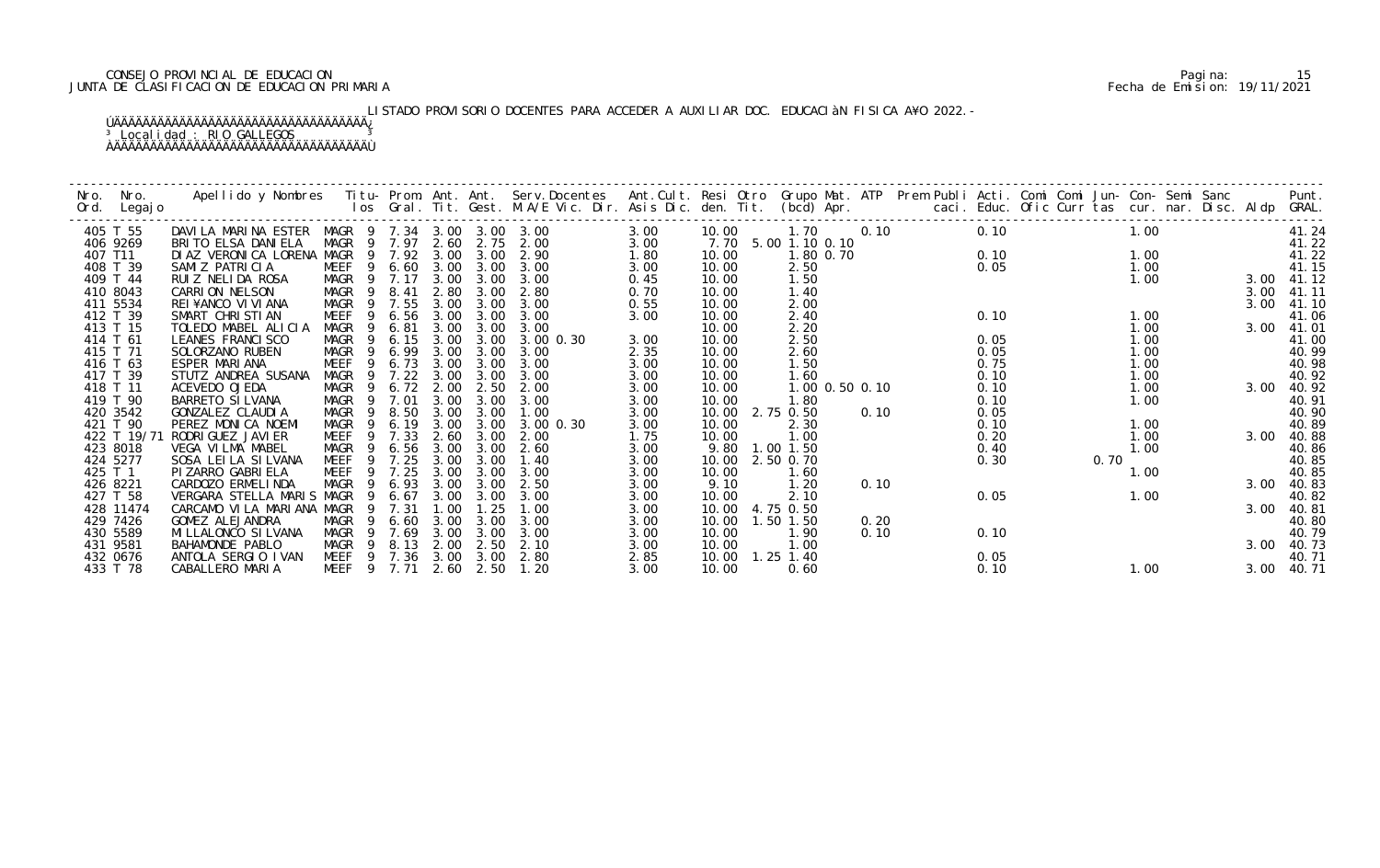# CONSEJO PROVINCIAL DE EDUCACION Pagina: 15 JUNTA DE CLASIFICACION DE EDUCACION PRIMARIA Fecha de Emision: 19/11/2021

# LISTADO PROVISORIO DOCENTES PARA ACCEDER A AUXILIAR DOC. EDUCACIàN FISICA A¥O 2022.-

| Nro.    | Nro.<br>Ord. Legajo | Apellido y Nombres  Titu- Prom. Ant. Ant.  Serv.Docentes  Ant.Cult. Resi Otro  Grupo Mat. ATP  Prem Publi Acti. Comi Comi Jun- Con- Semi Sanc          Punt.<br>Ios Gral. Tit. Gest. M.A/E Vic. Dir. Asis Dic. den. Tit. (bcd) Ap |                        |             |      |      |                |      |                   |                |                |      |      |      |      |      |      |            |
|---------|---------------------|-----------------------------------------------------------------------------------------------------------------------------------------------------------------------------------------------------------------------------------|------------------------|-------------|------|------|----------------|------|-------------------|----------------|----------------|------|------|------|------|------|------|------------|
|         | 405 T 55            | DAVILA MARINA ESTER MAGR 9 7.34 3.00 3.00 3.00                                                                                                                                                                                    |                        |             |      |      |                | 3.00 | 10.00             |                | 1.70 0.10      |      | 0.10 |      |      | 1.00 |      | 41.24      |
|         | 406 9269            | BRITO ELSA DANIELA                                                                                                                                                                                                                | MAGR 9 7.97 2.60       |             |      | 2.75 | 2.00           | 3.00 | 7.70              | 5.00 1.10 0.10 |                |      |      |      |      |      |      | 41.22      |
| 407 T11 |                     | DI AZ VERONICA LORENA MAGR                                                                                                                                                                                                        |                        | 9 7.92 3.00 |      | 3.00 | 2.90           | 1.80 | 10.00             |                | 1.80 0.70      |      |      | 0.10 |      | 1.00 |      | 41.22      |
|         | 408 T 39            | SAMIZ PATRICIA                                                                                                                                                                                                                    | MEEF 9 6.60            |             | 3.00 | 3.00 | 3.00           | 3.00 | 10.00             | 2.50           |                |      | 0.05 |      |      | 1.00 |      | 41.15      |
|         | 409 T 44            | RUIZ NELIDA ROSA                                                                                                                                                                                                                  | MAGR 9 7.17            |             | 3.00 | 3.00 | 3.00           | 0.45 | 10.00             | 1.50           |                |      |      |      |      | 1.00 |      | 3.00 41.12 |
|         | 410 8043            | CARRION NELSON                                                                                                                                                                                                                    | MAGR<br>- 9            | 8.41        | 2.80 | 3.00 | 2.80           | 0.70 | 10.00             | 1.40           |                |      |      |      |      |      | 3.00 | 41.11      |
|         | 411 5534            | REI¥ANCO VI VI ANA                                                                                                                                                                                                                | MAGR                   | 9 7.55      | 3.00 | 3.00 | 3.00           | 0.55 | 10.00             | 2.00           |                |      |      |      |      |      | 3.00 | 41.10      |
|         | 412 T 39            | SMART CHRISTIAN                                                                                                                                                                                                                   | MEEF<br>-9             | 6.56        | 3.00 | 3.00 | 3.00           | 3.00 | 10.00             | 2.40           |                |      | 0.10 |      |      | 1.00 |      | 41.06      |
|         | 413 T 15            | TOLEDO MABEL ALICIA                                                                                                                                                                                                               | MAGR<br>9              | 6.81        | 3.00 | 3.00 | 3.00           |      | 10.00             | 2.20           |                |      |      |      |      | 1.00 | 3.00 | 41.01      |
|         | 414 T 61            | LEANES FRANCI SCO                                                                                                                                                                                                                 | MAGR                   | 6.15        | 3.00 | 3.00 | $3.00 \, 0.30$ | 3.00 | 10.00             | 2.50           |                |      | 0.05 |      |      | 1.00 |      | 41.00      |
|         | 415 T 71            | SOLORZANO RUBEN                                                                                                                                                                                                                   | MAGR<br>- 9            | 6.99        | 3.00 | 3.00 | 3.00           | 2.35 | 10.00             | 2.60           |                |      | 0.05 |      |      | 1.00 |      | 40.99      |
|         | 416 T 63            | ESPER MARIANA                                                                                                                                                                                                                     | <b>MEEF</b><br>9       | 6.73        | 3.00 | 3.00 | 3.00           | 3.00 | 10.00             | 1.50           |                |      | 0.75 |      |      | 1.00 |      | 40.98      |
|         | 417 T 39            | STUTZ ANDREA SUSANA                                                                                                                                                                                                               | MAGR<br>9              | 7.22        | 3.00 | 3.00 | 3.00           | 3.00 | 10.00             | 1.60           |                |      | 0.10 |      |      | 1.00 |      | 40.92      |
|         | 418 T 11            | ACEVEDO OJEDA                                                                                                                                                                                                                     | MAGR<br>9              | 6.72        | 2.00 | 2.50 | 2.00           | 3.00 | 10.00             |                | 1.00 0.50 0.10 |      | 0.10 |      |      | 1.00 | 3.00 | 40.92      |
|         | 419 T 90            | BARRETO SI LVANA                                                                                                                                                                                                                  | MAGR<br>$\overline{9}$ | 7.01        | 3.00 | 3.00 | 3.00           | 3.00 | 10.00             | 1.80           |                |      | 0.10 |      |      | 1.00 |      | 40.91      |
|         | 420 3542            | GONZALEZ CLAUDIA                                                                                                                                                                                                                  | MAGR<br>$\overline{9}$ | 8.50        | 3.00 | 3.00 | 1.00           | 3.00 | 10.00 2.75 0.50   |                |                | 0.10 | 0.05 |      |      |      |      | 40.90      |
|         | 421 T 90            | PEREZ MONICA NOEMI                                                                                                                                                                                                                | MAGR<br>$\overline{9}$ | 6.19        | 3.00 | 3.00 | 3.00 0.30      | 3.00 | 10.00             | 2.30           |                |      | 0.10 |      |      | 1.00 |      | 40.89      |
|         | 422 T 19/71         | RODRI GUEZ JAVI ER                                                                                                                                                                                                                | MEEF<br>9              | 7.33        | 2.60 | 3.00 | 2.00           | 1.75 | 10.00             | 1.00           |                |      | 0.20 |      |      | 1.00 | 3.00 | 40.88      |
|         | 423 8018            | VEGA VILMA MABEL                                                                                                                                                                                                                  | MAGR<br>$\overline{9}$ | 6.56        | 3.00 | 3.00 | 2.60           | 3.00 | 9.80              | 1.00 1.50      |                |      | 0.40 |      |      | 1.00 |      | 40.86      |
|         | 424 5277            | SOSA LEI LA SI LVANA                                                                                                                                                                                                              | MEEF                   | 9 7.25      | 3.00 | 3.00 | 1.40           | 3.00 | 10.00             | 2.50 0.70      |                |      | 0.30 |      | 0.70 |      |      | 40.85      |
| 425 T 1 |                     | PI ZARRO GABRI ELA                                                                                                                                                                                                                | MEEF                   | 9 7.25      | 3.00 | 3.00 | 3.00           | 3.00 | 10.00             | 1.60           |                |      |      |      |      | 1.00 |      | 40.85      |
|         | 426 8221            | CARDOZO ERMELINDA                                                                                                                                                                                                                 | MAGR                   | 9 6.93      | 3.00 | 3.00 | 2.50           | 3.00 | 9.10              | 1.20           |                | 0.10 |      |      |      |      | 3.00 | 40.83      |
|         | 427 T 58            | VERGARA STELLA MARIS MAGR                                                                                                                                                                                                         | 9                      | 6.67        | 3.00 | 3.00 | 3.00           | 3.00 | 10.00             | 2.10           |                |      | 0.05 |      | 1.00 |      |      | 40.82      |
|         | 428 11474           | CARCAMO VILA MARIANA MAGR                                                                                                                                                                                                         |                        | 9 7.31      | 1.00 | 1.25 | 1.00           | 3.00 | 10.00             | 4.75 0.50      |                |      |      |      |      |      | 3.00 | 40.81      |
|         | 429 7426            | GOMEZ ALEJANDRA                                                                                                                                                                                                                   | MAGR<br>$\overline{9}$ | 6.60        | 3.00 | 3.00 | 3.00           | 3.00 | 10.00             | 1.50 1.50      |                | 0.20 |      |      |      |      |      | 40.80      |
|         | 430 5589            | MI LLALONCO SI LVANA                                                                                                                                                                                                              | MAGR<br>$\overline{9}$ | 7.69        | 3.00 | 3.00 | 3.00           | 3.00 | 10.00             | 1.90           |                | 0.10 | 0.10 |      |      |      |      | 40.79      |
|         | 431 9581            | BAHAMONDE PABLO                                                                                                                                                                                                                   | MAGR<br>- 9            | 8.13        | 2.00 | 2.50 | 2.10           | 3.00 | 10.00             | 1.00           |                |      |      |      |      |      | 3.00 | 40.73      |
|         | 432 0676            | ANTOLA SERGIO IVAN                                                                                                                                                                                                                | MEEF 9 7.36            |             | 3.00 | 3.00 | 2.80           | 2.85 | 10.00  1.25  1.40 |                |                |      | 0.05 |      |      |      |      | 40.71      |
|         | 433 T 78            | CABALLERO MARIA                                                                                                                                                                                                                   | MEEF 9 7.71            |             | 2.60 | 2.50 | 1.20           | 3.00 | 10.00             | 0.60           |                |      | 0.10 |      |      | 1.00 | 3.00 | 40.71      |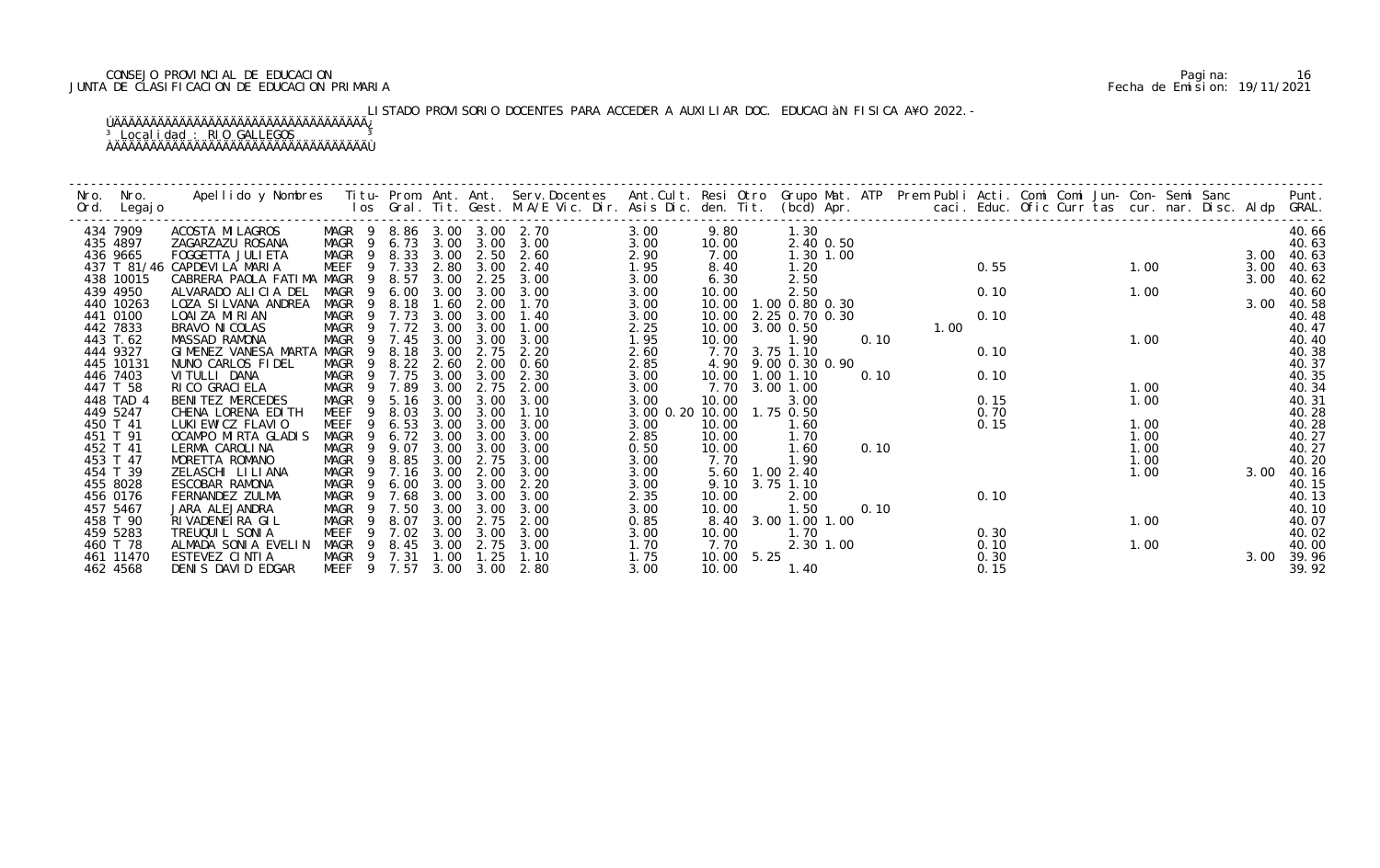# CONSEJO PROVINCIAL DE EDUCACION Pagina: 16 JUNTA DE CLASIFICACION DE EDUCACION PRIMARIA Fecha de Emision: 19/11/2021

# LISTADO PROVISORIO DOCENTES PARA ACCEDER A AUXILIAR DOC. EDUCACIàN FISICA A¥O 2022.-

| Nro.<br>Ord. | Nro.<br>Legaj o | Apellido y Nombres - Titu- Prom. Ant. Ant. Serv.Docentes - Ant.Cult. Resi Otro Grupo Mat. ATP Prem Publi Acti. Comi Comi Jun- Con- Semi Sanc - - - Punt.<br>Ios Gral. Tit. Gest. M.A/E Vic. Dir. Asis Dic. den. Tit. (bcd) Apr. - |                  |                |        |      |      |                            |           |       |            |                     |           |      |      |      |  |      |      |       |
|--------------|-----------------|-----------------------------------------------------------------------------------------------------------------------------------------------------------------------------------------------------------------------------------|------------------|----------------|--------|------|------|----------------------------|-----------|-------|------------|---------------------|-----------|------|------|------|--|------|------|-------|
|              |                 |                                                                                                                                                                                                                                   |                  |                |        |      |      |                            |           |       |            |                     |           |      |      |      |  |      |      |       |
|              | 434 7909        | ACOSTA MI LAGROS                                                                                                                                                                                                                  |                  |                |        |      |      | MAGR 9 8.86 3.00 3.00 2.70 | 3.00      | 9.80  |            | 1.30                |           |      |      |      |  |      |      | 40.66 |
|              | 435 4897        | ZAGARZAZU ROSANA                                                                                                                                                                                                                  | MAGR 9 6.73 3.00 |                |        |      | 3.00 | 3.00                       | 3.00      | 10.00 |            |                     | 2.40 0.50 |      |      |      |  |      |      | 40.63 |
|              | 436 9665        | FOGGETTA JULI ETA                                                                                                                                                                                                                 | MAGR 9 8.33      |                |        | 3.00 | 2.50 | 2.60                       | 2.90      | 7.00  |            | 1.30 1.00           |           |      |      |      |  |      | 3.00 | 40.63 |
|              |                 | 437 T 81/46 CAPDEVILA MARIA                                                                                                                                                                                                       | MEEF             |                | 9 7.33 | 2.80 | 3.00 | 2.40                       | 1.95      | 8.40  |            | 1.20                |           |      |      | 0.55 |  | 1.00 | 3.00 | 40.63 |
|              | 438 10015       | CABRERA PAOLA FATIMA MAGR                                                                                                                                                                                                         |                  | 9              | 8.57   | 3.00 | 2.25 | 3.00                       | 3.00      | 6.30  |            | 2.50                |           |      |      |      |  |      | 3.00 | 40.62 |
|              | 439 4950        | ALVARADO ALICIA DEL                                                                                                                                                                                                               | MAGR             | 9              | 6.00   | 3.00 | 3.00 | 3.00                       | 3.00      | 10.00 |            | 2.50                |           |      |      | 0.10 |  | 1.00 |      | 40.60 |
|              | 440 10263       | LOZA SI LVANA ANDREA                                                                                                                                                                                                              | MAGR             |                | 9 8.18 | 1.60 | 2.00 | 1.70                       | 3.00      | 10.00 |            | 1.00 0.80 0.30      |           |      |      |      |  |      | 3.00 | 40.58 |
|              | 441 0100        | LOAI ZA MIRIAN                                                                                                                                                                                                                    | MAGR             |                | 9 7.73 | 3.00 | 3.00 | 1.40                       | 3.00      | 10.00 |            | 2.25 0.70 0.30      |           |      |      | 0.10 |  |      |      | 40.48 |
|              | 442 7833        | BRAVO NI COLAS                                                                                                                                                                                                                    | MAGR             | - 9            | 7.72   | 3.00 | 3.00 | 1.00                       | 2.25      | 10.00 |            | 3.00 0.50           |           |      | 1.00 |      |  |      |      | 40.47 |
|              | 443 T.62        | MASSAD RAMONA                                                                                                                                                                                                                     | MAGR             | - 9            | 7.45   | 3.00 | 3.00 | 3.00                       | 1.95      | 10.00 |            | 1.90                |           | 0.10 |      |      |  | 1.00 |      | 40.40 |
|              | 444 9327        | GIMENEZ VANESA MARTA                                                                                                                                                                                                              | MAGR             | 9              | 8.18   | 3.00 | 2.75 | 2.20                       | 2.60      | 7.70  |            | 3.75 1.10           |           |      |      | 0.10 |  |      |      | 40.38 |
|              | 445 10131       | NUNO CARLOS FIDEL                                                                                                                                                                                                                 | MAGR             | - 9            | 8.22   | 2.60 | 2.00 | 0.60                       | 2.85      |       |            | 4.90 9.00 0.30 0.90 |           |      |      |      |  |      |      | 40.37 |
|              | 446 7403        | VI TULLI DANA                                                                                                                                                                                                                     | MAGR 9           |                | 7.75   | 3.00 | 3.00 | 2.30                       | 3.00      | 10.00 |            | 1.001.10            |           | 0.10 |      | 0.10 |  |      |      | 40.35 |
|              | 447 T 58        | RI CO GRACI ELA                                                                                                                                                                                                                   | MAGR             | - 9            | 7.89   | 3.00 | 2.75 | 2.00                       | 3.00      | 7.70  |            | 3.00 1.00           |           |      |      |      |  | 1.00 |      | 40.34 |
|              | 448 TAD 4       | BENITEZ MERCEDES                                                                                                                                                                                                                  | MAGR             | $\overline{9}$ | 5.16   | 3.00 | 3.00 | 3.00                       | 3.00      | 10.00 |            | 3.00                |           |      |      | 0.15 |  | 1.00 |      | 40.31 |
|              | 449 5247        | CHENA LORENA EDITH                                                                                                                                                                                                                | MEEF             | 9              | 8.03   | 3.00 | 3.00 | 1.10                       | 3.00 0.20 |       |            | 10.00  1.75  0.50   |           |      |      | 0.70 |  |      |      | 40.28 |
|              | 450 T 41        | LUKI EWI CZ FLAVI O                                                                                                                                                                                                               | <b>MEEF</b>      |                | 6.53   | 3.00 | 3.00 | 3.00                       | 3.00      | 10.00 |            | 1.60                |           |      |      | 0.15 |  | 1.00 |      | 40.28 |
|              | 451 T 91        | OCAMPO MIRTA GLADIS                                                                                                                                                                                                               | MAGR             | 9              | 6.72   | 3.00 | 3.00 | 3.00                       | 2.85      | 10.00 |            | 1.70                |           |      |      |      |  | 1.00 |      | 40.27 |
|              | 452 T 41        | LERMA CAROLINA                                                                                                                                                                                                                    | MAGR             | - 9            | 9.07   | 3.00 | 3.00 | 3.00                       | 0.50      | 10.00 |            | 1.60                |           | 0.10 |      |      |  | 1.00 |      | 40.27 |
|              | 453 T 47        | MORETTA ROMANO                                                                                                                                                                                                                    | MAGR             | 9              | 8.85   | 3.00 | 2.75 | 3.00                       | 3.00      | 7.70  |            | 1.90                |           |      |      |      |  | 1.00 |      | 40.20 |
|              | 454 T 39        | ZELASCHI LILIANA                                                                                                                                                                                                                  | MAGR             | - 9            | 7.16   | 3.00 | 2.00 | 3.00                       | 3.00      |       |            | 5.60 1.00 2.40      |           |      |      |      |  | 1.00 | 3.00 | 40.16 |
|              | 455 8028        | ESCOBAR RAMONA                                                                                                                                                                                                                    | MAGR             | 9              | 6.00   | 3.00 | 3.00 | 2.20                       | 3.00      | 9.10  |            | 3.75 1.10           |           |      |      |      |  |      |      | 40.15 |
|              | 456 0176        | FERNANDEZ ZULMA                                                                                                                                                                                                                   | MAGR             | 9              | 7.68   | 3.00 | 3.00 | 3.00                       | 2.35      | 10.00 |            | 2.00                |           |      |      | 0.10 |  |      |      | 40.13 |
|              | 457 5467        | JARA ALEJANDRA                                                                                                                                                                                                                    | MAGR             | - 9            | 7.50   | 3.00 | 3.00 | 3.00                       | 3.00      | 10.00 |            | 1.50                |           | 0.10 |      |      |  |      |      | 40.10 |
|              | 458 T 90        | RIVADENEIRA GIL                                                                                                                                                                                                                   | MAGR             | -9             | 8.07   | 3.00 | 2.75 | 2.00                       | 0.85      | 8.40  |            | 3.00 1.00 1.00      |           |      |      |      |  | 1.00 |      | 40.07 |
|              | 459 5283        | TREUQUI L SONI A                                                                                                                                                                                                                  | MEEF             | 9              | 7.02   | 3.00 | 3.00 | 3.00                       | 3.00      | 10.00 |            | 1.70                |           |      |      | 0.30 |  |      |      | 40.02 |
|              | 460 T 78        | ALMADA SONIA EVELIN                                                                                                                                                                                                               | MAGR             | - 9            | 8.45   | 3.00 | 2.75 | 3.00                       | 1.70      | 7.70  |            |                     | 2.30 1.00 |      |      | 0.10 |  | 1.00 |      | 40.00 |
|              | 461 11470       | ESTEVEZ CINTIA                                                                                                                                                                                                                    | MAGR 9 7.31      |                |        | 1.00 | 1.25 | 1.10                       | 1.75      |       | 10.00 5.25 |                     |           |      |      | 0.30 |  |      | 3.00 | 39.96 |
|              | 462 4568        | DENIS DAVID EDGAR                                                                                                                                                                                                                 | MEEF 9 7.57      |                |        | 3.00 | 3.00 | 2.80                       | 3.00      | 10.00 |            | 1.40                |           |      |      | 0.15 |  |      |      | 39.92 |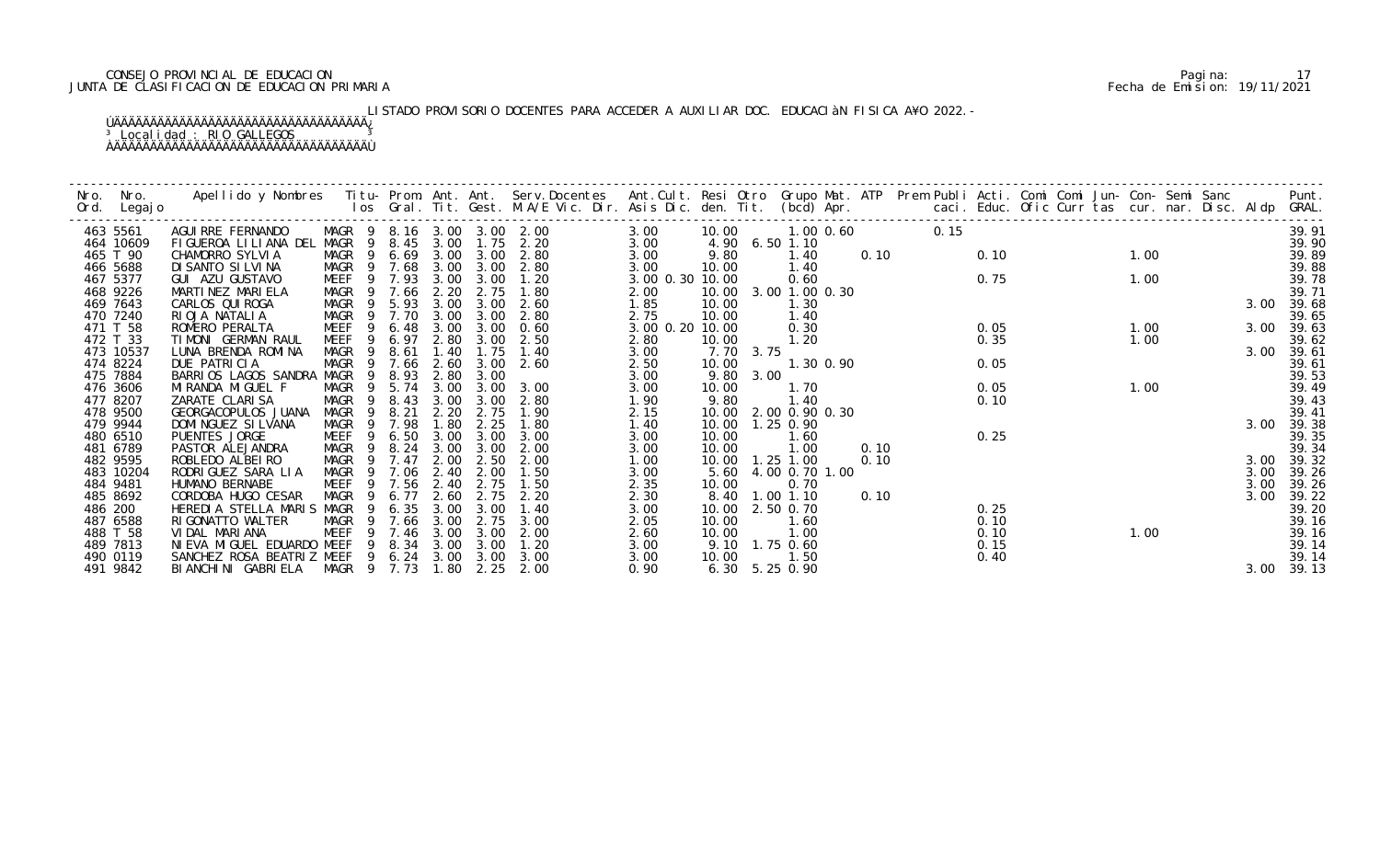# CONSEJO PROVINCIAL DE EDUCACION Pagina: 17 JUNTA DE CLASIFICACION DE EDUCACION PRIMARIA Fecha de Emision: 19/11/2021

# LISTADO PROVISORIO DOCENTES PARA ACCEDER A AUXILIAR DOC. EDUCACIàN FISICA A¥O 2022.-

| Nro.<br>Ord. Legajo   | Nro. | Apellido y Nombres Iitu-Prom. Ant. Ant. Serv.Docentes Ant.Cult. Resi Otro Grupo Mat. ATP Prem Publi Acti. Comi Comi Jun-Con-Semi Sanc Punt.<br>Ios Gral. Tit. Gest. M.A/E Vic. Dir. Asis Dic. den. Tit. (bcd) Apr. |                            |                |        |              |                       |                                       |                 |                           |      |                |      |      |      |  |        |      |  |              |                |
|-----------------------|------|--------------------------------------------------------------------------------------------------------------------------------------------------------------------------------------------------------------------|----------------------------|----------------|--------|--------------|-----------------------|---------------------------------------|-----------------|---------------------------|------|----------------|------|------|------|--|--------|------|--|--------------|----------------|
| 463 5561              |      | AGUI RRE FERNANDO                                                                                                                                                                                                  |                            |                |        |              |                       | MAGR 9 8.16 3.00 3.00 2.00            | 3.00            | 10.00                     |      | 1.00 0.60      |      | 0.15 |      |  |        |      |  |              | 39.91          |
| 464 10609             |      | FIGUEROA LILIANA DEL MAGR 9 8.45                                                                                                                                                                                   |                            | - 9            |        | 3.00         |                       | $1.75$ $2.20$                         | 3.00            |                           |      | 4.90 6.50 1.10 |      |      |      |  | $1.00$ |      |  |              | 39.90          |
| 465 T 90              |      | CHAMORRO SYLVIA                                                                                                                                                                                                    | MAGR<br>MAGR 9 7.68        |                |        |              |                       | 6.69 3.00 3.00 2.80<br>3.00 3.00 2.80 | 3.00<br>3.00    | 9.80<br>10.00             |      | 1.40<br>1.40   | 0.10 |      | 0.10 |  |        |      |  |              | 39.89<br>39.88 |
| 466 5688<br>467 5377  |      | DI SANTO SI LVI NA<br>GUI AZU GUSTAVO                                                                                                                                                                              | <b>MEEF</b>                |                | 9 7.93 |              | 3.00 3.00             | 1.20                                  | 3.00 0.30 10.00 |                           |      | 0.60           |      |      | 0.75 |  |        | 1.00 |  |              | 39.78          |
| 468 9226              |      | MARTINEZ MARIELA                                                                                                                                                                                                   | MAGR 9                     |                | 7.66   | 2.20         | 2.75                  | 1.80                                  | 2.00            | 10.00                     |      | 3.00 1.00 0.30 |      |      |      |  |        |      |  |              | 39.71          |
| 469 7643              |      | CARLOS QUI ROGA                                                                                                                                                                                                    | MAGR                       | 9              | 5.93   | 3.00         | 3.00                  | 2.60                                  | 1.85            | 10.00                     |      | 1.30           |      |      |      |  |        |      |  | 3.00         | 39.68          |
| 470 7240              |      | RIOJA NATALIA                                                                                                                                                                                                      | MAGR 9 7.70                |                |        | 3.00         | 3.00                  | 2.80                                  | 2.75            | 10.00                     |      | 1.40           |      |      |      |  |        |      |  |              | 39.65          |
| 471 T 58              |      | ROMERO PERALTA                                                                                                                                                                                                     | MEEF                       | 9              | 6.48   | 3.00         |                       | $3.00 \quad 0.60$                     | 3.00 0.20 10.00 |                           |      | 0.30           |      |      | 0.05 |  |        | 1.00 |  | 3.00         | 39.63          |
| 472 T 33              |      | TIMONI GERMAN RAUL                                                                                                                                                                                                 | MEEF                       | 9              | 6.97   | 2.80         | 3.00                  | 2.50                                  | 2.80            | 10.00                     |      | 1.20           |      |      | 0.35 |  |        | 1.00 |  |              | 39.62          |
| 473 10537             |      | LUNA BRENDA ROMINA                                                                                                                                                                                                 | MAGR                       | - 9            | 8.61   | 1.40         | 1.75                  | 1.40                                  | 3.00            | 7.70 3.75                 |      |                |      |      |      |  |        |      |  | 3.00         | 39.61          |
| 474 8224              |      | DUE PATRICIA                                                                                                                                                                                                       |                            |                |        |              | MAGR 9 7.66 2.60 3.00 | 2.60                                  | 2.50            | 10.00                     |      | 1.30 0.90      |      |      | 0.05 |  |        |      |  |              | 39.61          |
| 475 7884              |      | BARRIOS LAGOS SANDRA MAGR                                                                                                                                                                                          |                            | - 9            | 8.93   | 2.80         | 3.00                  |                                       | 3.00            | 9.80                      | 3.00 |                |      |      |      |  |        |      |  |              | 39.53          |
| 476 3606              |      | MI RANDA MI GUEL F                                                                                                                                                                                                 | MAGR 9                     |                | 5.74   | 3.00         | 3.00                  | 3.00                                  | 3.00            | 10.00                     |      | 1.70           |      |      | 0.05 |  |        | 1.00 |  |              | 39.49          |
| 477 8207              |      | ZARATE CLARISA                                                                                                                                                                                                     | MAGR 9 8.43                |                |        | 3.00         | 3.00                  | 2.80                                  | 1.90            | 9.80                      |      | 1.40           |      |      | 0.10 |  |        |      |  |              | 39.43          |
| 478 9500              |      | GEORGACOPULOS JUANA                                                                                                                                                                                                | MAGR 9 8.21                |                |        | 2.20         | 2.75                  | 1.90                                  | 2.15            | 10.00 2.00 0.90 0.30      |      |                |      |      |      |  |        |      |  |              | 39.41          |
| 479 9944              |      | DOMI NGUEZ SI LVANA                                                                                                                                                                                                | MAGR                       | $\overline{9}$ | 7.98   | 1.80         | 2.25                  | 1.80                                  | 1.40            | 10.00  1.25  0.90         |      |                |      |      |      |  |        |      |  | 3.00         | 39.38          |
| 480 6510              |      | PUENTES JORGE                                                                                                                                                                                                      | MEEF                       | - 9            | 6.50   | 3.00         | 3.00                  | 3.00                                  | 3.00            | 10.00                     |      | 1.60           |      |      | 0.25 |  |        |      |  |              | 39.35          |
| 481 6789              |      | PASTOR ALEJANDRA                                                                                                                                                                                                   | MAGR 9                     |                | 8.24   | 3.00         | 3.00                  | 2.00                                  | 3.00            | 10.00                     |      | 1.00           | 0.10 |      |      |  |        |      |  |              | 39.34          |
| 482 9595<br>483 10204 |      | ROBLEDO ALBEIRO<br>RODRI GUEZ SARA LIA                                                                                                                                                                             | MAGR 9 7.47<br>MAGR 9 7.06 |                |        | 2.00<br>2.40 | 2.50<br>2.00          | 2.00<br>1.50                          | 1.00<br>3.00    | 10.00  1.25  1.00<br>5.60 |      | 4.00 0.70 1.00 | 0.10 |      |      |  |        |      |  | 3.00<br>3.00 | 39.32<br>39.26 |
| 484 9481              |      | HUMANO BERNABE                                                                                                                                                                                                     | MEEF                       | 9              | 7.56   | 2.40         | 2.75                  | 1.50                                  | 2.35            | 10.00                     |      | 0.70           |      |      |      |  |        |      |  | 3.00         | 39.26          |
| 485 8692              |      | CORDOBA HUGO CESAR                                                                                                                                                                                                 | MAGR                       | - 9            | 6.77   | 2.60         | 2.75                  | 2.20                                  | 2.30            |                           |      | 8.40 1.00 1.10 | 0.10 |      |      |  |        |      |  | 3.00         | 39.22          |
| 486 200               |      | HEREDIA STELLA MARIS MAGR                                                                                                                                                                                          |                            | - 9            | 6.35   | 3.00         | 3.00                  | 1.40                                  | 3.00            | 10.00 2.50 0.70           |      |                |      |      | 0.25 |  |        |      |  |              | 39.20          |
| 487 6588              |      | RIGONATTO WALTER                                                                                                                                                                                                   | MAGR                       |                | 9 7.66 | 3.00         | 2.75                  | 3.00                                  | 2.05            | 10.00                     |      | 1.60           |      |      | 0.10 |  |        |      |  |              | 39.16          |
| 488 T 58              |      | VIDAL MARIANA                                                                                                                                                                                                      | MEEF                       |                | 9 7.46 | 3.00         | 3.00                  | 2.00                                  | 2.60            | 10.00                     |      | 1.00           |      |      | 0.10 |  |        | 1.00 |  |              | 39.16          |
| 489 7813              |      | NI EVA MI GUEL EDUARDO MEEF 9 8.34                                                                                                                                                                                 |                            |                |        | 3.00         | 3.00                  | 1.20                                  | 3.00            |                           |      | 9.10 1.75 0.60 |      |      | 0.15 |  |        |      |  |              | 39.14          |
| 490 0119              |      | SANCHEZ ROSA BEATRIZ MEEF 9 6.24 3.00 3.00                                                                                                                                                                         |                            |                |        |              |                       | 3.00                                  | 3.00            | 10.00                     |      | 1.50           |      |      | 0.40 |  |        |      |  |              | 39.14          |
| 491 9842              |      | BI ANCHI NI GABRI ELA                                                                                                                                                                                              | MAGR 9 7.73                |                |        |              | 1.80 2.25             | 2.00                                  | 0.90            |                           |      | 6.30 5.25 0.90 |      |      |      |  |        |      |  | 3.00         | 39.13          |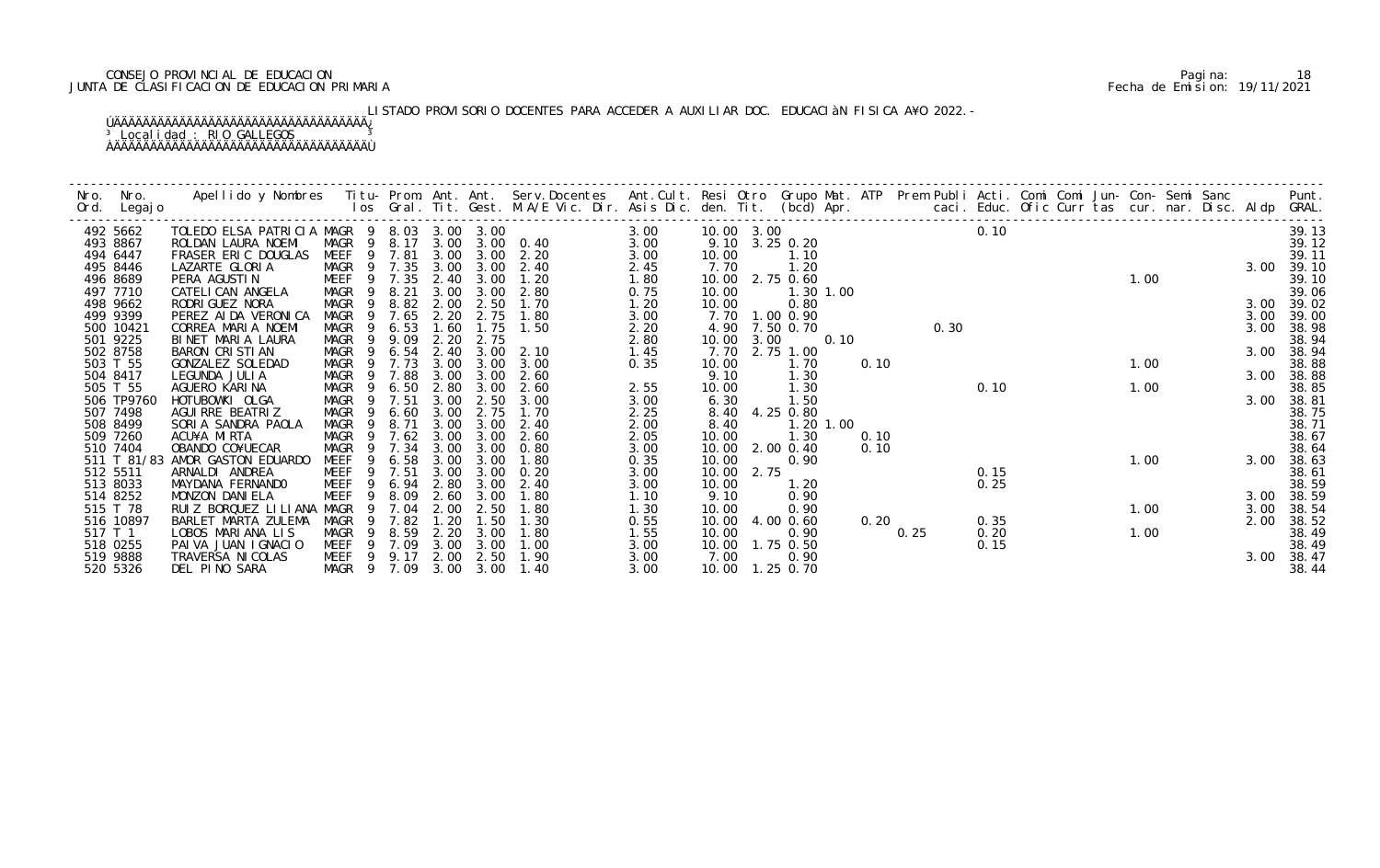# CONSEJO PROVINCIAL DE EDUCACION Pagina: 18 JUNTA DE CLASIFICACION DE EDUCACION PRIMARIA Fecha de Emision: 19/11/2021

# LISTADO PROVISORIO DOCENTES PARA ACCEDER A AUXILIAR DOC. EDUCACIàN FISICA A¥O 2022.-

| Nro. | Nro.<br>Ord. Legajo     | Apellido y Nombres - Titu- Prom. Ant. Ant. Serv.Docentes - Ant.Cult. Resi Otro Grupo Mat. ATP Prem Publi Acti. Comi Comi Jun- Con- Semi Sanc - - - Punt.<br>Ios Gral. Tit. Gest. M.A/E Vic. Dir. Asis Dic. den. Tit. (bcd) Apr. - |                            |                      |              |              |              |                                 |              |                |      |                           |           |      |      |      |      |  |      |  |      |                |
|------|-------------------------|-----------------------------------------------------------------------------------------------------------------------------------------------------------------------------------------------------------------------------------|----------------------------|----------------------|--------------|--------------|--------------|---------------------------------|--------------|----------------|------|---------------------------|-----------|------|------|------|------|--|------|--|------|----------------|
|      | 492 5662                | TOLEDO ELSA PATRICIA MAGR 9 8.03 3.00 3.00                                                                                                                                                                                        |                            |                      |              |              |              |                                 | 3.00         | 10.00 3.00     |      |                           |           |      |      |      | 0.10 |  |      |  |      | 39.13          |
|      | 493 8867<br>494 6447    | ROLDAN LAURA NOEMI<br>FRASER ERIC DOUGLAS                                                                                                                                                                                         | MAGR 9 8.17<br>MEEF 9 7.81 |                      |              | 3.00         |              | 3.00 3.00 0.40<br>$3.00$ $2.20$ | 3.00<br>3.00 | 10.00          |      | 9.10 3.25 0.20<br>1.10    |           |      |      |      |      |  |      |  |      | 39.12<br>39.11 |
|      | 495 8446                | LAZARTE GLORIA                                                                                                                                                                                                                    | MAGR 9 7.35                |                      |              | 3.00         | 3.00         | 2.40                            | 2.45         | 7.70           |      | 1.20                      |           |      |      |      |      |  |      |  | 3.00 | 39.10          |
|      | 496 8689                | PERA AGUSTIN                                                                                                                                                                                                                      | MEEF                       | 9 7.35               |              | 2.40         | 3.00         | 1.20                            | 1.80         | 10.00          |      | 2.75 0.60                 |           |      |      |      |      |  | 1.00 |  |      | 39.10          |
|      | 497 7710                | CATELI CAN ANGELA                                                                                                                                                                                                                 | MAGR                       | - 9                  | 8.21         | 3.00         | 3.00         | 2.80                            | 0.75         | 10.00          |      |                           | 1.30 1.00 |      |      |      |      |  |      |  |      | 39.06          |
|      | 498 9662                | RODRI GUEZ NORA                                                                                                                                                                                                                   | MAGR                       | -9                   | 8.82         | 2.00         | 2.50         | 1.70                            | 1.20         | 10.00          |      | 0.80                      |           |      |      |      |      |  |      |  | 3.00 | 39.02          |
|      | 499 9399                | PEREZ AI DA VERONI CA                                                                                                                                                                                                             | MAGR                       | -9                   | 7.65         | 2.20         | 2.75         | 1.80                            | 3.00         |                |      | 7.70 1.00 0.90            |           |      |      |      |      |  |      |  | 3.00 | 39.00          |
|      | 500 10421               | CORREA MARIA NOEMI                                                                                                                                                                                                                | MAGR                       | 9                    | 6.53         | 1.60         | 1.75         | 1.50                            | 2.20         |                |      | 4.90 7.50 0.70            |           |      |      | 0.30 |      |  |      |  | 3.00 | 38.98          |
|      | 501 9225                | BINET MARIA LAURA                                                                                                                                                                                                                 | MAGR                       | -9                   | 9.09         | 2.20         | 2.75         |                                 | 2.80         | 10.00          | 3.00 |                           | 0.10      |      |      |      |      |  |      |  |      | 38.94          |
|      | 502 8758<br>503 T 55    | BARON CRISTIAN<br>GONZALEZ SOLEDAD                                                                                                                                                                                                | MAGR<br>MAGR               | $\overline{9}$<br>-9 | 6.54<br>7.73 | 2.40<br>3.00 | 3.00         | $3.00$ $2.10$<br>3.00           | 1.45<br>0.35 | 7.70<br>10.00  |      | 2.75 1.00<br>1.70         |           | 0.10 |      |      |      |  | 1.00 |  | 3.00 | 38.94<br>38.88 |
|      | 504 8417                | LEGUNDA JULIA                                                                                                                                                                                                                     | MAGR                       | 9                    | 7.88         | 3.00         | 3.00         | 2.60                            |              | 9.10           |      | 1.30                      |           |      |      |      |      |  |      |  | 3.00 | 38.88          |
|      | 505 T 55                | AGUERO KARINA                                                                                                                                                                                                                     | MAGR                       |                      | 6.50         | 2.80         | 3.00         | 2.60                            | 2.55         | 10.00          |      | 1.30                      |           |      |      |      | 0.10 |  | 1.00 |  |      | 38.85          |
|      | 506 TP9760              | HOTUBOWKI OLGA                                                                                                                                                                                                                    | MAGR                       | 9                    | 7.51         | 3.00         | 2.50         | 3.00                            | 3.00         | 6.30           |      | 1.50                      |           |      |      |      |      |  |      |  | 3.00 | 38.81          |
|      | 507 7498                | AGUI RRE BEATRIZ                                                                                                                                                                                                                  | MAGR                       | 9                    | 6.60         | 3.00         | 2.75         | 1.70                            | 2.25         | 8.40           |      | 4.25 0.80                 |           |      |      |      |      |  |      |  |      | 38.75          |
|      | 508 8499                | SORIA SANDRA PAOLA                                                                                                                                                                                                                | <b>MAGR</b>                | 9                    | 8.71         | 3.00         | 3.00         | 2.40                            | 2.00         | 8.40           |      |                           | 1.20 1.00 |      |      |      |      |  |      |  |      | 38.71          |
|      | 509 7260                | ACU¥A MIRTA                                                                                                                                                                                                                       | <b>MAGR</b>                |                      | 7.62         | 3.00         | 3.00         | 2.60                            | 2.05         | 10.00          |      | 1.30                      |           | 0.10 |      |      |      |  |      |  |      | 38.67          |
|      | 510 7404                | OBANDO CO¥UECAR                                                                                                                                                                                                                   | MAGR                       |                      | 7.34         | 3.00         | 3.00         | 0.80                            | 3.00         | 10.00          |      | 2.00 0.40                 |           | 0.10 |      |      |      |  |      |  |      | 38.64          |
|      | 511 T 81/83<br>512 5511 | AMOR GASTON EDUARDO<br>ARNALDI ANDREA                                                                                                                                                                                             | MEEF<br>MEEF               | 9<br>9               | 6.58<br>7.51 | 3.00<br>3.00 | 3.00<br>3.00 | 1.80<br>0.20                    | 0.35<br>3.00 | 10.00<br>10.00 | 2.75 | 0.90                      |           |      |      |      | 0.15 |  | 1.00 |  | 3.00 | 38.63<br>38.61 |
|      | 513 8033                | MAYDANA FERNANDO                                                                                                                                                                                                                  | MEEF                       |                      | 6.94         | 2.80         | 3.00         | 2.40                            | 3.00         | 10.00          |      | 1.20                      |           |      |      |      | 0.25 |  |      |  |      | 38.59          |
|      | 514 8252                | MONZON DANIELA                                                                                                                                                                                                                    | MEEF                       | 9                    | 8.09         | 2.60         | 3.00         | 1.80                            | 1.10         | 9.10           |      | 0.90                      |           |      |      |      |      |  |      |  | 3.00 | 38.59          |
|      | 515 T 78                | RUIZ BORQUEZ LILIANA MAGR                                                                                                                                                                                                         |                            | -9                   | 7.04         | 2.00         | 2.50         | 1.80                            | 1.30         | 10.00          |      | 0.90                      |           |      |      |      |      |  | 1.00 |  | 3.00 | 38.54          |
|      | 516 10897               | BARLET MARTA ZULEMA                                                                                                                                                                                                               | MAGR                       | 9                    | 7.82         | 1.20         | 1.50         | 1.30                            | 0.55         | 10.00          |      | 4.00 0.60                 |           | 0.20 |      |      | 0.35 |  |      |  | 2.00 | 38.52          |
|      | 517 T 1                 | LOBOS MARIANA LIS                                                                                                                                                                                                                 | MAGR                       |                      | 8.59         | 2.20         | 3.00         | 1.80                            | 1.55         | 10.00          |      | 0.90                      |           |      | 0.25 |      | 0.20 |  | 1.00 |  |      | 38.49          |
|      | 518 0255                | PAIVA JUAN IGNACIO                                                                                                                                                                                                                | MEEF                       | - 9                  | 7.09         | 3.00         | 3.00         | 1.00                            | 3.00         |                |      | 10.00  1.75  0.50         |           |      |      |      | 0.15 |  |      |  |      | 38.49          |
|      | 519 9888<br>520 5326    | TRAVERSA NI COLAS<br>DEL PINO SARA                                                                                                                                                                                                | MEEF 9 9.17<br>MAGR 9 7.09 |                      |              | 2.00<br>3.00 | 2.50<br>3.00 | 1.90<br>1.40                    | 3.00<br>3.00 | 7.00           |      | 0.90<br>10.00  1.25  0.70 |           |      |      |      |      |  |      |  | 3.00 | 38.47<br>38.44 |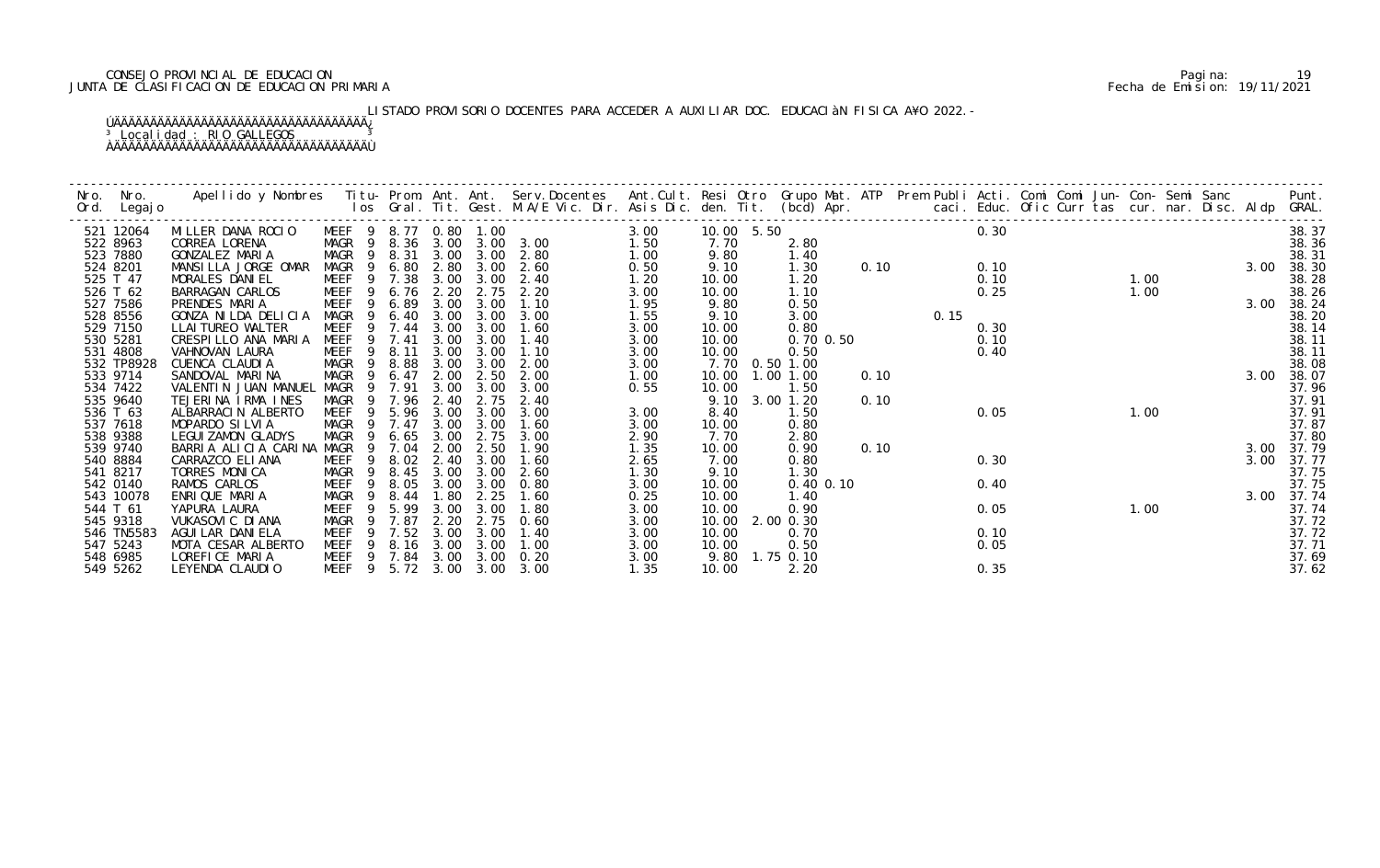# CONSEJO PROVINCIAL DE EDUCACION Pagina: 19 JUNTA DE CLASIFICACION DE EDUCACION PRIMARIA Fecha de Emision: 19/11/2021

# LISTADO PROVISORIO DOCENTES PARA ACCEDER A AUXILIAR DOC. EDUCACIÀN FISICA A¥O 2022.-

| Nro. | Nro.<br>Ord. Legajo    | Apellido y Nombres  Titu- Prom. Ant. Ant. Serv.Docentes  Ant.Cult. Resi Otro Grupo Mat. ATP Prem Publi Acti. Comi Comi Jun- Con- Semi Sanc         Punt.<br>Ios Gral. Tit. Gest. M.A/E Vic. Dir. Asis Dic. den. Tit. (bcd) Apr. |                         |              |              |                   |                |              |                |                |      |      |              |      |      |  |      |                     |
|------|------------------------|---------------------------------------------------------------------------------------------------------------------------------------------------------------------------------------------------------------------------------|-------------------------|--------------|--------------|-------------------|----------------|--------------|----------------|----------------|------|------|--------------|------|------|--|------|---------------------|
|      | 521 12064              | MILLER DANA ROCIO                                                                                                                                                                                                               | MEEF 9                  |              |              | 8.77 0.80 1.00    |                | 3.00         | 10.00 5.50     |                |      |      | 0.30         |      |      |  |      | 38.37               |
|      | 522 8963               | CORREA LORENA                                                                                                                                                                                                                   | MAGR 9                  | 8.36         |              |                   | 3.00 3.00 3.00 | 1.50         | 7.70           | 2.80           |      |      |              |      |      |  |      | 38.36               |
|      | 523 7880               | GONZALEZ MARIA                                                                                                                                                                                                                  | MAGR<br>- 9             | 8.31         |              |                   | 3.00 3.00 2.80 | 1.00         | 9.80           | 1.40           |      |      |              |      |      |  |      | 38.31               |
|      | 524 8201               | MANSILLA JORGE OMAR                                                                                                                                                                                                             | MAGR<br>- 9             | 6.80         | 2.80         | 3.00              | 2.60           | 0.50         | 9.10           | 1.30           | 0.10 |      | 0.10         |      |      |  | 3.00 | 38.30               |
|      | 525 T 47               | MORALES DANIEL                                                                                                                                                                                                                  | MEEF<br>- 9             | 7.38         |              | 3.00 3.00         | 2.40           | 1.20         | 10.00          | 1.20           |      |      | 0.10         |      | 1.00 |  |      | 38.28               |
|      | 526 T 62               | BARRAGAN CARLOS                                                                                                                                                                                                                 | MEEF<br>- 9<br>9        | 6.76         | 2.20         | 2.75              | 2.20<br>1.10   | 3.00         | 10.00          | 1.10           |      |      | 0.25         |      | 1.00 |  |      | 38.26               |
|      | 527 7586<br>528 8556   | PRENDES MARIA<br>GONZA NILDA DELICIA                                                                                                                                                                                            | MEEF<br>MAGR<br>- 9     | 6.89<br>6.40 | 3.00<br>3.00 | 3.00<br>3.00      | 3.00           | 1.95<br>1.55 | 9.80<br>9.10   | 0.50<br>3.00   |      | 0.15 |              |      |      |  |      | 3.00 38.24<br>38.20 |
|      | 529 7150               | LLAI TUREO WALTER                                                                                                                                                                                                               | MEEF<br>9               | 7.44         | 3.00         | 3.00              | 1.60           | 3.00         | 10.00          | 0.80           |      |      | 0.30         |      |      |  |      | 38.14               |
|      | 530 5281               | CRESPILLO ANA MARIA                                                                                                                                                                                                             | <b>MEEF</b><br>-9       | 7.41         | 3.00         | 3.00              | 1.40           | 3.00         | 10.00          | 0.70 0.50      |      |      | 0.10         |      |      |  |      | 38.11               |
|      | 531 4808               | VAHNOVAN LAURA                                                                                                                                                                                                                  | MEEF                    | 8.11         | 3.00         | 3.00              | 1.10           | 3.00         | 10.00          | 0.50           |      |      | 0.40         |      |      |  |      | 38.11               |
|      | 532 TP8928             | CUENCA CLAUDIA                                                                                                                                                                                                                  | MAGR<br>- 9             | 8.88         | 3.00         | 3.00              | 2.00           | 3.00         |                | 7.70 0.50 1.00 |      |      |              |      |      |  |      | 38.08               |
|      | 533 9714               | SANDOVAL MARINA                                                                                                                                                                                                                 | MAGR<br>- 9             | 6.47         | 2.00         | 2.50              | 2.00           | 1.00         | 10.00          | 1.00 1.00      | 0.10 |      |              |      |      |  | 3.00 | 38.07               |
|      | 534 7422               | VALENTIN JUAN MANUEL                                                                                                                                                                                                            | MAGR<br>- 9             | 7.91         | 3.00         | 3.00              | 3.00           | 0.55         | 10.00          | 1.50           |      |      |              |      |      |  |      | 37.96               |
|      | 535 9640               | TEJERINA IRMA INES                                                                                                                                                                                                              | MAGR                    | 7.96         | 2.40         | 2.75              | 2.40           |              | 9.10           | 3.00 1.20      | 0.10 |      |              |      |      |  |      | 37.91               |
|      | 536 T 63               | ALBARRACIN ALBERTO                                                                                                                                                                                                              | MEEF                    | 5.96         | 3.00         | 3.00              | 3.00           | 3.00         | 8.40           | 1.50           |      |      | 0.05         | 1.00 |      |  |      | 37.91               |
|      | 537 7618               | MOPARDO SILVIA                                                                                                                                                                                                                  | MAGR                    | 7.47         | 3.00         | 3.00              | 1.60           | 3.00         | 10.00          | 0.80           |      |      |              |      |      |  |      | 37.87               |
|      | 538 9388               | <b>LEGUI ZAMON GLADYS</b>                                                                                                                                                                                                       | MAGR<br>9               | 6.65         | 3.00         | 2.75              | 3.00           | 2.90         | 7.70           | 2.80           |      |      |              |      |      |  |      | 37.80               |
|      | 539 9740               | BARRIA ALICIA CARINA                                                                                                                                                                                                            | MAGR<br>9               | 7.04         | 2.00         | 2.50              | 1.90           | 1.35         | 10.00          | 0.90           | 0.10 |      |              |      |      |  | 3.00 | 37.79               |
|      | 540 8884               | CARRAZCO ELIANA                                                                                                                                                                                                                 | MEEF                    | 8.02         | 2.40         | 3.00              | 1.60           | 2.65         | 7.00           | 0.80           |      |      | 0.30         |      |      |  | 3.00 | 37.77               |
|      | 541 8217               | TORRES MONICA                                                                                                                                                                                                                   | MAGR<br>- 9             | 8.45         | 3.00         | 3.00              | 2.60           | 1.30         | 9.10           | 1.30           |      |      |              |      |      |  |      | 37.75               |
|      | 542 0140               | RAMOS CARLOS                                                                                                                                                                                                                    | MEEF<br>- 9             | 8.05         | 3.00         | 3.00              | 0.80           | 3.00         | 10.00          | $0.40$ $0.10$  |      |      | 0.40         |      |      |  |      | 37.75               |
|      | 543 10078              | ENRIQUE MARIA                                                                                                                                                                                                                   | MAGR<br>-9              | 8.44         | 1.80         | 2.25              | 1.60           | 0.25         | 10.00          | 1.40           |      |      |              |      |      |  |      | 3.00 37.74          |
|      | 544 T 61               | YAPURA LAURA                                                                                                                                                                                                                    | MEEF                    | 5.99         | 3.00         | 3.00              | 1.80           | 3.00         | 10.00          | 0.90           |      |      | 0.05         |      | 1.00 |  |      | 37.74               |
|      | 545 9318               | VUKASOVI C DI ANA                                                                                                                                                                                                               | MAGR                    | 7.87<br>7.52 | 2.20         | 2.75              | 0.60           | 3.00         | 10.00          | 2.00 0.30      |      |      |              |      |      |  |      | 37.72               |
|      | 546 TN5583<br>547 5243 | AGUI LAR DANI ELA<br>MOTA CESAR ALBERTO                                                                                                                                                                                         | MEEF<br>9<br>MEEF<br>-9 | 8.16         | 3.00         | 3.00<br>3.00 3.00 | 1.40<br>1.00   | 3.00         | 10.00<br>10.00 | 0.70<br>0.50   |      |      | 0.10<br>0.05 |      |      |  |      | 37.72               |
|      | 548 6985               | LOREFICE MARIA                                                                                                                                                                                                                  | MEEF<br>9               | 7.84         | 3.00         | 3.00              | 0.20           | 3.00<br>3.00 | 9.80           | 1.75 0.10      |      |      |              |      |      |  |      | 37.71<br>37.69      |
|      | 549 5262               | LEYENDA CLAUDIO                                                                                                                                                                                                                 | MEEF <sub>9</sub>       | 5.72         |              | $3.00\quad 3.00$  | 3.00           | 1.35         | 10.00          | 2.20           |      |      | 0.35         |      |      |  |      | 37.62               |
|      |                        |                                                                                                                                                                                                                                 |                         |              |              |                   |                |              |                |                |      |      |              |      |      |  |      |                     |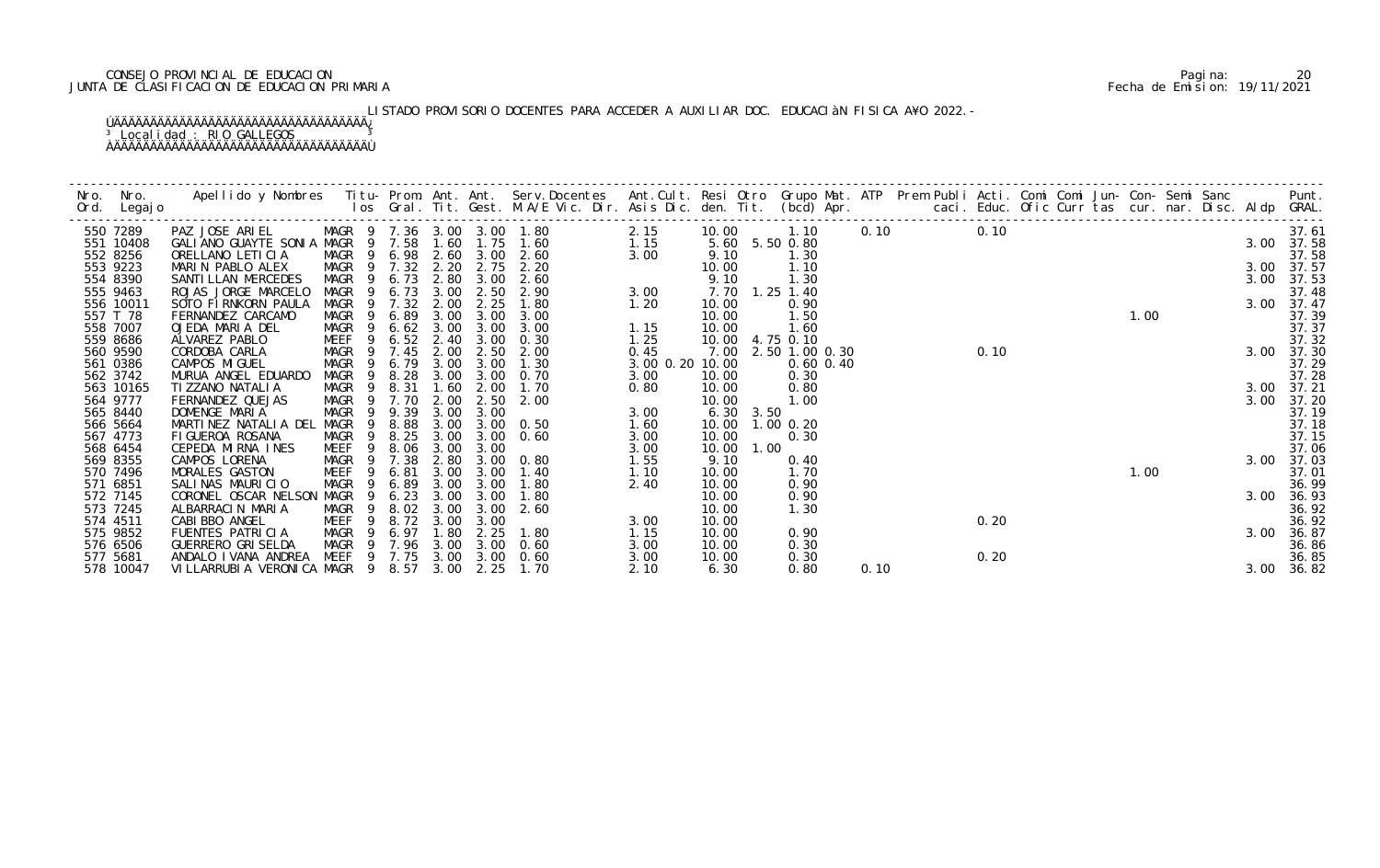# CONSEJO PROVINCIAL DE EDUCACION Pagina: 20 JUNTA DE CLASIFICACION DE EDUCACION PRIMARIA Fecha de Emision: 19/11/2021

# LISTADO PROVISORIO DOCENTES PARA ACCEDER A AUXILIAR DOC. EDUCACIÀN FISICA A¥O 2022.-

| 550 7289              | PAZ JOSE ARIEL MAGR 9 7.36 3.00 3.00 1.80<br>GALIANO GUAYTE SONIA MAGR 9 7.58 1.60 1.75 1.60 |                          |              |              |              |                           | 2.15            | 10.00          |      | 1.10                   |      | 0.10 | 0.10 |  |      |  |      | 37.61               |
|-----------------------|----------------------------------------------------------------------------------------------|--------------------------|--------------|--------------|--------------|---------------------------|-----------------|----------------|------|------------------------|------|------|------|--|------|--|------|---------------------|
| 551 10408<br>552 8256 | ORELLANO LETICIA                                                                             | MAGR 9                   | 6.98 2.60    |              |              | 1.15<br>$3.00 \quad 2.60$ | 3.00            | 9.10           |      | 5.60 5.50 0.80<br>1.30 |      |      |      |  |      |  |      | 3.00 37.58<br>37.58 |
| 553 9223              | MARIN PABLO ALEX                                                                             | MAGR 9 7.32              |              | 2.20         | 2.75         | 2.20                      |                 | 10.00          |      | 1.10                   |      |      |      |  |      |  | 3.00 | 37.57               |
| 554 8390              | SANTI LLAN MERCEDES                                                                          | MAGR<br>- 9              | 6.73         | 2.80         | 3.00         | 2.60                      |                 | 9.10           |      | 1.30                   |      |      |      |  |      |  | 3.00 | 37.53               |
| 555 9463              | ROJAS JORGE MARCELO                                                                          | MAGR<br>-9               | 6.73         | 3.00         | 2.50         | 2.90                      | 3.00            | 7.70           |      | $1.25$ 1.40            |      |      |      |  |      |  |      | 37.48               |
| 556 10011             | SOTO FIRNKORN PAULA                                                                          | MAGR                     | 7.32         | 2.00         | 2.25         | 1.80                      | 1.20            | 10.00          |      | 0.90                   |      |      |      |  |      |  |      | 3.00 37.47          |
| 557 T 78              | FERNANDEZ CARCAMO                                                                            | MAGR<br>- 9              | 6.89         | 3.00         | 3.00         | 3.00<br>3.00              |                 | 10.00          |      | 1.50                   |      |      |      |  | 1.00 |  |      | 37.39               |
| 558 7007<br>559 8686  | OJEDA MARIA DEL<br>ALVAREZ PABLO                                                             | MAGR<br>9<br>MEEF<br>9   | 6.62<br>6.52 | 3.00<br>2.40 | 3.00<br>3.00 | 0.30                      | 1.15<br>1.25    | 10.00<br>10.00 |      | 1.60<br>4.75 0.10      |      |      |      |  |      |  |      | 37.37<br>37.32      |
| 560 9590              | CORDOBA CARLA                                                                                | MAGR<br>- 9              | 7.45         | 2.00         | 2.50         | 2.00                      | 0.45            | 7.00           |      | 2.50 1.00 0.30         |      |      | 0.10 |  |      |  | 3.00 | 37.30               |
| 561 0386              | CAMPOS MIGUEL                                                                                | MAGR<br>9                | 6.79         | 3.00         | 3.00         | 1.30                      | 3.00 0.20 10.00 |                |      | $0.60$ $0.40$          |      |      |      |  |      |  |      | 37.29               |
| 562 3742              | MURUA ANGEL EDUARDO                                                                          | MAGR<br>- 9              | 8.28         | 3.00         | 3.00         | 0.70                      | 3.00            | 10.00          |      | 0.30                   |      |      |      |  |      |  |      | 37.28               |
| 563 10165             | TI ZZANO NATALI A                                                                            | MAGR<br>- 9              | 8.31         | 1.60         | 2.00         | 1.70                      | 0.80            | 10.00          |      | 0.80                   |      |      |      |  |      |  |      | 3.00 37.21          |
| 564 9777              | FERNANDEZ QUEJAS                                                                             | MAGR                     | 7.70         | 2.00         | 2.50         | 2.00                      |                 | 10.00          |      | 1.00                   |      |      |      |  |      |  | 3.00 | 37.20               |
| 565 8440              | DOMENGE MARIA                                                                                | MAGR<br>- 9              | 9.39         | 3.00         | 3.00         |                           | 3.00            | 6.30 3.50      |      |                        |      |      |      |  |      |  |      | 37.19               |
| 566 5664<br>567 4773  | MARTINEZ NATALIA DEL<br>FIGUEROA ROSANA                                                      | MAGR<br>-9<br>MAGR<br>9  | 8.88<br>8.25 | 3.00<br>3.00 | 3.00         | $3.00 \quad 0.50$<br>0.60 | 1.60<br>3.00    | 10.00<br>10.00 |      | $1.00$ 0.20<br>0.30    |      |      |      |  |      |  |      | 37.18<br>37.15      |
| 568 6454              | CEPEDA MIRNA INES                                                                            | MEEF<br>9                | 8.06         | 3.00         | 3.00         |                           | 3.00            | 10.00          | 1.00 |                        |      |      |      |  |      |  |      | 37.06               |
| 569 8355              | CAMPOS LORENA                                                                                | MAGR<br>- 9              | 7.38         | 2.80         |              | 3.00 0.80                 | 1.55            | 9.10           |      | 0.40                   |      |      |      |  |      |  | 3.00 | 37.03               |
| 570 7496              | MORALES GASTON                                                                               | MEEF<br>9                | 6.81         | 3.00         | 3.00         | 1.40                      | 1.10            | 10.00          |      | 1.70                   |      |      |      |  | 1.00 |  |      | 37.01               |
| 571 6851              | SALINAS MAURICIO                                                                             | MAGR<br>-9               | 6.89         | 3.00         | 3.00         | 1.80                      | 2.40            | 10.00          |      | 0.90                   |      |      |      |  |      |  |      | 36.99               |
| 572 7145              | CORONEL OSCAR NELSON MAGR                                                                    |                          | 6.23         | 3.00         | 3.00         | 1.80                      |                 | 10.00          |      | 0.90                   |      |      |      |  |      |  | 3.00 | 36.93               |
| 573 7245              | ALBARRACIN MARIA                                                                             | MAGR<br>- 9              | 8.02         | 3.00         | 3.00         | 2.60                      |                 | 10.00          |      | 1.30                   |      |      |      |  |      |  |      | 36.92               |
| 574 4511<br>575 9852  | CABI BBO ANGEL<br>FUENTES PATRICIA                                                           | MEEF<br>-9<br>MAGR<br>-9 | 8.72<br>6.97 | 3.00<br>1.80 | 3.00<br>2.25 | 1.80                      | 3.00<br>1.15    | 10.00<br>10.00 |      | 0.90                   |      |      | 0.20 |  |      |  | 3.00 | 36.92<br>36.87      |
| 576 6506              | <b>GUERRERO GRI SELDA</b>                                                                    | MAGR 9                   | 7.96         | 3.00         | 3.00         | 0.60                      | 3.00            | 10.00          |      | 0.30                   |      |      |      |  |      |  |      | 36.86               |
| 577 5681              | ANDALO I VANA ANDREA                                                                         | MEEF<br>- 9              | 7.75         |              |              | 3.00 3.00 0.60            | 3.00            | 10.00          |      | 0.30                   |      |      | 0.20 |  |      |  |      | 36.85               |
| 578 10047             | VILLARRUBIA VERONICA MAGR 9 8.57                                                             |                          |              | 3.00         | 2.25         | 1.70                      | 2.10            | 6.30           |      | 0.80                   | 0.10 |      |      |  |      |  |      | 3.00 36.82          |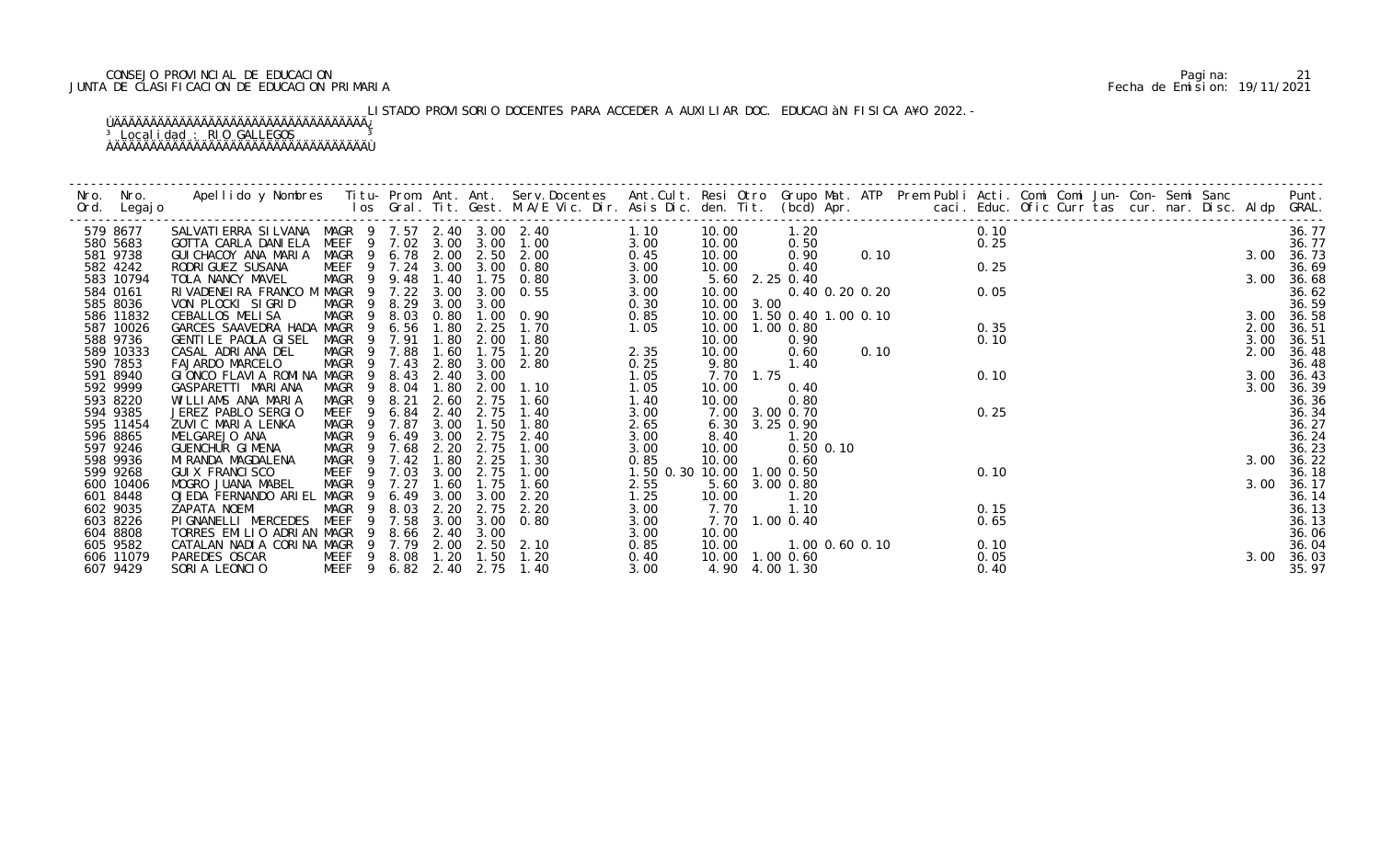# CONSEJO PROVINCIAL DE EDUCACION Pagina: 21 JUNTA DE CLASIFICACION DE EDUCACION PRIMARIA Fecha de Emision: 19/11/2021

# LISTADO PROVISORIO DOCENTES PARA ACCEDER A AUXILIAR DOC. EDUCACIàN FISICA A¥O 2022.-

| Nro. | Nro. In the New York of the New York of the United States and the United States of the New York of the New Yor<br>Ord. Legajo | Apellido y Nombres  Titu- Prom. Ant. Ant.  Serv.Docentes  Ant.Cult. Resi Otro  Grupo Mat. ATP  Prem Publi Acti. Comi Comi Jun- Con- Semi Sanc                    Punt.<br>Ios Gral. Tit. Gest. M.A/E Vic. Dir. Asis Dic. den. Tit |                            |                |        |      |                   |                            |                           |            |           |                               |  |                               |      |  |  |  |      |                     |
|------|-------------------------------------------------------------------------------------------------------------------------------|-----------------------------------------------------------------------------------------------------------------------------------------------------------------------------------------------------------------------------------|----------------------------|----------------|--------|------|-------------------|----------------------------|---------------------------|------------|-----------|-------------------------------|--|-------------------------------|------|--|--|--|------|---------------------|
|      | 579 8677                                                                                                                      | SALVATI ERRA SI LVANA MAGR 9 7.57 2.40 3.00 2.40                                                                                                                                                                                  |                            |                |        |      |                   | 1.10                       |                           | 10.00      |           |                               |  | 1. 20<br>0. 50<br>0. 90 0. 10 | 0.10 |  |  |  |      | 36.77               |
|      | 580 5683                                                                                                                      | GOTTA CARLA DANI ELA                                                                                                                                                                                                              |                            |                |        |      |                   | MEEF 9 7.02 3.00 3.00 1.00 | 3.00                      | 10.00      |           |                               |  |                               | 0.25 |  |  |  |      | 36.77               |
|      | 581 9738                                                                                                                      | GUI CHACOY ANA MARIA                                                                                                                                                                                                              |                            |                |        |      |                   | MAGR 9 6.78 2.00 2.50 2.00 | 0.45                      | 10.00      |           |                               |  |                               |      |  |  |  |      | 3.00 36.73          |
|      | 582 4242                                                                                                                      | RODRI GUEZ SUSANA                                                                                                                                                                                                                 |                            |                |        |      |                   | MEEF 9 7.24 3.00 3.00 0.80 | 3.00                      | 10.00      |           | 0.40                          |  |                               | 0.25 |  |  |  |      | 36.69               |
|      | 583 10794                                                                                                                     | TOLA NANCY MAVEL                                                                                                                                                                                                                  | MAGR 9 9.48                |                |        |      |                   | 1.40 1.75 0.80             | 3.00                      |            |           | 5.60 2.25 0.40                |  |                               |      |  |  |  |      | 3.00 36.68          |
|      | 584 0161                                                                                                                      | RIVADENEIRA FRANCO M MAGR 9 7.22 3.00                                                                                                                                                                                             |                            |                |        |      |                   | 3.00 0.55                  | 3.00                      | 10.00      |           |                               |  | $0.40$ 0.20 0.20              | 0.05 |  |  |  |      | 36.62               |
|      | 585 8036                                                                                                                      | VON PLOCKI SIGRID                                                                                                                                                                                                                 | MAGR 9 8.29                |                |        | 3.00 | 3.00              |                            | 0.30                      | 10.00 3.00 |           |                               |  |                               |      |  |  |  |      | 36.59               |
|      | 586 11832                                                                                                                     | CEBALLOS MELISA                                                                                                                                                                                                                   | MAGR 9 8.03                |                |        |      |                   | 0.80 1.00 0.90             | 0.85                      |            |           | 10.00  1.50  0.40  1.00  0.10 |  |                               |      |  |  |  |      | 3.00 36.58          |
|      | 587 10026                                                                                                                     | GARCES SAAVEDRA HADA MAGR                                                                                                                                                                                                         |                            | 9              | 6.56   | 1.80 | 2.25              | 1.70                       | 1.05                      |            |           | 10.00  1.00  0.80             |  |                               | 0.35 |  |  |  | 2.00 | 36.51               |
|      | 588 9736                                                                                                                      | GENTILE PAOLA GISEL                                                                                                                                                                                                               | MAGR                       | $\overline{9}$ | 7. 91  | 1.80 | 2.00              | 1.80                       |                           | 10.00      |           | 0.90                          |  | 0.10                          | 0.10 |  |  |  | 3.00 | 36.51               |
|      | 589 10333                                                                                                                     | CASAL ADRIANA DEL<br>FAJARDO MARCELO                                                                                                                                                                                              | MAGR 9 7.88<br>MAGR 9 7.43 |                |        | 1.60 | 1.75<br>2.80 3.00 | 1.20<br>2.80               | 2.35                      | 10.00      |           | 0.60<br>1.40                  |  |                               |      |  |  |  | 2.00 | 36.48               |
|      | 590 7853<br>591 8940                                                                                                          | GIONCO FLAVIA ROMINA MAGR 9                                                                                                                                                                                                       |                            |                | 8.43   |      | 2.40 3.00         |                            | 0.25                      | 9.80       | 7.70 1.75 |                               |  |                               | 0.10 |  |  |  |      | 36.48               |
|      | 592 9999                                                                                                                      | GASPARETTI MARIANA                                                                                                                                                                                                                | MAGR 9 8.04                |                |        | 1.80 | 2.00              | 1.10                       | 1.05<br>1.05              | 10.00      |           | 0.40                          |  |                               |      |  |  |  | 3.00 | 3.00 36.43<br>36.39 |
|      | 593 8220                                                                                                                      | WILLIAMS ANA MARIA                                                                                                                                                                                                                | MAGR 9 8.21                |                |        | 2.60 | 2.75              | 1.60                       | 1.40                      | 10.00      |           | 0.80                          |  |                               |      |  |  |  |      | 36.36               |
|      | 594 9385                                                                                                                      | JEREZ PABLO SERGIO                                                                                                                                                                                                                | MEEF <sub>9</sub>          |                | 6.84   |      | 2.40 2.75         | 1.40                       | 3.00                      |            |           | 7.00 3.00 0.70                |  |                               | 0.25 |  |  |  |      | 36.34               |
|      | 595 11454                                                                                                                     | ZUVIC MARIA LENKA                                                                                                                                                                                                                 | MAGR                       |                | 9 7.87 | 3.00 | 1.50              | 1.80                       | 2.65                      |            |           | 6.30 3.25 0.90                |  |                               |      |  |  |  |      | 36.27               |
|      | 596 8865                                                                                                                      | MELGAREJO ANA                                                                                                                                                                                                                     | MAGR 9                     |                | 6.49   | 3.00 | 2.75              | 2.40                       | 3.00                      | 8.40       |           | 1.20                          |  |                               |      |  |  |  |      | 36.24               |
|      | 597 9246                                                                                                                      | GUENCHUR GIMENA                                                                                                                                                                                                                   | MAGR 9                     |                | 7.68   | 2.20 | 2.75              | 1.00                       | 3.00                      | 10.00      |           | $0.50$ $0.10$                 |  |                               |      |  |  |  |      | 36.23               |
|      | 598 9936                                                                                                                      | MI RANDA MAGDALENA                                                                                                                                                                                                                | MAGR 9 7.42                |                |        | 1.80 | 2.25              | 1.30                       | 0.85                      | 10.00      |           | 0.60                          |  |                               |      |  |  |  | 3.00 | 36.22               |
|      | 599 9268                                                                                                                      | GUI X FRANCI SCO                                                                                                                                                                                                                  | MEEF 9 7.03                |                |        | 3.00 | 2.75              | 1.00                       | 1.50 0.30 10.00 1.00 0.50 |            |           |                               |  |                               | 0.10 |  |  |  |      | 36.18               |
|      | 600 10406                                                                                                                     | MOGRO JUANA MABEL                                                                                                                                                                                                                 | MAGR 9                     |                | 7.27   | 1.60 | 1.75              | 1.60                       | 2.55                      |            |           | 5.60 3.00 0.80                |  |                               |      |  |  |  |      | 3.00 36.17          |
|      | 601 8448                                                                                                                      | OJEDA FERNANDO ARIEL MAGR 9                                                                                                                                                                                                       |                            |                | 6.49   | 3.00 | 3.00              | 2.20                       | 1.25                      | 10.00      |           | 1.20                          |  |                               |      |  |  |  |      | 36.14               |
|      | 602 9035                                                                                                                      | ZAPATA NOEMI                                                                                                                                                                                                                      | MAGR 9 8.03                |                |        | 2.20 |                   | 2.75 2.20                  | 3.00                      | 7.70       |           | 1.10                          |  |                               | 0.15 |  |  |  |      | 36.13               |
|      | 603 8226                                                                                                                      | PIGNANELLI MERCEDES MEEF 9 7.58                                                                                                                                                                                                   |                            |                |        |      |                   | 3.00 3.00 0.80             | 3.00                      |            |           | 7.70 1.00 0.40                |  |                               | 0.65 |  |  |  |      | 36.13               |
|      | 604 8808                                                                                                                      | TORRES EMILIO ADRIAN MAGR                                                                                                                                                                                                         |                            |                |        |      | 8.66 2.40 3.00    |                            | 3.00                      | 10.00      |           |                               |  |                               |      |  |  |  |      | 36.06               |
|      | 605 9582                                                                                                                      | CATALAN NADIA CORINA MAGR 9 7.79 2.00 2.50 2.10                                                                                                                                                                                   |                            |                |        |      |                   |                            | 0.85                      | 10.00      |           | 1.00 0.60 0.10                |  |                               | 0.10 |  |  |  |      | 36.04               |
|      | 606 11079                                                                                                                     | PAREDES OSCAR                                                                                                                                                                                                                     | MEEF 9 8.08 1.20 1.50      |                |        |      |                   | 1.20                       | 0.40                      |            |           | 10.00  1.00  0.60             |  |                               | 0.05 |  |  |  |      | 3.00 36.03          |
|      | 607 9429                                                                                                                      | SORIA LEONCIO                                                                                                                                                                                                                     | MEEF 9 6.82 2.40 2.75      |                |        |      |                   | 1.40                       | 3.00                      |            |           | 4.90 4.00 1.30                |  |                               | 0.40 |  |  |  |      | 35.97               |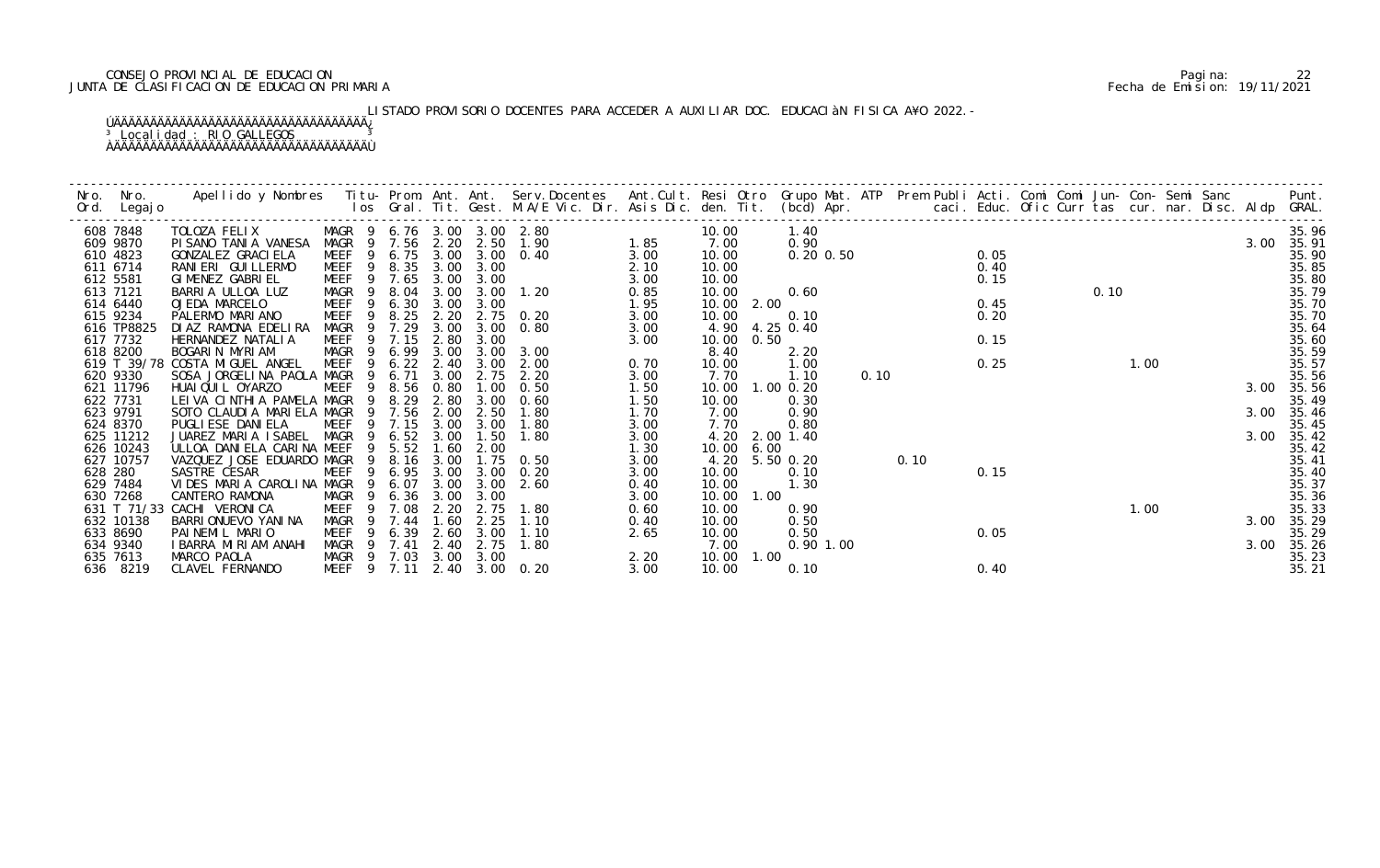# CONSEJO PROVINCIAL DE EDUCACION Pagina: 22 JUNTA DE CLASIFICACION DE EDUCACION PRIMARIA Fecha de Emision: 19/11/2021

# LISTADO PROVISORIO DOCENTES PARA ACCEDER A AUXILIAR DOC. EDUCACIàN FISICA A¥O 2022.-

| Nro. | Nro.<br>Ord. Legajo    | Apellido y Nombres - Titu- Prom. Ant. Ant. Serv.Docentes - Ant.Cult. Resi Otro Grupo Mat. ATP - Prem Publi Acti. Comi Comi Jun- Con- Semi Sanc - - - - Punt.<br>Ios Gral. Tit. Gest. M.A/E Vic. Dir. Asis Dic. den. Tit. (bcd) Ap |                            |                |              |              |                  |                                     |              |               |            |                       |      |      |      |  |      |      |  |      |                     |
|------|------------------------|-----------------------------------------------------------------------------------------------------------------------------------------------------------------------------------------------------------------------------------|----------------------------|----------------|--------------|--------------|------------------|-------------------------------------|--------------|---------------|------------|-----------------------|------|------|------|--|------|------|--|------|---------------------|
|      | 608 7848               | TOLOZA FELIX                                                                                                                                                                                                                      | MAGR 9 6.76 3.00 3.00 2.80 |                |              |              |                  |                                     |              | 10.00         |            | 1.40                  |      |      |      |  |      |      |  |      | 35.96               |
|      | 609 9870<br>610 4823   | PISANO TANIA VANESA<br>GONZALEZ GRACI ELA                                                                                                                                                                                         | MAGR 9 7.56<br>MEEF        | - 9            | 6.75         |              |                  | 2. 20 2. 50 1. 90<br>3.00 3.00 0.40 | 1.85<br>3.00 | 7.00<br>10.00 |            | 0.90<br>$0.20$ $0.50$ |      |      | 0.05 |  |      |      |  |      | 3.00 35.91<br>35.90 |
|      | 611 6714               | RANIERI GUILLERMO                                                                                                                                                                                                                 | MEEF                       | $\overline{9}$ | 8.35         |              | 3.00 3.00        |                                     | 2.10         | 10.00         |            |                       |      |      | 0.40 |  |      |      |  |      | 35.85               |
|      | 612 5581               | GIMENEZ GABRIEL                                                                                                                                                                                                                   | MEEF<br>- 9                |                | 7.65         |              | 3.00 3.00        |                                     | 3.00         | 10.00         |            |                       |      |      | 0.15 |  |      |      |  |      | 35.80               |
|      | 613 7121               | BARRIA ULLOA LUZ                                                                                                                                                                                                                  | MAGR 9                     |                | 8.04         | 3.00         | 3.00             | 1.20                                | 0.85         | 10.00         |            | 0.60                  |      |      |      |  | 0.10 |      |  |      | 35.79               |
|      | 614 6440               | OJEDA MARCELO                                                                                                                                                                                                                     | MEEF                       | 9              | 6.30         | 3.00         | 3.00             |                                     | 1.95         |               | 10.00 2.00 |                       |      |      | 0.45 |  |      |      |  |      | 35.70               |
|      | 615 9234               | PALERMO MARIANO                                                                                                                                                                                                                   | MEEF                       | 9              | 8.25         | 2.20         |                  | 2.75 0.20                           | 3.00         | 10.00         |            | 0.10                  |      |      | 0.20 |  |      |      |  |      | 35.70               |
|      | 616 TP8825             | DI AZ RAMONA EDELIRA                                                                                                                                                                                                              | MAGR                       | -9             | 7.29         | 3.00         | 3.00             | 0.80                                | 3.00         | 4.90          |            | 4.25 0.40             |      |      |      |  |      |      |  |      | 35.64               |
|      | 617 7732               | HERNANDEZ NATALIA                                                                                                                                                                                                                 | MEEF                       |                | 7.15         | 2.80         | 3.00             |                                     | 3.00         | 10.00         | 0.50       |                       |      |      | 0.15 |  |      |      |  |      | 35.60               |
|      | 618 8200               | BOGARIN MYRIAM                                                                                                                                                                                                                    | MAGR<br>- 9                |                | 6.99         | 3.00         | 3.00             | 3.00                                |              | 8.40          |            | 2.20                  |      |      |      |  |      |      |  |      | 35.59               |
|      |                        | 619 T 39/78 COSTA MIGUEL ANGEL                                                                                                                                                                                                    | <b>MEEF</b>                | 9              | 6.22         | 2.40         | 3.00             | 2.00                                | 0.70         | 10.00         |            | 1.00                  |      |      | 0.25 |  |      | 1.00 |  |      | 35.57               |
|      | 620 9330               | SOSA JORGELINA PAOLA MAGR                                                                                                                                                                                                         |                            | -9             | 6.71         | 3.00         | 2.75             | 2.20                                | 3.00         | 7.70          |            | 1.10                  | 0.10 |      |      |  |      |      |  |      | 35.56               |
|      | 621 11796              | HUAI QUI L OYARZO                                                                                                                                                                                                                 | MEEF                       |                | 8.56         | 0.80         | .00 <sub>1</sub> | 0.50                                | 1.50         | 10.00         |            | $1.00 \, 0.20$        |      |      |      |  |      |      |  |      | 3.00 35.56          |
|      | 622 7731               | LEIVA CINTHIA PAMELA MAGR                                                                                                                                                                                                         |                            | - 9            | 8.29         | 2.80         | 3.00             | 0.60                                | 1.50         | 10.00         |            | 0.30                  |      |      |      |  |      |      |  |      | 35.49               |
|      | 623 9791               | SOTO CLAUDIA MARIELA MAGR                                                                                                                                                                                                         |                            | -9             | 7.56         | 2.00         | 2.50             | 1.80                                | 1.70         | 7.00          |            | 0.90                  |      |      |      |  |      |      |  |      | 3.00 35.46          |
|      | 624 8370               | PUGLI ESE DANI ELA                                                                                                                                                                                                                | MEEF                       | 9              | 7.15         | 3.00         | 3.00             | 1.80                                | 3.00         | 7.70          |            | 0.80                  |      |      |      |  |      |      |  |      | 35.45               |
|      | 625 11212              | JUAREZ MARIA ISABEL<br>ULLOA DANIELA CARINA MEEF                                                                                                                                                                                  | MAGR                       |                | 6.52         | 3.00         | 1.50             | 1.80                                | 3.00         | 4.20          |            | 2.00 1.40             |      |      |      |  |      |      |  | 3.00 | 35.42               |
|      | 626 10243<br>627 10757 | VAZQUEZ JOSE EDUARDO MAGR                                                                                                                                                                                                         |                            | -9             | 5.52<br>8.16 | 1.60<br>3.00 | 2.00<br>1.75     | 0.50                                | 1.30<br>3.00 | 10.00         | 6.00       | 4.20 5.50 0.20        |      | 0.10 |      |  |      |      |  |      | 35.42<br>35.41      |
|      | 628 280                | SASTRE CESAR                                                                                                                                                                                                                      | <b>MEEF</b>                | 9              | 6.95         | 3.00         | 3.00             | 0.20                                | 3.00         | 10.00         |            | 0.10                  |      |      | 0.15 |  |      |      |  |      | 35.40               |
|      | 629 7484               | VIDES MARIA CAROLINA MAGR                                                                                                                                                                                                         |                            |                | 6.07         | 3.00         | 3.00             | 2.60                                | 0.40         | 10.00         |            | 1.30                  |      |      |      |  |      |      |  |      | 35.37               |
|      | 630 7268               | CANTERO RAMONA                                                                                                                                                                                                                    | MAGR                       | 9              | 6.36         | 3.00         | 3.00             |                                     | 3.00         | 10.00         | 1.00       |                       |      |      |      |  |      |      |  |      | 35.36               |
|      |                        | 631 T 71/33 CACHI VERONICA                                                                                                                                                                                                        | MEEF                       | -9             | 7.08         | 2.20         | 2.75             | 1.80                                | 0.60         | 10.00         |            | 0.90                  |      |      |      |  |      | 1.00 |  |      | 35.33               |
|      | 632 10138              | BARRI ONUEVO YANI NA                                                                                                                                                                                                              | <b>MAGR</b>                | -9             | 7.44         | 1.60         | 2.25             | 1.10                                | 0.40         | 10.00         |            | 0.50                  |      |      |      |  |      |      |  | 3.00 | 35.29               |
|      | 633 8690               | PAINEMIL MARIO                                                                                                                                                                                                                    | MEEF                       |                | 6.39         | 2.60         | 3.00             | 1.10                                | 2.65         | 10.00         |            | 0.50                  |      |      | 0.05 |  |      |      |  |      | 35.29               |
|      | 634 9340               | I BARRA MIRIAM ANAHI                                                                                                                                                                                                              | MAGR<br>- 9                |                | 7.41         | 2.40         | 2.75             | 1.80                                |              | 7.00          |            | $0.90$ 1.00           |      |      |      |  |      |      |  | 3.00 | 35.26               |
|      | 635 7613               | MARCO PAOLA                                                                                                                                                                                                                       | MAGR 9 7.03                |                |              |              | 3.00 3.00        |                                     | 2.20         | 10.00         | 1.00       |                       |      |      |      |  |      |      |  |      | 35.23               |
|      | 636 8219               | CLAVEL FERNANDO                                                                                                                                                                                                                   | MEEF <sub>9</sub>          |                | 7.11         |              |                  | 2.40 3.00 0.20                      | 3.00         | 10.00         |            | 0.10                  |      |      | 0.40 |  |      |      |  |      | 35.21               |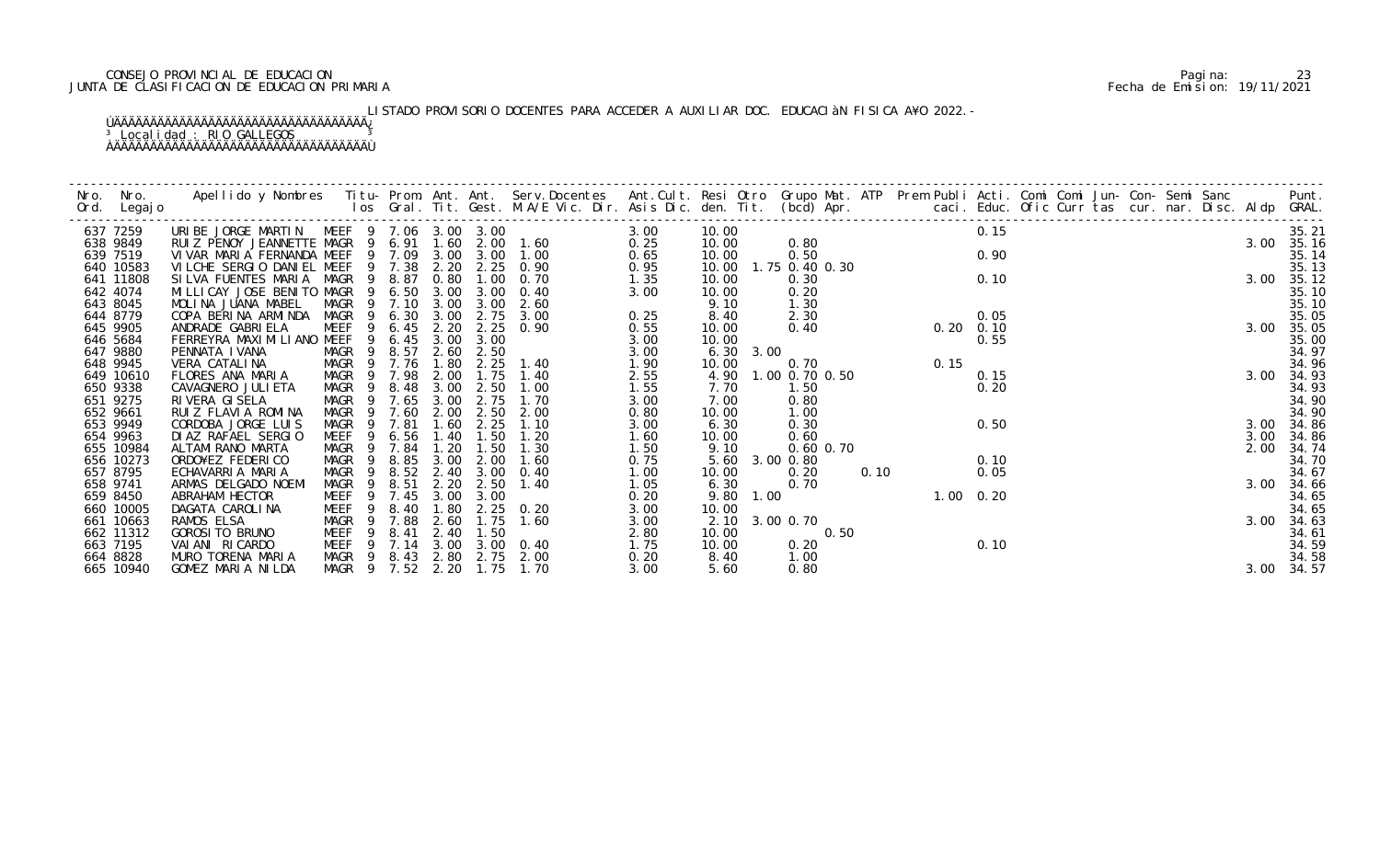# CONSEJO PROVINCIAL DE EDUCACION Pagina: 23 JUNTA DE CLASIFICACION DE EDUCACION PRIMARIA Fecha de Emision: 19/11/2021

# LISTADO PROVISORIO DOCENTES PARA ACCEDER A AUXILIAR DOC. EDUCACIàN FISICA A¥O 2022.-

| Nro.     | Nro. In the New York of the New York of the United States and the United States of the New York of the New Yor<br>Ord. Legajo | Apellido y Nombres Iitu-Prom. Ant. Ant. Serv.Docentes Ant.Cult. Resi Otro Grupo Mat. ATP Prem Publi Acti. Comi Comi Jun-Con-Semi Sanc Punt.<br>Ios Gral. Tit. Gest. M.A/E Vic. Dir. Asis Dic. den. Tit. (bcd) Apr. |                  |        |      |           |                |      |                   |                |      |                     |      |  |  |      |            |
|----------|-------------------------------------------------------------------------------------------------------------------------------|--------------------------------------------------------------------------------------------------------------------------------------------------------------------------------------------------------------------|------------------|--------|------|-----------|----------------|------|-------------------|----------------|------|---------------------|------|--|--|------|------------|
|          | 637 7259                                                                                                                      | URIBE JORGE MARTIN MEEF 9 7.06 3.00 3.00<br>URIBE JORGE MARTIN MEEF 9 7.06 3.00 3.00<br>RUIZ PENOY JEANNETTE MAGR 9 6.91 1.60 2.00 1.60                                                                            |                  |        |      |           |                | 3.00 | 10.00             |                |      |                     | 0.15 |  |  |      | 35.21      |
|          | 638 9849                                                                                                                      |                                                                                                                                                                                                                    |                  |        |      |           |                | 0.25 | 10.00             | 0.80           |      |                     |      |  |  |      | 3.00 35.16 |
|          | 639 7519                                                                                                                      | VIVAR MARIA FERNANDA MEEF 9 7.09 3.00 3.00 1.00                                                                                                                                                                    |                  |        |      |           |                | 0.65 | 10.00             | 0.50           |      |                     | 0.90 |  |  |      | 35.14      |
|          | 640 10583                                                                                                                     | VILCHE SERGIO DANIEL MEEF                                                                                                                                                                                          |                  | 9 7.38 | 2.20 |           | 2.25 0.90      | 0.95 | 10.00             | 1.75 0.40 0.30 |      |                     |      |  |  |      | 35.13      |
|          | 641 11808                                                                                                                     | SILVA FUENTES MARIA MAGR                                                                                                                                                                                           | - 9              | 8.87   | 0.80 | 1.00      | 0.70           | 1.35 | 10.00             | 0.30           |      |                     | 0.10 |  |  |      | 3.00 35.12 |
|          | 642 4074                                                                                                                      | MILLICAY JOSE BENITO MAGR 9                                                                                                                                                                                        |                  | 6.50   | 3.00 | 3.00      | 0.40           | 3.00 | 10.00             | 0.20           |      |                     |      |  |  |      | 35.10      |
|          | 643 8045                                                                                                                      | MOLINA JUANA MABEL                                                                                                                                                                                                 | MAGR 9 7.10      |        | 3.00 | 3.00      | 2.60           |      | 9.10              | 1.30           |      |                     |      |  |  |      | 35.10      |
|          | 644 8779                                                                                                                      | COPA BERINA ARMINDA MAGR                                                                                                                                                                                           | -9               | 6.30   | 3.00 | 2.75      | 3.00           | 0.25 | 8.40              | 2.30           |      | $0.05$<br>0.20 0.10 |      |  |  |      | 35.05      |
|          | 645 9905                                                                                                                      | ANDRADE GABRI ELA                                                                                                                                                                                                  | MEEF<br>- 9      | 6.45   | 2.20 | 2.25      | 0.90           | 0.55 | 10.00             | 0.40           |      |                     |      |  |  |      | 3.00 35.05 |
|          | 646 5684                                                                                                                      | FERREYRA MAXI MI LI ANO MEEF                                                                                                                                                                                       | 9                | 6.45   | 3.00 | 3.00      |                | 3.00 | 10.00             |                |      |                     | 0.55 |  |  |      | 35.00      |
|          | 647 9880                                                                                                                      | PENNATA IVANA                                                                                                                                                                                                      | MAGR 9           | 8.57   | 2.60 | 2.50      |                | 3.00 | $6.30 \quad 3.00$ |                |      |                     |      |  |  |      | 34.97      |
|          | 648 9945                                                                                                                      | VERA CATALINA                                                                                                                                                                                                      | MAGR 9 7.76      |        | 1.80 | 2.25      | 1.40           | 1.90 | 10.00             | 0.70           |      | 0.15                |      |  |  |      | 34.96      |
|          | 649 10610                                                                                                                     | FLORES ANA MARIA                                                                                                                                                                                                   | MAGR<br>- 9      | 7.98   | 2.00 | 1.75      | 1.40           | 2.55 | 4.90              | 1.00 0.70 0.50 |      |                     | 0.15 |  |  |      | 3.00 34.93 |
|          | 650 9338                                                                                                                      | CAVAGNERO JULI ETA                                                                                                                                                                                                 | MAGR 9           | 8.48   | 3.00 | 2.50      | 1.00           | 1.55 | 7.70              | 1.50           |      |                     | 0.20 |  |  |      | 34.93      |
|          | 651 9275                                                                                                                      | RIVERA GISELA                                                                                                                                                                                                      | MAGR 9           | 7.65   | 3.00 | 2.75      | 1.70           | 3.00 | 7.00              | 0.80           |      |                     |      |  |  |      | 34.90      |
| 652 9661 |                                                                                                                               | RUIZ FLAVIA ROMINA                                                                                                                                                                                                 | MAGR<br>- 9      | 7.60   | 2.00 | 2.50      | 2.00           | 0.80 | 10.00             | 1.00           |      |                     |      |  |  |      | 34.90      |
|          | 653 9949                                                                                                                      | CORDOBA JORGE LUIS                                                                                                                                                                                                 | MAGR<br>- 9      | 7.81   | 1.60 | 2.25      | 1.10           | 3.00 | 6.30              | 0.30           |      |                     | 0.50 |  |  | 3.00 | 34.86      |
|          | 654 9963                                                                                                                      | DI AZ RAFAEL SERGIO                                                                                                                                                                                                | MEEF<br>9        | 6.56   | 1.40 | 1.50      | 1.20           | 1.60 | 10.00             | 0.60           |      |                     |      |  |  | 3.00 | 34.86      |
|          | 655 10984                                                                                                                     | ALTAMI RANO MARTA                                                                                                                                                                                                  | MAGR             | 7.84   | 1.20 | 1.50      | 1.30           | 1.50 | 9.10              | $0.60$ $0.70$  |      |                     |      |  |  | 2.00 | 34.74      |
|          | 656 10273                                                                                                                     | ORDO¥EZ FEDERICO                                                                                                                                                                                                   | MAGR 9           | 8.85   | 3.00 | 2.00      | 1.60           | 0.75 | 5.60 3.00 0.80    |                |      |                     | 0.10 |  |  |      | 34.70      |
|          | 657 8795                                                                                                                      | ECHAVARRIA MARIA                                                                                                                                                                                                   | MAGR<br>- 9      | 8.52   | 2.40 | 3.00      | 0.40           | 1.00 | 10.00             | 0.20           | 0.10 |                     | 0.05 |  |  |      | 34.67      |
|          | 658 9741                                                                                                                      | ARMAS DELGADO NOEMI                                                                                                                                                                                                | MAGR<br>- 9      | 8.51   | 2.20 | 2.50      | 1.40           | 1.05 | 6.30              | 0.70           |      | $1.00 \t 0.20$      |      |  |  |      | 3.00 34.66 |
|          | 659 8450                                                                                                                      | ABRAHAM HECTOR                                                                                                                                                                                                     | MEEF<br>9        | 7.45   | 3.00 | 3.00      |                | 0.20 | 9.80 1.00         |                |      |                     |      |  |  |      | 34.65      |
|          | 660 10005                                                                                                                     | DAGATA CAROLINA                                                                                                                                                                                                    | MEEF<br>-9       | 8.40   | 1.80 | 2.25      | 0.20           | 3.00 | 10.00             |                |      |                     |      |  |  |      | 34.65      |
|          | 661 10663                                                                                                                     | RAMOS ELSA                                                                                                                                                                                                         | MAGR<br>9        | 7.88   | 2.60 | 1.75      | 1.60           | 3.00 | 2.10 3.00 0.70    |                |      |                     |      |  |  | 3.00 | 34.63      |
|          | 662 11312                                                                                                                     | GOROSI TO BRUNO                                                                                                                                                                                                    | -9<br>MEEF       | 8.41   | 2.40 | 1.50      |                | 2.80 | 10.00             | 0.50           |      |                     |      |  |  |      | 34.61      |
|          | 663 7195                                                                                                                      | VAI ANI RI CARDO                                                                                                                                                                                                   | MEEF 9           | 7.14   |      |           | 3.00 3.00 0.40 | 1.75 | 10.00             | 0.20           |      |                     | 0.10 |  |  |      | 34.59      |
|          | 664 8828                                                                                                                      | MURO TORENA MARIA                                                                                                                                                                                                  | MAGR 9           | 8.43   |      | 2.80 2.75 | 2.00           | 0.20 | 8.40              | 1.00           |      |                     |      |  |  |      | 34.58      |
|          | 665 10940                                                                                                                     | GOMEZ MARIA NILDA                                                                                                                                                                                                  | MAGR 9 7.52 2.20 |        |      |           | 1.75 1.70      | 3.00 | 5.60              | 0.80           |      |                     |      |  |  |      | 3.00 34.57 |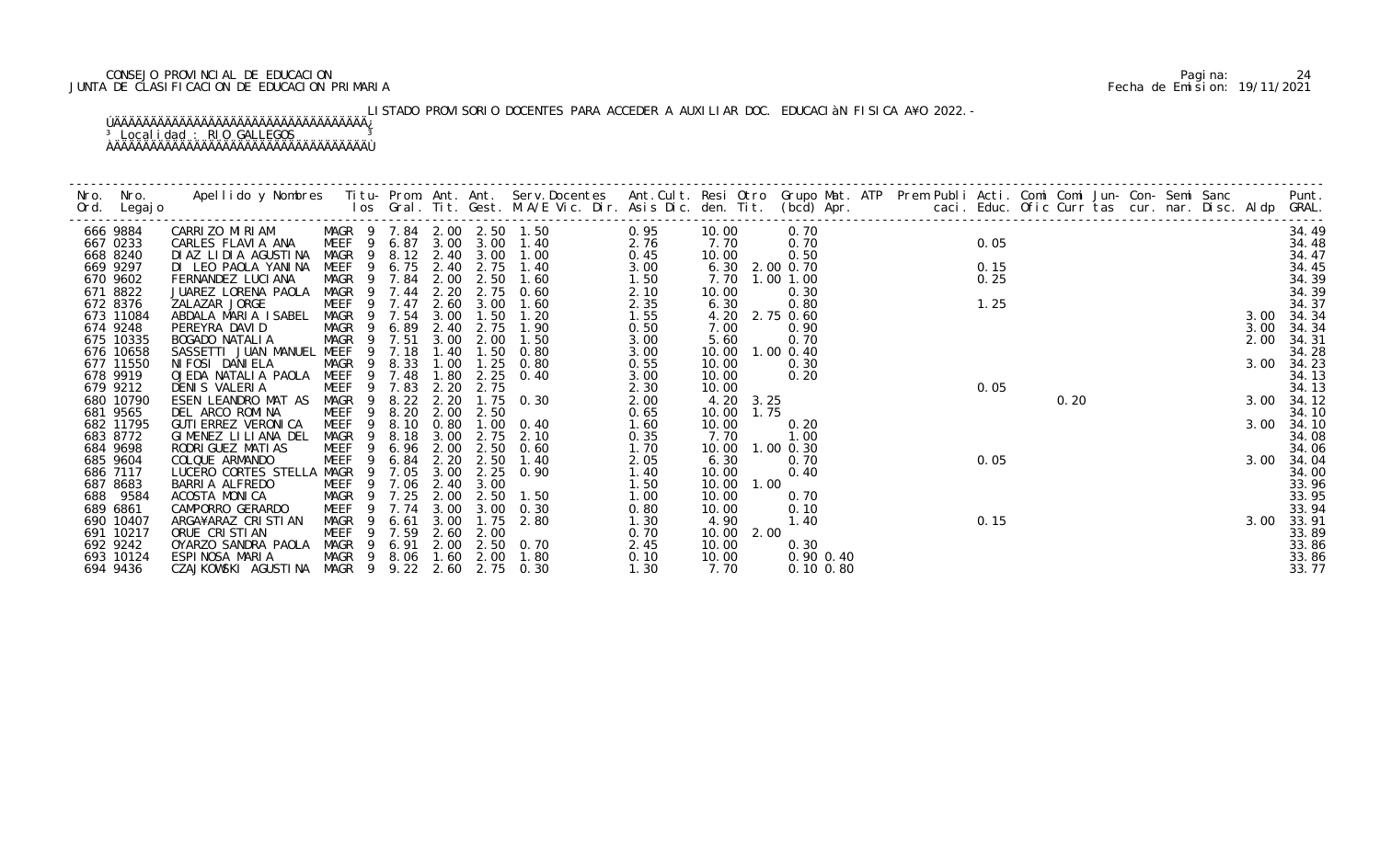# CONSEJO PROVINCIAL DE EDUCACION Pagina: 24 JUNTA DE CLASIFICACION DE EDUCACION PRIMARIA Fecha de Emision: 19/11/2021

# LISTADO PROVISORIO DOCENTES PARA ACCEDER A AUXILIAR DOC. EDUCACIàN FISICA A¥O 2022.-

| Nro. | Nro.<br>Ord. Legajo | Apellido y Nombres Iitu-Prom. Ant. Ant. Serv.Docentes Ant.Cult. Resi Otro Grupo Mat. ATP Prem Publi Acti. Comi Comi Jun-Con-Semi Sanc Punt.<br>Ios Gral. Tit. Gest. M.A/E Vic. Dir. Asis Dic. den. Tit. (bcd) Apr. |                                                          |                    |                   |                |                     |              |                |                |      |              |  |      |      |  |  |      |            |
|------|---------------------|--------------------------------------------------------------------------------------------------------------------------------------------------------------------------------------------------------------------|----------------------------------------------------------|--------------------|-------------------|----------------|---------------------|--------------|----------------|----------------|------|--------------|--|------|------|--|--|------|------------|
|      | 666 9884            | CARRIZO MIRIAM                                                                                                                                                                                                     | MAGR 9 7.84 2.00 2.50 1.50<br>MEEF 9 6.87 3.00 3.00 1.40 |                    |                   |                |                     | 0.95         | 10.00          |                | 0.70 |              |  |      |      |  |  |      | 34.49      |
|      | 667 0233            | CARLES FLAVIA ANA                                                                                                                                                                                                  |                                                          |                    |                   |                |                     | 2.76         | 7.70           |                | 0.70 |              |  | 0.05 |      |  |  |      | 34.48      |
|      | 668 8240            | DIAZ LIDIA AGUSTINA                                                                                                                                                                                                | MAGR<br>- 9                                              |                    |                   | 8.12 2.40 3.00 | 1.00                | 0.45         | 10.00          |                | 0.50 |              |  |      |      |  |  |      | 34.47      |
|      | 669 9297            | DI LEO PAOLA YANINA                                                                                                                                                                                                | MEEF<br>-9                                               | $6.75$ 2.40        |                   | 2.75           | 1.40                | 3.00         | 6.30 2.00 0.70 |                |      |              |  | 0.15 |      |  |  |      | 34.45      |
|      | 670 9602            | FERNANDEZ LUCIANA                                                                                                                                                                                                  | MAGR 9 7.84                                              |                    | 2.00              |                | $2.50$ 1.60         | 1.50         | 7.70 1.00 1.00 |                |      |              |  | 0.25 |      |  |  |      | 34.39      |
|      | 671 8822            | JUAREZ LORENA PAOLA                                                                                                                                                                                                | MAGR                                                     | 9 7.44 2.20        |                   |                | 2.75 0.60           | 2.10         | 10.00          |                | 0.30 |              |  |      |      |  |  |      | 34.39      |
|      | 672 8376            | ZALAZAR JORGE                                                                                                                                                                                                      | MEEF                                                     | 7.47               | 2.60              | 3.00           | 1.60                | 2.35         | 6.30           |                | 0.80 |              |  | 1.25 |      |  |  |      | 34.37      |
|      | 673 11084           | ABDALA MARIA ISABEL                                                                                                                                                                                                | MAGR 9 7.54                                              |                    | 3.00              | 1.50           | 1.20                | 1.55         | 4.20 2.75 0.60 |                |      |              |  |      |      |  |  |      | 3.00 34.34 |
|      | 674 9248            | PEREYRA DAVID                                                                                                                                                                                                      | MAGR 9                                                   | 6.89               | 2.40              | 2.75           | 1.90                | 0.50         | 7.00           |                | 0.90 |              |  |      |      |  |  | 3.00 | 34.34      |
|      | 675 10335           | BOGADO NATALIA                                                                                                                                                                                                     | MAGR<br>- 9                                              | 7.51               | 3.00              | 2.00           | 1.50                | 3.00         | 5.60           |                | 0.70 |              |  |      |      |  |  | 2.00 | 34.31      |
|      | 676 10658           | SASSETTI JUAN MANUEL MEEF                                                                                                                                                                                          | 9                                                        | 7.18               | 1.40              | 1.50           | 0.80                | 3.00         | 10.00          | $1.00 \, 0.40$ |      |              |  |      |      |  |  |      | 34.28      |
|      | 677 11550           | NI FOSI DANI ELA                                                                                                                                                                                                   | MAGR<br>9                                                | 8.33               | 1.00              | 1.25           | 0.80                | 0.55         | 10.00          |                | 0.30 |              |  |      |      |  |  | 3.00 | 34.23      |
|      | 678 9919            | OJEDA NATALIA PAOLA MEEF                                                                                                                                                                                           |                                                          | 9 7.48             | 1.80              | 2.25           | 0.40                | 3.00         | 10.00          |                | 0.20 |              |  |      |      |  |  |      | 34.13      |
|      | 679 9212            | DENIS VALERIA                                                                                                                                                                                                      | MEEF                                                     | $9$ 7.83<br>9 8.22 | $2.20$<br>$2.20$  | 2.75           |                     | 2.30         | 10.00          |                |      |              |  | 0.05 |      |  |  |      | 34.13      |
|      | 680 10790           | ESEN LEANDRO MAT AS                                                                                                                                                                                                | MAGR                                                     |                    |                   | 1.75           | 0.30                | 2.00         | 4.20 3.25      |                |      |              |  |      | 0.20 |  |  |      | 3.00 34.12 |
|      | 681 9565            | DEL ARCO ROMINA                                                                                                                                                                                                    | MEEF                                                     | 8.20               | 2.00              | 2.50           |                     | 0.65         | 10.00          | 1.75           |      |              |  |      |      |  |  |      | 34.10      |
|      | 682 11795           | GUTI ERREZ VERONI CA                                                                                                                                                                                               | MEEF<br>$\overline{9}$                                   | 8.10               | 0.80              |                | $1.00 \t 0.40$      | 1.60         | 10.00          |                | 0.20 |              |  |      |      |  |  |      | 3.00 34.10 |
|      | 683 8772            | GIMENEZ LILIANA DEL                                                                                                                                                                                                | MAGR<br>9                                                | 8.18               | 3.00              | 2.75           | 2.10                | 0.35         | 7.70           |                | 1.00 |              |  |      |      |  |  |      | 34.08      |
|      | 684 9698            | RODRI GUEZ MATI AS                                                                                                                                                                                                 | MEEF<br>9                                                | 6.96               | 2.00              |                | 2.50 0.60           | 1.70         | 10.00          | $1.00$ $0.30$  |      |              |  |      |      |  |  |      | 34.06      |
|      | 685 9604            | COLQUE ARMANDO                                                                                                                                                                                                     | MEEF<br>9                                                | 6.84               | 2.20              | 2.50           | 1.40                | 2.05         | 6.30           |                | 0.70 |              |  | 0.05 |      |  |  | 3.00 | 34.04      |
|      | 686 7117            | LUCERO CORTES STELLA MAGR                                                                                                                                                                                          | - 9                                                      | 7.05               | 3.00              |                | $2.25 \quad 0.90$   | 1.40         | 10.00          |                | 0.40 |              |  |      |      |  |  |      | 34.00      |
|      | 687 8683            | BARRIA ALFREDO                                                                                                                                                                                                     | MEEF 9 7.06                                              |                    | 2.40              | 3.00           |                     | 1.50         | 10.00          | 1.00           |      |              |  |      |      |  |  |      | 33.96      |
|      | 688 9584            | ACOSTA MONICA                                                                                                                                                                                                      | MAGR                                                     | 9 7.25             | 2.00              |                | 2.50 1.50           | 1.00         | 10.00          |                | 0.70 |              |  |      |      |  |  |      | 33.95      |
|      | 689 6861            | CAMPORRO GERARDO                                                                                                                                                                                                   | MEEF<br>- 9                                              | 7.74               | 3.00              | 3.00           | 0.30                | 0.80         | 10.00          |                | 0.10 |              |  |      |      |  |  |      | 33.94      |
|      | 690 10407           | ARGA¥ARAZ CRISTIAN                                                                                                                                                                                                 | MAGR                                                     | 6.61               | 3.00              | 1.75           | 2.80                | 1.30         | 4.90           |                | 1.40 |              |  | 0.15 |      |  |  | 3.00 | 33.91      |
|      | 691 10217           | ORUE CRISTIAN                                                                                                                                                                                                      | MEEF<br>- 9                                              | 9 7.59             | 2.60              | 2.00           |                     | 0.70         | 10.00 2.00     |                |      |              |  |      |      |  |  |      | 33.89      |
|      | 692 9242            | OYARZO SANDRA PAOLA                                                                                                                                                                                                | MAGR                                                     |                    |                   |                | 6.91 2.00 2.50 0.70 | 2.45         | 10.00          |                | 0.30 |              |  |      |      |  |  |      | 33.86      |
|      | 693 10124           | ESPINOSA MARIA                                                                                                                                                                                                     | MAGR 9<br>MAGR 9                                         |                    | $9.22 \quad 2.60$ | 8.06 1.60 2.00 | 1.80<br>2.75 0.30   | 0.10<br>1.30 | 10.00<br>7.70  |                |      | 0.90 0.40    |  |      |      |  |  |      | 33.86      |
|      | 694 9436            | CZAJKOWSKI AGUSTINA                                                                                                                                                                                                |                                                          |                    |                   |                |                     |              |                |                |      | $0.10\,0.80$ |  |      |      |  |  |      | 33.77      |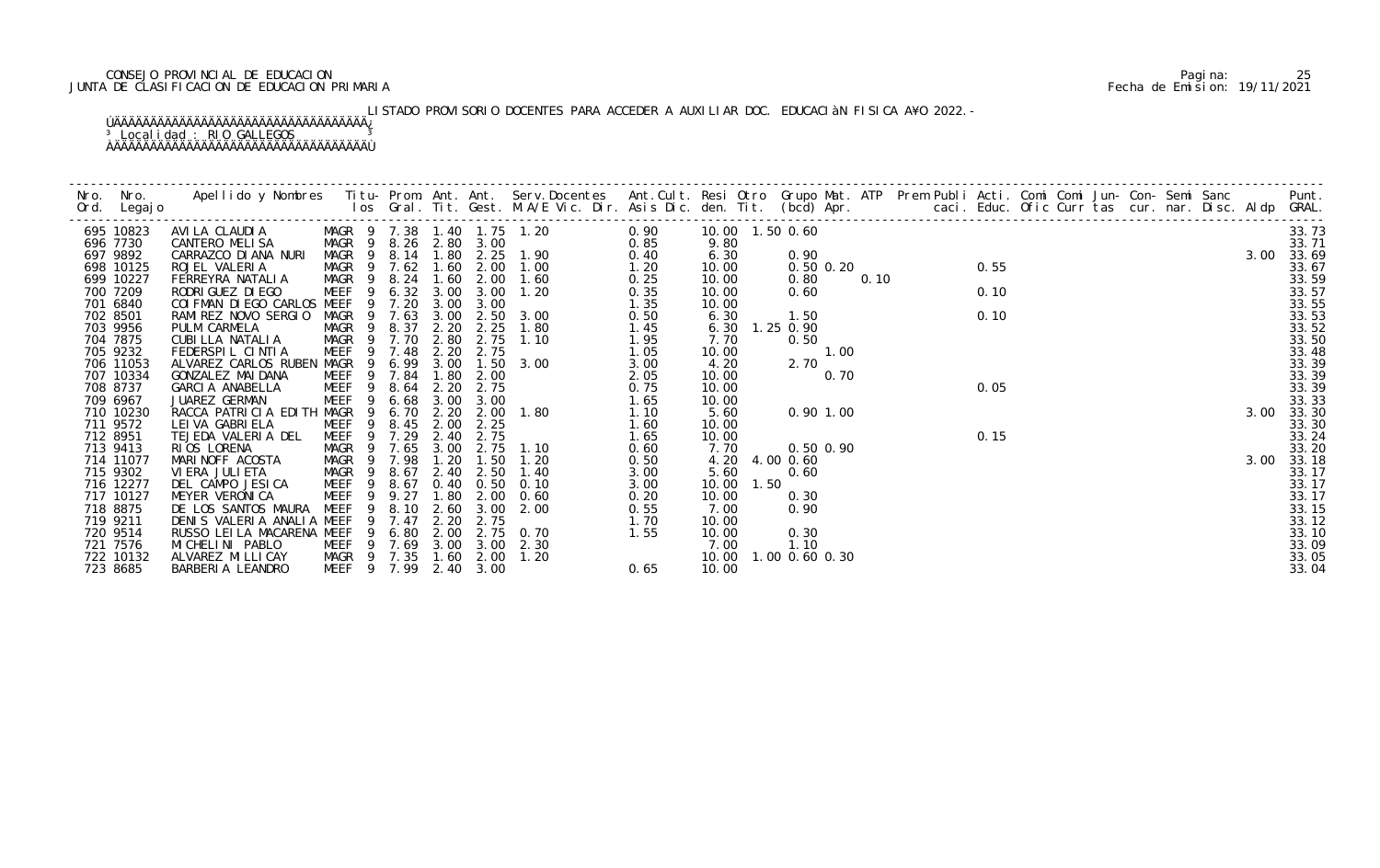# CONSEJO PROVINCIAL DE EDUCACION Pagina: 25 JUNTA DE CLASIFICACION DE EDUCACION PRIMARIA Fecha de Emision: 19/11/2021

# LISTADO PROVISORIO DOCENTES PARA ACCEDER A AUXILIAR DOC. EDUCACIàN FISICA A¥O 2022.-

|          | 695 10823 | AVI LA CLAUDI A             | MAGR 9 7.38 1.40 1.75 1.20 |           |                     |                   | 0.90           |      | 10.00  1.50  0.60 |                |      |      |  |  |  |      | 33.73 |
|----------|-----------|-----------------------------|----------------------------|-----------|---------------------|-------------------|----------------|------|-------------------|----------------|------|------|--|--|--|------|-------|
|          | 696 7730  | CANTERO MELISA              | MAGR 9 8.26 2.80 3.00      |           |                     |                   | 0.85           |      | 9.80              |                |      |      |  |  |  |      | 33.71 |
|          | 697 9892  | CARRAZCO DI ANA NURI        | MAGR <sub>9</sub>          | 8.14      |                     |                   | 1.80 2.25 1.90 | 0.40 | 6.30              | 0.90           |      |      |  |  |  | 3.00 | 33.69 |
|          | 698 10125 | ROJEL VALERIA               | MAGR 9 7.62                |           | 1.60                | 2.00              | 1.00           | 1.20 | 10.00             | $0.50$ $0.20$  |      | 0.55 |  |  |  |      | 33.67 |
|          | 699 10227 | FERREYRA NATALIA            | MAGR <sub>9</sub>          | 8.24      | 1.60                | 2.00              | 1.60           | 0.25 | 10.00             | 0.80           | 0.10 |      |  |  |  |      | 33.59 |
|          | 700 7209  | RODRI GUEZ DI EGO           | MEEF                       | 6.32      | 3.00                | 3.00              | 1.20           | 0.35 | 10.00             | 0.60           |      | 0.10 |  |  |  |      | 33.57 |
|          | 701 6840  | COI FMAN DI EGO CARLOS MEEF | - 9                        | 7.20      | 3.00                | 3.00              |                | 1.35 | 10.00             |                |      |      |  |  |  |      | 33.55 |
|          | 702 8501  | RAMIREZ NOVO SERGIO         | MAGR<br>- 9                | 7.63      | $\frac{3.00}{2.20}$ | 2.50              | 3.00           | 0.50 | 6.30              | 1.50           |      | 0.10 |  |  |  |      | 33.53 |
|          | 703 9956  | PULM CARMELA                | MAGR <sub>9</sub>          | 8.37      |                     | 2.25              | 1.80           | 1.45 |                   | 6.30 1.25 0.90 |      |      |  |  |  |      | 33.52 |
|          | 704 7875  | CUBILLA NATALIA             | MAGR 9 7.70                |           | 2.80                | 2.75              | 1.10           | 1.95 | 7.70              | 0.50           |      |      |  |  |  |      | 33.50 |
|          | 705 9232  | FEDERSPIL CINTIA            | <b>MEEF</b>                | 9 7.48    | 2.20                | 2.75              |                | 1.05 | 10.00             | 1.00           |      |      |  |  |  |      | 33.48 |
|          | 706 11053 | ALVAREZ CARLOS RUBEN MAGR 9 |                            | 6.99      |                     |                   | 3.00 1.50 3.00 | 3.00 | 4.20              | 2.70           |      |      |  |  |  |      | 33.39 |
|          | 707 10334 | GONZALEZ MAI DANA           | MEEF                       | 7.84      | 1.80                | 2.00              |                | 2.05 | 10.00             | 0.70           |      |      |  |  |  |      | 33.39 |
|          | 708 8737  | GARCIA ANABELLA             | MEEF <sub>9</sub>          | 8.64      | 2.20                | 2.75              |                | 0.75 | 10.00             |                |      | 0.05 |  |  |  |      | 33.39 |
|          | 709 6967  | JUAREZ GERMAN               | <b>MEEF</b><br>9           | 6.68      | 3.00                | 3.00              |                | 1.65 | 10.00             |                |      |      |  |  |  |      | 33.33 |
|          | 710 10230 | RACCA PATRICIA EDITH MAGR   | 9                          | 6.70      | 2.20                |                   | 2.00 1.80      | 1.10 | 5.60              | 0.901.00       |      |      |  |  |  | 3.00 | 33.30 |
|          | 711 9572  | LEI VA GABRI ELA            | MEEF                       | 8.45 2.00 |                     | 2.25              |                | 1.60 | 10.00             |                |      |      |  |  |  |      | 33.30 |
| 712 8951 |           | TEJEDA VALERIA DEL          | MEEF 9                     | 7.29      | 2.40                | 2.75              |                | 1.65 | 10.00             |                |      | 0.15 |  |  |  |      | 33.24 |
|          | 713 9413  | RIOS LORENA                 | MAGR 9                     | 7.65      | 3.00                | 2.75              | 1.10           | 0.60 | 7.70              | $0.50$ $0.90$  |      |      |  |  |  |      | 33.20 |
|          | 714 11077 | MARINOFF ACOSTA             | MAGR 9                     | 7.98      | 1.20                | 1.50              | 1.20           | 0.50 | 4.20              | 4.00 0.60      |      |      |  |  |  | 3.00 | 33.18 |
|          | 715 9302  | VI ERA JULI ETA             | MAGR <sub>9</sub>          | 8.67      | 2.40                | 2.50              | 1.40           | 3.00 | 5.60              | 0.60           |      |      |  |  |  |      | 33.17 |
|          | 716 12277 | DEL CAMPO JESICA            | MEEF<br>- 9                | 8.67      |                     | $0.40 \quad 0.50$ | 0.10           | 3.00 | 10.00 1.50        |                |      |      |  |  |  |      | 33.17 |
|          | 717 10127 | MEYER VERONICA              | <b>MEEF</b><br>9           | 9.27      | 1.80                | 2.00              | 0.60           | 0.20 | 10.00             | 0.30           |      |      |  |  |  |      | 33.17 |
|          | 718 8875  | DE LOS SANTOS MAURA         | <b>MEEF</b><br>9           | 8.10      | 2.60                | 3.00              | 2.00           | 0.55 | 7.00              | 0.90           |      |      |  |  |  |      | 33.15 |
|          | 719 9211  | DENIS VALERIA ANALIA MEEF   |                            | 7.47      | 2.20                | 2.75              |                | 1.70 | 10.00             |                |      |      |  |  |  |      | 33.12 |
|          | 720 9514  | RUSSO LEI LA MACARENA MEEF  | -9                         | 6.80      |                     |                   | 2.00 2.75 0.70 | 1.55 | 10.00             | 0.30           |      |      |  |  |  |      | 33.10 |
|          | 721 7576  | MI CHELI NI PABLO           | MEEF 9 7.69                |           |                     |                   | 3.00 3.00 2.30 |      | 7.00              | 1.10           |      |      |  |  |  |      | 33.09 |
|          | 722 10132 | ALVAREZ MI LLI CAY          | MAGR 9 7.35                |           | 1.60                | 2.00              | 1.20           |      | 10.00             | 1.00 0.60 0.30 |      |      |  |  |  |      | 33.05 |
|          | 723 8685  | BARBERIA LEANDRO            | MEEF 9 7.99 2.40 3.00      |           |                     |                   |                | 0.65 | 10.00             |                |      |      |  |  |  |      | 33.04 |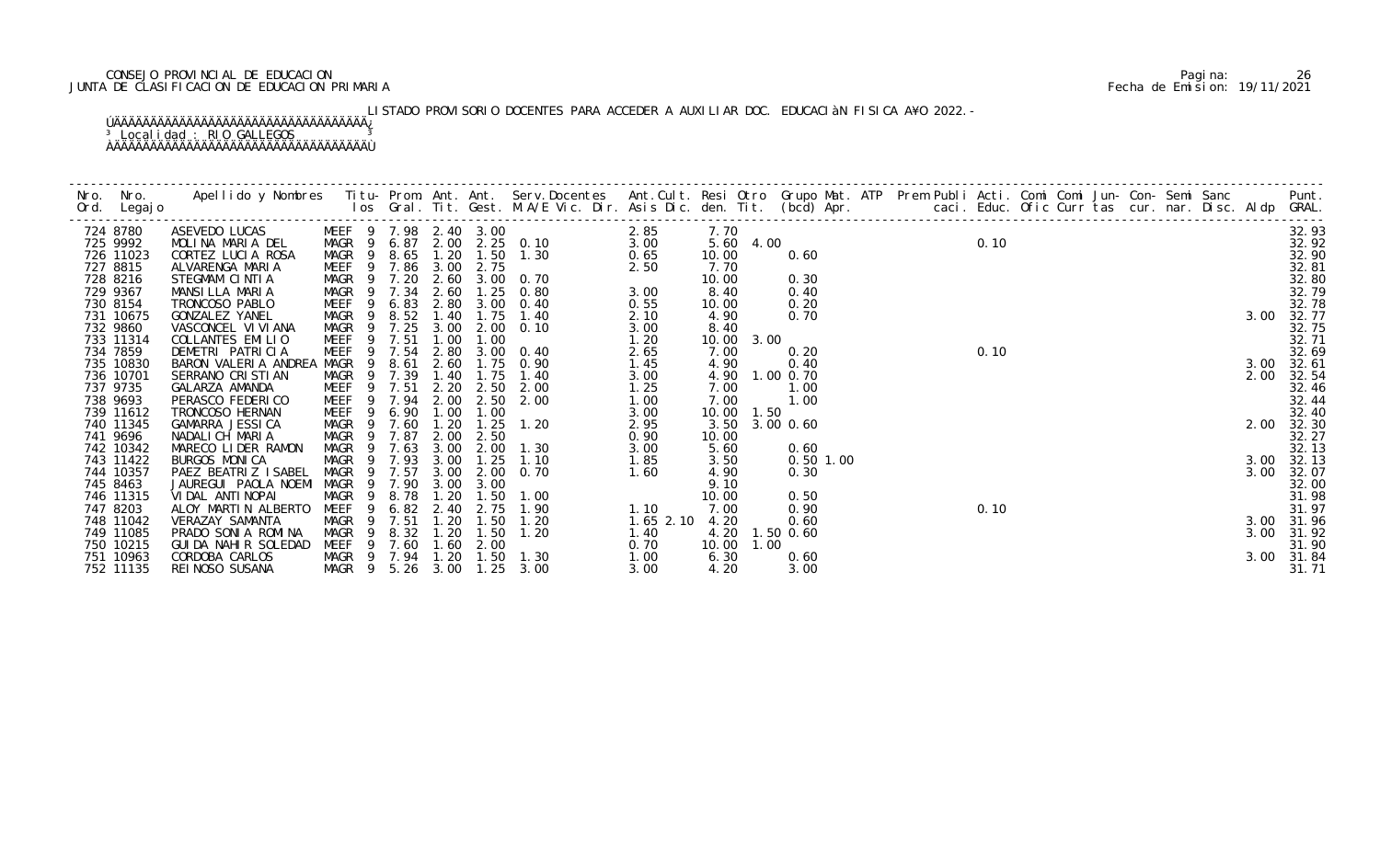# CONSEJO PROVINCIAL DE EDUCACION Pagina: 26 JUNTA DE CLASIFICACION DE EDUCACION PRIMARIA Fecha de Emision: 19/11/2021

# LISTADO PROVISORIO DOCENTES PARA ACCEDER A AUXILIAR DOC. EDUCACIÀN FISICA A¥O 2022.-

| 724 8780               | ASEVEDO LUCAS                         |                            |                |              |              |              | WEEF 9 $1.98$ $2.40$ $3.00$ $2.85$<br>MAGR 9 $6.87$ $2.00$ $2.25$ $0.10$ $3.00$<br>MAGR 9 $8.45$ $3.00$ |               | 7.70          |           |              |                                   |  |      |  |  |  |      | 32.93               |
|------------------------|---------------------------------------|----------------------------|----------------|--------------|--------------|--------------|---------------------------------------------------------------------------------------------------------|---------------|---------------|-----------|--------------|-----------------------------------|--|------|--|--|--|------|---------------------|
| 725 9992               | MOLINA MARIA DEL                      |                            |                |              |              |              |                                                                                                         |               |               |           |              | $7.70$<br>5.60 4.00<br>10.00 0.40 |  | 0.10 |  |  |  |      | 32.92               |
| 726 11023              | CORTEZ LUCIA ROSA                     | MAGR 9                     |                | 8.65 1.20    |              |              | 1.50 1.30                                                                                               | 0.65          | 10.00         |           | 0.60         |                                   |  |      |  |  |  |      | 32.90               |
| 727 8815               | ALVARENGA MARIA                       | MEEF 9 7.86                |                |              | 3.00         | 2.75         |                                                                                                         | 2.50          | 7.70          |           |              |                                   |  |      |  |  |  |      | 32.81               |
| 728 8216               | STEGMAM CINTIA                        |                            |                |              |              |              | MAGR 9 7.20 2.60 3.00 0.70                                                                              |               | 10.00         |           | 0.30         |                                   |  |      |  |  |  |      | 32.80               |
| 729 9367               | MANSILLA MARIA                        | MAGR 9                     |                | 7.34         | 2.60         |              | $1.25$ 0.80                                                                                             | 3.00          | 8.40          |           | 0.40         |                                   |  |      |  |  |  |      | 32.79               |
| 730 8154               | TRONCOSO PABLO                        | MEEF <sub>9</sub>          |                | 6.83         |              |              | 2.80 3.00 0.40                                                                                          | 0.55          | 10.00         |           | 0.20<br>0.70 |                                   |  |      |  |  |  |      | 32.78               |
| 731 10675<br>732 9860  | GONZALEZ YANEL<br>VASCONCEL VI VI ANA | MAGR 9<br>MAGR             | - 9            | 8.52<br>7.25 | 1.40<br>3.00 | 1.75         | 1.40<br>2.00 0.10                                                                                       | 2.10          | 4.90          |           |              |                                   |  |      |  |  |  |      | 3.00 32.77<br>32.75 |
| 733 11314              | COLLANTES EMILIO                      | MEEF                       | 9              | 7.51         | 1.00         | 1.00         |                                                                                                         | 3.00<br>1.20  | 8.40<br>10.00 | 3.00      |              |                                   |  |      |  |  |  |      | 32.71               |
| 734 7859               | DEMETRI PATRICIA                      | MEEF                       |                | 9 7.54       | 2.80         |              | 3.00 0.40                                                                                               | 2.65          | 7.00          |           | 0.20         |                                   |  | 0.10 |  |  |  |      | 32.69               |
| 735 10830              | BARON VALERIA ANDREA                  | MAGR                       | - 9            | 8.61         | 2.60         | 1.75         | 0.90                                                                                                    | 1.45          | 4.90          |           | 0.40         |                                   |  |      |  |  |  | 3.00 | 32.61               |
| 736 10701              | SERRANO CRISTIAN                      | MAGR 9                     |                | 7.39         | 1.40         | 1.75         | 1.40                                                                                                    | 3.00          | 4.90          | 1.00 0.70 |              |                                   |  |      |  |  |  | 2.00 | 32.54               |
| 737 9735               | GALARZA AMANDA                        | MEEF                       |                | 7.51         | 2.20         | 2.50         | 2.00                                                                                                    | 1.25          | 7.00          |           | 1.00         |                                   |  |      |  |  |  |      | 32.46               |
| 738 9693               | PERASCO FEDERICO                      | MEEF 9 7.94                |                |              | 2.00         | 2.50         | 2.00                                                                                                    | 1.00          | 7.00          |           | 1.00         |                                   |  |      |  |  |  |      | 32.44               |
| 739 11612              | TRONCOSO HERNAN                       | MEEF                       | 9              | 6.90         | 1.00         | 1.00         |                                                                                                         | 3.00          | 10.00 1.50    |           |              |                                   |  |      |  |  |  |      | 32.40               |
| 740 11345              | GAMARRA JESSICA                       | MAGR                       | - 9            | 7.60         | 1.20         | 1.25         | 1.20                                                                                                    | 2.95          | 3.50          | 3.00 0.60 |              |                                   |  |      |  |  |  | 2.00 | 32.30               |
| 741 9696               | NADALICH MARIA                        | MAGR                       | -9             | 7.87         | 2.00         | 2.50         |                                                                                                         | 0.90          | 10.00         |           |              |                                   |  |      |  |  |  |      | 32.27               |
| 742 10342              | MARECO LIDER RAMON                    | MAGR                       | 9              | 7.63         | 3.00         | 2.00         | 1.30                                                                                                    | 3.00          | 5.60          |           | 0.60         |                                   |  |      |  |  |  |      | 32.13               |
| 743 11422              | BURGOS MONICA                         | MAGR                       |                | 9 7.93       | 3.00         | 1.25         | 1.10                                                                                                    | 1.85          | 3.50          |           | 0.50 1.00    |                                   |  |      |  |  |  |      | 3.00 32.13          |
| 744 10357              | PAEZ BEATRIZ ISABEL                   | MAGR                       | $\overline{9}$ | 7.57         | 3.00         | 2.00         | 0. 70                                                                                                   | 1.60          | 4.90          |           | 0.30         |                                   |  |      |  |  |  | 3.00 | 32.07               |
| 745 8463               | JAUREGUI PAOLA NOEMI                  | MAGR                       |                | 7.90         | 3.00         | 3.00         |                                                                                                         |               | 9.10          |           |              |                                   |  |      |  |  |  |      | 32.00               |
| 746 11315              | VIDAL ANTINOPAI                       | MAGR                       | $\overline{9}$ | 8.78         | 1.20         | 1.50         | 1.00                                                                                                    |               | 10.00         |           | 0.50         |                                   |  |      |  |  |  |      | 31.98               |
| 747 8203               | ALOY MARTIN ALBERTO                   | MEEF                       | 9              | 6.82         | 2.40         | 2.75         | 1.90                                                                                                    | 1.10          | 7.00          |           | 0.90         |                                   |  | 0.10 |  |  |  |      | 31.97               |
| 748 11042              | VERAZAY SAMANTA                       | <b>MAGR</b>                | -9             | 7.51         | 1.20         | 1.50         | 1.20                                                                                                    | $1.65$ $2.10$ | 4.20          |           | 0.60         |                                   |  |      |  |  |  |      | 3.00 31.96          |
| 749 11085              | PRADO SONIA ROMINA                    | MAGR                       |                | 8.32         | 1.20         | 1.50         | 1.20                                                                                                    | 1.40          | 4.20          | 1.50 0.60 |              |                                   |  |      |  |  |  | 3.00 | 31.92               |
| 750 10215              | GUI DA NAHI R SOLEDAD                 | MEEF                       | - 9            | 7.60         | 1.60         | 2.00         |                                                                                                         | 0.70          | 10.00         | 1.00      |              |                                   |  |      |  |  |  |      | 31.90               |
| 751 10963<br>752 11135 | CORDOBA CARLOS<br>REI NOSO SUSANA     | MAGR 9 7.94<br>MAGR 9 5.26 |                |              | 1.20<br>3.00 | 1.50<br>1.25 | 1.30<br>3.00                                                                                            | 1.00<br>3.00  | 6.30<br>4.20  |           | 0.60<br>3.00 |                                   |  |      |  |  |  |      | 3.00 31.84<br>31.71 |
|                        |                                       |                            |                |              |              |              |                                                                                                         |               |               |           |              |                                   |  |      |  |  |  |      |                     |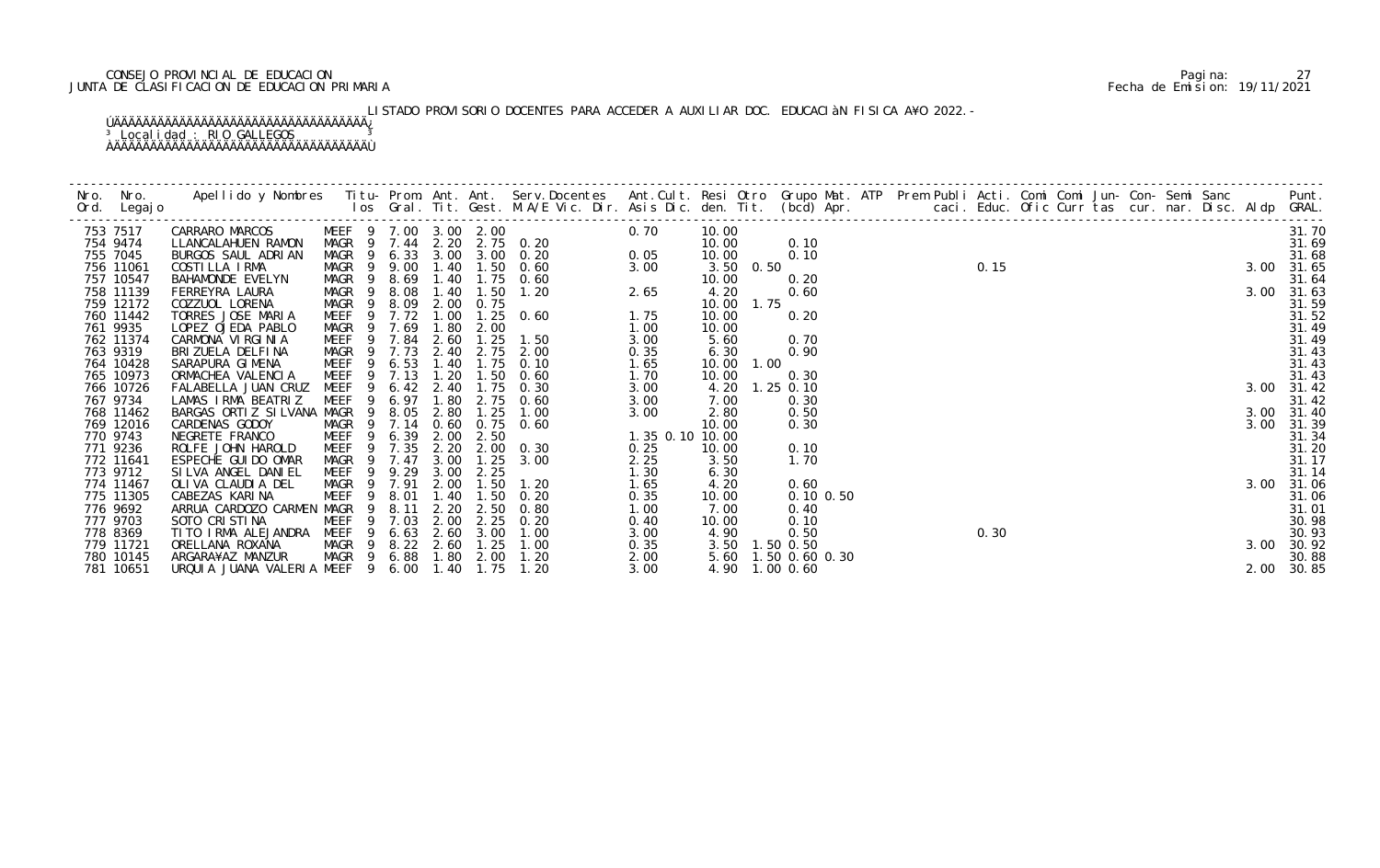# CONSEJO PROVINCIAL DE EDUCACION Pagina: 27 JUNTA DE CLASIFICACION DE EDUCACION PRIMARIA Fecha de Emision: 19/11/2021

# LISTADO PROVISORIO DOCENTES PARA ACCEDER A AUXILIAR DOC. EDUCACIÀN FISICA A¥O 2022.-

| 753 7517  | CARRARO MARCOS              | MEEF 9 7.00 3.00 2.00  |      |              |                  | 0. 20<br>0. 20<br>0. 20<br>0. 05 | 0.70            | 10.00          |             |                     |      |      |  |  |  |      | 31.70      |
|-----------|-----------------------------|------------------------|------|--------------|------------------|----------------------------------|-----------------|----------------|-------------|---------------------|------|------|--|--|--|------|------------|
| 754 9474  | LLANCALAHUEN RAMON          | MAGR 9 7.44            |      |              |                  | 2. 20 2. 75 0. 20                |                 | 10.00          |             | 0.10                | 0.15 |      |  |  |  |      | 31.69      |
| 755 7045  | BURGOS SAUL ADRIAN          | MAGR 9                 |      |              |                  | 6.33 3.00 3.00 0.20              |                 | 10.00          |             | 0.10                |      |      |  |  |  |      | 31.68      |
| 756 11061 | COSTILLA IRMA               | MAGR 9 9.00            |      | 1.40         | 1.50             | 0.60                             | 3.00            | 3.50 0.50      |             |                     |      |      |  |  |  |      | 3.00 31.65 |
| 757 10547 | BAHAMONDE EVELYN            | MAGR<br>- 9            | 8.69 | 1.40         | 1.75             | 0.60                             |                 | 10.00          |             | 0.20                |      |      |  |  |  |      | 31.64      |
| 758 11139 | FERREYRA LAURA              | MAGR <sub>9</sub>      | 8.08 | 1.40         | 1.50             | 1.20                             | 2.65            | 4.20           |             | 0.60                |      |      |  |  |  |      | 3.00 31.63 |
| 759 12172 | COZZUOL LORENA              | MAGR<br>$\overline{9}$ | 8.09 | 2.00         | 0.75             |                                  |                 | 10.00 1.75     |             |                     |      |      |  |  |  |      | 31.59      |
| 760 11442 | TORRES JOSE MARIA           | MEEF 9                 | 7.72 | 1.00         |                  | $1.25 \quad 0.60$                | 1.75            | 10.00          |             | 0.20                |      |      |  |  |  |      | 31.52      |
| 761 9935  | LOPEZ OJEDA PABLO           | MAGR<br>- 9            | 7.69 | 1.80         | 2.00             |                                  | 1.00            | 10.00          |             |                     |      |      |  |  |  |      | 31.49      |
| 762 11374 | CARMONA VIRGINIA            | MEEF<br>- 9            | 7.84 | 2.60         | 1.25             | 1.50                             | 3.00            | 5.60           |             | 0.70                |      |      |  |  |  |      | 31.49      |
| 763 9319  | BRIZUELA DELFINA            | MAGR 9                 | 7.73 | 2.40         | 2.75             | 2.00                             | 0.35            | 6.30           |             | 0.90                |      |      |  |  |  |      | 31.43      |
| 764 10428 | SARAPURA GIMENA             | MEEF<br>9              | 6.53 | 1.40         | 1.75             | 0.10                             | 1.65            | 10.00          | 1.00        |                     |      |      |  |  |  |      | 31.43      |
| 765 10973 | ORMACHEA VALENCIA           | <b>MEEF</b><br>9       | 7.13 | 1.20         | 1.50             | 0.60                             | 1.70            | 10.00          |             | 0.30                |      |      |  |  |  |      | 31.43      |
| 766 10726 | FALABELLA JUAN CRUZ         | MEEF                   | 6.42 | 2.40         | l. 75            | 0.30                             | 3.00            | 4.20           | $1.25$ 0.10 |                     |      |      |  |  |  |      | 3.00 31.42 |
| 767 9734  | LAMAS IRMA BEATRIZ          | MEEF<br>-9             | 6.97 | 1.80         | 2.75             | 0.60                             | 3.00            | 7.00           |             | 0.30                |      |      |  |  |  |      | 31.42      |
| 768 11462 | BARGAS ORTIZ SILVANA MAGR   | - 9                    | 8.05 | 2.80         | 1.25             | 1.00                             | 3.00            | 2.80           |             | 0.50                |      |      |  |  |  |      | 3.00 31.40 |
| 769 12016 | CARDENAS GODOY              | MAGR<br>$\overline{9}$ | 7.14 | 0.60<br>2.00 |                  | $0.75$ 0.60                      |                 | 10.00          |             | 0.30                |      |      |  |  |  | 3.00 | 31.39      |
| 770 9743  | NEGRETE FRANCO              | MEEF<br>9              | 6.39 |              | 2.50             |                                  | 1.35 0.10 10.00 |                |             |                     |      |      |  |  |  |      | 31.34      |
| 771 9236  | ROLFE JOHN HAROLD           | MEEF<br>- 9            | 7.35 | 2.20         |                  | 2.00 0.30                        | 0.25            | 10.00          |             | 0.10                |      |      |  |  |  |      | 31.20      |
| 772 11641 | ESPECHE GUI DO OMAR         | MAGR<br>- 9            | 7.47 | 3.00         | 1.25             | 3.00                             | 2.25            | 3.50           |             | 1.70                |      |      |  |  |  |      | 31.17      |
| 773 9712  | SILVA ANGEL DANIEL          | MEEF<br>- 9            | 9.29 | 3.00         | 2.25             |                                  | 1.30            | 6.30           |             |                     |      |      |  |  |  |      | 31.14      |
| 774 11467 | OLIVA CLAUDIA DEL           | MAGR<br>- 9            | 7.91 | 2.00         | 1.50             | 1.20                             | 1.65            | 4.20           |             | 0.60                |      |      |  |  |  |      | 3.00 31.06 |
| 775 11305 | CABEZAS KARINA              | MEEF<br>-9             | 8.01 | 1.40         | $\overline{.50}$ | 0.20                             | 0.35            | 10.00          |             | $0.10$ $0.50$       |      |      |  |  |  |      | 31.06      |
| 776 9692  | ARRUA CARDOZO CARMEN MAGR 9 |                        | 8.11 | 2.20         | 2.50             | 0.80                             | 1.00            | 7.00           |             | 0.40                |      |      |  |  |  |      | 31.01      |
| 777 9703  | SOTO CRISTINA               | MEEF<br>-9             | 7.03 | 2.00         | 2.25             | 0.20                             | 0.40            | 10.00          |             | 0.10                |      |      |  |  |  |      | 30.98      |
| 778 8369  | TI TO I RMA ALEJANDRA       | MEEF<br>-9             | 6.63 | 2.60         | 3.00             | 1.00                             | 3.00            | 4.90           |             | 0.50                |      | 0.30 |  |  |  |      | 30.93      |
| 779 11721 | ORELLANA ROXANA             | MAGR 9                 |      | 8.22 2.60    | 1.25             | 1.00                             | 0.35            | 3.50 1.50 0.50 |             |                     |      |      |  |  |  | 3.00 | 30.92      |
| 780 10145 | ARGARA¥AZ MANZUR            | MAGR 9                 | 6.88 |              | 1.80 2.00        | 1.20                             | 2.00            |                |             | 5.60 1.50 0.60 0.30 |      |      |  |  |  |      | 30.88      |
| 781 10651 | URQUIA JUANA VALERIA MEEF 9 |                        | 6.00 | 1.40         | 1.75             | 1.20                             | 3.00            | 4.90 1.00 0.60 |             |                     |      |      |  |  |  |      | 2.00 30.85 |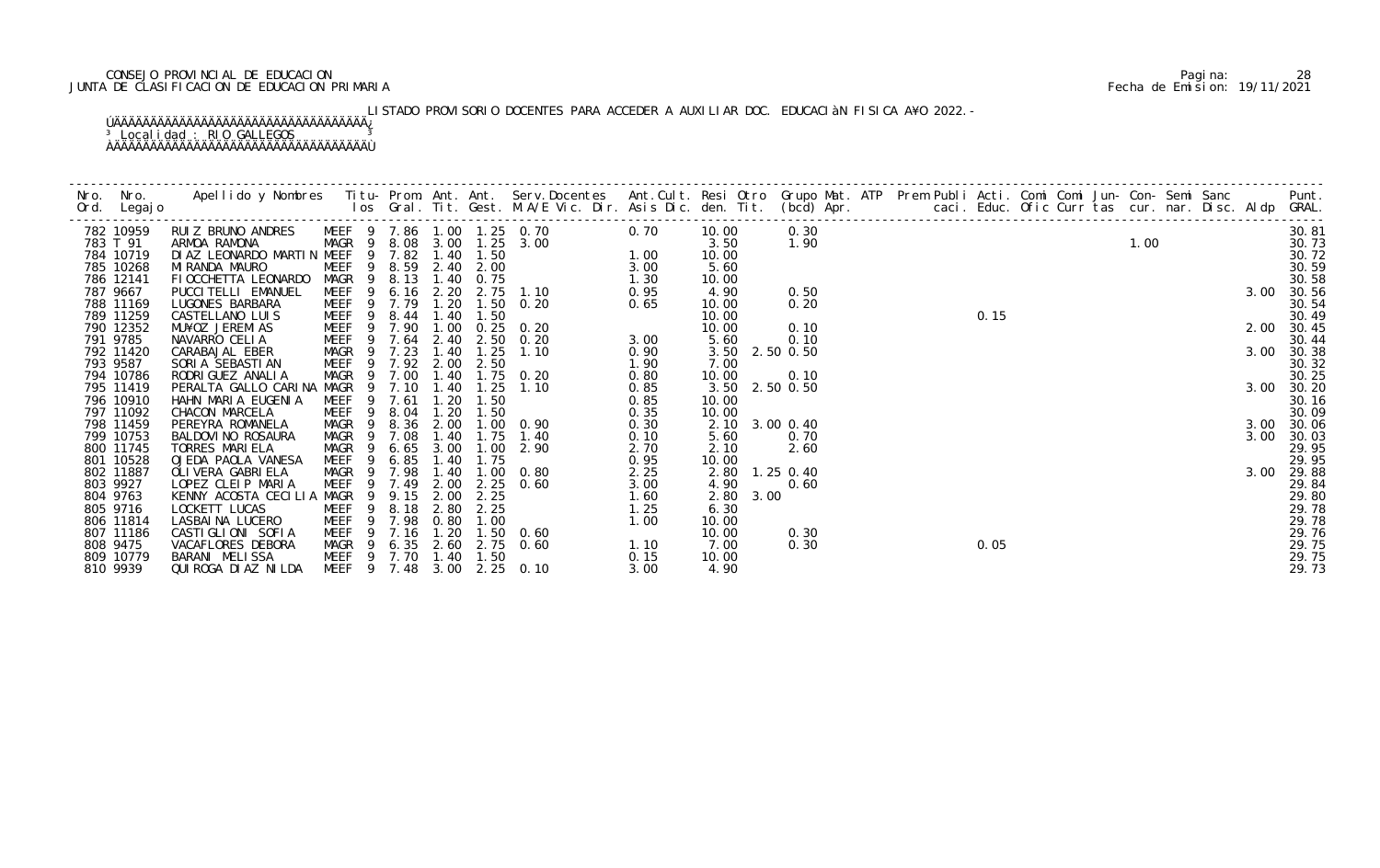# CONSEJO PROVINCIAL DE EDUCACION Pagina: 28 JUNTA DE CLASIFICACION DE EDUCACION PRIMARIA Fecha de Emision: 19/11/2021

# LISTADO PROVISORIO DOCENTES PARA ACCEDER A AUXILIAR DOC. EDUCACIÀN FISICA A¥O 2022.-

| 782 10959              | RUIZ BRUNO ANDRES                          | MEEF 9 7.86 1.00 1.25 0.70                     |                |      |           | $0.76$<br>$-3.00$<br>$-75$<br>$2.75$ 1.10<br>$-1.37$<br>$-50$ 0.20 |      | 10.00          | 0.30           |  |      |  |      |  |      | 30.81          |
|------------------------|--------------------------------------------|------------------------------------------------|----------------|------|-----------|--------------------------------------------------------------------|------|----------------|----------------|--|------|--|------|--|------|----------------|
| 783 T 91               | ARMOA RAMONA                               | MAGR 9 8.08 3.00 1.25 3.00                     |                |      |           |                                                                    |      | 3.50           | 1.90           |  |      |  | 1.00 |  |      | 30.73          |
| 784 10719              | DIAZ LEONARDO MARTIN MEEF 9 7.82 1.40 1.50 |                                                |                |      |           |                                                                    |      | 10.00          |                |  |      |  |      |  |      | 30.72          |
| 785 10268              | MI RANDA MAURO                             | MEEF 9 8.59 2.40 2.00                          |                |      |           |                                                                    |      | 5.60           |                |  |      |  |      |  |      | 30.59          |
| 786 12141              | FI OCCHETTA LEONARDO                       | MAGR 9 8.13                                    |                |      | 1.40 0.75 |                                                                    |      | 10.00          |                |  |      |  |      |  |      | 30.58          |
| 787 9667               | PUCCI TELLI EMANUEL                        | MEEF <sub>9</sub>                              | $6.16$ $2.20$  |      |           |                                                                    |      | 4.90           | 0.50           |  |      |  |      |  | 3.00 | 30.56          |
| 788 11169              | LUGONES BARBARA                            | MEEF 9 7.79                                    |                | 1.20 |           |                                                                    |      | 10.00          | 0.20           |  |      |  |      |  |      | 30.54          |
| 789 11259              | CASTELLANO LUIS                            | MEEF <sub>9</sub>                              | 8.44           | 1.40 | 1.50      |                                                                    |      | 10.00          |                |  | 0.15 |  |      |  |      | 30.49          |
| 790 12352              | MU¥OZ JEREMIAS                             | $\overline{9}$<br>MEEF                         | 7.90           | 1.00 | 0.25      | 0.20                                                               |      | 10.00          | 0.10           |  |      |  |      |  | 2.00 | 30.45          |
| 791 9785               | NAVARRO CELIA                              | MEEF                                           | 9 7.64 2.40    |      |           | $2.50 \t 0.20$                                                     | 3.00 | 5.60           | 0.10           |  |      |  |      |  |      | 30.44          |
| 792 11420              | CARABAJAL EBER                             | MAGR                                           | 9 7.23         | 1.40 | 1.25      | 1.10                                                               | 0.90 |                | 3.50 2.50 0.50 |  |      |  |      |  | 3.00 | 30.38          |
| 793 9587               | SORIA SEBASTIAN                            | MEEF                                           | 9 7.92 2.00    |      | 2.50      |                                                                    | 1.90 | 7.00           |                |  |      |  |      |  |      | 30.32          |
| 794 10786              | RODRI GUEZ ANALI A                         | MAGR 9                                         | 7.00           | 1.40 |           | 1.75 0.20                                                          | 0.80 | 10.00          | 0.10           |  |      |  |      |  |      | 30.25          |
| 795 11419              | PERALTA GALLO CARINA MAGR                  |                                                | 9 7.10         | 1.40 | 1.25      | 1.10                                                               | 0.85 |                | 3.50 2.50 0.50 |  |      |  |      |  | 3.00 | 30.20          |
| 796 10910              | HAHN MARIA EUGENIA                         | <b>MEEF</b>                                    | 9 7.61         | 1.20 | 1.50      |                                                                    | 0.85 | 10.00          |                |  |      |  |      |  |      | 30.16          |
| 797 11092              | CHACON MARCELA                             | MEEF<br>9                                      | 8.04           | 1.20 | 1.50      |                                                                    | 0.35 | 10.00          |                |  |      |  |      |  |      | 30.09          |
| 798 11459              | PEREYRA ROMANELA                           | 9<br>MAGR                                      | 8.36           | 2.00 |           | 1.00 0.90                                                          | 0.30 | 2.10           | 3.00 0.40      |  |      |  |      |  | 3.00 | 30.06          |
| 799 10753              | BALDOVI NO ROSAURA                         | MAGR<br>$\overline{9}$                         | 7.08           | 1.40 | 1.75      | 1.40                                                               | 0.10 | 5.60           | 0.70           |  |      |  |      |  | 3.00 | 30.03          |
| 800 11745              | TORRES MARIELA                             | MAGR<br>- 9                                    | 6.65           | 3.00 | 1.00      | 2.90                                                               | 2.70 | 2.10           | 2.60           |  |      |  |      |  |      | 29.95          |
| 801 10528              | OJEDA PAOLA VANESA                         | MEEF 9 6.85                                    |                | 1.40 | 1.75      |                                                                    | 0.95 | 10.00          |                |  |      |  |      |  |      | 29.95          |
| 802 11887              | OLI VERA GABRI ELA                         | MAGR 9                                         | 7.98           | 1.40 |           | $1.00 \quad 0.80$                                                  | 2.25 | 2.80           | $1.25$ 0.40    |  |      |  |      |  | 3.00 | 29.88          |
| 803 9927               | LOPEZ CLEIP MARIA                          | MEEF                                           | 9 7.49         | 2.00 |           | $2.25$ 0.60                                                        | 3.00 | 4.90           | 0.60           |  |      |  |      |  |      | 29.84          |
| 804 9763               | KENNY ACOSTA CECILIA MAGR                  |                                                | 9 9.15         | 2.00 | 2.25      |                                                                    | 1.60 | 2.80           | 3.00           |  |      |  |      |  |      | 29.80          |
| 805 9716               | LOCKETT LUCAS                              | MEEF<br>-9                                     | 8.18           | 2.80 | 2.25      |                                                                    | 1.25 | 6.30           |                |  |      |  |      |  |      | 29.78          |
| 806 11814<br>807 11186 | LASBAINA LUCERO                            | 9<br>MEEF<br>MEEF                              | 7.98<br>9 7.16 | 0.80 | 1.00      |                                                                    | 1.00 | 10.00<br>10.00 | 0.30           |  |      |  |      |  |      | 29.78          |
| 808 9475               | CASTIGLIONI SOFIA                          |                                                |                | 1.20 |           | $1.50 \quad 0.60$                                                  |      | 7.00           | 0.30           |  | 0.05 |  |      |  |      | 29.76          |
| 809 10779              | VACAFLORES DEBORA<br>BARANI MELISSA        | MAGR 9 6.35 2.60 2.75 0.60<br>MEEF 9 7.70 1.40 |                |      | 1.50      | $\frac{1}{2}$ . 10                                                 | 0.15 | 10.00          |                |  |      |  |      |  |      | 29.75<br>29.75 |
| 810 9939               | QUI ROGA DI AZ NI LDA                      | MEEF 9 7.48 3.00                               |                |      |           | $2.25$ 0.10                                                        | 3.00 | 4.90           |                |  |      |  |      |  |      | 29.73          |
|                        |                                            |                                                |                |      |           |                                                                    |      |                |                |  |      |  |      |  |      |                |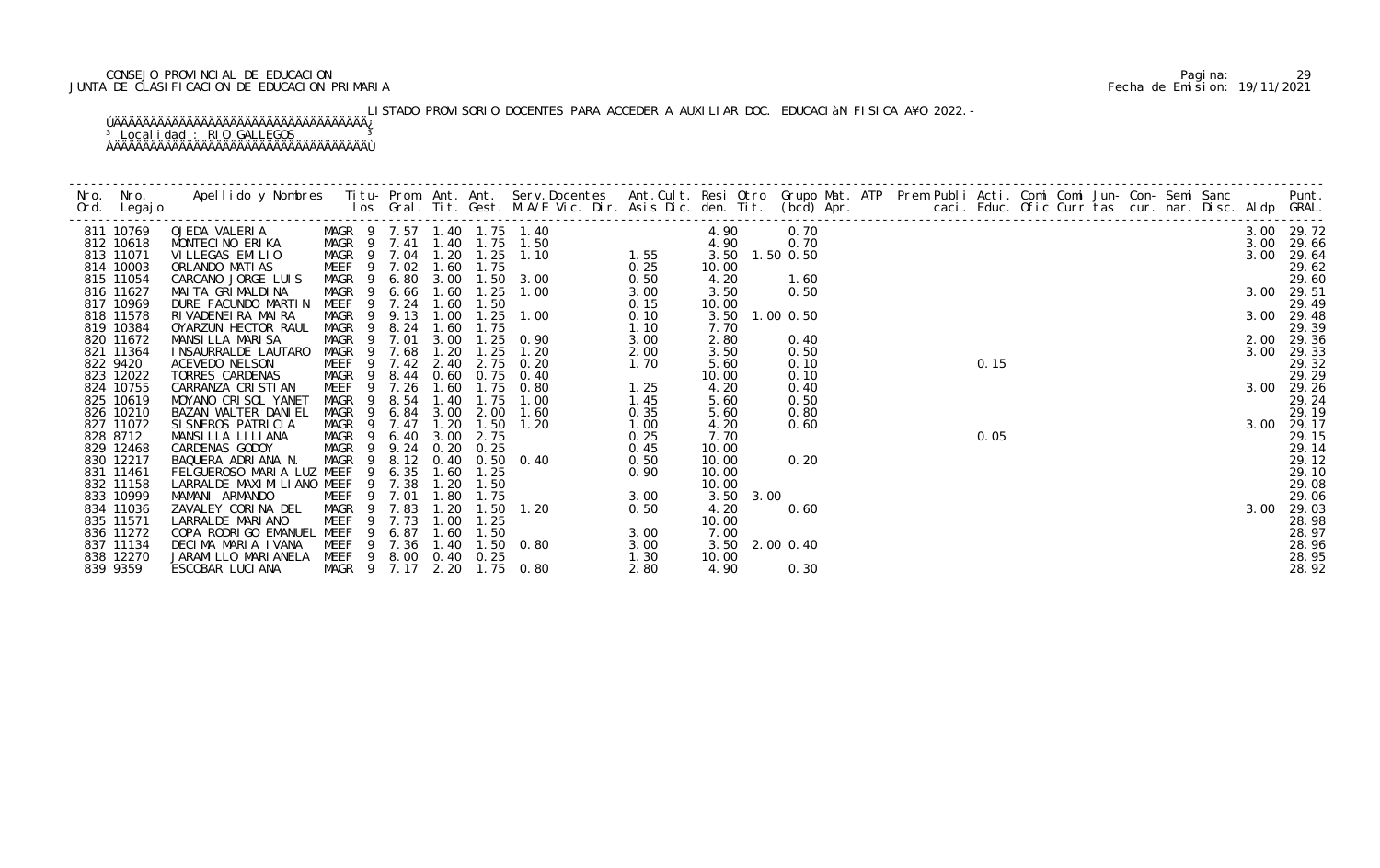# CONSEJO PROVINCIAL DE EDUCACION Pagina: 29 JUNTA DE CLASIFICACION DE EDUCACION PRIMARIA Fecha de Emision: 19/11/2021

# LISTADO PROVISORIO DOCENTES PARA ACCEDER A AUXILIAR DOC. EDUCACIÀN FISICA A¥O 2022.-

|          | Ord. Legajo |                                  |                   |                |        |      |                   |                                                                                        |      |                |             |      |  |        |  |  |  |      |            |
|----------|-------------|----------------------------------|-------------------|----------------|--------|------|-------------------|----------------------------------------------------------------------------------------|------|----------------|-------------|------|--|--------|--|--|--|------|------------|
|          | 811 10769   | OJEDA VALERIA<br>MONTFCINO ERIKA |                   |                |        |      |                   | MAGR 9 7.57 1.40 1.75 1.40<br>MAGR 9 7.41 1.40 1.75 1.50<br>MAGR 9 7.04 1.20 1.25 1.10 |      |                |             | 0.70 |  | $0.15$ |  |  |  |      | 3.00 29.72 |
|          | 812 10618   | MONTECINO ERIKA                  |                   |                |        |      |                   |                                                                                        |      |                |             | 0.70 |  |        |  |  |  | 3.00 | 29.66      |
|          | 813 11071   | VILLEGAS EMILIO                  |                   |                |        |      |                   |                                                                                        |      |                | $1.50$ 0.50 |      |  |        |  |  |  | 3.00 | 29.64      |
|          | 814 10003   | ORLANDO MATIAS                   | <b>MEEF</b>       |                | 9 7.02 | 1.60 | 1.75              |                                                                                        | 0.25 | 10.00          |             |      |  |        |  |  |  |      | 29.62      |
|          | 815 11054   | CARCANO JORGE LUIS               | MAGR <sub>9</sub> |                |        |      |                   | 6.80 3.00 1.50 3.00                                                                    | 0.50 | 4.20           |             | 1.60 |  |        |  |  |  |      | 29.60      |
|          | 816 11627   | MAI TA GRI MALDI NA              | MAGR              | - 9            | 6.66   | 1.60 | 1.25              | 1.00                                                                                   | 3.00 | 3.50           |             | 0.50 |  |        |  |  |  |      | 3.00 29.51 |
|          | 817 10969   | DURE FACUNDO MARTIN              | MEEF              | -9             | 7.24   | 1.60 | 1.50              |                                                                                        | 0.15 | 10.00          |             |      |  |        |  |  |  |      | 29.49      |
|          | 818 11578   | RIVADENEIRA MAIRA                | MAGR              | - 9            | 9.13   | 1.00 | 1.25              | 1.00                                                                                   | 0.10 | 3.50 1.00 0.50 |             |      |  |        |  |  |  |      | 3.00 29.48 |
|          | 819 10384   | OYARZUN HECTOR RAUL              | MAGR              | -9             | 8.24   | 1.60 | 1.75              |                                                                                        | 1.10 | 7.70           |             |      |  |        |  |  |  |      | 29.39      |
|          | 820 11672   | MANSILLA MARISA                  | MAGR              | - 9            | 7.01   | 3.00 |                   | $1.25 \quad 0.90$                                                                      | 3.00 | 2.80           |             | 0.40 |  |        |  |  |  |      | 2.00 29.36 |
|          | 821 11364   | INSAURRALDE LAUTARO              | MAGR              |                | 7.68   | 1.20 | 1.25              | 1.20                                                                                   | 2.00 | 3.50           |             | 0.50 |  |        |  |  |  | 3.00 | 29.33      |
|          | 822 9420    | ACEVEDO NELSON                   | MEEF 9 7.42       |                |        | 2.40 | 2.75              | 0.20                                                                                   | 1.70 | 5.60           |             | 0.10 |  |        |  |  |  |      | 29.32      |
|          | 823 12022   | TORRES CARDENAS                  | MAGR <sub>9</sub> |                | 8.44   |      | $0.60 \quad 0.75$ | 0.40                                                                                   |      | 10.00          |             | 0.10 |  |        |  |  |  |      | 29.29      |
|          | 824 10755   | CARRANZA CRISTIAN                | MEEF              | $\overline{9}$ | 7.26   | 1.60 | 1.75              | 1.25<br>0.80                                                                           |      | 4.20           |             | 0.40 |  |        |  |  |  |      | 3.00 29.26 |
|          | 825 10619   | MOYANO CRISOL YANET              | MAGR              | -9             | 8.54   | 1.40 | 1.75              | 1.00                                                                                   | 1.45 | 5.60           |             | 0.50 |  |        |  |  |  |      | 29.24      |
|          | 826 10210   | BAZAN WALTER DANIEL              | MAGR              |                | 6.84   | 3.00 | 2.00              | 1.60                                                                                   | 0.35 | 5.60           |             | 0.80 |  |        |  |  |  |      | 29.19      |
|          | 827 11072   | SI SNEROS PATRICIA               | MAGR 9            |                | 7.47   | 1.20 | 1.50              | 1.20                                                                                   | 1.00 | 4.20           |             | 0.60 |  |        |  |  |  |      | 3.00 29.17 |
|          | 828 8712    | MANSILLA LILIANA                 | MAGR              | - 9            | 6.40   | 3.00 | 2.75              |                                                                                        | 0.25 | 7.70           |             |      |  | 0.05   |  |  |  |      | 29.15      |
|          | 829 12468   | CARDENAS GODOY                   | MAGR 9            |                | 9.24   | 0.20 | 0.25              |                                                                                        | 0.45 | 10.00          |             |      |  |        |  |  |  |      | 29.14      |
|          | 830 12217   | BAQUERA ADRIANA N.               | MAGR              | - 9            | 8.12   |      |                   | 0.40 0.50 0.40                                                                         | 0.50 | 10.00          |             | 0.20 |  |        |  |  |  |      | 29.12      |
|          | 831 11461   | FELGUEROSO MARIA LUZ MEEF        |                   | -9             | 6.35   | 1.60 | 1.25              | $0.90$<br>$0.90$<br>$3.00$<br>$0.50$                                                   |      | 10.00          |             |      |  |        |  |  |  |      | 29.10      |
|          | 832 11158   | LARRALDE MAXIMILIANO MEEF        |                   | $\overline{9}$ | 7.38   | 1.20 | 1.50              |                                                                                        |      | 10.00          |             |      |  |        |  |  |  |      | 29.08      |
|          | 833 10999   | MAMANI ARMANDO                   | MEEF              |                | 9 7.01 | 1.80 | 1.75              |                                                                                        |      | 3.50           | 3.00        |      |  |        |  |  |  |      | 29.06      |
|          | 834 11036   | ZAVALEY CORINA DEL               | MAGR              | $\overline{9}$ | 7.83   | 1.20 | 1.50              | 1.20                                                                                   |      | 4.20           |             | 0.60 |  |        |  |  |  | 3.00 | 29.03      |
|          | 835 11571   | LARRALDE MARIANO                 | MEEF              | -9             | 7.73   | 1.00 | 1.25              |                                                                                        |      | 10.00          |             |      |  |        |  |  |  |      | 28.98      |
|          | 836 11272   | COPA RODRIGO EMANUEL MEEF        |                   | 9              | 6.87   | 1.60 | 1.50              | $3.00$<br>$3.00$<br>$3.00$                                                             |      | 7.00           |             |      |  |        |  |  |  |      | 28.97      |
|          | 837 11134   | DECIMA MARIA IVANA               | MEEF              | -9             | 7.36   | 1.40 |                   | $1.50 \t 0.80$                                                                         |      | 3.50 2.00 0.40 |             |      |  |        |  |  |  |      | 28.96      |
|          | 838 12270   | JARAMI LLO MARI ANELA            | MEEF              | 9              |        |      | 8.00 0.40 0.25    | 1.30                                                                                   |      | 10.00          |             |      |  |        |  |  |  |      | 28.95      |
| 839 9359 |             | ESCOBAR LUCIANA                  | MAGR 9 7.17 2.20  |                |        |      |                   | 1.75 0.80                                                                              | 2.80 | 4.90           |             | 0.30 |  |        |  |  |  |      | 28.92      |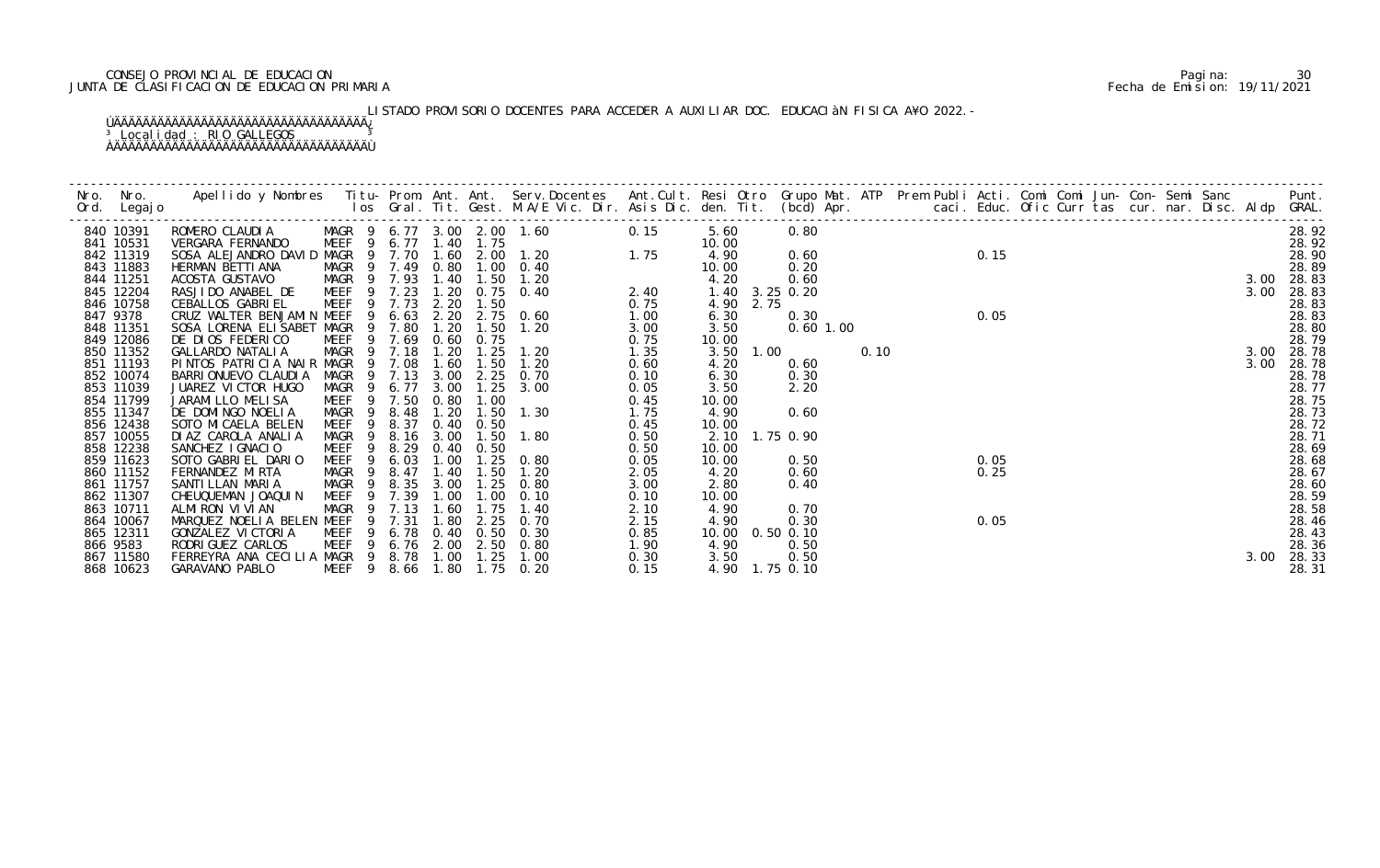# CONSEJO PROVINCIAL DE EDUCACION Pagina: 30 JUNTA DE CLASIFICACION DE EDUCACION PRIMARIA Fecha de Emision: 19/11/2021

# LISTADO PROVISORIO DOCENTES PARA ACCEDER A AUXILIAR DOC. EDUCACIÀN FISICA A¥O 2022.-

| 840 10391              | ROMERO CLAUDIA                                     |                        |                       |              |                               | MAGR 9 6.77 3.00 2.00 1.60 | 0.15         | 5.60           | 0.80          |      |      |  |  |  |      | 28.92          |
|------------------------|----------------------------------------------------|------------------------|-----------------------|--------------|-------------------------------|----------------------------|--------------|----------------|---------------|------|------|--|--|--|------|----------------|
| 841 10531              | VERGARA FERNANDO                                   |                        | MEEF 9 6.77 1.40 1.75 |              |                               |                            |              | 10.00          |               |      |      |  |  |  |      | 28.92          |
| 842 11319              |                                                    |                        |                       |              |                               |                            |              | 4.90           | 0.60          |      | 0.15 |  |  |  |      | 28.90          |
| 843 11883              | HERMAN BETTI ANA                                   |                        | MAGR 9 7.49           |              | 0.80 1.00                     | 0.40                       |              | 10.00          | 0.20          |      |      |  |  |  |      | 28.89          |
| 844 11251              | ACOSTA GUSTAVO                                     |                        | MAGR 9 7.93           | 1.40         | 1.50                          | $2.40$<br>0.75<br>1.20     |              | 4.20           | 0.60          |      |      |  |  |  |      | 3.00 28.83     |
| 845 12204              | RASJIDO ANABEL DE                                  | $\overline{9}$<br>MEEF | 7.23                  | 1.20         |                               | $0.75$ 0.40                |              | 1.40 3.25 0.20 |               |      |      |  |  |  | 3.00 | 28.83          |
| 846 10758              | CEBALLOS GABRI EL                                  |                        | MEEF 9 7.73           | 2.20         | 1.50                          |                            |              | 4.90 2.75      |               |      |      |  |  |  |      | 28.83          |
| 847 9378               | CRUZ WALTER BENJAMIN MEEF                          | -9                     | 6.63                  |              |                               | 2.20 2.75 0.60             | 1.00         | 6.30           | 0.30          |      | 0.05 |  |  |  |      | 28.83          |
| 848 11351              | SOSA LORENA ELISABET MAGR                          | - 9                    | 7.80                  | 1.20         | 1.50                          | 1.20                       | 3.00         | 3.50           | $0.60$ 1.00   |      |      |  |  |  |      | 28.80          |
| 849 12086              | DE DIOS FEDERICO                                   | MEEF<br>-9             | 7.69                  | 0.60         | 0.75                          |                            | 0.75         | 10.00          |               |      |      |  |  |  |      | 28.79          |
| 850 11352              | GALLARDO NATALIA                                   | $\overline{9}$         | MAGR 9 7.18           | 1.20         | 1.25                          | 1.20                       | 1.35         | 3.50           | 1.00<br>0.60  | 0.10 |      |  |  |  | 3.00 | 3.00 28.78     |
| 851 11193<br>852 10074 | PINTOS PATRICIA NAIR MAGR<br>BARRI ONUEVO CLAUDI A | MAGR<br>- 9            | 7.08<br>7.13          | 1.60<br>3.00 | 1.50<br>2.25                  | 1.20<br>0.70               | 0.60         | 4.20<br>6.30   |               |      |      |  |  |  |      | 28.78<br>28.78 |
| 853 11039              | JUAREZ VICTOR HUGO                                 | MAGR 9                 | 6.77                  | 3.00         | 1.25                          | 3.00                       | 0.10         | 3.50           | 0.30<br>2.20  |      |      |  |  |  |      | 28.77          |
| 854 11799              | JARAMI LLO MELI SA                                 | MEEF <sub>9</sub>      | 7.50                  | 0.80         | 1.00                          |                            | 0.05<br>0.45 | 10.00          |               |      |      |  |  |  |      | 28.75          |
| 855 11347              | DE DOMINGO NOELIA                                  | MAGR 9                 | 8.48                  | 1.20         | 1.50                          | 1.30                       | 1.75         | 4.90           | 0.60          |      |      |  |  |  |      | 28.73          |
| 856 12438              | SOTO MI CAELA BELEN                                | MEEF<br>$\overline{9}$ | 8.37                  |              | $0.40 \quad 0.50$             |                            | 0.45         | 10.00          |               |      |      |  |  |  |      | 28.72          |
| 857 10055              | DI AZ CAROLA ANALIA                                | MAGR<br>9              | 8.16                  | 3.00         | 1.50                          | 1.80                       | 0.50         | 2.10           | 1.75 0.90     |      |      |  |  |  |      | 28.71          |
| 858 12238              | SANCHEZ IGNACIO                                    | MEEF<br>- 9            | 8.29                  |              | $0.40 \quad 0.50$             |                            | 0.50         | 10.00          |               |      |      |  |  |  |      | 28.69          |
| 859 11623              | SOTO GABRIEL DARIO                                 | MEEF <sub>9</sub>      | 6.03                  | 1.00         |                               | $1.25 \t 0.80$             | 0.05         | 10.00          | 0.50          |      | 0.05 |  |  |  |      | 28.68          |
| 860 11152              | FERNANDEZ MIRTA                                    | MAGR<br>- 9            | 8.47                  | 1.40         | 1.50                          | 1.20                       | 2.05         | 4.20           | 0.60          |      | 0.25 |  |  |  |      | 28.67          |
| 861 11757              | SANTI LLAN MARIA                                   | MAGR 9                 | 8.35                  | 3.00         | $\overline{\phantom{0}}$ . 25 | 0.80                       | 3.00         | 2.80           | 0.40          |      |      |  |  |  |      | 28.60          |
| 862 11307              | CHEUQUEMAN JOAQUIN                                 | MEEF <sub>9</sub>      | 7.39                  | 1.00         | 1.00                          | 0.10                       | 0.10         | 10.00          |               |      |      |  |  |  |      | 28.59          |
| 863 10711              | ALMIRON VIVIAN                                     |                        | MAGR 9 7.13           | 1.60         | 1.75                          | 1.40                       | 2.10         | 4.90           | 0.70          |      |      |  |  |  |      | 28.58          |
| 864 10067              | MARQUEZ NOELIA BELEN MEEF                          | 9                      | 7.31                  | 1.80         | 2.25                          | 0. 70                      | 2.15         | 4.90           | 0.30          |      | 0.05 |  |  |  |      | 28.46          |
| 865 12311              | GONZALEZ VI CTORI A                                | MEEF                   | 6.78                  | 0.40         | 0.50                          | 0.30                       | 0.85         | 10.00          | $0.50$ $0.10$ |      |      |  |  |  |      | 28.43          |
| 866 9583               | RODRI GUEZ CARLOS                                  | MEEF 9                 |                       |              |                               | 6.76 2.00 2.50 0.80        | 1.90         | 4.90           | 0.50          |      |      |  |  |  |      | 28.36          |
| 867 11580              | FERREYRA ANA CECILIA MAGR 9 8.78                   |                        |                       |              | $1.00$ $1.25$                 | 1.00                       | 0.30         | 3.50           | 0.50          |      |      |  |  |  | 3.00 | 28.33          |
| 868 10623              | GARAVANO PABLO                                     | MEEF <sub>9</sub>      | 8.66                  | 1.80         |                               | $1.75 \t 0.20$             | 0.15         | 4.90 1.75 0.10 |               |      |      |  |  |  |      | 28.31          |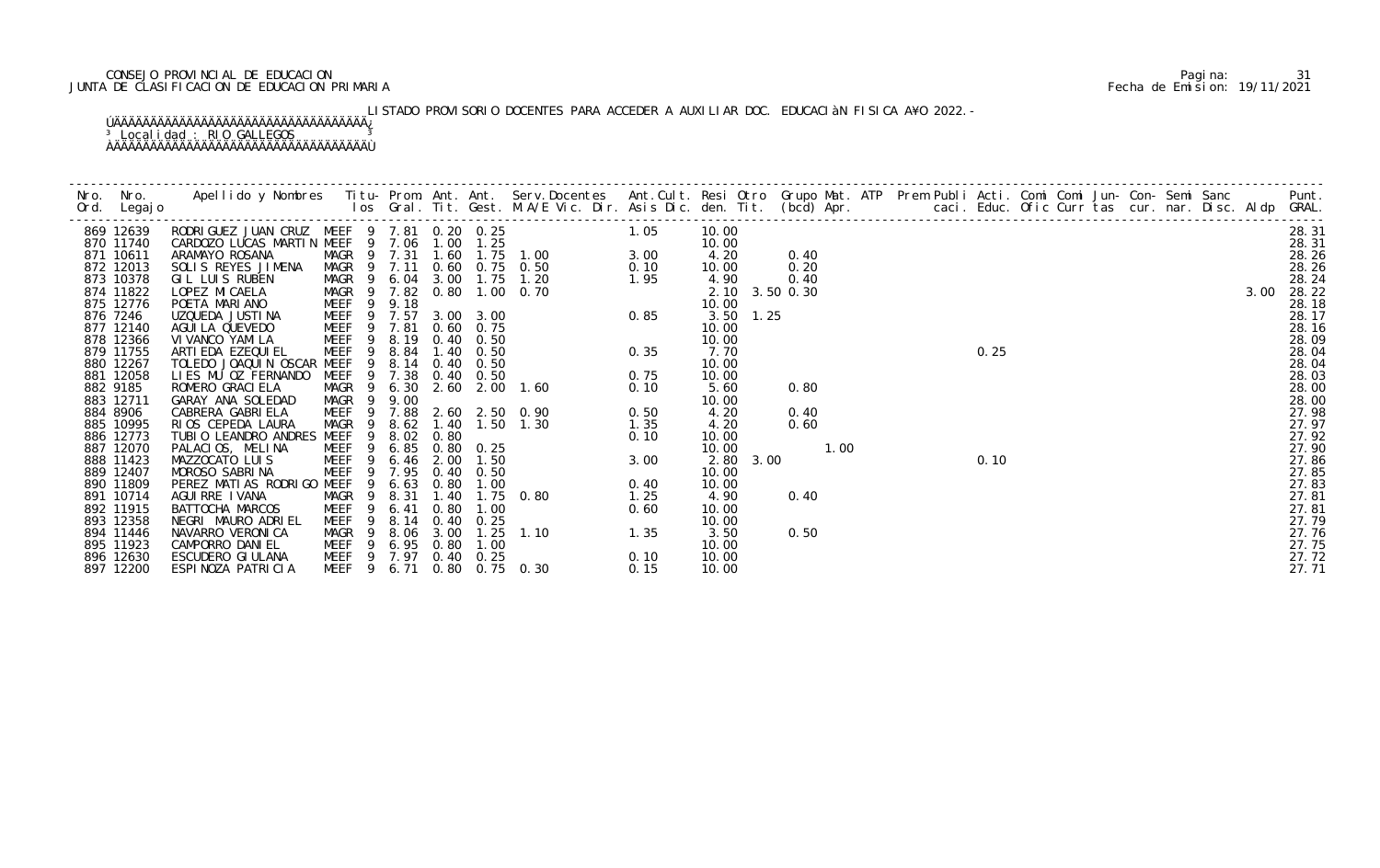# CONSEJO PROVINCIAL DE EDUCACION Pagina: 31 JUNTA DE CLASIFICACION DE EDUCACION PRIMARIA Fecha de Emision: 19/11/2021

# LISTADO PROVISORIO DOCENTES PARA ACCEDER A AUXILIAR DOC. EDUCACIÀN FISICA A¥O 2022.-

| 869 12639              | RODRIGUEZ JUAN CRUZ MEEF 9 7.81 0.20 0.25<br>CARDOZO LUCAS MARTIN MEEF 9 7.06 1.00 1.25 |                                                     |               |      |                   | 1.05                                                                                                    |      | 10.00       |                |  |      |  |  |  |      | 28.31          |
|------------------------|-----------------------------------------------------------------------------------------|-----------------------------------------------------|---------------|------|-------------------|---------------------------------------------------------------------------------------------------------|------|-------------|----------------|--|------|--|--|--|------|----------------|
| 870 11740              |                                                                                         |                                                     |               |      |                   |                                                                                                         |      | 10.00       |                |  |      |  |  |  |      | 28.31          |
| 871 10611              | ARAMAYO ROSANA                                                                          | MAGR 9 7.31                                         |               | 1.60 |                   |                                                                                                         |      | 4.20        | 0.40           |  |      |  |  |  |      | 28.26          |
| 872 12013              | SOLIS REYES JIMENA                                                                      | MAGR 9 7.11                                         |               |      |                   | 0.60 0.75 0.50                                                                                          |      | 10.00       | 0.20           |  |      |  |  |  |      | 28.26          |
| 873 10378              | GIL LUIS RUBEN                                                                          | MAGR 9                                              |               |      |                   | 6.04 3.00 1.75 1.20                                                                                     |      | 4.90        | 0.40           |  |      |  |  |  |      | 28.24          |
| 874 11822<br>875 12776 | LOPEZ MI CAELA<br>POETA MARIANO                                                         | MAGR 9 7.82                                         | 9.18          |      |                   | 0.80 1.00 0.70                                                                                          |      | 10.00       | 2.10 3.50 0.30 |  |      |  |  |  | 3.00 | 28.22          |
| 876 7246               | UZQUEDA JUSTINA                                                                         | 9<br>MEEF<br>MEEF 9 7.57                            |               |      | 3.00 3.00         |                                                                                                         |      | $3.50$ 1.25 |                |  |      |  |  |  |      | 28.18<br>28.17 |
| 877 12140              | AGUI LA QUEVEDO                                                                         | MEEF 9 7.81                                         |               |      | $0.60$ $0.75$     |                                                                                                         |      | 10.00       |                |  |      |  |  |  |      | 28.16          |
| 878 12366              | VI VANCO YAMI LA                                                                        | 9<br>MEEF                                           | 8.19          |      | $0.40 \quad 0.50$ |                                                                                                         |      | 10.00       |                |  |      |  |  |  |      | 28.09          |
| 879 11755              | ARTI EDA EZEQUI EL                                                                      | MEEF <sub>9</sub>                                   | 8.84          |      | $1.40 \quad 0.50$ | 1.00 3.00<br>0.50 0.10<br>1.20 1.95<br>0.70 0.85<br>0.35<br>0.75<br>1.60 0.75<br>1.80 0.75<br>1.30 1.35 |      | 7.70        |                |  | 0.25 |  |  |  |      | 28.04          |
| 880 12267              | TOLEDO JOAQUIN OSCAR MEEF                                                               | 9                                                   | 8.14          |      | $0.40 \quad 0.50$ |                                                                                                         |      | 10.00       |                |  |      |  |  |  |      | 28.04          |
| 881 12058              | LIES MU OZ FERNANDO                                                                     | MEEF 9 7.38                                         |               |      | $0.40 \quad 0.50$ |                                                                                                         |      | 10.00       |                |  |      |  |  |  |      | 28.03          |
| 882 9185               | ROMERO GRACI ELA                                                                        | MAGR 9                                              | 6.30          |      |                   | 2.60 2.00 1.60                                                                                          |      | 5.60        | 0.80           |  |      |  |  |  |      | 28.00          |
| 883 12711              | GARAY ANA SOLEDAD                                                                       | - 9<br>MAGR                                         | 9.00          |      |                   |                                                                                                         |      | 10.00       |                |  |      |  |  |  |      | 28.00          |
| 884 8906               | CABRERA GABRI ELA                                                                       | MEEF <sub>9</sub>                                   | 7.88          |      |                   | 2.60 2.50 0.90                                                                                          | 0.50 | 4.20        | 0.40           |  |      |  |  |  |      | 27.98          |
| 885 10995              | RIOS CEPEDA LAURA                                                                       | MAGR<br>$\overline{9}$                              | 8.62          |      |                   | 1.40 1.50 1.30<br>1.35                                                                                  |      | 4.20        | 0.60           |  |      |  |  |  |      | 27.97          |
| 886 12773              | TUBIO LEANDRO ANDRES MEEF                                                               | 9                                                   | 8.02          | 0.80 |                   | $0.10$<br>3.00<br>0.40                                                                                  |      | 10.00       |                |  |      |  |  |  |      | 27.92          |
| 887 12070              | PALACIOS, MELINA                                                                        | MEEF <sub>9</sub>                                   | 6.85          |      | $0.80 \quad 0.25$ |                                                                                                         |      | 10.00       | 1.00           |  |      |  |  |  |      | 27.90          |
| 888 11423              | MAZZOCATO LUIS                                                                          | MEEF <sub>9</sub>                                   | $6.46$ $2.00$ |      | 1.50              |                                                                                                         |      | 2.80 3.00   |                |  | 0.10 |  |  |  |      | 27.86          |
| 889 12407              | MOROSO SABRINA                                                                          | MEEF 9 7.95                                         |               |      | $0.40 \quad 0.50$ |                                                                                                         |      | 10.00       |                |  |      |  |  |  |      | 27.85          |
| 890 11809              | PEREZ MATIAS RODRIGO MEEF                                                               | - 9                                                 | 6.63          | 0.80 | 1.00              |                                                                                                         | 0.40 | 10.00       |                |  |      |  |  |  |      | 27.83          |
| 891 10714              | AGUI RRE I VANA                                                                         | MAGR 9                                              | 8.31          | 1.40 |                   | 1.75 0.80                                                                                               | 1.25 | 4.90        | 0.40           |  |      |  |  |  |      | 27.81          |
| 892 11915              | BATTOCHA MARCOS                                                                         | <b>MEEF</b><br>- 9                                  | 6.41          | 0.80 | 1.00              |                                                                                                         |      | 10.00       |                |  |      |  |  |  |      | 27.81          |
| 893 12358              | NEGRI MAURO ADRIEL                                                                      | MEEF<br>- 9                                         | 8.14          |      | $0.40 \quad 0.25$ |                                                                                                         |      | 10.00       |                |  |      |  |  |  |      | 27.79          |
| 894 11446              | NAVARRO VERONICA                                                                        | MAGR<br>- 9                                         | 8.06          | 3.00 | 1.25              | $-110$ 1.35                                                                                             |      | 3.50        | 0.50           |  |      |  |  |  |      | 27.76          |
| 895 11923              | CAMPORRO DANIEL                                                                         | MEEF 9 6.95                                         |               | 0.80 | 1.00              |                                                                                                         |      | 10.00       |                |  |      |  |  |  |      | 27.75          |
| 896 12630              | ESCUDERO GI ULANA                                                                       | MEEF 9 7.97 0.40 0.25<br>MEEF 9 6.71 0.80 0.75 0.30 |               |      |                   |                                                                                                         | 0.10 | 10.00       |                |  |      |  |  |  |      | 27.72<br>27.71 |
| 897 12200              | ESPINOZA PATRICIA                                                                       |                                                     |               |      |                   |                                                                                                         | 0.15 | 10.00       |                |  |      |  |  |  |      |                |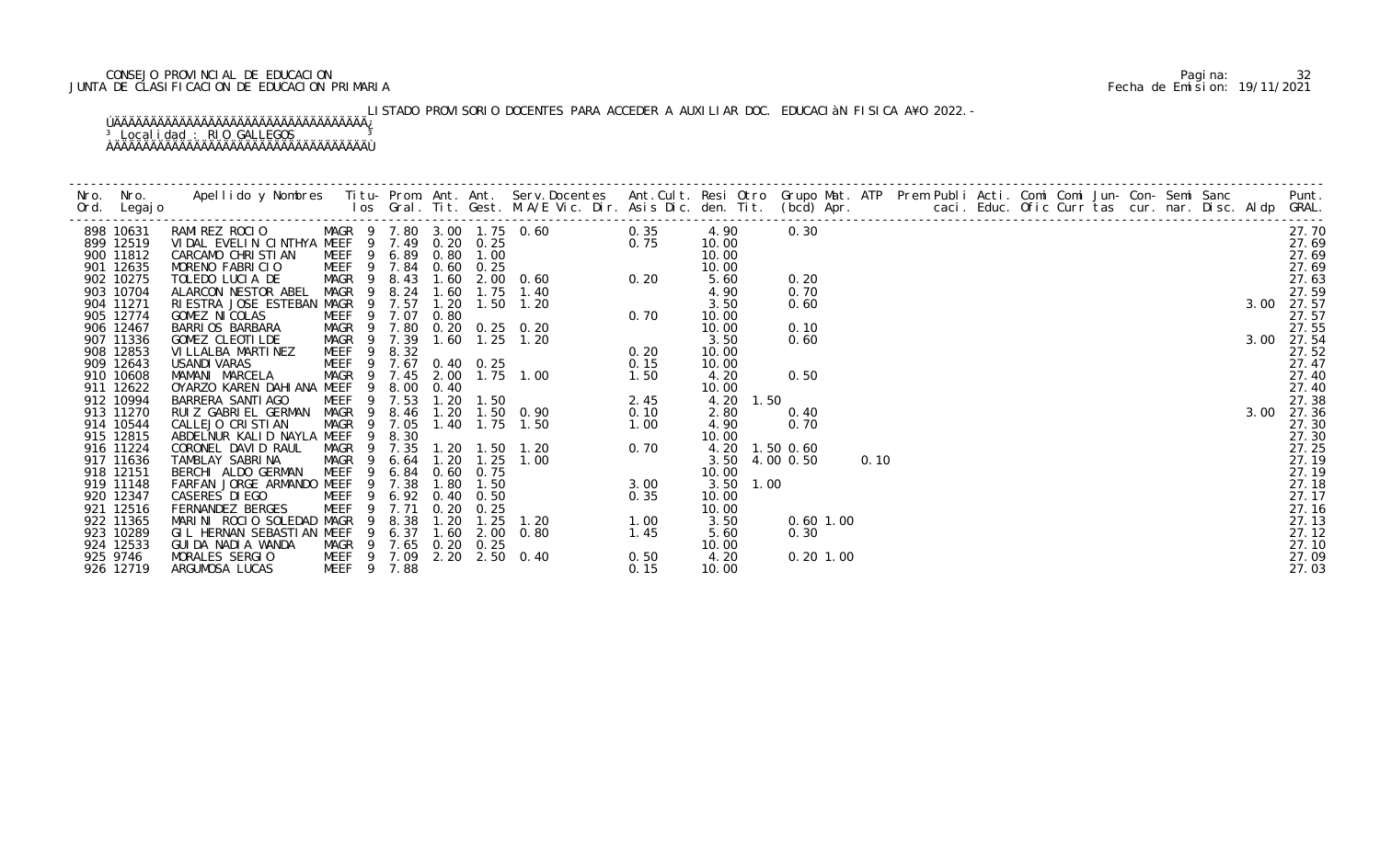# CONSEJO PROVINCIAL DE EDUCACION Pagina: 32 JUNTA DE CLASIFICACION DE EDUCACION PRIMARIA Fecha de Emision: 19/11/2021

# LISTADO PROVISORIO DOCENTES PARA ACCEDER A AUXILIAR DOC. EDUCACIàN FISICA A¥O 2022.-

|           |                               |                       |      |  |                        |      |           |                |  |  |  |  |  |  | Punt.      |
|-----------|-------------------------------|-----------------------|------|--|------------------------|------|-----------|----------------|--|--|--|--|--|--|------------|
| 898 10631 |                               |                       |      |  |                        |      | 4.90      | 0.30           |  |  |  |  |  |  | 27.70      |
| 899 12519 |                               |                       |      |  |                        |      | 10.00     |                |  |  |  |  |  |  | 27.69      |
| 900 11812 |                               |                       |      |  |                        |      | 10.00     |                |  |  |  |  |  |  | 27.69      |
| 901 12635 |                               |                       |      |  |                        |      | 10.00     |                |  |  |  |  |  |  | 27.69      |
| 902 10275 |                               |                       |      |  |                        |      | 5.60      | 0.20           |  |  |  |  |  |  | 27.63      |
| 903 10704 |                               |                       |      |  |                        |      | 4.90      | 0.70           |  |  |  |  |  |  | 27.59      |
| 904 11271 |                               |                       |      |  |                        |      | 3.50      | 0.60           |  |  |  |  |  |  | 3.00 27.57 |
| 905 12774 |                               |                       |      |  |                        |      | 10.00     |                |  |  |  |  |  |  | 27.57      |
| 906 12467 |                               |                       |      |  |                        |      | 10.00     | 0.10           |  |  |  |  |  |  | 27.55      |
| 907 11336 |                               |                       |      |  |                        |      | 3.50      | 0.60           |  |  |  |  |  |  | 3.00 27.54 |
| 908 12853 |                               |                       |      |  |                        |      | 10.00     |                |  |  |  |  |  |  | 27.52      |
| 909 12643 |                               |                       |      |  |                        |      | 10.00     |                |  |  |  |  |  |  | 27.47      |
| 910 10608 |                               |                       |      |  |                        |      | 4.20      | 0.50           |  |  |  |  |  |  | 27.40      |
| 911 12622 |                               |                       |      |  |                        |      | 10.00     |                |  |  |  |  |  |  | 27.40      |
| 912 10994 |                               |                       |      |  |                        |      | 4.20      | 1.50           |  |  |  |  |  |  | 27.38      |
| 913 11270 |                               |                       |      |  |                        |      | 2.80      | 0.40           |  |  |  |  |  |  | 3.00 27.36 |
| 914 10544 |                               |                       |      |  |                        |      | 4.90      | 0.70           |  |  |  |  |  |  | 27.30      |
| 915 12815 |                               |                       |      |  |                        |      | 10.00     |                |  |  |  |  |  |  | 27.30      |
| 916 11224 |                               |                       |      |  |                        |      |           | 4.20 1.50 0.60 |  |  |  |  |  |  | 27.25      |
| 917 11636 |                               |                       |      |  |                        |      |           | 3.50 4.00 0.50 |  |  |  |  |  |  | 27.19      |
| 918 12151 |                               |                       |      |  |                        |      | 10.00     |                |  |  |  |  |  |  | 27.19      |
| 919 11148 |                               |                       |      |  |                        |      | 3.50 1.00 |                |  |  |  |  |  |  | 27.18      |
| 920 12347 |                               |                       |      |  |                        |      | 10.00     |                |  |  |  |  |  |  | 27.17      |
| 921 12516 |                               |                       |      |  |                        |      | 10.00     |                |  |  |  |  |  |  | 27.16      |
| 922 11365 |                               |                       |      |  |                        |      | 3.50      | $0.60$ 1.00    |  |  |  |  |  |  | 27.13      |
| 923 10289 | GIL HERNAN SEBASTIAN MEEF     | 9                     | 6.37 |  | 1.45<br>1.60 2.00 0.80 |      | 5.60      | 0.30           |  |  |  |  |  |  | 27.12      |
| 924 12533 | GUI DA NADI A WANDA           | MAGR 9 7.65 0.20 0.25 |      |  | 0.50                   |      | 10.00     |                |  |  |  |  |  |  | 27.10      |
| 925 9746  | MORALES SERGIO<br>MEEF 9 7.09 |                       |      |  | 2.20 2.50 0.40         |      | 4.20      | $0.20$ 1.00    |  |  |  |  |  |  | 27.09      |
| 926 12719 | ARGUMOSA LUCAS                | <b>MEEF</b><br>- 9    | 7.88 |  |                        | 0.15 | 10.00     |                |  |  |  |  |  |  | 27.03      |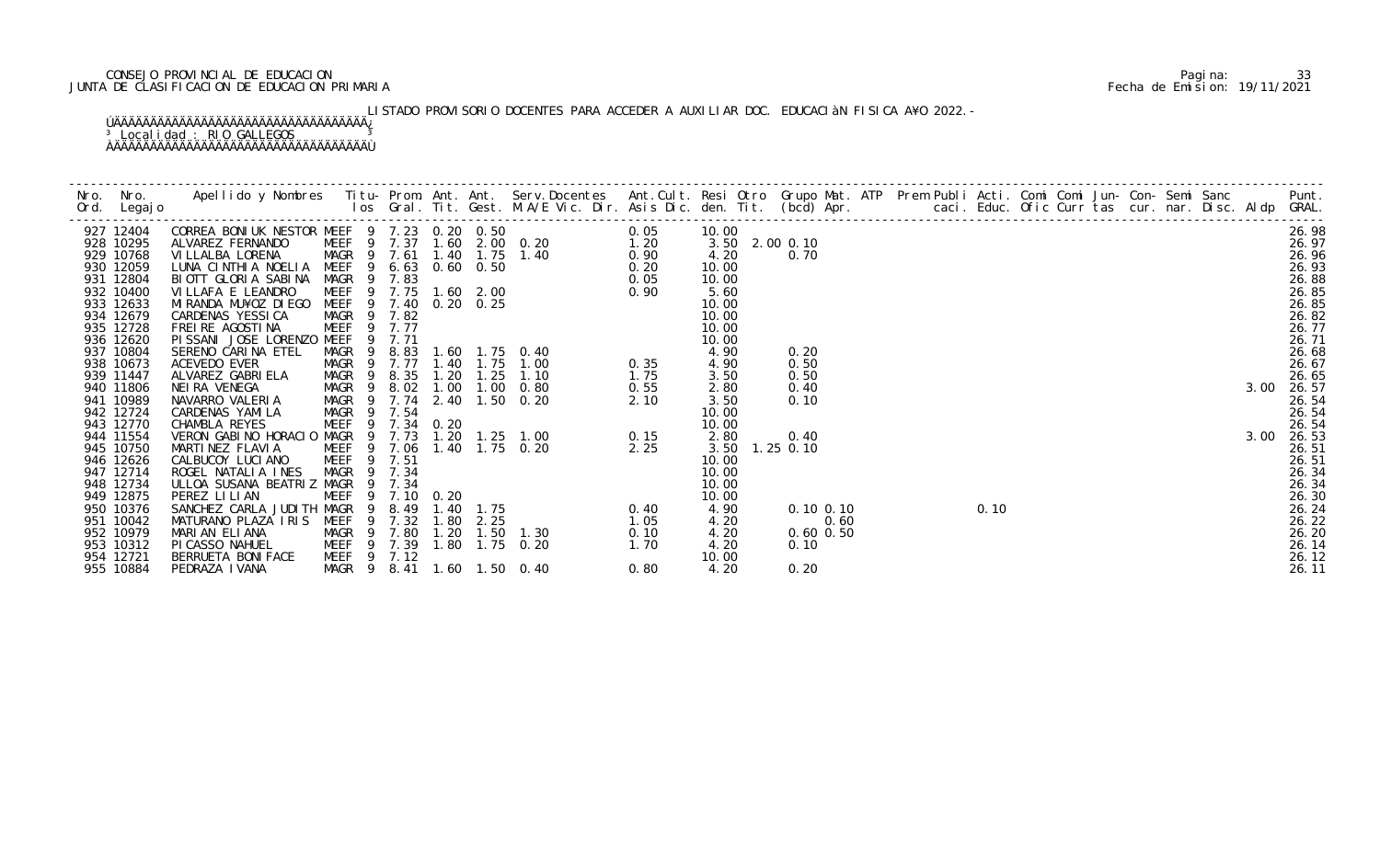# CONSEJO PROVINCIAL DE EDUCACION Pagina: 33 JUNTA DE CLASIFICACION DE EDUCACION PRIMARIA Fecha de Emision: 19/11/2021

# LISTADO PROVISORIO DOCENTES PARA ACCEDER A AUXILIAR DOC. EDUCACIÀN FISICA A¥O 2022.-

| Nro. Nro.<br>Ord. Legajo | Apellido y Nombres Titu- Prom. Ant. Ant. Serv.Docentes Ant.Cult. Resi Otro Grupo Mat. ATP Prem Publi Acti. Comi Comi Jun- Con- Semi Sanc Punt.<br>Ios Gral. Tit. Gest. M.A/E Vic. Dir. Asis Dic. den. Tit. (bcd) Apr. |  |  |  |                |               |  |  |  |  |  |      |                |
|--------------------------|-----------------------------------------------------------------------------------------------------------------------------------------------------------------------------------------------------------------------|--|--|--|----------------|---------------|--|--|--|--|--|------|----------------|
| 927 12404                |                                                                                                                                                                                                                       |  |  |  | 10.00          |               |  |  |  |  |  |      | 26.98          |
| 928 10295                |                                                                                                                                                                                                                       |  |  |  | 3.50 2.00 0.10 |               |  |  |  |  |  |      | 26.97          |
| 929 10768                |                                                                                                                                                                                                                       |  |  |  | 4.20           | 0.70          |  |  |  |  |  |      | 26.96          |
| 930 12059                |                                                                                                                                                                                                                       |  |  |  | 10.00          |               |  |  |  |  |  |      | 26.93          |
| 931 12804<br>932 10400   |                                                                                                                                                                                                                       |  |  |  | 10.00<br>5.60  |               |  |  |  |  |  |      | 26.88<br>26.85 |
| 933 12633                |                                                                                                                                                                                                                       |  |  |  | 10.00          |               |  |  |  |  |  |      | 26.85          |
| 934 12679                |                                                                                                                                                                                                                       |  |  |  | 10.00          |               |  |  |  |  |  |      | 26.82          |
| 935 12728                |                                                                                                                                                                                                                       |  |  |  | 10.00          |               |  |  |  |  |  |      | 26.77          |
| 936 12620                |                                                                                                                                                                                                                       |  |  |  | 10.00          |               |  |  |  |  |  |      | 26.71          |
| 937 10804                |                                                                                                                                                                                                                       |  |  |  | 4.90           | 0.20          |  |  |  |  |  |      | 26.68          |
| 938 10673                |                                                                                                                                                                                                                       |  |  |  | 4.90           | 0.50          |  |  |  |  |  |      | 26.67          |
| 939 11447                |                                                                                                                                                                                                                       |  |  |  | 3.50           | 0.50          |  |  |  |  |  |      | 26.65          |
| 940 11806                |                                                                                                                                                                                                                       |  |  |  | 2.80           | 0.40          |  |  |  |  |  | 3.00 | 26.57          |
| 941 10989                |                                                                                                                                                                                                                       |  |  |  | 3.50           | 0.10          |  |  |  |  |  |      | 26.54          |
| 942 12724                |                                                                                                                                                                                                                       |  |  |  | 10.00          |               |  |  |  |  |  |      | 26.54          |
| 943 12770                |                                                                                                                                                                                                                       |  |  |  | 10.00          |               |  |  |  |  |  |      | 26.54          |
| 944 11554                |                                                                                                                                                                                                                       |  |  |  | 2.80           | 0.40          |  |  |  |  |  | 3.00 | 26.53          |
| 945 10750                |                                                                                                                                                                                                                       |  |  |  | 3.50 1.25 0.10 |               |  |  |  |  |  |      | 26.51          |
| 946 12626                |                                                                                                                                                                                                                       |  |  |  | 10.00          |               |  |  |  |  |  |      | 26.51          |
| 947 12714                |                                                                                                                                                                                                                       |  |  |  | 10.00          |               |  |  |  |  |  |      | 26.34          |
| 948 12734                |                                                                                                                                                                                                                       |  |  |  | 10.00          |               |  |  |  |  |  |      | 26.34          |
| 949 12875                |                                                                                                                                                                                                                       |  |  |  | 10.00          |               |  |  |  |  |  |      | 26.30          |
| 950 10376                |                                                                                                                                                                                                                       |  |  |  | 4.90           | $0.10\,0.10$  |  |  |  |  |  |      | 26.24          |
| 951 10042                |                                                                                                                                                                                                                       |  |  |  | 4.20           | 0.60          |  |  |  |  |  |      | 26.22          |
| 952 10979                |                                                                                                                                                                                                                       |  |  |  | 4.20           | $0.60$ $0.50$ |  |  |  |  |  |      | 26.20          |
| 953 10312<br>954 12721   |                                                                                                                                                                                                                       |  |  |  | 4.20           | 0.10          |  |  |  |  |  |      | 26.14<br>26.12 |
| 955 10884                |                                                                                                                                                                                                                       |  |  |  | 10.00<br>4.20  | 0.20          |  |  |  |  |  |      | 26.11          |
|                          |                                                                                                                                                                                                                       |  |  |  |                |               |  |  |  |  |  |      |                |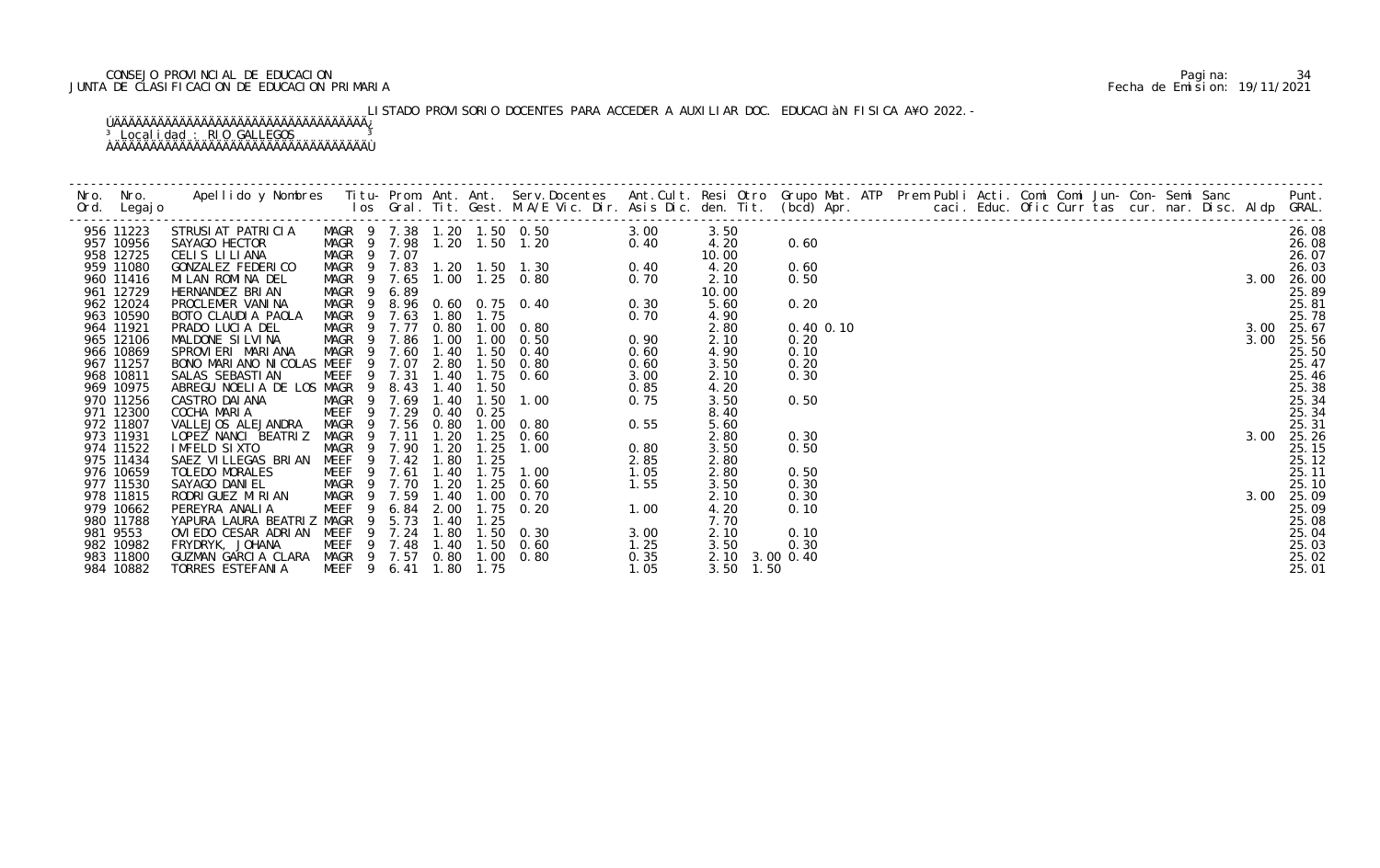# CONSEJO PROVINCIAL DE EDUCACION Pagina: 34 JUNTA DE CLASIFICACION DE EDUCACION PRIMARIA Fecha de Emision: 19/11/2021

# LISTADO PROVISORIO DOCENTES PARA ACCEDER A AUXILIAR DOC. EDUCACIàN FISICA A¥O 2022.-

|          | Nro. Nro.<br>Ord. Legajo | Apellido y Nombres Titu- Prom. Ant. Ant. Serv.Docentes Ant.Cult. Resi Otro Grupo Mat. ATP Prem Publi Acti. Comi Comi Jun- Con- Semi Sanc Punt.<br>Ios Gral. Tit. Gest. M.A/E Vic. Dir. Asis Dic. den. Tit. (bcd) Apr. |                   |                |        |                |                |                                                                                                                      |              |                |              |  |  |  |  |  |                                                                                     |                |
|----------|--------------------------|-----------------------------------------------------------------------------------------------------------------------------------------------------------------------------------------------------------------------|-------------------|----------------|--------|----------------|----------------|----------------------------------------------------------------------------------------------------------------------|--------------|----------------|--------------|--|--|--|--|--|-------------------------------------------------------------------------------------|----------------|
|          | 956 11223                | STRUSI AT PATRI CI A                                                                                                                                                                                                  |                   |                |        |                |                | MAGR 9 7.38 1.20 1.50 0.50 3.00<br>MAGR 9 7.98 1.20 1.50 1.20 0.40<br>MAGR 9 7.07<br>MAGR 9 7.83 1.20 1.50 1.30 0.40 |              | 3.50           |              |  |  |  |  |  |                                                                                     | 26.08          |
|          | 957 10956                | SAYAGO HECTOR                                                                                                                                                                                                         |                   |                |        |                |                |                                                                                                                      |              | 4.20           | 0.60         |  |  |  |  |  |                                                                                     | 26.08          |
|          | 958 12725                | CELIS LILIANA                                                                                                                                                                                                         |                   |                |        |                |                |                                                                                                                      |              | 10.00          |              |  |  |  |  |  |                                                                                     | 26.07          |
|          | 959 11080                | GONZALEZ FEDERICO                                                                                                                                                                                                     |                   |                |        |                |                |                                                                                                                      |              | 4.20           | 0.60         |  |  |  |  |  |                                                                                     | 26.03          |
|          | 960 11416                | MILAN ROMINA DEL                                                                                                                                                                                                      | MAGR 9 7.65       |                |        |                |                | 1.00  1.25  0.80                                                                                                     |              | 2.10           | 0.50         |  |  |  |  |  | 3.00                                                                                | 26.00          |
|          | 961 12729                | HERNANDEZ BRIAN                                                                                                                                                                                                       | MAGR <sub>9</sub> |                | 6.89   |                |                |                                                                                                                      |              | 10.00          |              |  |  |  |  |  |                                                                                     | 25.89          |
|          | 962 12024                | PROCLEMER VANINA                                                                                                                                                                                                      |                   |                |        |                |                | $0.70$<br>$0.30$<br>MAGR 9 8.96 0.60 0.75 0.40<br>$0.3c$<br>$0.70$                                                   |              | 5.60           | 0.20         |  |  |  |  |  |                                                                                     | 25.81          |
|          | 963 10590                | BOTO CLAUDIA PAOLA                                                                                                                                                                                                    | MAGR 9 7.63       |                |        | 1.80           | 1.75           |                                                                                                                      |              | 4.90           |              |  |  |  |  |  |                                                                                     | 25.78          |
|          | 964 11921                | PRADO LUCIA DEL                                                                                                                                                                                                       | MAGR 9 7.77       |                |        |                |                | 0.80 1.00 0.80                                                                                                       |              | 2.80           | 0.40 0.10    |  |  |  |  |  |                                                                                     | 3.00 25.67     |
|          | 965 12106                | MALDONE SILVINA                                                                                                                                                                                                       | MAGR 9 7.86       |                |        |                |                | 1.00 1.00 0.50                                                                                                       | 0.90         | 2.10           | 0.20         |  |  |  |  |  |                                                                                     | 25.56          |
|          | 966 10869                | SPROVIERI MARIANA                                                                                                                                                                                                     | MAGR 9            | $\overline{9}$ | 7.60   | 1.40           | 1.50           | 0.40                                                                                                                 | 0.60         | 4.90           | 0.10         |  |  |  |  |  |                                                                                     | 25.50<br>25.47 |
|          | 967 11257<br>968 10811   | BONO MARIANO NICOLAS MEEF                                                                                                                                                                                             | MEEF 9 7.31       |                | 7.07   | 2.80           | 1.40 1.75 0.60 | $1.50 \t 0.80$                                                                                                       | 0.60         | 3.50           | 0.20<br>0.30 |  |  |  |  |  |                                                                                     |                |
|          | 969 10975                | SALAS SEBASTI AN<br>ABREGU NOELIA DE LOS MAGR 9                                                                                                                                                                       |                   |                | 8.43   | 1.40           | 1.50           |                                                                                                                      | 3.00<br>0.85 | 2.10<br>4.20   |              |  |  |  |  |  |                                                                                     | 25.46          |
|          | 970 11256                | CASTRO DAI ANA                                                                                                                                                                                                        | MAGR 9 7.69       |                |        | 1.40           | 1.50           | 1.00                                                                                                                 | 0.75         | 3.50           | 0.50         |  |  |  |  |  |                                                                                     | 25.38<br>25.34 |
|          | 971 12300                | COCHA MARIA                                                                                                                                                                                                           | MEEF 9 7.29       |                |        | 0.40           | 0.25           |                                                                                                                      |              | 8.40           |              |  |  |  |  |  |                                                                                     | 25.34          |
|          | 972 11807                | VALLEJOS ALEJANDRA                                                                                                                                                                                                    | MAGR 9 7.56       |                |        | 0.80           |                | $1.00 \t 0.80$                                                                                                       | 0.55         | 5.60           |              |  |  |  |  |  |                                                                                     | 25.31          |
|          | 973 11931                | LOPEZ NANCI BEATRIZ                                                                                                                                                                                                   | <b>MAGR</b>       |                | 9 7.11 | 1.20           | 1.25           | 0.60                                                                                                                 |              | 2.80           | 0.30         |  |  |  |  |  |                                                                                     | 3.00 25.26     |
|          | 974 11522                | IMFELD SIXTO                                                                                                                                                                                                          |                   |                | 9 7.90 |                | 1.25           | 1.00                                                                                                                 | 0.80         | 3.50           | 0.50         |  |  |  |  |  |                                                                                     | 25.15          |
|          | 975 11434                | SAEZ VILLEGAS BRIAN                                                                                                                                                                                                   | MAGR<br>MEEF      | 9              | 7.42   | 1. 20<br>1. 80 | 1.25           |                                                                                                                      | 2.85         | 2.80           |              |  |  |  |  |  |                                                                                     | 25.12          |
|          | 976 10659                | TOLEDO MORALES                                                                                                                                                                                                        | MEEF <sub>9</sub> |                | 7.61   | 1.40           | 1.75           | 1.00                                                                                                                 | 1.05         | 2.80           | 0.50         |  |  |  |  |  |                                                                                     | 25.11          |
|          | 977 11530                | SAYAGO DANI EL                                                                                                                                                                                                        | MAGR 9 7.70       |                |        | 1.20           | 1.25           | 0.60                                                                                                                 | 1.55         | 3.50           | 0.30         |  |  |  |  |  |                                                                                     | 25.10          |
|          | 978 11815                | RODRI GUEZ MI RI AN                                                                                                                                                                                                   | MAGR 9 7.59       |                |        | 1.40           | 1.00           | 0. 70                                                                                                                |              | 2.10           | 0.30         |  |  |  |  |  |                                                                                     | 25.09          |
|          | 979 10662                | PEREYRA ANALIA                                                                                                                                                                                                        | <b>MEEF</b>       | 9              | 6.84   | 2.00           |                | 1.75 0.20<br>1.00                                                                                                    |              | 4.20           | 0.10         |  |  |  |  |  |                                                                                     | 25.09          |
|          | 980 11788                | YAPURA LAURA BEATRIZ MAGR                                                                                                                                                                                             |                   | - 9            | 5.73   | 1.40           | 1.25           |                                                                                                                      |              | 7.70           |              |  |  |  |  |  |                                                                                     | 25.08          |
| 981 9553 |                          | OVIEDO CESAR ADRIAN MEEF                                                                                                                                                                                              |                   |                | 9 7.24 | 1.80           |                | $1.50 \t 0.30$                                                                                                       | 3.00         | 2.10           | 0.10         |  |  |  |  |  |                                                                                     | 25.04          |
|          | 982 10982                | FRYDRYK, JOHANA                                                                                                                                                                                                       |                   |                |        |                |                | MEEF 9 7.48 1.40 1.50 0.60                                                                                           | 1.25         | 3.50           | 0.30         |  |  |  |  |  |                                                                                     | 25.03          |
|          | 983 11800                | GUZMAN GARCIA CLARA MAGR 9 7.57 0.80 1.00 0.80                                                                                                                                                                        |                   |                |        |                |                |                                                                                                                      | 0.35         | 2.10 3.00 0.40 |              |  |  |  |  |  |                                                                                     | 25.02          |
|          | 984 10882                | <b>TORRES ESTEFANIA</b>                                                                                                                                                                                               | MEEF <sub>9</sub> |                | 6.41   | 1.80           | 1.75           |                                                                                                                      | 1.05         | $3.50$ 1.50    |              |  |  |  |  |  | 3. 0<br>3. 00<br>$\frac{1}{2}$<br>$\frac{2}{2}$<br>$\frac{2}{25}$<br>$\frac{2}{25}$ | 25.01          |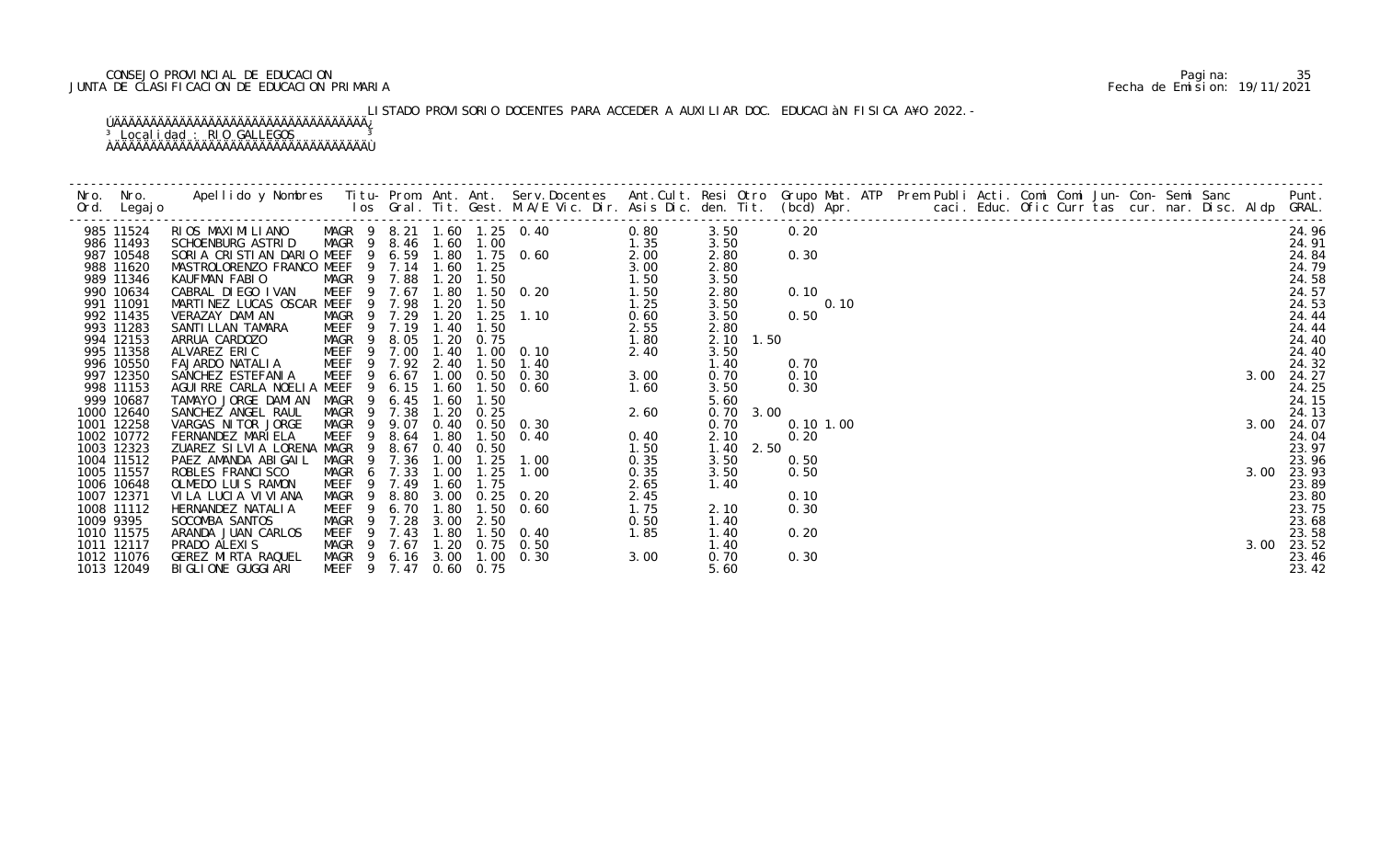# CONSEJO PROVINCIAL DE EDUCACION Pagina: 35 JUNTA DE CLASIFICACION DE EDUCACION PRIMARIA Fecha de Emision: 19/11/2021

# LISTADO PROVISORIO DOCENTES PARA ACCEDER A AUXILIAR DOC. EDUCACIÀN FISICA A¥O 2022.-

|           | 985 11524                | RIOS MAXIMILIANO MAGR 9 8.21 1.60 1.25 0.40 0.80<br>SCHOENBURG ASTRID MAGR 9 8.46 1.60 1.00 1.35<br>SORIA CRISTIAN DARIO MEEF 9 6.59 1.80 1.75 0.60 2.00<br>MASTROLORENZO FRANCO MEEF 9 7.14 1.60 1.25 3.00<br>KAUFMAN FABIO MAGR 9 7. |                                        |     |              |                |                   |                                      |      | 3.50              | 0.20     | 3.00<br>3.00<br>3.00<br>3.00<br>3.00<br>3.00<br>$\frac{1}{2}$<br>$\frac{2}{2}$<br>$\frac{2}{2}$<br>$\frac{2}{2}$<br>3.00<br>$\frac{2}{2}$<br>$\frac{2}{2}$<br>$\frac{2}{2}$<br>$\frac{2}{2}$<br>$\frac{2}{2}$<br>$\frac{2}{2}$<br>$\frac{2}{2}$<br>$\frac{2}{2}$<br>$\frac{2}{2}$<br>$\frac{2}{2}$<br>$\frac{2}{2}$<br>$\frac{2}{2}$<br>$\frac$ |  |  |  |  | 24.96               |
|-----------|--------------------------|----------------------------------------------------------------------------------------------------------------------------------------------------------------------------------------------------------------------------------------|----------------------------------------|-----|--------------|----------------|-------------------|--------------------------------------|------|-------------------|----------|-------------------------------------------------------------------------------------------------------------------------------------------------------------------------------------------------------------------------------------------------------------------------------------------------------------------------------------------------|--|--|--|--|---------------------|
|           | 986 11493                |                                                                                                                                                                                                                                        |                                        |     |              |                |                   |                                      |      | 3.50              |          |                                                                                                                                                                                                                                                                                                                                                 |  |  |  |  | 24.91               |
|           | 987 10548                |                                                                                                                                                                                                                                        |                                        |     |              |                |                   |                                      |      | 2.80              | 0.30     |                                                                                                                                                                                                                                                                                                                                                 |  |  |  |  | 24.84               |
|           | 988 11620                |                                                                                                                                                                                                                                        |                                        |     |              |                |                   |                                      |      | 2.80              |          |                                                                                                                                                                                                                                                                                                                                                 |  |  |  |  | 24.79               |
|           | 989 11346                |                                                                                                                                                                                                                                        |                                        |     |              |                |                   |                                      |      | 3.50              |          |                                                                                                                                                                                                                                                                                                                                                 |  |  |  |  | 24.58               |
|           | 990 10634                |                                                                                                                                                                                                                                        |                                        |     |              |                |                   |                                      |      | 2.80              | 0.10     |                                                                                                                                                                                                                                                                                                                                                 |  |  |  |  | 24.57               |
|           | 991 11091                |                                                                                                                                                                                                                                        |                                        |     |              | 1. 20<br>1. 20 |                   |                                      |      | 3.50              | 0.10     |                                                                                                                                                                                                                                                                                                                                                 |  |  |  |  | 24.53               |
|           | 992 11435                | VERAZAY DAMI AN                                                                                                                                                                                                                        | MAGR 9 7.29                            |     |              |                |                   | $1.25$ $1.10$                        | 0.60 | 3.50              | 0.50     |                                                                                                                                                                                                                                                                                                                                                 |  |  |  |  | 24.44               |
|           | 993 11283                | SANTI LLAN TAMARA                                                                                                                                                                                                                      | MEEF <sub>9</sub>                      |     | 7.19         | 1.40           | 1.50              |                                      |      | 2.80              |          |                                                                                                                                                                                                                                                                                                                                                 |  |  |  |  | 24.44               |
|           | 994 12153                | ARRUA CARDOZO                                                                                                                                                                                                                          | 9<br>MAGR                              |     | 8.05         | 1.20           | 0.75              | $2.55$<br>$2.55$<br>$1.80$<br>$2.40$ |      | 2.10 1.50         |          |                                                                                                                                                                                                                                                                                                                                                 |  |  |  |  | 24.40               |
|           | 995 11358                | ALVAREZ ERIC MEEF 9 7.00                                                                                                                                                                                                               |                                        |     |              | 1.40           |                   | $1.00 \t 0.10$                       |      | 3.50              |          |                                                                                                                                                                                                                                                                                                                                                 |  |  |  |  | 24.40               |
|           | 996 10550                | FAJARDO NATALIA                                                                                                                                                                                                                        | MEEF 9 7.92 2.40                       |     |              |                | 1.50              | 1.40                                 |      | 1.40              | 0.70     |                                                                                                                                                                                                                                                                                                                                                 |  |  |  |  | 24.32               |
|           | 997 12350                | SANCHEZ ESTEFANIA                                                                                                                                                                                                                      | <b>MEEF</b>                            | -9  | 6.67         |                |                   | 1.00 0.50 0.30                       | 3.00 | 0.70              | 0.10     |                                                                                                                                                                                                                                                                                                                                                 |  |  |  |  | 24.27               |
|           | 998 11153                | AGUIRRE CARLA NOELIA MEEF                                                                                                                                                                                                              |                                        | 9   | 6.15         | 1.60<br>1.60   |                   | $1.50 \t 0.60$                       | 1.60 | 3.50              | 0.30     |                                                                                                                                                                                                                                                                                                                                                 |  |  |  |  | 24.25               |
|           | 999 10687                | TAMAYO JORGE DAMIAN                                                                                                                                                                                                                    | MAGR                                   |     | 6.45         |                | 1.50              |                                      |      | 5.60              |          |                                                                                                                                                                                                                                                                                                                                                 |  |  |  |  | 24.15               |
|           | 1000 12640<br>1001 12258 | SANCHEZ ANGEL RAUL<br>VARGAS NI TOR JORGE                                                                                                                                                                                              | MAGR <sub>9</sub><br>MAGR <sub>9</sub> |     | 7.38<br>9.07 | 1.20           | 0.25              | 0.40 0.50 0.30                       | 2.60 | 0.70 3.00<br>0.70 | 0.101.00 |                                                                                                                                                                                                                                                                                                                                                 |  |  |  |  | 24.13<br>3.00 24.07 |
|           | 1002 10772               | FERNANDEZ MARIELA                                                                                                                                                                                                                      | MEEF                                   | - 9 | 8.64         | 1.80           | 1.50              | 0.40                                 | 0.40 | 2.10              | 0.20     |                                                                                                                                                                                                                                                                                                                                                 |  |  |  |  | 24.04               |
|           | 1003 12323               | ZUAREZ SILVIA LORENA MAGR                                                                                                                                                                                                              |                                        | 9   | 8.67         |                | 0.40 0.50         |                                      | 1.50 | 1.40<br>2.50      |          |                                                                                                                                                                                                                                                                                                                                                 |  |  |  |  | 23.97               |
|           | 1004 11512               | PAEZ AMANDA ABIGAIL                                                                                                                                                                                                                    | MAGR 9                                 |     | 7.36         | 1.00           | 1.25              | 1.00                                 | 0.35 | 3.50              | 0.50     |                                                                                                                                                                                                                                                                                                                                                 |  |  |  |  | 23.96               |
|           | 1005 11557               | ROBLES FRANCI SCO                                                                                                                                                                                                                      | MAGR 6 7.33                            |     |              | 1.00           | 1.25              | 1.00                                 | 0.35 | 3.50              | 0.50     |                                                                                                                                                                                                                                                                                                                                                 |  |  |  |  | 23.93               |
|           | 1006 10648               | OLMEDO LUIS RAMON                                                                                                                                                                                                                      | MEEF                                   |     | 9 7.49       | 1.60           | 1.75              |                                      | 2.65 | 1.40              |          |                                                                                                                                                                                                                                                                                                                                                 |  |  |  |  | 23.89               |
|           | 1007 12371               | VI LA LUCIA VI VI ANA                                                                                                                                                                                                                  | MAGR<br>$\overline{9}$                 |     | 8.80         | 3.00           |                   | $0.25$ 0.20                          | 2.45 |                   | 0.10     |                                                                                                                                                                                                                                                                                                                                                 |  |  |  |  | 23.80               |
|           | 1008 11112               | HERNANDEZ NATALIA                                                                                                                                                                                                                      | MEEF                                   | - 9 | 6.70         | 1.80           | 1.50              | 0.60                                 | 1.75 | 2.10              | 0.30     |                                                                                                                                                                                                                                                                                                                                                 |  |  |  |  | 23.75               |
| 1009 9395 |                          | SOCOMBA SANTOS                                                                                                                                                                                                                         | MAGR 9 7.28                            |     |              | 3.00           | 2.50              |                                      | 0.50 | 1.40              |          |                                                                                                                                                                                                                                                                                                                                                 |  |  |  |  | 23.68               |
|           | 1010 11575               | ARANDA JUAN CARLOS                                                                                                                                                                                                                     | MEEF                                   | - 9 | 7.43         | 1.80           | 1.50              | 0.40                                 | 1.85 | 1.40              | 0.20     |                                                                                                                                                                                                                                                                                                                                                 |  |  |  |  | 23.58               |
|           | 1011 12117               | PRADO ALEXIS                                                                                                                                                                                                                           | MAGR 9 7.67                            |     |              |                |                   | 1.20 0.75 0.50                       |      | 1.40              |          |                                                                                                                                                                                                                                                                                                                                                 |  |  |  |  | 23.52               |
|           | 1012 11076               | GEREZ MIRTA RAQUEL                                                                                                                                                                                                                     | MAGR 9 6.16 3.00                       |     |              |                |                   | $1.00 \quad 0.30$                    | 3.00 | 0.70              | 0.30     |                                                                                                                                                                                                                                                                                                                                                 |  |  |  |  | 23.46               |
|           | 1013 12049               | BI GLI ONE GUGGI ARI                                                                                                                                                                                                                   | MEEF 9 7.47                            |     |              |                | $0.60 \quad 0.75$ |                                      |      | 5.60              |          |                                                                                                                                                                                                                                                                                                                                                 |  |  |  |  | 23.42               |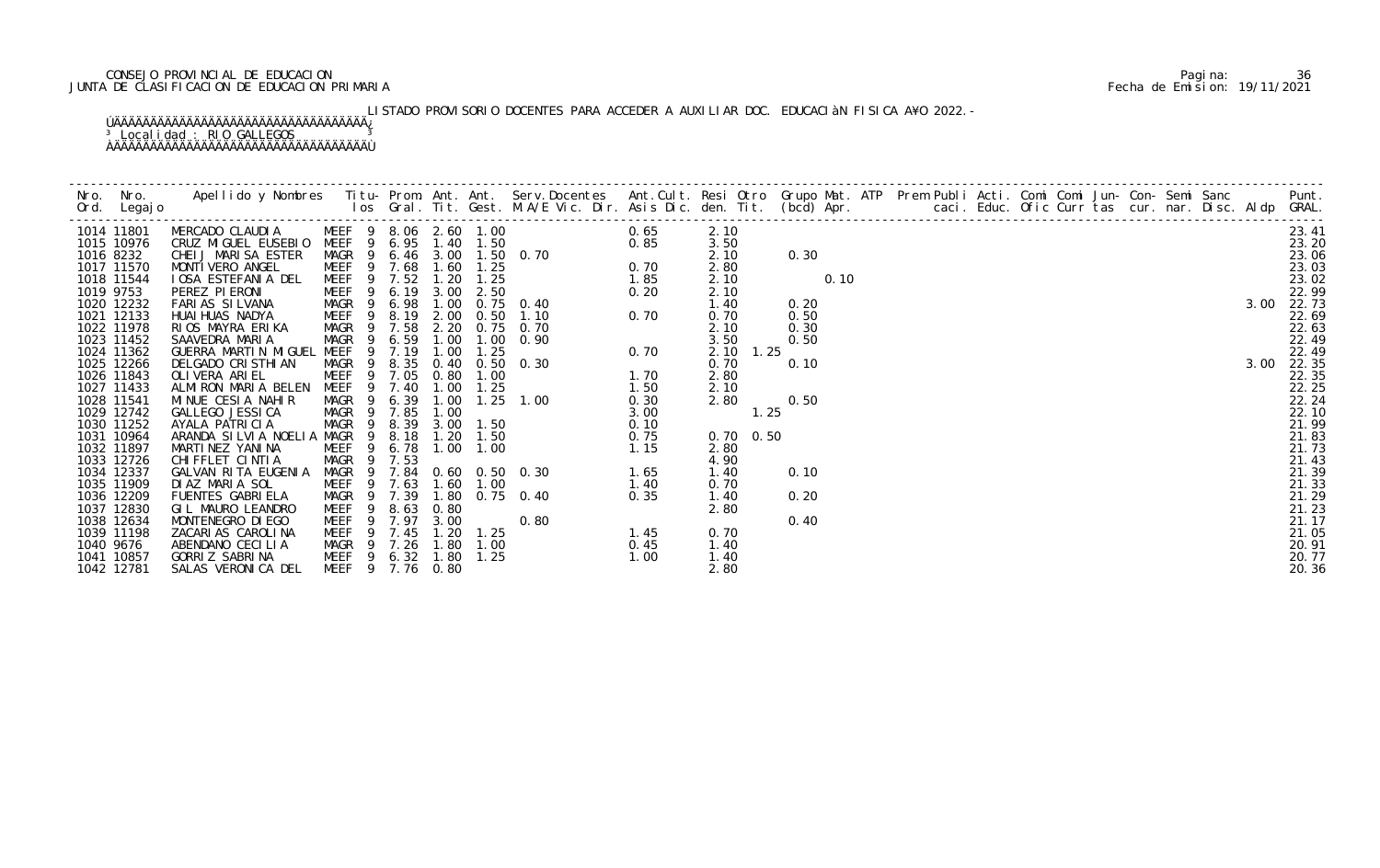# CONSEJO PROVINCIAL DE EDUCACION Pagina: 36 JUNTA DE CLASIFICACION DE EDUCACION PRIMARIA Fecha de Emision: 19/11/2021

# LISTADO PROVISORIO DOCENTES PARA ACCEDER A AUXILIAR DOC. EDUCACIÀN FISICA A¥O 2022.-

|           | 1014 11801               | MERCADO CLAUDIA MEEF 9 8.06 2.60 1.00     |                        |              |              |               | 0.65                                                                                                 | 2.10              |              |      |  |  |  |  |      | 23.41          |
|-----------|--------------------------|-------------------------------------------|------------------------|--------------|--------------|---------------|------------------------------------------------------------------------------------------------------|-------------------|--------------|------|--|--|--|--|------|----------------|
|           | 1015 10976               | CRUZ MIGUEL EUSEBIO MEEF 9 6.95 1.40 1.50 |                        |              |              |               | 0. 70<br>0. 70<br>0. 70<br>1. 85<br>0. 20<br>0. 20<br>0. 20<br>0. 70<br>0. 70                        | 3.50              |              |      |  |  |  |  |      | 23.20          |
| 1016 8232 |                          | CHEIJ MARISA ESTER                        | MAGR 9                 |              |              |               | 6.46 3.00 1.50 0.70                                                                                  | 2.10              | 0.30         |      |  |  |  |  |      | 23.06          |
|           | 1017 11570               | MONTI VERO ANGEL                          | MEEF 9 7.68            |              |              | $1.60$ $1.25$ |                                                                                                      | 2.80              |              |      |  |  |  |  |      | 23.03          |
|           | 1018 11544               | IOSA ESTEFANIA DEL                        | 9<br>MEEF              | 7.52         | 1.20         | 1.25          |                                                                                                      | 2.10              |              | 0.10 |  |  |  |  |      | 23.02          |
| 1019 9753 |                          | PEREZ PI ERONI                            | 9<br>MEEF              | 6.19         | 3.00         | 2.50          |                                                                                                      | 2.10              |              |      |  |  |  |  |      | 22.99          |
|           | 1020 12232               | FARIAS SILVANA                            | MAGR 9<br>9            | 6.98         | 1.00         |               | $0.75$ 0.40                                                                                          | 1.40              | 0.20         |      |  |  |  |  |      | 3.00 22.73     |
|           | 1021 12133<br>1022 11978 | HUAI HUAS NADYA                           | <b>MEEF</b><br>MAGR 9  | 8.19<br>7.58 | 2.00<br>2.20 | 0.50          | $0.75$ 0.70                                                                                          | 0.70<br>2.10      | 0.50<br>0.30 |      |  |  |  |  |      | 22.69          |
|           | 1023 11452               | RIOS MAYRA ERIKA<br>SAAVEDRA MARIA        | MAGR                   | 6.59         | 1.00         | 1.00          | 0.90                                                                                                 | 3.50              | 0.50         |      |  |  |  |  |      | 22.63<br>22.49 |
|           | 1024 11362               | GUERRA MARTIN MIGUEL MEEF                 | 9                      | 7.19         | 1.00         | 1.25          |                                                                                                      | 2.10 1.25         |              |      |  |  |  |  |      | 22.49          |
|           | 1025 12266               | DELGADO CRISTHIAN                         | MAGR<br>- 9            | 8.35         |              |               | $\begin{bmatrix} 70 & 0.70 \\ 90 & 0.70 \\ .30 & 1.70 \\ .60 & 0.70 \end{bmatrix}$<br>0.40 0.50 0.30 | 0.70              | 0.10         |      |  |  |  |  | 3.00 | 22.35          |
|           | 1026 11843               | OLI VERA ARI EL                           | 9<br>MEEF              | 7.05         | 0.80         | 1.00          |                                                                                                      | 2.80              |              |      |  |  |  |  |      | 22.35          |
|           | 1027 11433               | ALMIRON MARIA BELEN                       | MEEF 9                 | 7.40         | 1.00         | 1.25          |                                                                                                      | 2.10              |              |      |  |  |  |  |      | 22.25          |
|           | 1028 11541               | MINUE CESIA NAHIR                         | MAGR 9                 | 6.39         | 1.00         |               | 1. 00<br>$0.30$<br>$3.00$<br>$0.10$<br>$0.75$<br>$1.15$<br>0. 30<br>$1.65$<br>$1.25$ $1.00$          | 2.80              | 0.50         |      |  |  |  |  |      | 22.24          |
|           | 1029 12742               | GALLEGO JESSI CA                          | MAGR <sub>9</sub>      | 7.85         | 1.00         |               |                                                                                                      |                   | 1.25         |      |  |  |  |  |      | 22.10          |
|           | 1030 11252               | AYALA PATRICIA                            | 9<br>MAGR              | 8.39         | 3.00         | 1.50          |                                                                                                      |                   |              |      |  |  |  |  |      | 21.99          |
|           | 1031 10964               | ARANDA SILVIA NOELIA MAGR                 | $\overline{9}$         | 8.18         | 1.20         | 1.50          |                                                                                                      | $0.70 \quad 0.50$ |              |      |  |  |  |  |      | 21.83          |
|           | 1032 11897               | MARTINEZ YANINA                           | MEEF 9                 | 6.78         | 1.00         | 1.00          |                                                                                                      | 2.80              |              |      |  |  |  |  |      | 21.73          |
|           | 1033 12726               | CHI FFLET CI NTI A                        | $\overline{9}$<br>MAGR | 7.53         |              |               |                                                                                                      | 4.90              |              |      |  |  |  |  |      | 21.43          |
|           | 1034 12337               | GALVAN RITA EUGENIA                       | MAGR 9                 | 7.84         |              |               | $0.60$ $0.50$ $0.30$                                                                                 | 1.40              | 0.10         |      |  |  |  |  |      | 21.39          |
|           | 1035 11909               | DIAZ MARIA SOL                            | MEEF<br>- 9            | 7.63         | 1.60         | 1.00          |                                                                                                      | 0.70              |              |      |  |  |  |  |      | 21.33          |
|           | 1036 12209               | FUENTES GABRIELA                          | MAGR<br>- 9            | 7.39         |              |               | 1.80 0.75 0.40                                                                                       | 1.40              | 0.20         |      |  |  |  |  |      | 21.29          |
|           | 1037 12830               | GIL MAURO LEANDRO                         | MEEF<br>9              | 8.63         | 0.80         |               |                                                                                                      | 2.80              |              |      |  |  |  |  |      | 21.23          |
|           | 1038 12634               | MONTENEGRO DI EGO                         | 9<br>MEEF              | 7.97         | 3.00         |               | 1. 03<br>1. 40<br>1. 40<br>0. 35<br>2. 80<br>1. 45<br>0. 45<br>1. 00<br>0.80                         |                   | 0.40         |      |  |  |  |  |      | 21.17          |
|           | 1039 11198               | ZACARIAS CAROLINA                         | MEEF 9 7.45            |              | 1.20         | 1.25          |                                                                                                      | 0.70              |              |      |  |  |  |  |      | 21.05          |
| 1040 9676 |                          | ABENDANO CECILIA                          | MAGR 9 7.26            |              | 1.80         | 1.00          |                                                                                                      | 1.40              |              |      |  |  |  |  |      | 20.91          |
|           | 1041 10857               | GORRIZ SABRINA                            | $\overline{9}$<br>MEEF | 6.32         | 1.80         | 1.25          |                                                                                                      | 1.40              |              |      |  |  |  |  |      | 20.77          |
|           | 1042 12781               | SALAS VERONICA DEL                        | MEEF 9 7.76 0.80       |              |              |               |                                                                                                      | 2.80              |              |      |  |  |  |  |      | 20.36          |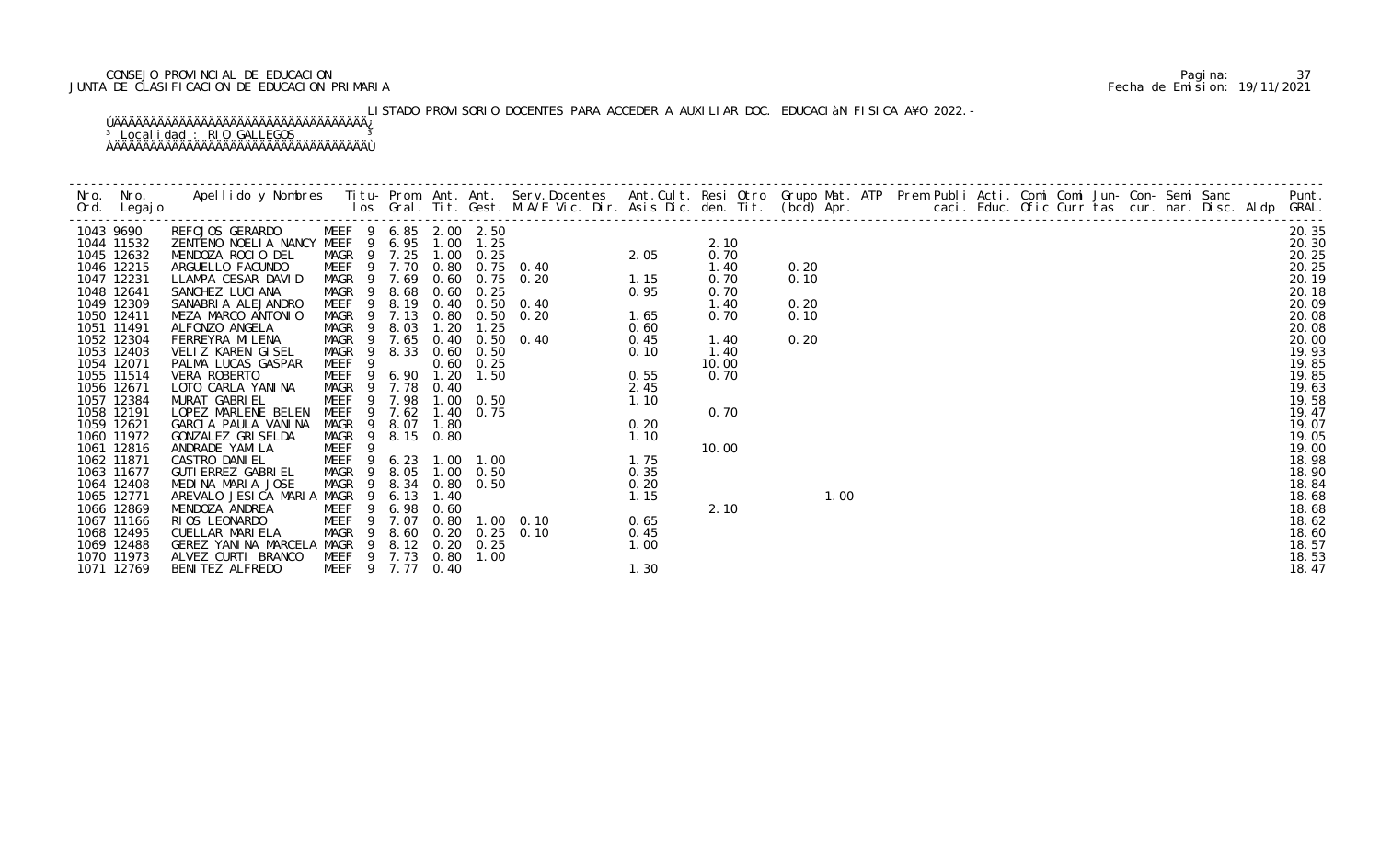# CONSEJO PROVINCIAL DE EDUCACION Pagina: 37 JUNTA DE CLASIFICACION DE EDUCACION PRIMARIA Fecha de Emision: 19/11/2021

# LISTADO PROVISORIO DOCENTES PARA ACCEDER A AUXILIAR DOC. EDUCACIàN FISICA A¥O 2022.-

|           |                          |                                            |                                                |        |             |      |                   |                                                                                                                                                                                                                                                                                    |      |       |      |  |  |  |  | Punt.          |
|-----------|--------------------------|--------------------------------------------|------------------------------------------------|--------|-------------|------|-------------------|------------------------------------------------------------------------------------------------------------------------------------------------------------------------------------------------------------------------------------------------------------------------------------|------|-------|------|--|--|--|--|----------------|
|           |                          |                                            |                                                |        |             |      |                   |                                                                                                                                                                                                                                                                                    |      |       |      |  |  |  |  |                |
| 1043 9690 |                          | REFOJOS GERARDO MEEF 9 6.85 2.00 2.50      |                                                |        |             |      |                   |                                                                                                                                                                                                                                                                                    |      |       |      |  |  |  |  | 20.35          |
|           | 1044 11532               | ZENTENO NOELIA NANCY MEEF 9 6.95 1.00      |                                                |        |             |      | 1. 25             | $2.05$<br>$2.05$                                                                                                                                                                                                                                                                   |      | 2.10  |      |  |  |  |  | 20.30          |
|           | 1045 12632               | MENDOZA ROCIO DEL                          | MAGR 9 7.25 1.00 0.25                          |        |             |      |                   |                                                                                                                                                                                                                                                                                    |      | 0.70  |      |  |  |  |  | 20.25          |
|           | 1046 12215               | ARGUELLO FACUNDO                           |                                                |        |             |      |                   | MEEF 9 7.70 0.80 0.75 0.40                                                                                                                                                                                                                                                         |      | 1.40  | 0.20 |  |  |  |  | 20.25          |
|           | 1047 12231               | LLAMPA CESAR DAVID                         | MAGR 9 7.69 0.60                               |        |             |      |                   | 1.15<br>$0.75$ 0.20                                                                                                                                                                                                                                                                |      | 0.70  | 0.10 |  |  |  |  | 20.19          |
|           | 1048 12641               | SANCHEZ LUCI ANA                           | MAGR 9 8.68 0.60                               |        |             |      | 0.25              |                                                                                                                                                                                                                                                                                    | 0.95 | 0.70  |      |  |  |  |  | 20.18          |
|           | 1049 12309               | SANABRIA ALEJANDRO                         | MEEF                                           |        |             |      |                   | 9 8.19 0.40 0.50 0.40                                                                                                                                                                                                                                                              |      | 1.40  | 0.20 |  |  |  |  | 20.09          |
|           | 1050 12411               | MEZA MARCO ANTONIO                         | MAGR 9 7.13                                    |        |             | 0.80 |                   | $0.50 \quad 0.20$                                                                                                                                                                                                                                                                  | 1.65 | 0.70  | 0.10 |  |  |  |  | 20.08          |
|           | 1051 11491               | ALFONZO ANGELA                             | MAGR                                           | 9      | 8.03        | 1.20 | 1.25              |                                                                                                                                                                                                                                                                                    | 0.60 |       |      |  |  |  |  | 20.08          |
|           | 1052 12304               | FERREYRA MI LENA                           | MAGR 9 7.65                                    |        |             | 0.40 |                   | $0.50 \quad 0.40$                                                                                                                                                                                                                                                                  | 0.45 | 1.40  | 0.20 |  |  |  |  | 20.00          |
|           | 1053 12403               | VELIZ KAREN GISEL                          | MAGR 9 8.33                                    |        |             |      | $0.60 \quad 0.50$ | 0. 50 0. 40 0. 45<br>0. 50 0. 40 0. 45<br>0. 50 0. 10<br>2. 45<br>0. 50 1. 10<br>0. 75<br>0. 20<br>1. 10<br>0. 20<br>1. 10<br>0. 35<br>0. 35<br>0. 35<br>0. 35<br>0. 35<br>0. 35<br>0. 35<br>0. 35<br>0. 35<br>0. 35<br>0. 35<br>0. 35<br>0. 35<br>0. 35<br>0. 35<br>0. 35<br>0. 2 | 0.10 | 1.40  |      |  |  |  |  | 19.93          |
|           | 1054 12071               | PALMA LUCAS GASPAR                         | MEEF <sub>9</sub>                              |        |             |      | $0.60 \quad 0.25$ |                                                                                                                                                                                                                                                                                    |      | 10.00 |      |  |  |  |  | 19.85          |
|           | 1055 11514               | VERA ROBERTO                               | MEEF 9 6.90 1.20                               |        |             |      | 1.50              |                                                                                                                                                                                                                                                                                    |      | 0.70  |      |  |  |  |  | 19.85          |
|           | 1056 12671               | LOTO CARLA YANINA                          | MAGR 9 7.78 0.40                               |        |             |      |                   |                                                                                                                                                                                                                                                                                    |      |       |      |  |  |  |  | 19.63          |
|           | 1057 12384               | MURAT GABRIEL                              | MEEF 9 7.98 1.00 0.50                          |        |             |      |                   |                                                                                                                                                                                                                                                                                    |      |       |      |  |  |  |  | 19.58          |
|           | 1058 12191               | LOPEZ MARLENE BELEN                        | MEEF 9 7.62                                    |        |             |      | 1.40 0.75         |                                                                                                                                                                                                                                                                                    |      | 0.70  |      |  |  |  |  | 19.47          |
|           | 1059 12621               | GARCIA PAULA VANINA                        | MAGR 9 8.07 1.80                               |        |             |      |                   |                                                                                                                                                                                                                                                                                    |      |       |      |  |  |  |  | 19.07          |
|           | 1060 11972               | GONZALEZ GRISELDA                          | MAGR 9 8.15 0.80                               |        |             |      |                   |                                                                                                                                                                                                                                                                                    |      |       |      |  |  |  |  | 19.05          |
|           | 1061 12816               | ANDRADE YAMILA<br>CASTRO DANI EL           | MEEF                                           | 9      |             |      |                   |                                                                                                                                                                                                                                                                                    |      | 10.00 |      |  |  |  |  | 19.00          |
|           | 1062 11871<br>1063 11677 | GUTI ERREZ GABRI EL                        | MEEF 9 6.23 1.00 1.00<br>MAGR 9 8.05 1.00 0.50 |        |             |      |                   |                                                                                                                                                                                                                                                                                    |      |       |      |  |  |  |  | 18.98<br>18.90 |
|           | 1064 12408               | MEDINA MARIA JOSE                          | MAGR                                           |        |             |      | 9 8.34 0.80 0.50  |                                                                                                                                                                                                                                                                                    |      |       |      |  |  |  |  | 18.84          |
|           | 1065 12771               | AREVALO JESICA MARIA MAGR 9 6.13           |                                                |        |             | 1.40 |                   |                                                                                                                                                                                                                                                                                    |      |       | 1.00 |  |  |  |  | 18.68          |
|           | 1066 12869               | MENDOZA ANDREA                             | MEEF                                           |        | 9 6.98 0.60 |      |                   |                                                                                                                                                                                                                                                                                    |      | 2.10  |      |  |  |  |  | 18.68          |
|           | 1067 11166               | RIOS LEONARDO                              | MEEF                                           | 9 7.07 |             | 0.80 |                   | $1.00 \quad 0.10$                                                                                                                                                                                                                                                                  | 0.65 |       |      |  |  |  |  | 18.62          |
|           | 1068 12495               | CUELLAR MARIELA                            | MAGR 9 8.60 0.20 0.25 0.10                     |        |             |      |                   |                                                                                                                                                                                                                                                                                    | 0.45 |       |      |  |  |  |  | 18.60          |
|           | 1069 12488               | GEREZ YANINA MARCELA MAGR 9 8.12 0.20 0.25 |                                                |        |             |      |                   |                                                                                                                                                                                                                                                                                    | 1.00 |       |      |  |  |  |  | 18.57          |
|           | 1070 11973               | ALVEZ CURTI BRANCO                         | MEEF 9 7.73 0.80                               |        |             |      | 1.00              |                                                                                                                                                                                                                                                                                    |      |       |      |  |  |  |  | 18.53          |
|           | 1071 12769               | BENITEZ ALFREDO                            | MEEF 9 7.77 0.40                               |        |             |      |                   |                                                                                                                                                                                                                                                                                    | 1.30 |       |      |  |  |  |  | 18.47          |
|           |                          |                                            |                                                |        |             |      |                   |                                                                                                                                                                                                                                                                                    |      |       |      |  |  |  |  |                |